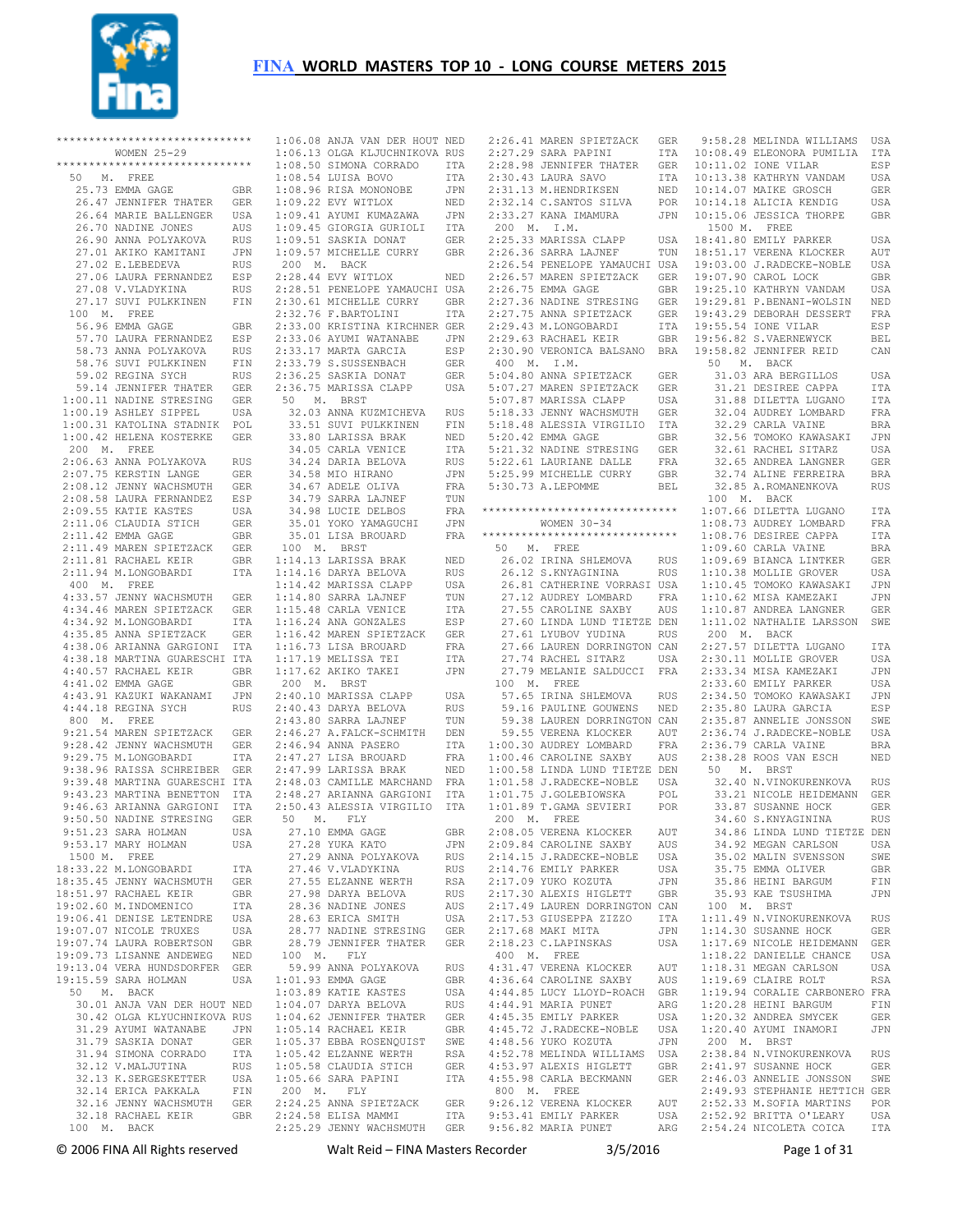

|             | ******************************            |            |             | 1:06.08 ANJA VAN DER HOUT NED                  |            |
|-------------|-------------------------------------------|------------|-------------|------------------------------------------------|------------|
|             | WOMEN 25-29                               |            |             | 1:06.13 OLGA KLJUCHNIKOVA RUS                  |            |
|             | ******************************            |            |             | 1:08.50 SIMONA CORRADO                         | ITA        |
| 50<br>М.    | FREE                                      |            |             | 1:08.54 LUISA BOVO                             | ITA        |
|             | 25.73 EMMA GAGE                           | GBR        |             | 1:08.96 RISA MONONOBE                          | JPN        |
|             | 26.47 JENNIFER THATER                     | GER        |             | 1:09.22 EVY WITLOX                             | NED        |
|             | 26.64 MARIE BALLENGER                     | USA        |             | 1:09.41 AYUMI KUMAZAWA                         | JPN        |
|             | 26.70 NADINE JONES                        | AUS        |             | 1:09.45 GIORGIA GURIOLI                        | ITA        |
|             | 26.90 ANNA POLYAKOVA                      | RUS        |             | 1:09.51 SASKIA DONAT                           | GER        |
|             | 27.01 AKIKO KAMITANI                      | JPN        |             | 1:09.57 MICHELLE CURRY                         | GBR        |
|             | 27.02 E.LEBEDEVA<br>27.06 LAURA FERNANDEZ | RUS        | 200 M. BACK | 2:28.44 EVY WITLOX                             |            |
|             | 27.08 V.VLADYKINA                         | ESP<br>RUS |             | 2:28.51 PENELOPE YAMAUCHI USA                  | NED        |
|             | 27.17 SUVI PULKKINEN                      | FIN        |             | 2:30.61 MICHELLE CURRY                         | <b>GBR</b> |
| 100         | M. FREE                                   |            |             | 2:32.76 F.BARTOLINI                            | ITA        |
|             | 56.96 EMMA GAGE                           |            |             | 2:33.00 KRISTINA KIRCHNER GER                  |            |
|             | 57.70 LAURA FERNANDEZ                     | GBR<br>ESP |             | 2:33.06 AYUMI WATANABE                         | JPN        |
|             | 58.73 ANNA POLYAKOVA                      | RUS        |             | 2:33.17 MARTA GARCIA                           | ESP        |
|             | 58.76 SUVI PULKKINEN                      | FIN        |             | 2:33.79 S.SUSSENBACH                           | GER        |
|             | 59.02 REGINA SYCH                         | RUS        |             | 2:36.25 SASKIA DONAT                           | GER        |
|             | 59.14 JENNIFER THATER                     | GER        |             | 2:36.75 MARISSA CLAPP                          | USA        |
|             | 1:00.11 NADINE STRESING                   | GER        | 50<br>Μ.    | BRST                                           |            |
|             | 1:00.19 ASHLEY SIPPEL                     | USA        |             | 32.03 ANNA KUZMICHEVA                          | RUS        |
|             | 1:00.31 KATOLINA STADNIK                  | POL        |             | 33.51 SUVI PULKKINEN                           | FIN        |
|             | 1:00.42 HELENA KOSTERKE                   | GER        |             | 33.80 LARISSA BRAK                             | NED        |
| 200 M. FREE |                                           |            |             | 34.05 CARLA VENICE                             | ITA        |
|             | 2:06.63 ANNA POLYAKOVA                    | RUS        |             | 34.24 DARIA BELOVA                             | RUS        |
|             | 2:07.75 KERSTIN LANGE                     | GER        |             | 34.58 MIO HIRANO                               | JPN        |
|             | 2:08.12 JENNY WACHSMUTH                   | <b>GER</b> |             | 34.67 ADELE OLIVA                              | FRA        |
|             | 2:08.58 LAURA FERNANDEZ                   | ESP        |             | 34.79 SARRA LAJNEF                             | TUN        |
|             | 2:09.55 KATIE KASTES                      | USA        |             | 34.98 LUCIE DELBOS                             | FRA        |
|             | 2:11.06 CLAUDIA STICH                     | GER        |             | 35.01 YOKO YAMAGUCHI                           | JPN        |
|             | 2:11.42 EMMA GAGE                         | GBR        |             | 35.01 LISA BROUARD                             | FRA        |
|             | 2:11.49 MAREN SPIETZACK                   | GER        | 100 M.      | BRST                                           |            |
|             | 2:11.81 RACHAEL KEIR                      | GBR        |             | 1:14.13 LARISSA BRAK                           | NED        |
|             | 2:11.94 M.LONGOBARDI                      | ITA        |             | 1:14.16 DARYA BELOVA                           | <b>RUS</b> |
| 400 M. FREE |                                           |            |             | 1:14.42 MARISSA CLAPP                          | USA        |
|             | 4:33.57 JENNY WACHSMUTH                   | GER        |             | 1:14.80 SARRA LAJNEF                           | TUN        |
|             | 4:34.46 MAREN SPIETZACK                   | GER        |             | 1:15.48 CARLA VENICE                           | ITA        |
|             | 4:34.92 M.LONGOBARDI                      | ITA        |             | 1:16.24 ANA GONZALES                           | ESP        |
|             | 4:35.85 ANNA SPIETZACK                    | GER        |             | 1:16.42 MAREN SPIETZACK                        | GER        |
|             | 4:38.06 ARIANNA GARGIONI                  | ITA        |             | 1:16.73 LISA BROUARD                           | FRA        |
|             | 4:38.18 MARTINA GUARESCHI ITA             |            |             | 1:17.19 MELISSA TEI                            | ITA        |
|             | 4:40.57 RACHAEL KEIR                      | GBR        |             | 1:17.62 AKIKO TAKEI                            | JPN        |
|             | 4:41.02 EMMA GAGE                         | GBR        | 200 M. BRST |                                                |            |
|             | 4:43.91 KAZUKI WAKANAMI                   | JPN        |             | 2:40.10 MARISSA CLAPP                          | USA        |
|             | 4:44.18 REGINA SYCH                       | RUS        |             | 2:40.43 DARYA BELOVA                           | RUS        |
|             | 800 M. FREE                               |            |             | 2:43.80 SARRA LAJNEF                           | TUN        |
|             | 9:21.54 MAREN SPIETZACK                   | GER        |             | 2:46.27 A.FALCK-SCHMITH                        | DEN        |
|             | 9:28.42 JENNY WACHSMUTH                   | GER        |             | 2:46.94 ANNA PASERO                            | <b>ITA</b> |
|             | 9:29.75 M.LONGOBARDI                      | ITA        |             | 2:47.27 LISA BROUARD                           | FRA        |
|             | 9:38.96 RAISSA SCHREIBER                  | GER        |             | 2:47.99 LARISSA BRAK                           | NED        |
|             | 9:39.48 MARTINA GUARESCHI ITA             |            |             | 2:48.03 CAMILLE MARCHAND                       | FRA        |
|             | 9:43.23 MARTINA BENETTON                  | ITA        |             | 2:48.27 ARIANNA GARGIONI                       | ITA        |
|             | 9:46.63 ARIANNA GARGIONI                  | ITA        |             | 2:50.43 ALESSIA VIRGILIO                       | ITA        |
|             | 9:50.50 NADINE STRESING                   | GER        | 50<br>М.    | FLY                                            |            |
|             | 9:51.23 SARA HOLMAN                       | USA        |             | 27.10 EMMA GAGE                                | GBR        |
|             | 9:53.17 MARY HOLMAN                       | USA        |             | 27.28 YUKA KATO                                | JPN        |
|             | 1500 M. FREE                              |            |             | 27.29 ANNA POLYAKOVA                           | RUS        |
|             | 18:33.22 M.LONGOBARDI                     | ITA        |             | 27.46 V.VLADYKINA                              | RUS        |
|             | 18:35.45 JENNY WACHSMUTH                  | GER        |             | 27.55 ELZANNE WERTH                            | RSA        |
|             | 18:51.97 RACHAEL KEIR                     | GBR        |             | 27.98 DARYA BELOVA                             | RUS        |
|             | 19:02.60 M. INDOMENICO                    | ITA        |             | 28.36 NADINE JONES                             | AUS        |
|             | 19:06.41 DENISE LETENDRE                  | USA        |             | 28.63 ERICA SMITH                              | USA        |
|             | 19:07.07 NICOLE TRUXES                    | USA        |             | 28.77 NADINE STRESING                          | GER        |
|             | 19:07.74 LAURA ROBERTSON                  | <b>GBR</b> |             | 28.79 JENNIFER THATER                          | GER        |
|             | 19:09.73 LISANNE ANDEWEG                  | NED        | 100 M.      | FLY                                            |            |
|             | 19:13.04 VERA HUNDSDORFER                 | GER        |             | 59.99 ANNA POLYAKOVA                           | RUS        |
|             | 19:15.59 SARA HOLMAN                      | USA        |             | 1:01.93 EMMA GAGE                              | GBR        |
|             | 50 M. BACK                                |            |             | 1:03.89 KATIE KASTES                           | USA        |
|             | 30.01 ANJA VAN DER HOUT NED               |            |             | 1:04.07 DARYA BELOVA                           | RUS        |
|             | 30.42 OLGA KLYUCHNIKOVA RUS               |            |             | 1:04.62 JENNIFER THATER                        | GER        |
|             | 31.29 AYUMI WATANABE                      | JPN        |             | 1:05.14 RACHAEL KEIR                           | GBR        |
|             | 31.79 SASKIA DONAT                        | GER        |             | 1:05.37 EBBA ROSENQUIST                        | SWE        |
|             | 31.94 SIMONA CORRADO                      | ITA        |             | 1:05.42 ELZANNE WERTH                          | RSA        |
|             | 32.12 V.MALJUTINA                         | RUS        |             | 1:05.58 CLAUDIA STICH                          | GER        |
|             | 32.13 K.SERGESKETTER                      | USA        |             | $1:05.66$ SARA PAPINI                          | ITA        |
|             | 32.14 ERICA PAKKALA                       | FIN        | 200 M.      | FLY                                            |            |
|             | 32.16 JENNY WACHSMUTH                     | GER        |             | 2:24.25 ANNA SPIETZACK                         | GER        |
|             | 32.18 RACHAEL KEIR<br>100 M. BACK         | GBR        |             | 2:24.58 ELISA MAMMI<br>2:25.29 JENNY WACHSMUTH | ITA<br>GER |
|             |                                           |            |             |                                                |            |

|  | 2:26.41 MAREN SPIETZACK                                                                              | GER                                 | Í                       |
|--|------------------------------------------------------------------------------------------------------|-------------------------------------|-------------------------|
|  | 2:27.29 SARA PAPINI                                                                                  | $ITA = 10$                          |                         |
|  | 2:27.29 SAKA PAPINI 11A<br>2:28.98 JENNIFER THATER GER                                               |                                     | $\mathbf{1}$            |
|  | 2:30.43 LAURA SAVO                                                                                   |                                     | 1(                      |
|  |                                                                                                      |                                     | 1(                      |
|  | 2:31.13 M.HENDRIKSEN NED<br>2:31.13 M.HENDRIKSEN NED<br>2:32.14 C.SANTOS SILVA POR                   | L <sub>UL</sub><br>ITA<br>NED<br>מי | $1\,$                   |
|  | 2:33.27 KANA IMAMURA                                                                                 |                                     |                         |
|  |                                                                                                      | JPN                                 | $\mathbf{1}$            |
|  | 200 M. I.M.                                                                                          |                                     |                         |
|  | 2:25.33 MARISSA CLAPP<br>2:26.36 SARRA LAJNEF                                                        | USA                                 | 1                       |
|  |                                                                                                      |                                     | 1(                      |
|  |                                                                                                      |                                     | $\mathbf{1}$            |
|  | -o SARRA LAJNEF<br>2:26.54 PENELOPE YAMAUCHI USA<br>2:26.57 MAREN SPIETZACK GER<br>2:26.75 EMMA GAGE |                                     | $\mathbf{1}$            |
|  |                                                                                                      |                                     | 1                       |
|  |                                                                                                      | GBR<br>GER<br>GER<br>T              | 1                       |
|  | 2:27.36 NADINE STRESING<br>2:27.75 ANNA SPIETZACK                                                    |                                     | $\mathbf{1}$            |
|  |                                                                                                      |                                     | 1                       |
|  |                                                                                                      |                                     |                         |
|  | 2:29.43 M.LONGOBARDI ITA<br>2:29.63 RACHAEL KEIR GBR<br>2:30.90 VERONICA BALSANO BRA                 |                                     | 1                       |
|  |                                                                                                      |                                     | $\mathbf{1}$            |
|  | 400 M. I.M.                                                                                          |                                     |                         |
|  | 5:04.80 ANNA SPIETZACK<br>5:04.80 ANNA SPIETZACK GER<br>5:07.27 MAREN SPIETZACK GER                  | GER                                 |                         |
|  |                                                                                                      |                                     |                         |
|  | 5:07.87 MARISSA CLAPP USA<br>5:18.33 JENNY WACHSMUTH GER<br>5:18.48 ALESSIA VIRGILIO ITA             |                                     |                         |
|  |                                                                                                      |                                     |                         |
|  |                                                                                                      |                                     |                         |
|  | 5:20.42 EMMA GAGE                                                                                    | GBR                                 |                         |
|  | 5:21.32 NADINE STRESING<br>5:21.32 NADINE STRESING<br>5:22.61 LAURIANE DALLE                         |                                     |                         |
|  |                                                                                                      | GER<br>FRA                          |                         |
|  | $5:25.99$ MICHELLE CURRY                                                                             |                                     |                         |
|  |                                                                                                      | GBR                                 |                         |
|  | 5:30.73 A.LEPOMME                                                                                    | BEL                                 |                         |
|  |                                                                                                      |                                     |                         |
|  | *****************************                                                                        |                                     |                         |
|  | WOMEN $30-34$                                                                                        |                                     |                         |
|  | ******************************                                                                       |                                     |                         |
|  | 50 M. FREE                                                                                           |                                     |                         |
|  | 26.02 IRINA SHLEMOVA<br>11.10.0 YNVACININA                                                           | RUS                                 |                         |
|  | 26.12 S.KNYAGININA                                                                                   | RUS                                 |                         |
|  | 26.81 CATHERINE VORRASI USA                                                                          |                                     |                         |
|  |                                                                                                      |                                     |                         |
|  | 27.12 AUDREY LOMBARD FRA<br>27.55 CAROLINE SAXBY AUS                                                 |                                     |                         |
|  | 27.60 LINDA LUND TIETZE DEN                                                                          |                                     |                         |
|  |                                                                                                      |                                     |                         |
|  | 27.61 LYUBOV YUDINA RUS                                                                              |                                     |                         |
|  | 27.66 LAUREN DORRINGTON CAN                                                                          |                                     |                         |
|  | 27.74 RACHEL SITARZ                                                                                  | USA                                 |                         |
|  | 27.79 MELANIE SALDUCCI FRA                                                                           |                                     |                         |
|  | 100 M. FREE                                                                                          |                                     |                         |
|  | 57.65 IRINA SHLEMOVA RUS<br>59.16 PAULINE GOUWENS NED                                                |                                     |                         |
|  |                                                                                                      |                                     |                         |
|  | 59.38 LAUREN DORRINGTON CAN                                                                          |                                     |                         |
|  |                                                                                                      | $\verb AUT $                        |                         |
|  | 59.55 VERENA KLOCKER<br>00.30 AUDREY LOMBARD<br>1:00.30 AUDREY LOMBARD                               | FRA                                 |                         |
|  | $1:00.46$ CAROLINE SAXBY                                                                             | AUS                                 |                         |
|  |                                                                                                      |                                     |                         |
|  | 1:00.58 LINDA LUND TIETZE DEN                                                                        |                                     |                         |
|  | 1:00.58 DINDA DULL<br>1:01.58 J.RADECKE-NOBLE USA<br>1 21 35 J GOLERIOWSKA POL                       |                                     |                         |
|  |                                                                                                      |                                     |                         |
|  | 1:01.89 T. GAMA SEVIERI POR                                                                          |                                     |                         |
|  | 200 M. FREE                                                                                          |                                     |                         |
|  | 2:08.05 VERENA KLOCKER                                                                               | AUT                                 |                         |
|  | 2:09.84 CAROLINE SAXBY                                                                               | AUS                                 |                         |
|  | 2:14.15 J.RADECKE-NOBLE                                                                              | USA                                 |                         |
|  | 2:14.76 EMILY PARKER                                                                                 | USA                                 |                         |
|  | 2:17.09 YUKO KOZUTA                                                                                  | JPN                                 |                         |
|  | 2:17.30 ALEXIS HIGLETT                                                                               | GBR                                 |                         |
|  | 2:17.49 LAUREN DORRINGTON CAN                                                                        |                                     |                         |
|  |                                                                                                      |                                     |                         |
|  | 2:17.53 GIUSEPPA ZIZZO                                                                               | ITA                                 |                         |
|  | 2:17.68 MAKI MITA                                                                                    | JPN                                 |                         |
|  | 2:18.23 C.LAPINSKAS                                                                                  | USA                                 | 医皮肤性 医皮肤性 医血管性 医血管性 医血管 |
|  | 400 M. FREE                                                                                          |                                     |                         |
|  | 4:31.47 VERENA KLOCKER                                                                               | AUT                                 |                         |
|  | 4:36.64 CAROLINE SAXBY                                                                               | AUS                                 |                         |
|  | 4:44.85 LUCY LLOYD-ROACH GBR                                                                         |                                     |                         |
|  | 4:44.91 MARIA PUNET                                                                                  | ARG                                 |                         |
|  | $4:45.35$ EMILY PARKER                                                                               | USA                                 |                         |
|  | 4:45.72 J.RADECKE-NOBLE USA                                                                          |                                     |                         |
|  | 4:48.56 YUKO KOZUTA                                                                                  | JPN                                 |                         |
|  | 4:52.78 MELINDA WILLIAMS                                                                             |                                     |                         |
|  |                                                                                                      | USA                                 |                         |
|  | 4:53.97 ALEXIS HIGLETT                                                                               | GBR                                 |                         |
|  | 4:55.98 CARLA BECKMANN GER                                                                           |                                     | .                       |
|  | 800 M. FREE<br>9:26.12 VERENA KLOCKER – AUT<br>9:53.41 EMILY PARKER – USA                            |                                     |                         |
|  |                                                                                                      |                                     |                         |
|  |                                                                                                      |                                     |                         |

 2:25.29 JENNY WACHSMUTH GER 9:53.41 EMILY PARKER USA 9:56.82 MARIA PUNET ARG 2:54.24 NICOLETA COICA ITA 9:58.28 MELINDA WILLIAMS USA 10:08.49 ELEONORA PUMILIA ITA 10:11.02 IONE VILAR ESP 10:13.38 KATHRYN VANDAM USA 0:14.07 MAIKE GROSCH GER 0:14.18 ALICIA KENDIG USA<br>0:15.06 JESSICA THORPE GBR  $0:15.06$  JESSICA THORPE 1500 M. FREE 18:41.80 EMILY PARKER USA 18:51.17 VERENA KLOCKER AUT 19:03.00 J.RADECKE-NOBLE USA 19:07.90 CAROL LOCK GBR 9:25.10 KATHRYN VANDAM USA 19:29.81 P.BENANI-WOLSIN NED 19:43.29 DEBORAH DESSERT FRA 9:55.54 IONE VILAR ESP 19:56.82 S.VAERNEWYCK BEL 19:58.82 JENNIFER REID CAN 50 M. BACK 31.03 ARA BERGILLOS USA 31.21 DESIREE CAPPA ITA 31.88 DILETTA LUGANO ITA 32.04 AUDREY LOMBARD FRA 32.29 CARLA VAINE BRA 32.56 TOMOKO KAWASAKI JPN 32.61 RACHEL SITARZ USA 32.65 ANDREA LANGNER GER 32.74 ALINE FERREIRA BRA 32.85 A.ROMANENKOVA RUS 100 M. BACK 1:07.66 DILETTA LUGANO ITA 1:08.73 AUDREY LOMBARD FRA 1:08.76 DESIREE CAPPA ITA  $1 \cdot 09$  60 CARLA VAINE BRA 1:09.69 BIANCA LINTKER GER 1:10.38 MOLLIE GROVER USA 1:10.45 TOMOKO KAWASAKI JPN 1:10.62 MISA KAMEZAKI JPN 1:10.87 ANDREA LANGNER GER 1:11.02 NATHALIE LARSSON SWE 200 M. BACK 2:27.57 DILETTA LUGANO ITA 2:30.11 MOLLIE GROVER USA 2:33.34 MISA KAMEZAKI JPN 2:33.60 EMILY PARKER USA 2:34.50 TOMOKO KAWASAKI JPN 2:35.80 LAURA GARCIA ESP 2:35.87 ANNELIE JONSSON SWE 2:36.74 J.RADECKE-NOBLE USA  $2.36$  79 CARLA VAINE BRA 2:38.28 ROOS VAN ESCH NED 50 M. BRST 32.40 N.VINOKURENKOVA RUS 33.21 NICOLE HEIDEMANN GER 33.87 SUSANNE HOCK GER 34.60 S.KNYAGININA RUS 34.86 LINDA LUND TIETZE DEN 34.92 MEGAN CARLSON USA 35.02 MALIN SVENSSON SWE 35.75 EMMA OLIVER GBR 35.86 HEINI BARGUM FIN 35.93 KAE TSUSHIMA JPN 100 M. BRST 1:11.49 N.VINOKURENKOVA RUS 1:14.30 SUSANNE HOCK GER 1:17.69 NICOLE HEIDEMANN GER 1:18.22 DANIELLE CHANCE USA 1:18.31 MEGAN CARLSON USA 1:19.69 CLAIRE ROLT RSA 1:19.94 CORALIE CARBONERO FRA 1:20.28 HEINI BARGUM FIN 1:20.32 ANDREA SMYCEK GER 1:20.40 AYUMI INAMORI JPN 200 M. BRST 2:38.84 N.VINOKURENKOVA RUS 2:41.97 SUSANNE HOCK GER 2:46.03 ANNELIE JONSSON SWE 2:49.93 STEPHANIE HETTICH GER 2:52.33 M.SOFIA MARTINS POR 2:52.92 BRITTA O'LEARY USA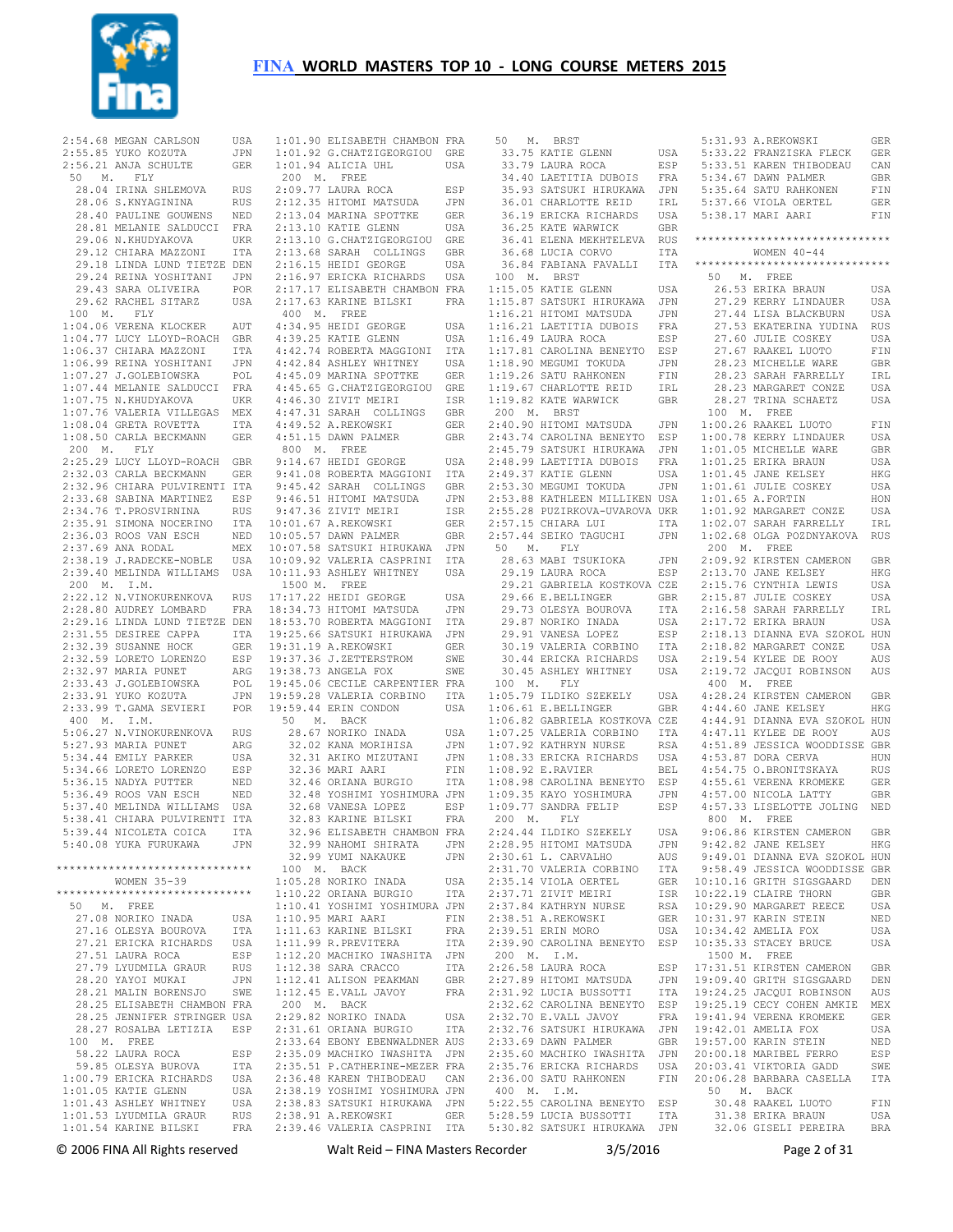

| 2:54.68 MEGAN CARLSON<br>2:55.85 YUKO KOZUTA<br>2:56.21 ANJA SCHULTE                                                                                                           |                         |
|--------------------------------------------------------------------------------------------------------------------------------------------------------------------------------|-------------------------|
|                                                                                                                                                                                |                         |
|                                                                                                                                                                                | USA<br>JPN              |
|                                                                                                                                                                                |                         |
|                                                                                                                                                                                | GER                     |
| 50 M. FLY                                                                                                                                                                      |                         |
|                                                                                                                                                                                |                         |
| 28.04 IRINA SHLEMOVA RUS<br>28.06 S.KNYAGININA RUS                                                                                                                             |                         |
|                                                                                                                                                                                | RUS                     |
|                                                                                                                                                                                |                         |
|                                                                                                                                                                                |                         |
|                                                                                                                                                                                |                         |
| 28.40 PAULINE GOUWENS NED<br>28.40 PAULINE GOUWENS NED<br>28.81 MELANIE SALDUCCI FRA<br>29.06 N.KHUDYAKOVA UKR                                                                 |                         |
| 29.06 N.KHUDYAKOVA UKR<br>29.12 CHIARA MAZZONI ITA<br>29.18 LINDA LUND TIETZE DEN                                                                                              |                         |
|                                                                                                                                                                                |                         |
|                                                                                                                                                                                |                         |
|                                                                                                                                                                                |                         |
| 29.24 REINA YOSHITANI JPN<br>29.43 SARA OLIVEIRA POR<br>29.62 RACHEL SITARZ USA                                                                                                |                         |
|                                                                                                                                                                                |                         |
|                                                                                                                                                                                |                         |
|                                                                                                                                                                                |                         |
| 100 M. FLY                                                                                                                                                                     |                         |
| 1:04.06 VERENA KLOCKER AUT<br>1:04.77 LUCY LLOYD-ROACH GBR                                                                                                                     | AUT                     |
|                                                                                                                                                                                |                         |
|                                                                                                                                                                                |                         |
| 1:06.37 CHARA MAZZONI UZAN<br>1:06.37 CHARA MAZZONI ITA<br>1:06.99 REINA YOSHITANI JPN<br>1:07.27 J.GOLEBIOWSKA POL<br>1:07.75 N.KHUDYAKOVA UKR                                |                         |
|                                                                                                                                                                                |                         |
|                                                                                                                                                                                |                         |
|                                                                                                                                                                                |                         |
|                                                                                                                                                                                |                         |
|                                                                                                                                                                                |                         |
|                                                                                                                                                                                |                         |
| 1:07.76 VALERIA VILLEGAS MEX                                                                                                                                                   |                         |
|                                                                                                                                                                                |                         |
| $1:08.04$ GRETA ROVETTA                                                                                                                                                        | ITA                     |
| 1:08.50 CARLA BECKMANN                                                                                                                                                         | GER                     |
| 200 M. FLY                                                                                                                                                                     |                         |
|                                                                                                                                                                                |                         |
| 2:25.29 LUCY LLOYD-ROACH GBR                                                                                                                                                   |                         |
| 2:32.03 CARLA BECKMANN                                                                                                                                                         | GER                     |
|                                                                                                                                                                                |                         |
|                                                                                                                                                                                |                         |
| 2:32.96 CHIARA PULVIRENTI ITA<br>2:33.68 SABINA MARTINEZ ESP<br>2:34.76 T.PROSVIRNINA RUS<br>2:35.91 SIMONA NOCERINO ITA<br>2:35.93 ROOS VAN ESCH NED<br>2:37.69 ANA RODAL MEX |                         |
|                                                                                                                                                                                |                         |
|                                                                                                                                                                                |                         |
|                                                                                                                                                                                |                         |
|                                                                                                                                                                                |                         |
|                                                                                                                                                                                |                         |
|                                                                                                                                                                                |                         |
| 2:38.19 J.RADECKE-NOBLE                                                                                                                                                        |                         |
| 2:39.40 MELINDA WILLIAMS                                                                                                                                                       | USA<br>USA              |
|                                                                                                                                                                                |                         |
| 200 M. I.M.                                                                                                                                                                    |                         |
| 2:22.12 N.VINOKURENKOVA RUS<br>2:28.80 AUDREY LOMBARD FRA                                                                                                                      |                         |
|                                                                                                                                                                                |                         |
|                                                                                                                                                                                |                         |
|                                                                                                                                                                                |                         |
| 2:29.16 LINDA LUND TIETZE DEN<br>2:31.55 DESIREE CAPPA ITA<br>2:32.39 SUSANNE HOCK GER<br>2:32.59 LORETO LORENZO ESP<br>2:32.97 MARIA FUNET ARG                                |                         |
|                                                                                                                                                                                |                         |
|                                                                                                                                                                                |                         |
|                                                                                                                                                                                |                         |
|                                                                                                                                                                                |                         |
|                                                                                                                                                                                |                         |
|                                                                                                                                                                                |                         |
|                                                                                                                                                                                | ESP<br>ARG<br>POL       |
|                                                                                                                                                                                | JPN                     |
|                                                                                                                                                                                |                         |
| 2:32.97 MARIA PUNET<br>2:33.93 J.GOLEBIOWSKA<br>2:33.93 J.GOLEBIOWSKA<br>2:33.99 T.GAMA SEVIERI                                                                                | POR                     |
| 400 M. I.M.                                                                                                                                                                    |                         |
|                                                                                                                                                                                | RUS                     |
|                                                                                                                                                                                |                         |
|                                                                                                                                                                                | ARG                     |
|                                                                                                                                                                                | USA                     |
| 5:06.27 N.VINOKURENKOVA<br>5:27.93 MARIA PUNET<br>5:34.44 EMILY PARKER                                                                                                         | ESP                     |
|                                                                                                                                                                                |                         |
| 5:34.66 LORETO LORENZO<br>5:36.15 NADYA PUTTER                                                                                                                                 | $\mathop{\mathtt{NED}}$ |
|                                                                                                                                                                                |                         |
|                                                                                                                                                                                |                         |
| 5:36.49 ROOS VAN ESCH NED<br>5:37.40 MELINDA WILLIAMS USA                                                                                                                      |                         |
| 5:38.41 CHIARA PULVIRENTI ITA                                                                                                                                                  |                         |
|                                                                                                                                                                                |                         |
| 5:39.44 NICOLETA COICA ITA                                                                                                                                                     |                         |
| 5:40.08 YUKA FURUKAWA                                                                                                                                                          | JPN                     |
|                                                                                                                                                                                |                         |
| ******************************                                                                                                                                                 |                         |
|                                                                                                                                                                                |                         |
| WOMEN 35-39                                                                                                                                                                    |                         |
| *****************************                                                                                                                                                  |                         |
| 50 M. FREE                                                                                                                                                                     |                         |
|                                                                                                                                                                                |                         |
| 27.08 NORIKO INADA                                                                                                                                                             | USA                     |
| 27.16 OLESYA BOUROVA                                                                                                                                                           | ITA                     |
|                                                                                                                                                                                | USA                     |
|                                                                                                                                                                                |                         |
| 27.21 ERICKA RICHARDS<br>27.51 LAURA ROCA                                                                                                                                      | ESP                     |
| 27.79 LYUDMILA GRAUR                                                                                                                                                           | <b>RUS</b>              |
|                                                                                                                                                                                | JPN                     |
| 28.20 YAYOI MUKAI                                                                                                                                                              |                         |
| 28.21 MALIN BORENSJO                                                                                                                                                           | SWE                     |
|                                                                                                                                                                                |                         |
|                                                                                                                                                                                |                         |
| 28.25 ELISABETH CHAMBON FRA<br>28.25 JENNIFER STRINGER USA                                                                                                                     |                         |
| 28.27 ROSALBA LETIZIA ESP                                                                                                                                                      |                         |
| 100 M. FREE                                                                                                                                                                    |                         |
| 58.22 LAURA ROCA                                                                                                                                                               | ESP                     |
|                                                                                                                                                                                |                         |
| 59.85 OLESYA BUROVA                                                                                                                                                            | ITA                     |
| 1:00.79 ERICKA RICHARDS                                                                                                                                                        | USA                     |
|                                                                                                                                                                                | USA                     |
| $1:01.05$ KATIE GLENN                                                                                                                                                          |                         |
| 1:01.43 ASHLEY WHITNEY                                                                                                                                                         | USA                     |
| 1:01.53 LYUDMILA GRAUR<br>1:01.54 KARINE BILSKI                                                                                                                                | RUS<br>FRA              |

| 1:01.90 ELISABETH CHAMBON FRA                                                               |            |
|---------------------------------------------------------------------------------------------|------------|
| 1:01.90 million=1<br>1:01.92 G.CHATZIGEORGIOU GRE<br>1:01.94 ALICIA UHL USA                 |            |
|                                                                                             |            |
| 200 M. FREE                                                                                 |            |
| 2:09.77 LAURA ROCA                                                                          | ESP        |
| 2:12.35 HITOMI MATSUDA                                                                      | JPN        |
| 2:13.04 MARINA SPOTTKE                                                                      | GER        |
| 2:13.10 KATIE GLENN                                                                         | USA        |
| 2:13.10 G.CHATZIGEORGIOU                                                                    | GRE        |
| 2:13.68 SARAH COLLINGS                                                                      | GBR        |
| 2:16.15 HEIDI GEORGE USA<br>2:16.97 ERICKA RICHARDS USA                                     |            |
|                                                                                             |            |
| 2:17.17 ELISABETH CHAMBON FRA                                                               |            |
| 2:17.63 KARINE BILSKI                                                                       | FRA        |
| 400 M. FREE                                                                                 |            |
| 4:34.95 HEIDI GEORGE                                                                        | USA        |
| 4:39.25 KATIE GLENN                                                                         | USA        |
| 4:42.74 ROBERTA MAGGIONI                                                                    | ITA<br>USA |
| 4:42.84 ASHLEY WHITNEY<br>4:45.09 MARINA SPOTTKE                                            |            |
| 4:45.65 G.CHATZIGEORGIOU                                                                    | GER<br>GRE |
| 4:46.30 ZIVIT MEIRI                                                                         | ISR        |
| 4:47.31 SARAH COLLINGS                                                                      | GBR        |
| 4:49.52 A.REKOWSKI                                                                          | GER        |
| 4:51.15 DAWN PALMER                                                                         | GBR        |
| 800 M. FREE                                                                                 |            |
| 9:14.67 HEIDI GEORGE                                                                        | USA        |
| 9:41.08 ROBERTA MAGGIONI<br>9:45.42 SARAH COLLINGS                                          | <b>ITA</b> |
|                                                                                             | GBR        |
| $9:46.51$ HITOMI MATSUDA                                                                    | <b>JPN</b> |
| 9:47.36 ZIVIT MEIRI                                                                         | ISR        |
| 10:01.67 A.REKOWSKI                                                                         | GER        |
| $10:05.57$ DAWN PALMER                                                                      | GBR        |
| 10:07.58 SATSUKI HIRUKAWA<br>10:09.92 VALERIA CASPRINI                                      | JPN        |
|                                                                                             | ITA        |
| 10:11.93 ASHLEY WHITNEY                                                                     | USA        |
| 1500 M. FREE<br>17:17.22 HEIDI GEORGE                                                       | USA        |
| 18:34.73 HITOMI MATSUDA                                                                     | JPN        |
| 18:53.70 ROBERTA MAGGIONI                                                                   | ITA        |
| 19:25.66 SATSUKI HIRUKAWA JPN                                                               |            |
| 19:31.19 A.REKOWSKI                                                                         | <b>GER</b> |
| 19:37.36 J.ZETTERSTROM                                                                      | SWE        |
| 19:38.73 ANGELA FOX                                                                         | SWE        |
| 19:45.06 CECILE CARPENTIER FRA                                                              |            |
| 19:59.28 VALERIA CORBINO<br>19:59 44 ERIN CONDON                                            | ITA        |
| 19:59.44 ERIN CONDON                                                                        | USA        |
| 50 M. BACK                                                                                  |            |
| 28.67 NORIKO INADA<br>32.02 KANA MORIHISA                                                   | USA        |
| 32.31 AKIKO MIZUTANI                                                                        | JPN<br>JPN |
| 32.36 MARI AARI                                                                             | FIN        |
| 32.46 ORIANA BURGIO                                                                         | ITA        |
| 32.48 YOSHIMI YOSHIMURA JPN                                                                 |            |
|                                                                                             | ESP        |
|                                                                                             | FRA        |
| 32.83 KARINE BILSKI<br>32.83 KARINE BILSKI<br>32.96 FIIONNET<br>32.96 ELISABETH CHAMBON FRA |            |
| 32.99 NAHOMI SHIRATA                                                                        | JPN        |
| 32.99 YUMI NAKAUKE                                                                          | JPN        |
| 100 M. BACK                                                                                 |            |
| 1:05.28 NORIKO INADA                                                                        | USA        |
| 1:10.22 ORIANA BURGIO                                                                       | ITA        |
| 1:10.41 YOSHIMI YOSHIMURA JPN                                                               |            |
| 1:10.95 MARI AARI                                                                           | FIN        |
| 1:11.63 KARINE BILSKI<br>1:11.99 R.PREVITERA                                                | FRA<br>ITA |
| 1:12.20 MACHIKO IWASHITA                                                                    | JPN        |
| 1:12.38 SARA CRACCO                                                                         | ITA        |
| 1:12.41 ALISON PEAKMAN                                                                      | GBR        |
| 1:12.45 E.VALL JAVOY                                                                        | FRA        |
| 200 M. BACK                                                                                 |            |
|                                                                                             |            |
| 2:29.82 NORIKO INADA                                                                        | USA        |
| 2:31.61 ORIANA BURGIO                                                                       | ITA        |
| 2:33.64 EBONY EBENWALDNER AUS                                                               |            |
| 2:35.09 MACHIKO IWASHITA JPN                                                                |            |
|                                                                                             |            |
| 2:35.51 P.CATHERINE-MEZER FRA<br>2:36.48 KAREN THIBODEAU CAN                                | CAN        |
| 2:38.19 YOSHIMI YOSHIMURA JPN                                                               |            |
| 2:38.83 SATSUKI<br>HIRUKAWA<br>2:38.91 A.REKOWSKI                                           | JPN<br>GER |

| 50<br>м.<br>BRST                                    |            |                    | 5:31.93 A.REKOWSKI                                   | GER        |
|-----------------------------------------------------|------------|--------------------|------------------------------------------------------|------------|
| 33.75 KATIE GLENN                                   | USA        |                    | 5:33.22 FRANZISKA FLECK                              | GER        |
| 33.79 LAURA ROCA                                    | ESP        |                    | 5:33.51 KAREN THIBODEAU                              | CAN        |
| 34.40 LAETITIA DUBOIS                               | FRA        |                    | 5:34.67 DAWN PALMER                                  | GBR        |
| 35.93 SATSUKI HIRUKAWA                              | JPN        |                    | 5:35.64 SATU RAHKONEN                                | FIN        |
| 36.01 CHARLOTTE REID                                | IRL        |                    | 5:37.66 VIOLA OERTEL                                 | GER        |
| 36.19 ERICKA RICHARDS<br>36.25 KATE WARWICK         | USA<br>GBR |                    | 5:38.17 MARI AARI                                    | FIN        |
| 36.41 ELENA MEKHTELEVA                              | RUS        |                    | ******************************                       |            |
| 36.68 LUCIA CORVO                                   | ITA        |                    | WOMEN $40 - 44$                                      |            |
| 36.84 FABIANA FAVALLI                               | ITA        |                    | ******************************                       |            |
| 100<br>М.<br>BRST                                   |            | 50<br>М.           | FREE                                                 |            |
| 1:15.05 KATIE GLENN                                 | USA        |                    | 26.53 ERIKA BRAUN                                    | USA        |
| 1:15.87 SATSUKI HIRUKAWA                            | <b>JPN</b> |                    | 27.29 KERRY LINDAUER                                 | USA        |
| 1:16.21 HITOMI MATSUDA                              | JPN        |                    | 27.44 LISA BLACKBURN                                 | USA        |
| 1:16.21 LAETITIA DUBOIS                             | FRA        |                    | 27.53 EKATERINA YUDINA                               | RUS        |
| 1:16.49 LAURA ROCA                                  | ESP        |                    | 27.60 JULIE COSKEY                                   | USA        |
| 1:17.81 CAROLINA BENEYTO                            | ESP        |                    | 27.67 RAAKEL LUOTO<br>28.23 MICHELLE WARE            | FIN        |
| 1:18.90 MEGUMI TOKUDA<br>1:19.26 SATU RAHKONEN      | JPN<br>FIN |                    | 28.23 SARAH FARRELLY                                 | GBR<br>IRL |
| 1:19.67 CHARLOTTE REID                              | IRL        |                    | 28.23 MARGARET CONZE                                 | USA        |
| 1:19.82 KATE WARWICK                                | GBR        |                    | 28.27 TRINA SCHAETZ                                  | USA        |
| 200<br><b>BRST</b><br>М.                            |            | 100<br>М.          | FREE                                                 |            |
| 2:40.90 HITOMI MATSUDA                              | JPN        |                    | 1:00.26 RAAKEL LUOTO                                 | FIN        |
| 2:43.74 CAROLINA BENEYTO                            | ESP        |                    | 1:00.78 KERRY LINDAUER                               | USA        |
| 2:45.79 SATSUKI HIRUKAWA                            | JPN        |                    | 1:01.05 MICHELLE WARE                                | GBR        |
| 2:48.99 LAETITIA DUBOIS                             | FRA        |                    | 1:01.25 ERIKA BRAUN                                  | USA        |
| 2:49.37 KATIE GLENN                                 | USA        |                    | 1:01.45 JANE KELSEY                                  | HKG        |
| 2:53.30 MEGUMI TOKUDA                               | JPN        |                    | 1:01.61 JULIE COSKEY                                 | USA        |
| 2:53.88 KATHLEEN MILLIKEN USA                       |            |                    | 1:01.65 A.FORTIN                                     | HON        |
| 2:55.28 PUZIRKOVA-UVAROVA UKR<br>2:57.15 CHIARA LUI | ITA        |                    | 1:01.92 MARGARET CONZE<br>1:02.07 SARAH FARRELLY     | USA<br>IRL |
| 2:57.44 SEIKO TAGUCHI                               | JPN        |                    | 1:02.68 OLGA POZDNYAKOVA                             | <b>RUS</b> |
| 50<br>М.<br>FLY                                     |            | 200<br>$M_{\odot}$ | FREE                                                 |            |
| 28.63 MABI TSUKIOKA                                 | JPN        |                    | 2:09.92 KIRSTEN CAMERON                              | GBR        |
| 29.19 LAURA ROCA                                    | ESP        |                    | 2:13.70 JANE KELSEY                                  | HKG        |
| 29.21 GABRIELA KOSTKOVA CZE                         |            |                    | 2:15.76 CYNTHIA LEWIS                                | USA        |
| 29.66 E.BELLINGER                                   | GBR        |                    | 2:15.87 JULIE COSKEY                                 | USA        |
| 29.73 OLESYA BOUROVA                                | ITA        |                    | 2:16.58 SARAH FARRELLY                               | IRL        |
| 29.87 NORIKO INADA                                  | USA        |                    | 2:17.72 ERIKA BRAUN                                  | USA        |
| 29.91 VANESA LOPEZ                                  | ESP        |                    | 2:18.13 DIANNA EVA SZOKOL HUN                        |            |
| 30.19 VALERIA CORBINO                               | ITA        |                    | 2:18.82 MARGARET CONZE                               | USA        |
| 30.44 ERICKA RICHARDS                               | USA        |                    | 2:19.54 KYLEE DE ROOY                                | AUS        |
| 30.45 ASHLEY WHITNEY                                | USA        |                    | 2:19.72 JACQUI ROBINSON                              | AUS        |
| Μ.<br>100<br>FLY<br>1:05.79 ILDIKO SZEKELY          | USA        | 400<br>М.          | FREE<br>4:28.24 KIRSTEN CAMERON                      | GBR        |
| 1:06.61 E.BELLINGER                                 | GBR        |                    | 4:44.60 JANE KELSEY                                  | HKG        |
| 1:06.82 GABRIELA KOSTKOVA CZE                       |            |                    | 4:44.91 DIANNA EVA SZOKOL HUN                        |            |
| 1:07.25 VALERIA CORBINO                             | ITA        |                    | 4:47.11 KYLEE DE ROOY                                | AUS        |
| 1:07.92 KATHRYN NURSE                               | RSA        |                    | 4:51.89 JESSICA WOODDISSE GBR                        |            |
| 1:08.33 ERICKA RICHARDS                             | USA        |                    | 4:53.87 DORA CERVA                                   | HUN        |
| 1:08.92 E.RAVIER                                    | BEL        |                    | 4:54.75 O.BRONITSKAYA                                | RUS        |
| 1:08.98 CAROLINA BENEYTO                            | ESP        |                    | 4:55.61 VERENA KROMEKE                               | GER        |
| 1:09.35 KAYO YOSHIMURA                              | JPN        |                    | 4:57.00 NICOLA LATTY                                 | GBR        |
| 1:09.77 SANDRA FELIP                                | ESP        |                    | 4:57.33 LISELOTTE JOLING                             | NED        |
| 200<br>Μ.<br>FLY                                    |            | 800<br>Μ.          | FREE                                                 |            |
| 2:24.44 ILDIKO SZEKELY<br>2:28.95 HITOMI MATSUDA    | USA<br>JPN |                    | 9:06.86 KIRSTEN CAMERON<br>9:42.82 JANE KELSEY       | GBR<br>HKG |
| 2:30.61 L. CARVALHO                                 | AUS        |                    | 9:49.01 DIANNA EVA SZOKOL HUN                        |            |
| 2:31.70 VALERIA CORBINO                             | ITA        |                    | 9:58.49 JESSICA WOODDISSE GBR                        |            |
| 2:35.14 VIOLA OERTEL                                | GER        |                    | 10:10.16 GRITH SIGSGAARD                             | DEN        |
| 2:37.71 ZIVIT MEIRI                                 | ISR        |                    | 10:22.19 CLAIRE THORN                                | GBR        |
| 2:37.84 KATHRYN NURSE                               | RSA        |                    | 10:29.90 MARGARET REECE                              | USA        |
| 2:38.51 A.REKOWSKI                                  | GER        |                    | 10:31.97 KARIN STEIN                                 | NED        |
| 2:39.51 ERIN MORO                                   | USA        |                    | 10:34.42 AMELIA FOX                                  | USA        |
| 2:39.90 CAROLINA BENEYTO                            | ESP        |                    | 10:35.33 STACEY BRUCE                                | USA        |
| I.M.<br>200 M.                                      |            | 1500 M.            | FREE                                                 |            |
| 2:26.58 LAURA ROCA                                  | ESP        |                    | 17:31.51 KIRSTEN CAMERON                             | GBR        |
| 2:27.89 HITOMI MATSUDA<br>2:31.92 LUCIA BUSSOTTI    | JPN<br>ITA |                    | 19:09.40 GRITH SIGSGAARD<br>19:24.25 JACQUI ROBINSON | DEN<br>AUS |
| 2:32.62 CAROLINA BENEYTO                            | ESP        |                    | 19:25.19 CECY COHEN AMKIE                            | MEX        |
| 2:32.70 E.VALL JAVOY                                | FRA        |                    | 19:41.94 VERENA KROMEKE                              | GER        |
| 2:32.76 SATSUKI HIRUKAWA                            | JPN        |                    | 19:42.01 AMELIA FOX                                  | USA        |
| 2:33.69 DAWN PALMER                                 | GBR        |                    | 19:57.00 KARIN STEIN                                 | NED        |
| 2:35.60 MACHIKO IWASHITA                            | JPN        |                    | 20:00.18 MARIBEL FERRO                               | ESP        |
| 2:35.76 ERICKA RICHARDS                             | USA        |                    | 20:03.41 VIKTORIA GADD                               | SWE        |
| 2:36.00 SATU RAHKONEN                               | FIN        |                    | 20:06.28 BARBARA CASELLA                             | ITA        |
| 400 M.<br>I.M.                                      |            | 50<br>Μ.           | BACK                                                 |            |
| 5:22.55 CAROLINA BENEYTO                            | ESP        |                    | 30.48 RAAKEL LUOTO                                   | FIN        |
| 5:28.59 LUCIA BUSSOTTI                              | ITA        |                    | 31.38 ERIKA BRAUN                                    | USA        |

© 2006 FINA All Rights reserved Walt Reid – FINA Masters Recorder 3/5/2016 Page 2 of 31

5:30.82 SATSUKI HIRUKAWA JPN

32.06 GISELI PEREIRA BRA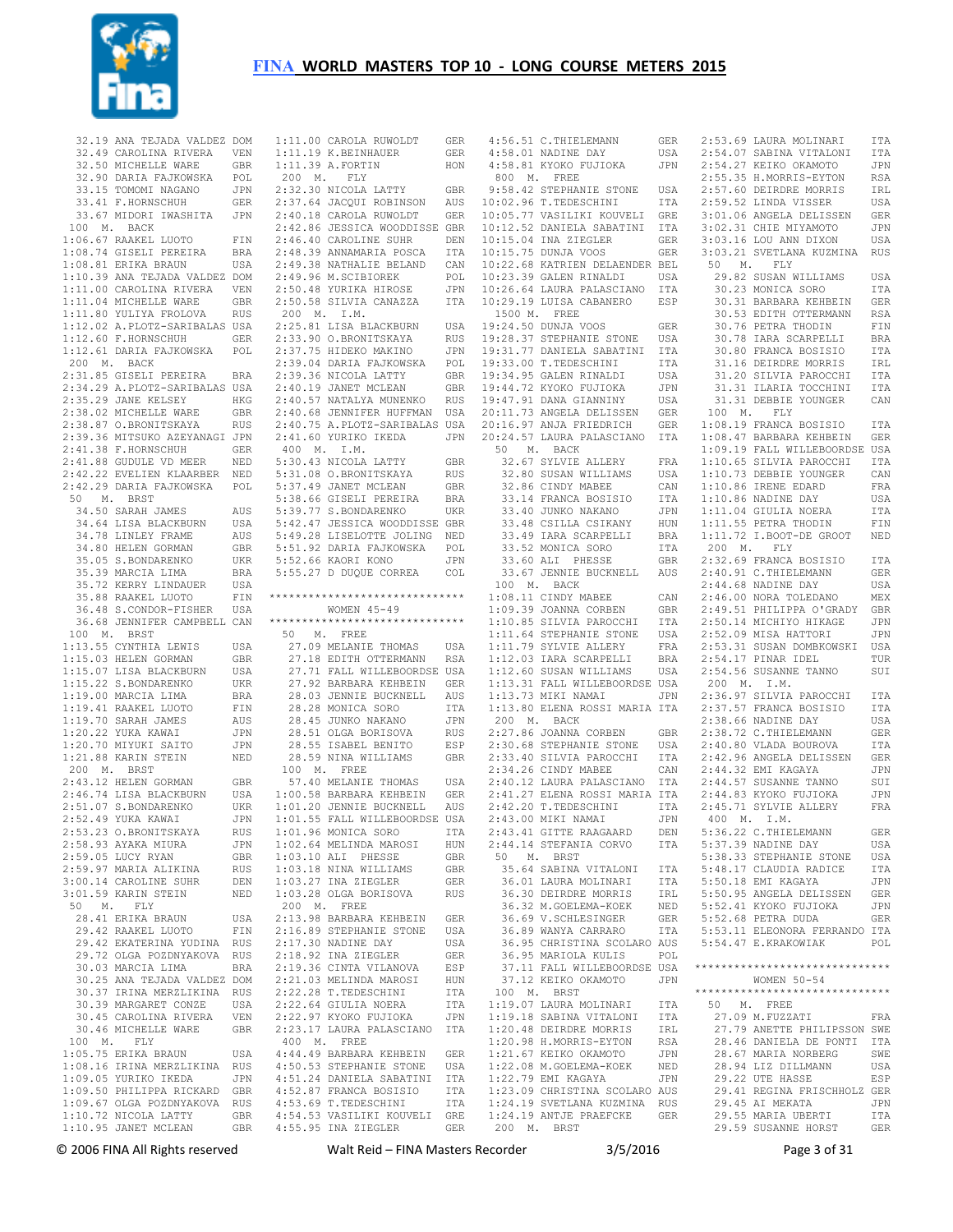

| 32.19 ANA TEJADA VALDEZ DOM                  |            |           | 1:11.00 CAROLA RUWOLDT                          | GER                |
|----------------------------------------------|------------|-----------|-------------------------------------------------|--------------------|
| 32.49 CAROLINA RIVERA                        | VEN        |           | 1:11.19 K.BEINHAUER                             | GER                |
| 32.50 MICHELLE WARE                          | GBR        |           | 1:11.39 A.FORTIN                                | HON                |
| 32.90 DARIA FAJKOWSKA                        |            | М.<br>200 | FLY                                             |                    |
|                                              | POL        |           |                                                 |                    |
| 33.15 TOMOMI NAGANO                          | JPN        |           | 2:32.30 NICOLA LATTY                            | GBR                |
| 33.41 F.HORNSCHUH                            | GER        |           | 2:37.64 JACQUI ROBINSON                         | AUS                |
|                                              | <b>JPN</b> |           | 2:40.18 CAROLA RUWOLDT                          |                    |
| 33.67 MIDORI IWASHITA                        |            |           |                                                 | GER                |
| 100<br>М.<br>BACK                            |            |           | 2:42.86 JESSICA WOODDISSE GBR                   |                    |
| 1:06.67 RAAKEL LUOTO                         | FIN        |           | 2:46.40 CAROLINE SUHR                           | DEN                |
|                                              |            |           |                                                 |                    |
| 1:08.74 GISELI PEREIRA                       | BRA        |           | 2:48.39 ANNAMARIA POSCA                         | ITA                |
| 1:08.81 ERIKA BRAUN                          | USA        |           | 2:49.38 NATHALIE BELAND                         | CAN                |
| 1:10.39 ANA TEJADA VALDEZ                    |            |           | 2:49.96 M.SCIBIOREK                             |                    |
|                                              | DOM        |           |                                                 | POL                |
| 1:11.00 CAROLINA RIVERA                      | VEN        |           | 2:50.48 YURIKA HIROSE                           | JPN                |
| 1:11.04 MICHELLE WARE                        | GBR        |           | 2:50.58 SILVIA CANAZZA                          | ITA                |
|                                              |            |           |                                                 |                    |
| 1:11.80 YULIYA FROLOVA                       | RUS        | 200 M.    | I.M.                                            |                    |
| 1:12.02 A.PLOTZ-SARIBALAS USA                |            |           | 2:25.81 LISA BLACKBURN                          | USA                |
| 1:12.60 F.HORNSCHUH                          |            |           | 2:33.90 O.BRONITSKAYA                           |                    |
|                                              | GER        |           |                                                 | RUS                |
| 1:12.61 DARIA FAJKOWSKA                      | POL        |           | 2:37.75 HIDEKO MAKINO                           | JPN                |
| 200 M. BACK                                  |            |           | 2:39.04 DARIA FAJKOWSKA                         | POL                |
|                                              |            |           |                                                 |                    |
| 2:31.85 GISELI PEREIRA                       | BRA        |           | 2:39.36 NICOLA LATTY                            | GBR                |
| 2:34.29 A.PLOTZ-SARIBALAS                    | USA        |           | 2:40.19 JANET MCLEAN                            | GBR                |
| 2:35.29 JANE KELSEY                          | HKG        |           | 2:40.57 NATALYA MUNENKO                         | RUS                |
|                                              |            |           |                                                 |                    |
| 2:38.02 MICHELLE WARE                        | GBR        |           | 2:40.68 JENNIFER HUFFMAN                        | USA                |
| 2:38.87 O.BRONITSKAYA                        | RUS        |           | 2:40.75 A.PLOTZ-SARIBALAS USA                   |                    |
| 2:39.36 MITSUKO AZEYANAGI JPN                |            |           | 2:41.60 YURIKO IKEDA                            | JPN                |
|                                              |            |           |                                                 |                    |
| 2:41.38 F.HORNSCHUH                          | GER        | 400<br>М. | I.M.                                            |                    |
| 2:41.88 GUDULE VD MEER                       | NED        |           | 5:30.43 NICOLA LATTY                            | GBR                |
|                                              |            |           |                                                 |                    |
| 2:42.22 EVELIEN KLAARBER                     | NED        |           | 5:31.08 O.BRONITSKAYA                           | RUS                |
| 2:42.29 DARIA FAJKOWSKA                      | POL        |           | 5:37.49 JANET MCLEAN                            | GBR                |
| 50<br>M. BRST                                |            |           |                                                 |                    |
|                                              |            |           | 5:38.66 GISELI PEREIRA                          | BRA                |
| 34.50 SARAH JAMES                            | AUS        |           | 5:39.77 S.BONDARENKO                            | UKR                |
| 34.64 LISA BLACKBURN                         | USA        |           | 5:42.47 JESSICA WOODDISSE GBR                   |                    |
|                                              |            |           |                                                 |                    |
| 34.78 LINLEY FRAME                           | AUS        |           | 5:49.28 LISELOTTE JOLING                        | NED                |
| 34.80 HELEN GORMAN                           | GBR        |           | 5:51.92 DARIA FAJKOWSKA                         | POL                |
| 35.05 S.BONDARENKO                           |            |           | 5:52.66 KAORI KONO                              |                    |
|                                              | UKR        |           |                                                 | JPN                |
| 35.39 MARCIA LIMA                            | <b>BRA</b> |           | 5:55.27 D DUQUE CORREA                          | COL                |
| 35.72 KERRY LINDAUER                         | USA        |           |                                                 |                    |
|                                              |            |           |                                                 |                    |
| 35.88 RAAKEL LUOTO                           | FIN        |           | ******************************                  |                    |
| 36.48 S.CONDOR-FISHER                        | USA        |           | WOMEN $45 - 49$                                 |                    |
| 36.68 JENNIFER CAMPBELL CAN                  |            |           | ******************************                  |                    |
|                                              |            |           |                                                 |                    |
| 100 M.<br>BRST                               |            | 50<br>М.  | FREE                                            |                    |
|                                              |            |           |                                                 |                    |
|                                              |            |           |                                                 |                    |
| 1:13.55 CYNTHIA LEWIS                        | USA        |           | 27.09 MELANIE THOMAS                            | USA                |
| 1:15.03 HELEN GORMAN                         | GBR        |           | 27.18 EDITH OTTERMANN                           | RSA                |
| 1:15.07 LISA BLACKBURN                       | USA        |           | 27.71 FALL WILLEBOORDSE USA                     |                    |
|                                              |            |           |                                                 |                    |
| 1:15.22 S.BONDARENKO                         | UKR        |           | 27.92 BARBARA KEHBEIN                           | GER                |
| 1:19.00 MARCIA LIMA                          | BRA        |           | 28.03 JENNIE BUCKNELL                           | AUS                |
| 1:19.41 RAAKEL LUOTO                         | FIN        |           | 28.28 MONICA SORO                               | ITA                |
|                                              |            |           |                                                 |                    |
| 1:19.70 SARAH JAMES                          | AUS        |           | 28.45 JUNKO NAKANO                              | JPN                |
| 1:20.22 YUKA KAWAI                           | JPN        |           | 28.51 OLGA BORISOVA                             | <b>RUS</b>         |
|                                              |            |           |                                                 |                    |
| 1:20.70 MIYUKI SAITO                         | JPN        |           | 28.55 ISABEL BENITO                             | ESP                |
| 1:21.88 KARIN STEIN                          | NED        |           | 28.59 NINA WILLIAMS                             | GBR                |
| 200<br>М.<br>BRST                            |            | 100<br>М. | FREE                                            |                    |
|                                              |            |           |                                                 |                    |
| 2:43.12 HELEN GORMAN                         | GBR        |           | 57.40 MELANIE THOMAS                            | USA                |
| 2:46.74 LISA BLACKBURN                       | USA        |           | 1:00.58 BARBARA KEHBEIN                         | GER                |
| 2:51.07 S.BONDARENKO                         | <b>UKR</b> |           | 1:01.20 JENNIE BUCKNELL                         | AUS                |
|                                              |            |           |                                                 |                    |
| 2:52.49 YUKA KAWAI                           | JPN        |           | 1:01.55 FALL WILLEBOORDSE USA                   |                    |
| 2:53.23 O.BRONITSKAYA                        | RUS        |           | $1:01.96$ MONICA SORO                           | ITA                |
| 2:58.93 AYAKA MIURA                          | JPN        |           | 1:02.64 MELINDA MAROSI                          | HUN                |
|                                              |            |           |                                                 |                    |
| 2:59.05 LUCY RYAN                            | GBR        |           | 1:03.10 ALI PHESSE                              | GBR                |
| 2:59.97 MARIA ALIKINA                        | <b>RUS</b> |           | 1:03.18 NINA WILLIAMS                           | GBR                |
|                                              |            |           |                                                 |                    |
| 3:00.14 CAROLINE SUHR                        | DEN        |           | 1:03.27 INA ZIEGLER                             | GER                |
| 3:01.59 KARIN STEIN                          | NED        |           | 1:03.28 OLGA BORISOVA                           | RUS                |
| Μ.<br>50<br>FLY                              |            | 200 M.    | FREE                                            |                    |
|                                              |            |           |                                                 |                    |
| 28.41 ERIKA BRAUN                            | USA        |           | 2:13.98 BARBARA KEHBEIN                         | <b>GER</b>         |
| 29.42 RAAKEL LUOTO                           | FIN        |           | 2:16.89 STEPHANIE STONE                         | USA                |
| 29.42 EKATERINA YUDINA RUS                   |            |           | 2:17.30 NADINE DAY                              | USA                |
|                                              |            |           |                                                 |                    |
| 29.72 OLGA POZDNYAKOVA                       | RUS        |           | 2:18.92 INA ZIEGLER                             | GER                |
| 30.03 MARCIA LIMA                            | BRA        |           | 2:19.36 CINTA VILANOVA                          | ESP                |
|                                              |            |           |                                                 |                    |
| 30.25 ANA TEJADA VALDEZ DOM                  |            |           | 2:21.03 MELINDA MAROSI                          | HUN                |
| 30.37 IRINA MERZLIKINA                       | RUS        |           | 2:22.28 T.TEDESCHINI                            | ITA                |
|                                              |            |           |                                                 | ITA                |
| 30.39 MARGARET CONZE                         | USA        |           | 2:22.64 GIULIA NOERA                            |                    |
| 30.45 CAROLINA RIVERA                        | VEN        |           | 2:22.97 KYOKO FUJIOKA                           | JPN                |
| 30.46 MICHELLE WARE                          | GBR        |           | 2:23.17 LAURA PALASCIANO                        | ITA                |
|                                              |            |           |                                                 |                    |
| 100 M.<br>FLY                                |            | 400<br>М. | FREE                                            |                    |
| 1:05.75 ERIKA BRAUN                          | USA        |           | 4:44.49 BARBARA KEHBEIN                         | GER                |
|                                              |            |           |                                                 |                    |
| 1:08.16 IRINA MERZLIKINA                     | RUS        |           | 4:50.53 STEPHANIE STONE                         | USA                |
| 1:09.05 YURIKO IKEDA                         | JPN        |           | 4:51.24 DANIELA SABATINI                        | ITA                |
| 1:09.50 PHILIPPA RICKARD                     | GBR        |           | 4:52.87 FRANCA BOSISIO                          | ITA                |
|                                              |            |           |                                                 |                    |
| 1:09.67 OLGA POZDNYAKOVA                     | RUS        |           | 4:53.69 T.TEDESCHINI                            | ITA                |
| 1:10.72 NICOLA LATTY<br>1:10.95 JANET MCLEAN | GBR<br>GBR |           | 4:54.53 VASILIKI KOUVELI<br>4:55.95 INA ZIEGLER | ${\tt GRE}$<br>GER |

|          | 4:56.51 C. THIELEMANN         | GER            | 2:53.6                                |
|----------|-------------------------------|----------------|---------------------------------------|
|          | 4:58.01 NADINE DAY            | USA            | 2:54.0                                |
| 4:58.81  | KYOKO FUJIOKA                 | JPN            | 2:54.2                                |
|          |                               |                |                                       |
|          | 800 M. FREE                   |                | 2:55.3                                |
|          | 9:58.42 STEPHANIE STONE       | USA            | 2:57.6                                |
|          |                               |                |                                       |
|          | 10:02.96 T.TEDESCHINI         | ITA            | 2:59.5                                |
|          | 10:05.77 VASILIKI KOUVELI     | GRE            | 3:01.0                                |
|          | 10:12.52 DANIELA SABATINI     | ITA            | 3:02.3                                |
|          |                               |                |                                       |
| 10:15.04 | INA ZIEGLER                   | <b>GER</b>     | 3:03.1                                |
|          | 10:15.75 DUNJA VOOS           | GER            | 3:03.2                                |
|          |                               |                |                                       |
| 10:22.68 | KATRIEN DELAENDER BEL         |                | į<br>50                               |
|          | 10:23.39 GALEN RINALDI        | USA            | 29.8                                  |
| 10:26.64 | LAURA PALASCIANO              | ITA            | 30.2                                  |
|          |                               |                |                                       |
| 10:29.19 | LUISA CABANERO                | ESP            | 30.3                                  |
| 1500 M.  | FREE                          |                | 30.5                                  |
|          | 19:24.50 DUNJA VOOS           |                |                                       |
|          |                               | GER            | 30.7                                  |
| 19:28.37 | STEPHANIE STONE               | USA            | 30.7                                  |
|          | 19:31.77 DANIELA SABATINI     | ITA            | 30.8                                  |
|          |                               |                |                                       |
| 19:33.00 | T.TEDESCHINI                  | ITA            | 31.1                                  |
| 19:34.95 | GALEN RINALDI                 | USA            | 31.2                                  |
|          |                               |                |                                       |
|          | 19:44.72 KYOKO FUJIOKA        | JPN            | 31.3                                  |
| 19:47.91 | DANA GIANNINY                 | USA            | 31.3                                  |
|          | 20:11.73 ANGELA DELISSEN      | GER            | 100                                   |
|          |                               |                |                                       |
|          | 20:16.97 ANJA FRIEDRICH       | GER            | 1:08.1                                |
| 20:24.57 | LAURA PALASCIANO              | ITA            | 1:08.4                                |
|          |                               |                |                                       |
| 50<br>М. | <b>BACK</b>                   |                | 1:09.1                                |
|          | 32.67 SYLVIE ALLERY           | FRA            | 1:10.6                                |
|          |                               |                |                                       |
| 32.80    | SUSAN WILLIAMS                | USA            | 1:10.7                                |
|          | 32.86 CINDY MABEE             | CAN            | 1:10.8                                |
|          | 33.14 FRANCA BOSISIO          | ITA            | 1:10.8                                |
|          |                               |                |                                       |
|          | 33.40 JUNKO NAKANO            | JPN            | 1:11.0                                |
|          | 33.48 CSILLA CSIKANY          | HUN            | 1:11.5                                |
|          |                               |                |                                       |
|          | 33.49 IARA SCARPELLI          | BRA            | 1:11.7                                |
| 33.52    | MONICA SORO                   | ITA            | 200                                   |
| 33.60    | ALI PHESSE                    | GBR            | 2:32.6                                |
|          |                               |                |                                       |
| 33.67    | JENNIE<br><b>BUCKNELL</b>     | AUS            | 2:40.9                                |
|          | 100 M. BACK                   |                | 2:44.6                                |
|          | 1:08.11 CINDY MABEE           |                | 2:46.0                                |
|          |                               | $_{\rm CAN}$   |                                       |
|          | 1:09.39 JOANNA CORBEN         | GBR            | 2:49.5                                |
|          | 1:10.85 SILVIA PAROCCHI       | ITA            | 2:50.1                                |
|          |                               |                |                                       |
|          | 1:11.64 STEPHANIE STONE       | USA            | 2:52.0                                |
|          | 1:11.79 SYLVIE ALLERY         | FRA            | 2:53.3                                |
|          | 1:12.03 IARA SCARPELLI        | <b>BRA</b>     | 2:54.1                                |
|          |                               |                |                                       |
| 1:12.60  | SUSAN WILLIAMS                | USA            | 2:54.5                                |
| 1:13.31  | FALL WILLEBOORDSE USA         |                | J.<br>200                             |
|          |                               |                |                                       |
|          | 1:13.73 MIKI NAMAI            | JPN            | 2:36.9                                |
| 1:13.80  | ELENA ROSSI MARIA ITA         |                | 2:37.5                                |
|          |                               |                |                                       |
| 200 M.   | <b>BACK</b>                   |                | 2:38.6                                |
|          | 2:27.86 JOANNA CORBEN         | GBR            | 2:38.7                                |
|          | 2:30.68 STEPHANIE STONE       | USA            | 2:40.8                                |
|          |                               |                |                                       |
|          | 2:33.40 SILVIA PAROCCHI       | ITA            | 2:42.9                                |
|          | 2:34.26 CINDY MABEE           | $\mathtt{CAN}$ | 2:44.3                                |
|          |                               |                |                                       |
|          | 2:40.12 LAURA PALASCIANO      | ITA            | 2:44.5                                |
|          | 2:41.27 ELENA ROSSI MARIA ITA |                | 2:44.8                                |
|          | 2:42.20 T. TEDESCHINI         | ITA            | 2:45.7                                |
|          |                               |                |                                       |
| 2:43.00  | MIKI NAMAI                    | JPN            | ļ<br>400                              |
|          | 2:43.41 GITTE RAAGAARD        | DEN            | 5:36.2                                |
|          |                               |                |                                       |
|          | 2:44.14 STEFANIA CORVO        | ITA            | 5:37.3                                |
| 50 M.    | BRST                          |                | 5:38.3                                |
|          | 35.64 SABINA VITALONI         | ITA            | 5:48.1                                |
|          |                               |                |                                       |
|          | 36.01 LAURA MOLINARI          | ITA            | 5:50.1                                |
|          | 36.30 DEIRDRE MORRIS          | IRL            | 5:50.9                                |
|          |                               |                |                                       |
|          | 36.32 M.GOELEMA-KOEK          | NED            | 5:52.4                                |
|          | 36.69 V.SCHLESINGER           | GER            | 5:52.6                                |
|          |                               |                | 5:53.1                                |
|          | 36.89 WANYA CARRARO           | ITA            |                                       |
|          | 36.95 CHRISTINA SCOLARO AUS   |                | 5:54.4                                |
|          |                               |                |                                       |
|          |                               |                |                                       |
|          | 36.95 MARIOLA KULIS           | POL            |                                       |
|          | 37.11 FALL WILLEBOORDSE USA   |                | $\star\star\star\star\star\star\star$ |
|          |                               |                |                                       |
|          | 37.12 KEIKO OKAMOTO           | JPN            |                                       |
|          | 100 M. BRST                   |                | *******                               |
|          | 1:19.07 LAURA MOLINARI        | ITA            | 50                                    |
|          |                               |                |                                       |
|          | 1:19.18 SABINA VITALONI       | ITA            | 27.0                                  |
|          | 1:20.48 DEIRDRE MORRIS        | IRL            | 27.7                                  |
|          |                               |                |                                       |
|          | 1:20.98 H.MORRIS-EYTON        | RSA            | 28.4                                  |
|          | 1:21.67 KEIKO OKAMOTO         | JPN            | 28.6                                  |
|          |                               |                |                                       |
|          | 1:22.08 M.GOELEMA-KOEK        | NED            | 28.9                                  |
|          | 1:22.79 EMI KAGAYA            | JPN            | 29.2                                  |
|          | 1:23.09 CHRISTINA SCOLARO AUS |                | 29.4                                  |
|          |                               |                |                                       |
|          | 1:24.19 SVETLANA KUZMINA RUS  |                | 29.4                                  |
|          | 1:24.19 ANTJE PRAEFCKE GER    |                | 29.5                                  |
|          | 200 M. BRST                   |                | 29.5                                  |

59 LAURA MOLINARI ITA<br>17 SABINA VITALONI ITA 7 SABINA VITALONI 2:54.27 KEIKO OKAMOTO JPN 2:55.35 H.MORRIS-EYTON RSA 0 DEIRDRE MORRIS IRL .<br>16 ANGELA DELISSEN USA<br>16 ANGELA DELISSEN GER 6 ANGELA DELISSEN 31 CHIE MIYAMOTO JPN<br>6 LOU ANN DIXON USA 6 LOU ANN DIXON 3:03.21 SVETLANA KUZMINA RUS M. FLY 2 SUSAN WILLIAMS USA 3 MONTCA SORO ITA 30.31 BARBARA KEHBEIN GER 30.53 EDITH OTTERMANN RSA 30.76 PETRA THODIN FIN 8 IARA SCARPELLI BRA 0. FRANCA BOSISIO ITA 31.16 DEIRDRE MORRIS IRL 31.20 SILVIA PAROCCHI ITA 31.31 ILARIA TOCCHINI ITA 31.31 DEBBIE YOUNGER CAN M. FLY 9 FRANCA BOSISIO ITA 1:08.47 BARBARA KEHBEIN GER 9 FALL WILLEBOORDSE USA 1:10.65 SILVIA PAROCCHI ITA 1:10.73 DEBBIE YOUNGER CAN 10.5 BEBELLE PARD FRA 16 NADINE DAY USA<br>14 GIULIA NOERA 1TA 14 GIULIA NOERA 5 PETRA THODIN FIN 2 I.BOOT-DE GROOT NED M. FLY 9 FRANCA BOSISIO ITA <sup>21</sup> C.THIELEMANN GER 3 NADINE DAY USA 2:46.00 NORA TOLEDANO MEX <sup>1</sup> PHILIPPA O'GRADY GBR .<br>4 MICHIYO HIKAGE JPN 2:52.09 MISA HATTORI JPN <sup>31</sup> SUSAN DOMBKOWSKI USA 2:54.17 PINAR IDEL TUR 2:54.56 SUSANNE TANNO SUI M. I.M. 2:36.97 SILVIA PAROCCHI ITA 2:37.57 FRANCA BOSISIO ITA <sup>26</sup> NADINE DAY USA 2 C. THIELEMANN GER 2:40.80 VLADA BOUROVA ITA 2:42.96 ANGELA DELISSEN GER 2 EMI KAGAYA JPN 2:44.57 SUSANNE TANNO SUI 2:44.83 KYOKO FUJIOKA JPN <sup>7</sup>1 SYLVIE ALLERY FRA M T. M. 5:36.22 C.THIELEMANN GER 3 NADINE DAY USA .<br>33 STEPHANIE STONE USA 5:48.17 CLAUDIA RADICE ITA 5:50.18 EMI KAGAYA JPN 5:50.95 ANGELA DELISSEN GER 1 KYOKO FUJIOKA JPN 5:52.68 PETRA DUDA GER 1 ELEONORA FERRANDO ITA 5:54.47 E.KRAKOWIAK POL \*\*\*\*\*\*\*\*\*\*\*\*\*\*\*\*\*\*\*\*\*\*\*\*\*\*\*\*\*\* WOMEN 50-54 \*\*\*\*\*\*\*\*\*\*\*\*\*\*\*\*\*\*\*\*\*\*\*\*\*\*\*\*\*\* 50 M. FREE 27.09 M.FUZZATI FRA 27.79 ANETTE PHILIPSSON SWE 28.46 DANIELA DE PONTI ITA 28.67 MARIA NORBERG SWE 28.94 LIZ DILLMANN USA 29.22 UTE HASSE ESP 29.41 REGINA FRISCHHOLZ GER 29.45 AI MEKATA JPN 29.55 MARIA UBERTI ITA <sup>59</sup> SUSANNE HORST GER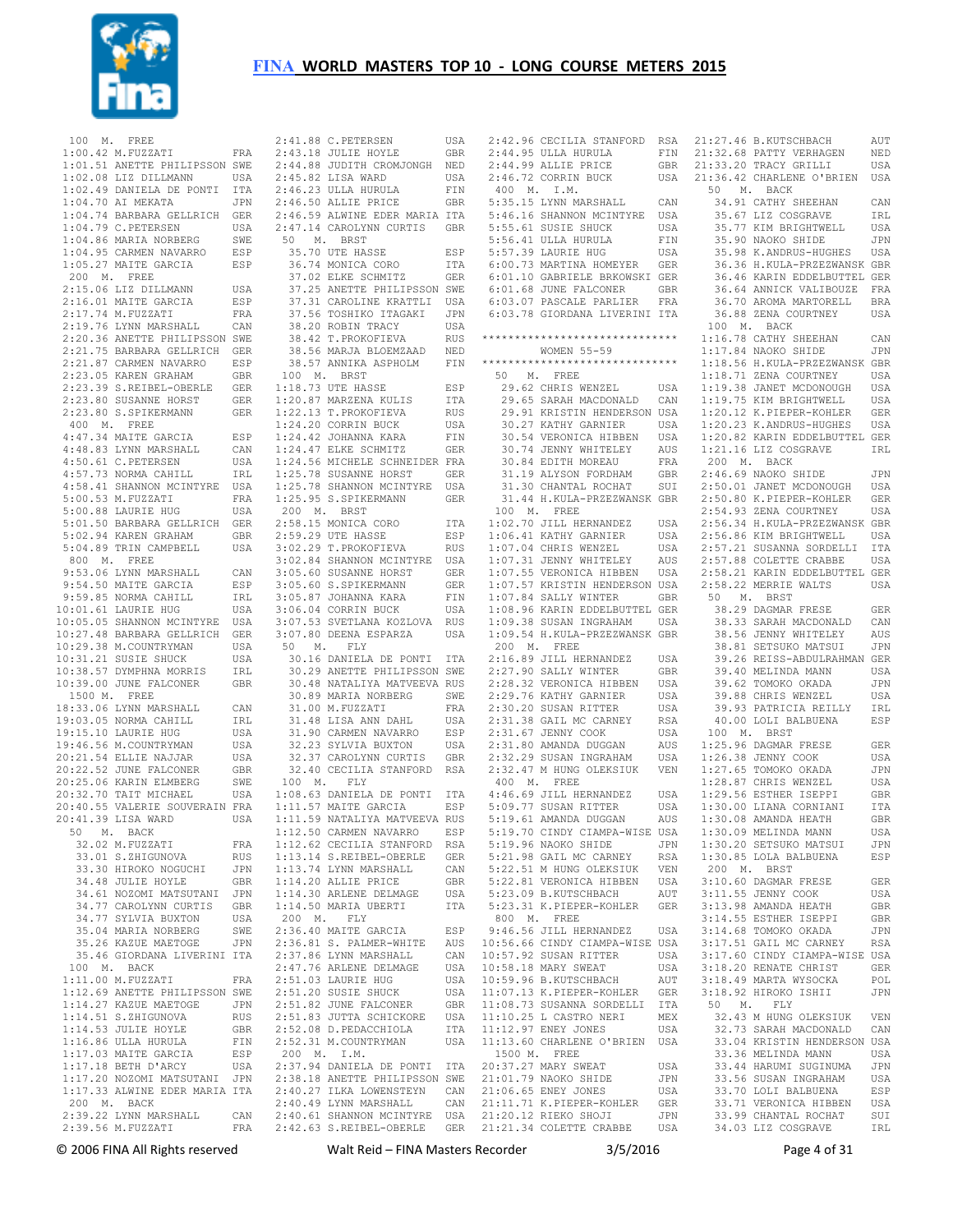

| 100 M.  | FREE                                                                                         |            |             | 2:41.88 C.PETERSEN                                 | USA        |                  | 2:42.96 CECILIA STANFORD                                        | RSA        |
|---------|----------------------------------------------------------------------------------------------|------------|-------------|----------------------------------------------------|------------|------------------|-----------------------------------------------------------------|------------|
|         | $1:00.42$ M. FUZZATI                                                                         | FRA        |             | 2:43.18 JULIE HOYLE                                | GBR        |                  | 2:44.95 ULLA HURULA                                             | FIN        |
|         | 1:01.51 ANETTE PHILIPSSON SWE                                                                |            |             | 2:44.88 JUDITH CROMJONGH                           | NED        |                  | 2:44.99 ALLIE PRICE                                             | GBR        |
|         | $1:02.08$ LIZ DILLMANN                                                                       | USA        |             | 2:45.82 LISA WARD                                  | USA        |                  | 2:46.72 CORRIN BUCK                                             | USA        |
|         | 1:02.49 DANIELA DE PONTI                                                                     | ITA        |             | 2:46.23 ULLA HURULA                                | FIN        | 400 M.           | I.M.                                                            |            |
|         | 1:04.70 AI MEKATA                                                                            | JPN        |             | 2:46.50 ALLIE PRICE                                | GBR        |                  | 5:35.15 LYNN MARSHALL                                           | CAN        |
|         | 1:04.74 BARBARA GELLRICH                                                                     | <b>GER</b> |             | 2:46.59 ALWINE EDER MARIA ITA                      |            |                  | 5:46.16 SHANNON MCINTYRE                                        | USA        |
|         | 1:04.79 C. PETERSEN                                                                          | USA        | 50          | 2:47.14 CAROLYNN CURTIS<br><b>BRST</b>             | <b>GBR</b> |                  | 5:55.61 SUSIE SHUCK<br>5:56.41 ULLA HURULA                      | USA        |
|         | 1:04.86 MARIA NORBERG<br>1:04.95 CARMEN NAVARRO                                              | SWE<br>ESP | Μ.          | 35.70 UTE HASSE                                    | ESP        |                  | 5:57.39 LAURIE HUG                                              | FIN<br>USA |
|         | 1:05.27 MAITE GARCIA                                                                         | ESP        |             | 36.74 MONICA CORO                                  | ITA        |                  | 6:00.73 MARTINA HOMEYER                                         | GER        |
|         | 200 M. FREE                                                                                  |            |             | 37.02 ELKE SCHMITZ                                 | GER        |                  | 6:01.10 GABRIELE BRKOWSKI GER                                   |            |
|         | 2:15.06 LIZ DILLMANN                                                                         | USA        |             | 37.25 ANETTE PHILIPSSON SWE                        |            |                  | 6:01.68 JUNE FALCONER                                           | <b>GBR</b> |
|         | 2:16.01 MAITE GARCIA                                                                         | ESP        |             | 37.31 CAROLINE KRATTLI                             | USA        |                  | 6:03.07 PASCALE PARLIER                                         | FRA        |
|         | 2:17.74 M. FUZZATI                                                                           | FRA        |             | 37.56 TOSHIKO ITAGAKI                              | JPN        |                  | 6:03.78 GIORDANA LIVERINI ITA                                   |            |
|         | 2:19.76 LYNN MARSHALL                                                                        | CAN        |             | 38.20 ROBIN TRACY                                  | USA        |                  |                                                                 |            |
|         | 2:20.36 ANETTE PHILIPSSON SWE                                                                |            |             | 38.42 T. PROKOFIEVA                                | RUS        |                  | ******************************                                  |            |
|         | 2:21.75 BARBARA GELLRICH                                                                     | GER        |             | 38.56 MARJA BLOEMZAAD                              | NED        |                  | <b>WOMEN 55-59</b>                                              |            |
|         | 2:21.87 CARMEN NAVARRO                                                                       | ESP        |             | 38.57 ANNIKA ASPHOLM                               | FIN        |                  | ******************************                                  |            |
|         | 2:23.05 KAREN GRAHAM                                                                         | <b>GBR</b> | 100<br>М.   | <b>BRST</b>                                        |            | 50<br>Μ.         | FREE                                                            |            |
|         | 2:23.39 S.REIBEL-OBERLE                                                                      | <b>GER</b> |             | 1:18.73 UTE HASSE                                  | ESP        |                  | 29.62 CHRIS WENZEL                                              | USA        |
|         | 2:23.80 SUSANNE HORST                                                                        | GER        |             | 1:20.87 MARZENA KULIS                              | ITA        |                  | 29.65 SARAH MACDONALD                                           | CAN        |
|         | 2:23.80 S.SPIKERMANN<br>400 M. FREE                                                          | GER        |             | 1:22.13 T.PROKOFIEVA<br>1:24.20 CORRIN BUCK        | RUS<br>USA |                  | 29.91 KRISTIN HENDERSON USA<br>30.27 KATHY GARNIER              | USA        |
|         | 4:47.34 MAITE GARCIA                                                                         | ESP        |             | 1:24.42 JOHANNA KARA                               | FIN        |                  | 30.54 VERONICA HIBBEN                                           | USA        |
|         | 4:48.83 LYNN MARSHALL                                                                        | CAN        |             | 1:24.47 ELKE SCHMITZ                               | GER        |                  | 30.74 JENNY WHITELEY                                            | AUS        |
|         | 4:50.61 C.PETERSEN                                                                           | USA        |             | 1:24.56 MICHELE SCHNEIDER FRA                      |            |                  | 30.84 EDITH MOREAU                                              | FRA        |
|         | 4:57.73 NORMA CAHILL                                                                         | IRL        |             | 1:25.78 SUSANNE HORST                              | GER        |                  | 31.19 ALYSON FORDHAM                                            | GBR        |
|         | 4:58.41 SHANNON MCINTYRE                                                                     | USA        |             | 1:25.78 SHANNON MCINTYRE                           | USA        |                  | 31.30 CHANTAL ROCHAT                                            | SUI        |
|         | 5:00.53 M. FUZZATI                                                                           | FRA        |             | 1:25.95 S.SPIKERMANN                               | <b>GER</b> |                  | 31.44 H.KULA-PRZEZWANSK GBR                                     |            |
|         | 5:00.88 LAURIE HUG                                                                           | USA        | 200         | M. BRST                                            |            | 100<br>М.        | FREE                                                            |            |
|         | 5:01.50 BARBARA GELLRICH                                                                     | GER        |             | 2:58.15 MONICA CORO                                | ITA        |                  | 1:02.70 JILL HERNANDEZ                                          | USA        |
|         | 5:02.94 KAREN GRAHAM                                                                         | GBR        |             | 2:59.29 UTE HASSE                                  | ESP        |                  | 1:06.41 KATHY GARNIER                                           | USA        |
|         | 5:04.89 TRIN CAMPBELL                                                                        | USA        |             | 3:02.29 T.PROKOFIEVA                               | RUS        |                  | 1:07.04 CHRIS WENZEL                                            | USA        |
| 800 M.  | FREE                                                                                         |            |             | 3:02.84 SHANNON MCINTYRE                           | USA        |                  | 1:07.31 JENNY WHITELEY                                          | AUS        |
|         | 9:53.06 LYNN MARSHALL<br>9:54.50 MAITE GARCIA                                                | CAN<br>ESP |             | 3:05.60 SUSANNE HORST<br>3:05.60 S.SPIKERMANN      | GER<br>GER |                  | 1:07.55 VERONICA HIBBEN<br>1:07.57 KRISTIN HENDERSON USA        | USA        |
|         | 9:59.85 NORMA CAHILL                                                                         | IRL        |             | 3:05.87 JOHANNA KARA                               | FIN        |                  | 1:07.84 SALLY WINTER                                            | <b>GBR</b> |
|         | 10:01.61 LAURIE HUG                                                                          | USA        |             | 3:06.04 CORRIN BUCK                                | USA        |                  | 1:08.96 KARIN EDDELBUTTEL GER                                   |            |
|         | 10:05.05 SHANNON MCINTYRE                                                                    | USA        |             | 3:07.53 SVETLANA KOZLOVA                           | RUS        |                  | 1:09.38 SUSAN INGRAHAM                                          | USA        |
|         | 10:27.48 BARBARA GELLRICH                                                                    | GER        |             | 3:07.80 DEENA ESPARZA                              | USA        |                  | 1:09.54 H.KULA-PRZEZWANSK GBR                                   |            |
|         | 10:29.38 M.COUNTRYMAN                                                                        | USA        | 50<br>Μ.    | FLY                                                |            | 200<br><b>M.</b> | FREE                                                            |            |
|         | 10:31.21 SUSIE SHUCK                                                                         | USA        |             | 30.16 DANIELA DE PONTI                             | ITA        |                  | 2:16.89 JILL HERNANDEZ                                          | USA        |
|         | 10:38.57 DYMPHNA MORRIS                                                                      | IRL        |             | 30.29 ANETTE PHILIPSSON SWE                        |            |                  | 2:27.90 SALLY WINTER                                            | <b>GBR</b> |
|         | 10:39.00 JUNE FALCONER                                                                       | <b>GBR</b> |             | 30.48 NATALIYA MATVEEVA RUS                        |            |                  | 2:28.32 VERONICA HIBBEN                                         | USA        |
| 1500 M. | FREE                                                                                         |            |             | 30.89 MARIA NORBERG                                | SWE        |                  | 2:29.76 KATHY GARNIER                                           | USA        |
|         | 18:33.06 LYNN MARSHALL                                                                       | CAN        |             | 31.00 M.FUZZATI                                    | FRA        |                  | 2:30.20 SUSAN RITTER                                            | USA        |
|         | 19:03.05 NORMA CAHILL                                                                        | IRL        |             | 31.48 LISA ANN DAHL                                | USA        |                  | 2:31.38 GAIL MC CARNEY                                          | <b>RSA</b> |
|         | 19:15.10 LAURIE HUG                                                                          | USA        |             | 31.90 CARMEN NAVARRO                               | ESP        |                  | 2:31.67 JENNY COOK                                              | USA        |
|         | 19:46.56 M.COUNTRYMAN                                                                        |            |             |                                                    |            |                  |                                                                 |            |
|         |                                                                                              | USA        |             | 32.23 SYLVIA BUXTON                                | USA        |                  | 2:31.80 AMANDA DUGGAN                                           | AUS        |
|         | 20:21.54 ELLIE NAJJAR                                                                        | USA        |             | 32.37 CAROLYNN CURTIS                              | GBR        |                  | 2:32.29 SUSAN INGRAHAM                                          | USA        |
|         | 20:22.52 JUNE FALCONER                                                                       | <b>GBR</b> |             | 32.40 CECILIA STANFORD                             | RSA        |                  | 2:32.47 M HUNG OLEKSIUK                                         | VEN        |
|         | 20:25.06 KARIN ELMBERG                                                                       | SWE        | 100<br>М.   | FLY                                                |            | 400<br>м.        | FREE                                                            |            |
|         | 20:32.70 TAIT MICHAEL<br>20:40.55 VALERIE SOUVERAIN FRA                                      | USA        |             | 1:08.63 DANIELA DE PONTI<br>1:11.57 MAITE GARCIA   | ITA<br>ESP |                  | 4:46.69 JILL HERNANDEZ<br>5:09.77 SUSAN RITTER                  | USA<br>USA |
|         | 20:41.39 LISA WARD                                                                           | USA        |             | 1:11.59 NATALIYA MATVEEVA RUS                      |            |                  | 5:19.61 AMANDA DUGGAN                                           | AUS        |
|         | 50 M. BACK                                                                                   |            |             |                                                    |            |                  | 1:12.50 CARMEN NAVARRO ESP 5:19.70 CINDY CIAMPA-WISE USA        |            |
|         |                                                                                              | FRA        |             | 1:12.62 CECILIA STANFORD RSA                       |            |                  | 5:19.96 NAOKO SHIDE                                             | JPN        |
|         | 32.02 M.FUZZATI<br>33.01 S.ZHIGUNOVA                                                         | <b>RUS</b> |             | 1:13.14 S.REIBEL-OBERLE GER 5:21.98 GAIL MC CARNEY |            |                  |                                                                 | RSA        |
|         | 33.30 HIROKO NOGUCHI JPN                                                                     |            |             | 1:13.74 LYNN MARSHALL                              |            |                  | CAN 5:22.51 M HUNG OLEKSIUK                                     | VEN        |
|         | 34.48 JULIE HOYLE                                                                            |            |             | GBR 1:14.20 ALLIE PRICE                            | GBR        |                  | 5:22.81 VERONICA HIBBEN                                         | USA        |
|         | 34.61 NOZOMI MATSUTANI JPN                                                                   |            |             | 1:14.30 ARLENE DELMAGE                             | USA        |                  | 5:23.09 B.KUTSCHBACH                                            | AUT        |
|         | 34.77 CAROLYNN CURTIS GBR                                                                    |            |             | 1:14.50 MARIA UBERTI                               | ITA        |                  | 5:23.31 K.PIEPER-KOHLER                                         | GER        |
|         | 34.77 SYLVIA BUXTON                                                                          | USA        | 200 M. FLY  |                                                    |            | 800 M. FREE      |                                                                 |            |
|         | 35.04 MARIA NORBERG                                                                          | SWE        |             | 2:36.40 MAITE GARCIA                               |            |                  | ESP 9:46.56 JILL HERNANDEZ                                      | USA        |
|         | 35.26 KAZUE MAETOGE                                                                          | JPN        |             | 2:36.81 S. PALMER-WHITE                            |            |                  | AUS 10:56.66 CINDY CIAMPA-WISE USA<br>CAN 10:57.92 SUSAN RITTER |            |
|         | 35.46 GIORDANA LIVERINI ITA<br>100 M. BACK                                                   |            |             | 2:37.86 LYNN MARSHALL<br>2:47.76 ARLENE DELMAGE    |            |                  | USA 10:58.18 MARY SWEAT                                         | USA<br>USA |
|         | $1:11.00$ M. FUZZATI                                                                         | <b>FRA</b> |             | 2:51.03 LAURIE HUG                                 |            |                  | USA 10:59.96 B.KUTSCHBACH                                       | AUT        |
|         | 1:12.69 ANETTE PHILIPSSON SWE                                                                |            |             | 2:51.20 SUSIE SHUCK                                |            |                  | USA 11:07.13 K.PIEPER-KOHLER GER                                |            |
|         | 1:14.27 KAZUE MAETOGE                                                                        | JPN        |             | 2:51.82 JUNE FALCONER                              |            |                  | GBR 11:08.73 SUSANNA SORDELLI ITA                               |            |
|         | $1:14.51$ S.ZHIGUNOVA                                                                        | RUS        |             | 2:51.83 JUTTA SCHICKORE USA 11:10.25 L CASTRO NERI |            |                  |                                                                 | MEX        |
|         | 1:14.53 JULIE HOYLE                                                                          | GBR        |             | 2:52.08 D.PEDACCHIOLA                              |            |                  | ITA    11:12.97 ENEY JONES                                      | USA        |
|         | $1:16.86$ ULLA HURULA                                                                        | FIN        |             | 2:52.31 M.COUNTRYMAN                               | USA        |                  | 11:13.60 CHARLENE O'BRIEN USA                                   |            |
|         | 1:17.03 MAITE GARCIA                                                                         | ESP        | 200 M. I.M. |                                                    |            | 1500 M. FREE     |                                                                 |            |
|         | 1:17.18 BETH D'ARCY USA 2:37.94 DANIELA DE PONTI ITA 20:37.27 MARY SWEAT                     |            |             |                                                    |            |                  |                                                                 | USA        |
|         | 1:17.20 NOZOMI MATSUTANI JPN                                                                 |            |             | 2:38.18 ANETTE PHILIPSSON SWE 21:01.79 NAOKO SHIDE |            |                  |                                                                 | JPN        |
|         | 1:17.33 ALWINE EDER MARIA ITA 2:40.27 ILKA LOWENSTEYN CAN 21:06.65 ENEY JONES<br>200 M. BACK |            |             |                                                    |            |                  | 2:40.49 LYNN MARSHALL CAN 21:11.71 K.PIEPER-KOHLER GER          | USA        |
|         | 2:39.22 LYNN MARSHALL CAN 2:40.61 SHANNON MCINTYRE USA 21:20.12 RIEKO SHOJI                  |            |             |                                                    |            |                  |                                                                 | JPN        |

| $2:41.88$ C.PETERSEN<br>2.41.00 C.PETERSEN<br>2:43.18 JULIE HOYLE<br>2.44.00 ********                                                                                                      | USA        |
|--------------------------------------------------------------------------------------------------------------------------------------------------------------------------------------------|------------|
|                                                                                                                                                                                            | GBR        |
|                                                                                                                                                                                            |            |
| 2:44.88 JUDITH CROMJONGH NED                                                                                                                                                               |            |
| 2:45.82 LISA WARD                                                                                                                                                                          | USA        |
|                                                                                                                                                                                            |            |
| 2:46.23 ULLA HURULA                                                                                                                                                                        | FIN        |
| 2:46.50 ALLIE PRICE                                                                                                                                                                        | GBR        |
|                                                                                                                                                                                            |            |
| 2:46.59 ALWINE EDER MARIA ITA                                                                                                                                                              |            |
| 2:47.14 CAROLYNN CURTIS GBR                                                                                                                                                                |            |
|                                                                                                                                                                                            |            |
| 50 M. BRST<br>35.70 UTE HASSE                                                                                                                                                              |            |
|                                                                                                                                                                                            | ESP        |
| 36.74 MONICA CORO                                                                                                                                                                          |            |
|                                                                                                                                                                                            | ITA        |
|                                                                                                                                                                                            | GER        |
| ----- HONICA CORO<br>37.02 ELKE SCHMITZ<br>37.05.111                                                                                                                                       |            |
| 37.25 ANETTE PHILIPSSON SWE                                                                                                                                                                |            |
| 37.31 CAROLINE KRATTLI USA<br>37.56 TOSHIKO ITAGAKI JPN                                                                                                                                    |            |
|                                                                                                                                                                                            |            |
|                                                                                                                                                                                            |            |
| 38.20 ROBIN TRACY<br>38.42 T.PROKOFIEVA                                                                                                                                                    | USA        |
|                                                                                                                                                                                            | RUS        |
|                                                                                                                                                                                            |            |
| 38.56 MARJA BLOEMZAAD NED<br>38.57 ANNIKA ASPHOLM FIN                                                                                                                                      |            |
|                                                                                                                                                                                            |            |
|                                                                                                                                                                                            |            |
| 100 M. BRST                                                                                                                                                                                |            |
|                                                                                                                                                                                            | ESP        |
|                                                                                                                                                                                            |            |
|                                                                                                                                                                                            | ITA        |
| 1:0.<br>1:20.87 MARZENA KULIS<br>1:22.13 T.PROKOFIEVA<br>1:24.20 CORRIN BUCK<br>1:24.42 JOHANNA KARA                                                                                       | RUS        |
|                                                                                                                                                                                            |            |
|                                                                                                                                                                                            | USA        |
|                                                                                                                                                                                            | FIN        |
|                                                                                                                                                                                            |            |
| 1:24.47 ELKE SCHMITZ                                                                                                                                                                       | <b>GER</b> |
| 1:24.56 MICHELE SCHNEIDER FRA                                                                                                                                                              |            |
|                                                                                                                                                                                            |            |
| 1:25.78 SUSANNE HORST                                                                                                                                                                      | GER        |
| 1:25.78 SHANNON MCINTYRE                                                                                                                                                                   | USA        |
|                                                                                                                                                                                            |            |
| 1:25.95 S.SPIKERMANN                                                                                                                                                                       | GER        |
| 200 M. BRST                                                                                                                                                                                |            |
|                                                                                                                                                                                            |            |
| 2:58.15 MONICA CORO                                                                                                                                                                        | ITA        |
|                                                                                                                                                                                            | ESP        |
|                                                                                                                                                                                            |            |
|                                                                                                                                                                                            | <b>RUS</b> |
| 2:59.29 UTE HASSE<br>3:02.29 T.PROKOFIEVA<br>3:02.84 SUANNOTE<br>3:02.84 SHANNON MCINTYRE                                                                                                  | USA        |
|                                                                                                                                                                                            |            |
|                                                                                                                                                                                            |            |
|                                                                                                                                                                                            |            |
|                                                                                                                                                                                            |            |
|                                                                                                                                                                                            |            |
|                                                                                                                                                                                            |            |
|                                                                                                                                                                                            |            |
|                                                                                                                                                                                            |            |
|                                                                                                                                                                                            |            |
| 3:05.60 SUSANNE HORST<br>3:05.60 SUSANNE HORST<br>3:05.60 S.SPIKERMANN GER<br>3:05.87 JOHANNA KARA FIN<br>3:06.04 CORRIN BUCK USA<br>3:07.53 SVETLANA KOZLOVA RUS<br>3:07.80 DEENA ESPARZA | USA        |
|                                                                                                                                                                                            |            |
| 50 M. FLY                                                                                                                                                                                  |            |
|                                                                                                                                                                                            |            |
| 30.16 DANIELA DE PONTI ITA                                                                                                                                                                 |            |
| 30.29 ANETTE PHILIPSSON SWE                                                                                                                                                                |            |
| 30.48 NATALIYA MATVEEVA RUS                                                                                                                                                                |            |
|                                                                                                                                                                                            |            |
|                                                                                                                                                                                            | SWE        |
| 30.89 MARIA NORBERG<br>31.00 M.FUZZATI                                                                                                                                                     | FRA        |
|                                                                                                                                                                                            |            |
|                                                                                                                                                                                            |            |
|                                                                                                                                                                                            |            |
|                                                                                                                                                                                            |            |
| 31.00 m.rosamii<br>31.48 LISA ANN DAHL USA<br>31.90 CARMEN NAVARRO ESP<br>32.23 SYLVIA BUXTON USA                                                                                          |            |
| 32.37 CAROLYNN CURTIS                                                                                                                                                                      | GBR        |
|                                                                                                                                                                                            |            |
| 32.40 CECILIA STANFORD RSA                                                                                                                                                                 |            |
| 100 M. FLY                                                                                                                                                                                 |            |
|                                                                                                                                                                                            |            |
|                                                                                                                                                                                            |            |
| 1:08.63 DANIELA DE PONTI ITA<br>1:11.57 MAITE GARCIA ESP                                                                                                                                   |            |
| 1:11.59 NATALIYA MATVEEVA RUS                                                                                                                                                              |            |
|                                                                                                                                                                                            |            |
| 1:12.50 CARMEN NAVARRO                                                                                                                                                                     | ESP        |
|                                                                                                                                                                                            |            |
|                                                                                                                                                                                            | GER        |
| 1:12.62 CECILIA STANFORD RSA<br>1:13.14 S.REIBEL-OBERLE GER                                                                                                                                |            |
|                                                                                                                                                                                            | CAN        |
|                                                                                                                                                                                            | GBR        |
| 1:13.74 LYNN MARSHALL<br>1:14.20 ALLIE PRICE<br>$1:14.20$ ALLIE PRICE                                                                                                                      |            |
| 1:14.30 ARLENE DELMAGE                                                                                                                                                                     | USA        |
| $1:14.50$ MARIA UBERTI                                                                                                                                                                     | ITA        |
|                                                                                                                                                                                            |            |
| $200$ M. FLY                                                                                                                                                                               |            |
|                                                                                                                                                                                            |            |
|                                                                                                                                                                                            |            |
|                                                                                                                                                                                            | ESP<br>AUS |
|                                                                                                                                                                                            | CAN        |
|                                                                                                                                                                                            |            |
| 2:36.40 MAITE GARCIA<br>2:36.81 S. PALMER-WHITE<br>2:37.86 LYNN MARSHALL<br>2:47.76 ARLENE DELMAGE                                                                                         | USA        |
| 2:51.03 LAURIE HUG                                                                                                                                                                         | USA        |
|                                                                                                                                                                                            | USA        |
|                                                                                                                                                                                            |            |
|                                                                                                                                                                                            | GBR        |
|                                                                                                                                                                                            |            |
|                                                                                                                                                                                            | USA        |
|                                                                                                                                                                                            | ITA        |
|                                                                                                                                                                                            | USA        |
| 2:51.03 LAURIE HUG<br>2:51.20 SUSIE SHUCK<br>2:51.82 JUNE FALCONER<br>2:51.83 JUTTA SCHICKORE<br>2:52.08 D.PEDACCHIOLA<br>2:52.31 M.COUNTRYMAN                                             |            |
|                                                                                                                                                                                            |            |
| 200 M. I.M.<br>2:37.94 DANIELA DE PONTI ITA                                                                                                                                                |            |
|                                                                                                                                                                                            |            |
|                                                                                                                                                                                            |            |
| 2:38.18 ANETTE PHILIPSSON SWE<br>2:40.27 ILKA LOWENSTEYN CAN<br>$2:40.49$ LYNN MARSHALL CAN                                                                                                |            |

|             | 2:41.88 C.PETERSEN                                     | USA          |         | 2:42.96 CECILIA STANFORD                                | RSA        | 21               |
|-------------|--------------------------------------------------------|--------------|---------|---------------------------------------------------------|------------|------------------|
|             | 2:43.18 JULIE HOYLE                                    | GBR          |         | 2:44.95 ULLA HURULA                                     | FIN        | 21               |
|             | 2:44.88 JUDITH CROMJONGH NED<br>2:45.82 LISA WARD      |              |         | 2:44.99 ALLIE PRICE<br>2:46.72 CORRIN BUCK              | GBR        | 21               |
|             | 2:46.23 ULLA HURULA                                    | USA<br>FIN   | 400 M.  | I.M.                                                    | USA        | $\overline{2}$ : |
|             | 2:46.50 ALLIE PRICE                                    | GBR          |         | 5:35.15 LYNN MARSHALL                                   | CAN        |                  |
|             | 2:46.59 ALWINE EDER MARIA ITA                          |              |         | 5:46.16 SHANNON MCINTYRE                                | USA        |                  |
|             | 2:47.14 CAROLYNN CURTIS                                | GBR          |         | 5:55.61 SUSIE SHUCK                                     | USA        |                  |
| 50<br>М.    | BRST                                                   |              |         | 5:56.41 ULLA HURULA                                     | FIN        |                  |
|             | 35.70 UTE HASSE                                        | ESP          |         | 5:57.39 LAURIE HUG                                      | USA        |                  |
|             | 36.74 MONICA CORO                                      | ITA          |         | 6:00.73 MARTINA HOMEYER                                 | GER        |                  |
|             | 37.02 ELKE SCHMITZ                                     | GER          |         | 6:01.10 GABRIELE BRKOWSKI GER                           |            |                  |
|             | 37.25 ANETTE PHILIPSSON SWE                            |              |         | 6:01.68 JUNE FALCONER                                   | GBR        |                  |
|             | 37.31 CAROLINE KRATTLI                                 | USA          |         | 6:03.07 PASCALE PARLIER                                 | FRA        |                  |
|             | 37.56 TOSHIKO ITAGAKI                                  | JPN          |         | 6:03.78 GIORDANA LIVERINI ITA                           |            |                  |
|             | 38.20 ROBIN TRACY<br>38.42 T.PROKOFIEVA                | USA<br>RUS   |         | ******************************                          |            |                  |
|             | 38.56 MARJA BLOEMZAAD                                  | NED          |         | WOMEN 55-59                                             |            |                  |
|             | 38.57 ANNIKA ASPHOLM                                   | FIN          |         | ******************************                          |            |                  |
|             | 100 M. BRST                                            |              | 50      | M. FREE                                                 |            |                  |
|             | 1:18.73 UTE HASSE                                      | ESP          |         | 29.62 CHRIS WENZEL                                      | USA        |                  |
|             | 1:20.87 MARZENA KULIS                                  | ITA          |         | 29.65 SARAH MACDONALD                                   | CAN        |                  |
|             | 1:22.13 T.PROKOFIEVA                                   | RUS          |         | 29.91 KRISTIN HENDERSON USA                             |            |                  |
|             | 1:24.20 CORRIN BUCK                                    | USA          |         | 30.27 KATHY GARNIER                                     | USA        |                  |
|             | 1:24.42 JOHANNA KARA                                   | FIN          |         | 30.54 VERONICA HIBBEN                                   | USA        |                  |
|             | 1:24.47 ELKE SCHMITZ                                   | GER          |         | 30.74 JENNY WHITELEY                                    | AUS        |                  |
|             | 1:24.56 MICHELE SCHNEIDER FRA<br>1:25.78 SUSANNE HORST |              |         | 30.84 EDITH MOREAU<br>31.19 ALYSON FORDHAM              | FRA<br>GBR |                  |
|             | 1:25.78 SHANNON MCINTYRE                               | GER<br>USA   |         | 31.30 CHANTAL ROCHAT                                    | SUI        |                  |
|             | 1:25.95 S.SPIKERMANN                                   | GER          |         | 31.44 H.KULA-PRZEZWANSK GBR                             |            |                  |
| 200 M. BRST |                                                        |              |         | 100 M. FREE                                             |            |                  |
|             | 2:58.15 MONICA CORO                                    | ITA          |         | 1:02.70 JILL HERNANDEZ                                  | USA        |                  |
|             | 2:59.29 UTE HASSE                                      | ESP          |         | 1:06.41 KATHY GARNIER                                   | USA        |                  |
|             | 3:02.29 T.PROKOFIEVA                                   | RUS          |         | 1:07.04 CHRIS WENZEL                                    | USA        |                  |
|             | 3:02.84 SHANNON MCINTYRE                               | USA          |         | 1:07.31 JENNY WHITELEY                                  | AUS        |                  |
|             | 3:05.60 SUSANNE HORST                                  | GER          |         | 1:07.55 VERONICA HIBBEN                                 | USA        |                  |
|             | 3:05.60 S.SPIKERMANN                                   | GER          |         | 1:07.57 KRISTIN HENDERSON USA                           |            |                  |
|             | 3:05.87 JOHANNA KARA                                   | FIN          |         | 1:07.84 SALLY WINTER                                    | GBR        |                  |
|             | 3:06.04 CORRIN BUCK<br>3:07.53 SVETLANA KOZLOVA        | USA<br>RUS   |         | 1:08.96 KARIN EDDELBUTTEL GER<br>1:09.38 SUSAN INGRAHAM | USA        |                  |
|             | 3:07.80 DEENA ESPARZA                                  | USA          |         | 1:09.54 H.KULA-PRZEZWANSK GBR                           |            |                  |
| 50<br>М.    | FLY                                                    |              | 200     | M. FREE                                                 |            |                  |
|             | 30.16 DANIELA DE PONTI                                 | ITA          |         | 2:16.89 JILL HERNANDEZ                                  | USA        |                  |
|             | 30.29 ANETTE PHILIPSSON SWE                            |              |         | 2:27.90 SALLY WINTER                                    | GBR        |                  |
|             | 30.48 NATALIYA MATVEEVA RUS                            |              |         | 2:28.32 VERONICA HIBBEN                                 | USA        |                  |
|             | 30.89 MARIA NORBERG                                    | SWE          |         | 2:29.76 KATHY GARNIER                                   | USA        |                  |
|             | 31.00 M.FUZZATI                                        | FRA          |         | 2:30.20 SUSAN RITTER                                    | USA        |                  |
|             | 31.48 LISA ANN DAHL<br>31.90 CARMEN NAVARRO            | USA<br>ESP   |         | 2:31.38 GAIL MC CARNEY<br>2:31.67 JENNY COOK            | RSA        |                  |
|             | 32.23 SYLVIA BUXTON                                    | USA          |         | 2:31.80 AMANDA DUGGAN                                   | USA<br>AUS |                  |
|             | 32.37 CAROLYNN CURTIS                                  | GBR          |         | 2:32.29 SUSAN INGRAHAM                                  | USA        |                  |
|             | 32.40 CECILIA STANFORD                                 | RSA          |         | 2:32.47 M HUNG OLEKSIUK                                 | VEN        |                  |
| 100 M.      | FLY                                                    |              | 400 M.  | FREE                                                    |            |                  |
|             | 1:08.63 DANIELA DE PONTI                               | ITA          |         | 4:46.69 JILL HERNANDEZ                                  | USA        |                  |
|             | 1:11.57 MAITE GARCIA                                   | ESP          |         | 5:09.77 SUSAN RITTER                                    | USA        |                  |
|             | 1:11.59 NATALIYA MATVEEVA RUS                          |              |         | 5:19.61 AMANDA DUGGAN                                   | AUS        |                  |
|             | 1:12.50 CARMEN NAVARRO                                 | ESP          |         | 5:19.70 CINDY CIAMPA-WISE USA                           |            |                  |
|             | 1:12.62 CECILIA STANFORD<br>1:13.14 S.REIBEL-OBERLE    | RSA          |         | 5:19.96 NAOKO SHIDE<br>5:21.98 GAIL MC CARNEY           | JPN        |                  |
|             | 1:13.74 LYNN MARSHALL                                  | GER<br>CAN   |         | 5:22.51 M HUNG OLEKSIUK                                 | RSA<br>VEN |                  |
|             | 1:14.20 ALLIE PRICE                                    | $_{\rm GBR}$ |         | 5:22.81 VERONICA HIBBEN                                 | USA        |                  |
|             | 1:14.30 ARLENE DELMAGE                                 | USA          |         | 5:23.09 B.KUTSCHBACH                                    | AUT        |                  |
|             | 1:14.50 MARIA UBERTI                                   | ITA          |         | 5:23.31 K.PIEPER-KOHLER                                 | GER        |                  |
| 200 M.      | FLY                                                    |              | 800 M.  | FREE                                                    |            |                  |
|             | 2:36.40 MAITE GARCIA                                   | ESP          |         | 9:46.56 JILL HERNANDEZ                                  | USA        |                  |
|             | 2:36.81 S. PALMER-WHITE                                | AUS          |         | 10:56.66 CINDY CIAMPA-WISE USA                          |            |                  |
|             | 2:37.86 LYNN MARSHALL                                  | CAN          |         | 10:57.92 SUSAN RITTER                                   | USA        |                  |
|             | 2:47.76 ARLENE DELMAGE                                 | USA          |         | 10:58.18 MARY SWEAT<br>10:59.96 B.KUTSCHBACH            | USA        |                  |
|             | 2:51.03 LAURIE HUG<br>2:51.20 SUSIE SHUCK              | USA<br>USA   |         | 11:07.13 K.PIEPER-KOHLER                                | AUT<br>GER |                  |
|             | 2:51.82 JUNE FALCONER                                  | GBR          |         | 11:08.73 SUSANNA SORDELLI                               | ITA        |                  |
|             | 2:51.83 JUTTA SCHICKORE                                | USA          |         | 11:10.25 L CASTRO NERI                                  | MEX        |                  |
|             | 2:52.08 D.PEDACCHIOLA                                  | ITA          |         | 11:12.97 ENEY JONES                                     | USA        |                  |
|             | 2:52.31 M.COUNTRYMAN                                   | USA          |         | 11:13.60 CHARLENE O'BRIEN                               | USA        |                  |
| 200 M.      | I.M.                                                   |              | 1500 M. | FREE                                                    |            |                  |
|             | 2:37.94 DANIELA DE PONTI                               | ITA          |         | 20:37.27 MARY SWEAT                                     | USA        |                  |
|             | 2:38.18 ANETTE PHILIPSSON SWE                          |              |         | 21:01.79 NAOKO SHIDE                                    | JPN        |                  |
|             | 2:40.27 ILKA LOWENSTEYN                                | CAN          |         | 21:06.65 ENEY JONES                                     | USA        |                  |
|             | 2:40.49 LYNN MARSHALL<br>2:40.61 SHANNON MCINTYRE      | CAN<br>USA   |         | 21:11.71 K.PIEPER-KOHLER<br>21:20.12 RIEKO SHOJI        | GER<br>JPN |                  |
|             |                                                        |              |         |                                                         |            |                  |

.<br>2020 - The B.KUTSCHBACH AUT<br>2021:32.68 PATTY VERHAGEN ANED 1:32.68 PATTY VERHAGEN 21:33.20 TRACY GRILLI USA 21:36.42 CHARLENE O'BRIEN USA 50 M. BACK 34.91 CATHY SHEEHAN CAN<br>35.67 LIZ COSGRAVE TRL 35.67 LIZ COSGRAVE 35.77 KIM BRIGHTWELL USA<br>35.90 NAOKO SHIDE JPN 35.90 NAOKO SHIDE 35.98 K.ANDRUS-HUGHES USA 36.36 H.KULA-PRZEZWANSK GBR 36.46 KARIN EDDELBUTTEL GER 36.64 ANNICK VALIBOUZE FRA 36.70 AROMA MARTORELL BRA 36.88 ZENA COURTNEY USA 100 M. BACK 1:16.78 CATHY SHEEHAN CAN 1:17.84 NAOKO SHIDE JPN 1:18.56 H.KULA-PRZEZWANSK GBR 1:18.71 ZENA COURTNEY USA 1:19.38 JANET MCDONOUGH USA 1:19.75 KIM BRIGHTWELL USA 1:20.12 K.PIEPER-KOHLER GER 1:20.23 K.ANDRUS-HUGHES USA 1:20.82 KARIN EDDELBUTTEL GER 1:21.16 LIZ COSGRAVE IRL 200 M. BACK 2:46.69 NAOKO SHIDE JPN 2:50.01 JANET MCDONOUGH USA 2:50.80 K.PIEPER-KOHLER GER 2:54.93 ZENA COURTNEY USA 2:56.34 H.KULA-PRZEZWANSK GBR 2:56.86 KIM BRIGHTWELL USA 2:57.21 SUSANNA SORDELLI ITA 2:57.88 COLETTE CRABBE USA 2:58.21 KARIN EDDELBUTTEL GER 2:58.22 MERRIE WALTS USA 50 M. BRST 38.29 DAGMAR FRESE GER 38.33 SARAH MACDONALD CAN 38.56 JENNY WHITELEY AUS 38.81 SETSUKO MATSUI JPN 39.26 REISS-ABDULRAHMAN GER 39.40 MELINDA MANN USA 39.62 TOMOKO OKADA JPN 39.88 CHRIS WENZEL USA 39.93 PATRICIA REILLY IRL 40.00 LOLI BALBUENA ESP 100 M. BRST 1:25.96 DAGMAR FRESE GER 1:26.38 JENNY COOK USA 1:27.65 TOMOKO OKADA JPN 1:28.87 CHRIS WENZEL USA 1:29.56 ESTHER ISEPPI GBR 1:30.00 LIANA CORNIANI ITA 1:30.08 AMANDA HEATH GBR 1:30.09 MELINDA MANN USA 1:30.20 SETSUKO MATSUI JPN 1:30.85 LOLA BALBUENA ESP 200 M. BRST 3:10.60 DAGMAR FRESE GER 3:11.55 JENNY COOK USA 3:13.98 AMANDA HEATH GBR 3:14.55 ESTHER ISEPPI GBR 3:14.68 TOMOKO OKADA JIPN 3:17.51 GAIL MC CARNEY RSA 3:17.60 CINDY CIAMPA-WISE USA 3:18.20 RENATE CHRIST GER 3:18.49 MARTA WYSOCKA POL 3:18.92 HIROKO ISHII JPN 50 M. FLY 32.43 M HUNG OLEKSIUK VEN 32.73 SARAH MACDONALD CAN 33.04 KRISTIN HENDERSON USA 33.36 MELINDA MANN USA 33.44 HARUMI SUGINUMA JPN 33.56 SUSAN INGRAHAM USA 33.70 LOLI BALBUENA ESP 33.71 VERONICA HIBBEN USA 33.99 CHANTAL ROCHAT SUI 34.03 LIZ COSGRAVE IRL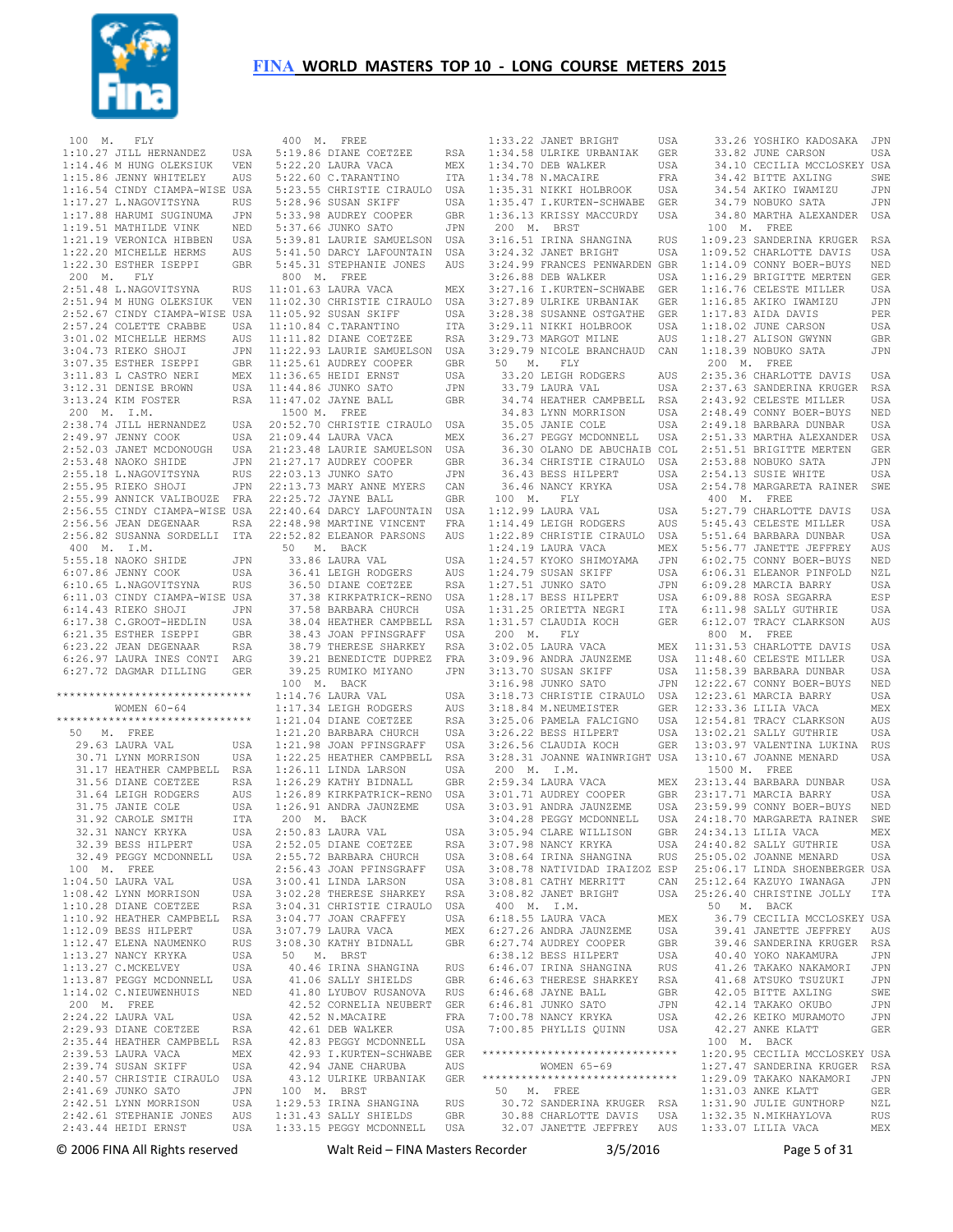

 100 M. FLY 1:10.27 JILL HERNANDEZ USA 5:19.86 DIANE COETZEE RSA 1:14.46 M HUNG OLEKSIUK VEN 1:15.86 JENNY WHITELEY AUS 1:16.54 CINDY CIAMPA-WISE USA 1:17.27 L.NAGOVITSYNA RUS 1:17.88 HARUMI SUGINUMA JPN 1:19.51 MATHILDE VINK NED<br>1:21.19 VERONICA HIBBEN USA 1:21.19 VERONICA HIBBEN 1:22.20 MICHELLE HERMS AUS 1:22.30 ESTHER ISEPPI GBR 200 M. FLY 2:51.48 L.NAGOVITSYNA RUS 2:51.94 M HUNG OLEKSIUK VEN 11:02.30 CHRISTIE CIRAULO USA 2:52.67 CINDY CIAMPA-WISE USA 2:57.24 COLETTE CRABBE USA 3:01.02 MICHELLE HERMS AUS 3:04.73 RIEKO SHOJI JPN 3:07.35 ESTHER ISEPPI GBR 3:11.83 L CASTRO NERI MEX  $3:12.31$  DENISE BROWN  $3:13.24$  KIM FOSTER 200 M. I.M. 2:38.74 JILL HERNANDEZ  $2:49.97$  JENNY COOK 2:52.03 JANET MCDONOUGH USA 21:23.48 LAURIE SAMUELSON USA 2:53.48 NAOKO SHIDE JPN 2:55.18 L.NAGOVITSYNA RUS 2:55.95 RIEKO SHOJI JPN 2:55.99 ANNICK VALIBOUZE FRA 2:56.55 CINDY CIAMPA-WISE USA 2:56.56 JEAN DEGENAAR RSA 2:56.82 SUSANNA SORDELLI ITA 400 M. I.M. 5:55.18 NAOKO SHIDE JPN 6:07.86 JENNY COOK USA 6:10.65 L.NAGOVITSYNA RUS 6:11.03 CINDY CIAMPA-WISE USA  $6:14.43$  RIEKO SHOJI 6:17.38 C.GROOT-HEDLIN USA 6:21.35 ESTHER ISEPPI GBR 6:23.22 JEAN DEGENAAR RSA 6:26.97 LAURA INES CONTI ARG 6:27.72 DAGMAR DILLING GER \*\*\*\*\*\*\*\*\*\*\*\*\*\*\*\*\*\*\*\*\*\*\*\*\*\*\*\*\*\* WOMEN 60-64 \*\*\*\*\*\*\*\*\*\*\*\*\*\*\*\*\*\*\*\*\*\*\*\*\*\*\*\*\*\* 50 M. FREE 29.63 LAURA VAL USA 30.71 LYNN MORRISON USA 31.17 HEATHER CAMPBELL RSA 31.56 DIANE COETZEE RSA 31.64 LEIGH RODGERS AUS 31.75 JANIE COLE USA 31.92 CAROLE SMITH ITA 32.31 NANCY KRYKA USA 32.39 BESS HILPERT USA 32.49 PEGGY MCDONNELL USA 100 M. FREE 1:04.50 LAURA VAL USA 1:08.42 LYNN MORRISON USA 1:10.28 DIANE COETZEE RSA 1:10.92 HEATHER CAMPBELL RSA 1:12.09 BESS HILPERT USA 1:12.47 ELENA NAUMENKO RUS 1:13.27 NANCY KRYKA USA 1:13.27 C.MCKELVEY USA 1:13.87 PEGGY MCDONNELL USA 1:14.02 C.NIEUWENHUIS NED 200 M. FREE 2:24.22 LAURA VAL USA 2:29.93 DIANE COETZEE RSA 2:35.44 HEATHER CAMPBELL RSA 2:39.53 LAURA VACA MEX<br>2:39.53 LAURA VACA MEX<br>2:39.74 SHSAN SKIFF USA  $2.39$  74 SUSAN SKIFF 2:40.57 CHRISTIE CIRAULO USA 2:41.69 JUNKO SATO JPN<br>2:42.51 LYNN MORRISON USA 2:42.51 LYNN MORRISON USA 2:42.61 STEPHANIE JONES AUS 1:29.53 IRINA SHANGINA RUS 1:31.43 SALLY SHIELDS GBR

 2:43.44 HEIDI ERNST USA 1:33.15 PEGGY MCDONNELL USA 400 M. FREE 5:22.20 LAURA VACA MEX 5:22.60 C.TARANTINO ITA 5:23.55 CHRISTIE CIRAULO USA 5:28.96 SUSAN SKIFF USA 5:33.98 AUDREY COOPER GBR 5:37.66 JUNKO SATO JPN 5:39.81 LAURIE SAMUELSON USA 5:41.50 DARCY LAFOUNTAIN USA 5:45.31 STEPHANIE JONES AUS 800 M. FREE 11:01.63 LAURA VACA MEX 11:05.92 SUSAN SKIFF USA 11:10.84 C.TARANTINO ITA 11:11.82 DIANE COETZEE RSA 11:22.93 LAURIE SAMUELSON USA 11:25.61 AUDREY COOPER GBR 11:36.65 HEIDI ERNST USA 11:44.86 JUNKO SATO JPN 11:47.02 JAYNE BALL GBR 1500 M. FREE 20:52.70 CHRISTIE CIRAULO USA 21:09.44 LAURA VACA MEX 21:27.17 AUDREY COOPER GBR 22:03.13 JUNKO SATO JPN 22:13.73 MARY ANNE MYERS CAN 22:25.72 JAYNE BALL GBR 22:40.64 DARCY LAFOUNTAIN USA 22:48.98 MARTINE VINCENT FRA 22:52.82 ELEANOR PARSONS AUS 50 M. BACK 33.86 LAURA VAL USA 36.41 LEIGH RODGERS AUS 36.50 DIANE COETZEE RSA 37.38 KIRKPATRICK-RENO USA 37.58 BARBARA CHURCH USA 38.04 HEATHER CAMPBELL RSA 38.43 JOAN PFINSGRAFF USA 38.79 THERESE SHARKEY RSA 39.21 BENEDICTE DUPREZ FRA 39.25 RUMIKO MIYANO JPN 100 M. BACK 1:14.76 LAURA VAL USA 1:17.34 LEIGH RODGERS AUS 1:21.04 DIANE COETZEE RSA 1:21.20 BARBARA CHURCH USA 1:21.98 JOAN PFINSGRAFF USA 1:22.25 HEATHER CAMPBELL RSA 1:26.11 LINDA LARSON USA 1:26.29 KATHY BIDNALL GBR 1:26.89 KIRKPATRICK-RENO USA 1:26.91 ANDRA JAUNZEME USA 200 M. BACK  $2 \cdot 50.83$  LAURA VAL USA 2:52.05 DIANE COETZEE RSA 2:55.72 BARBARA CHURCH USA 2:56.43 JOAN PFINSGRAFF USA 3:00.41 LINDA LARSON USA 3:02.28 THERESE SHARKEY RSA 3:04.31 CHRISTIE CIRAULO USA 3:04.77 JOAN CRAFFEY USA 3:07.79 LAURA VACA MEX 3:08.30 KATHY BIDNALL GBR 50 M. BRST 40.46 IRINA SHANGINA RUS 41.06 SALLY SHIELDS GBR 41.80 LYUBOV RUSANOVA RUS 42.52 CORNELIA NEUBERT GER<br>42.52 N.MACAIRE FRA  $42.52$  N.MACAIRE 42.61 DEB WALKER USA 42.83 PEGGY MCDONNELL USA 42.93 I.KURTEN-SCHWABE GER 42.94 JANE CHARUBA AUS 43.12 ULRIKE URBANIAK GER 100 M. BRST

 1:33.22 JANET BRIGHT USA 1:34.58 ULRIKE URBANIAK GER 1:34.70 DEB WALKER USA 1:34.78 N.MACAIRE FRA 1:35.31 NIKKI HOLBROOK USA 1:35.47 I.KURTEN-SCHWABE GER 1:36.13 KRISSY MACCURDY USA 200 M. BRST 3:16.51 IRINA SHANGINA RUS 3:24.32 JANET BRIGHT 3:24.99 FRANCES PENWARDEN GBR 3:26.88 DEB WALKER USA 3:27.16 I.KURTEN-SCHWABE GER 3:27.89 ULRIKE URBANIAK GER 3:28.38 SUSANNE OSTGATHE GER 3:29.11 NIKKI HOLBROOK USA 3:29.73 MARGOT MILNE AUS 3:29.79 NICOLE BRANCHAUD CAN 50 M. FLY 33.20 LEIGH RODGERS AUS 33.79 LAURA VAL USA 34.74 HEATHER CAMPBELL RSA 34.83 LYNN MORRISON USA 35.05 JANIE COLE USA<br>36.27 PEGGY MCDONNELL USA 36.27 PEGGY MCDONNELL 36.30 OLANO DE ABUCHAIB COL 36.34 CHRISTIE CIRAULO USA 36.43 BESS HILPERT USA 36.46 NANCY KRYKA USA 100 M. FLY 1:12.99 LAURA VAL USA 1:14.49 LEIGH RODGERS AUS 1:22.89 CHRISTIE CIRAULO USA 1:24.19 LAURA VACA MEX 1:24.57 KYOKO SHIMOYAMA JPN 1:24.79 SUSAN SKIFF USA 1:27.51 JUNKO SATO JPN  $1:28$  17 BESS HILPERT 1:31.25 ORIETTA NEGRI ITA 1:31.57 CLAUDIA KOCH GER 200 M. FLY  $3:02.05$  LAURA VACA 3:09.96 ANDRA JAUNZEME 3:13.70 SUSAN SKIFF 3:16.98 JUNKO SATO 3:18.73 CHRISTIE CIRAULO 3:18.84 M.NEUMEISTER GER 3:25.06 PAMELA FALCIGNO 3:26.22 BESS HILPERT USA 13:00.21 SALLY GUTHRIE<br>3:26.22 BESS HILPERT USA 13:02.21 SALLY GUTHRIE 3:26.56 CLAUDIA KOCH GER 3:28.31 JOANNE WAINWRIGHT USA 200 M. I.M.  $2:59.34$  LAURA VACA 3:01.71 AUDREY COOPER GBR 3:03.91 ANDRA JAUNZEME 3:04.28 PEGGY MCDONNELL 3:05.94 CLARE WILLISON GBR 3:07.98 NANCY KRYKA USA 3:08.64 IRINA SHANGINA RUS 3:08.78 NATIVIDAD IRAIZOZ ESP 3:08.81 CATHY MERRITT CAN 3:08.82 JANET BRIGHT USA 25:12.64 KAZUYO IWANAGA JPN 25:26.40 CHRISTINE JOLLY ITA 400 M. I.M. 6:18.55 LAURA VACA MEX 6:27.26 ANDRA JAUNZEME USA 6:27.74 AUDREY COOPER GBR 6:38.12 BESS HILPERT USA 6:46.07 IRINA SHANGINA RUS 6:46.63 THERESE SHARKEY RSA<br>6:46.68 JAYNE BALL GBR<br>6:46.68 JUNKO SATO JPN<br>7:00.78 NANCY KRYKA USA 7:00.78 NANCY KRYKA USA<br>7:00.85 PHYLLIS QUINN USA \*\*\*\*\*\*\*\*\*\*\*\*\*\*\*\*\*\*\*\*\*\*\*\*\*\*\*\*\*\* 1:20.95 CECILIA MCCLOSKEY USA WOMEN 65-69 \*\*\*\*\*\*\*\*\*\*\*\*\*\*\*\*\*\*\*\*\*\*\*\*\*\*\*\*\*\* 50 M. FREE 30.72 SANDERINA KRUGER RSA 30.88 CHARLOTTE DAVIS USA 32.07 JANETTE JEFFREY AUS 33.26 YOSHIKO KADOSAKA JPN 33.82 JUNE CARSON USA 34.10 CECILIA MCCLOSKEY USA 34.42 BITTE AXLING SWE 34.54 AKIKO IWAMIZU JPN 34.79 NOBUKO SATA JPN 34.80 MARTHA ALEXANDER USA 100 M. FREE 1:09.23 SANDERINA KRUGER RSA USA 1:09.52 CHARLOTTE DAVIS USA 1:14.09 CONNY BOER-BUYS NED 1:16.29 BRIGITTE MERTEN GER 1:16.76 CELESTE MILLER USA 1:16.85 AKIKO IWAMIZU JPN 1:17.83 AIDA DAVIS PER 1:18.02 JUNE CARSON USA 1:18.27 ALISON GWYNN GBR 1:18.39 NOBUKO SATA JPN 200 M. FREE 2:35.36 CHARLOTTE DAVIS USA 2:37.63 SANDERINA KRUGER RSA 2:43.92 CELESTE MILLER USA 2:48.49 CONNY BOER-BUYS NED 2:49.18 BARBARA DUNBAR USA 2:51.33 MARTHA ALEXANDER USA 2:51.51 BRIGITTE MERTEN GER 2:53.88 NOBUKO SATA JPN 2:54.13 SUSIE WHITE USA 2:54.78 MARGARETA RAINER SWE 400 M. FREE 5:27.79 CHARLOTTE DAVIS USA 5:45.43 CELESTE MILLER USA 5:51.64 BARBARA DUNBAR USA 5:56.77 JANETTE JEFFREY AUS 6:02.75 CONNY BOER-BUYS NED 6:06.31 ELEANOR PINFOLD NZL 6:09.28 MARCIA BARRY USA 6:09.88 ROSA SEGARRA ESP 6:11.98 SALLY GUTHRIE USA 6:12.07 TRACY CLARKSON AUS 800 M. FREE 11:31.53 CHARLOTTE DAVIS USA 11:48.60 CELESTE MILLER USA 11:58.39 BARBARA DUNBAR USA 12:22.67 CONNY BOER-BUYS NED 12:23.61 MARCIA BARRY USA GER 12:33.36 LILLIA VACA MEX USA 12:54.81 TRACY CLARKSON AUS 13:02.21 SALLY GUTHRIE USA 13:03.97 VALENTINA LUKINA RUS 13:10.67 JOANNE MENARD USA 1500 M. FREE 23:13.44 BARBARA DUNBAR USA 23:17.71 MARCIA BARRY USA 23:59.99 CONNY BOER-BUYS NED 24:18.70 MARGARETA RAINER SWE 24:34.13 LILIA VACA MEX 24:40.82 SALLY GUTHRIE USA 25:05.02 JOANNE MENARD USA 25:06.17 LINDA SHOENBERGER USA 50 M. BACK 36.79 CECILIA MCCLOSKEY USA 39.41 JANETTE JEFFREY AUS 39.46 SANDERINA KRUGER RSA 40.40 YOKO NAKAMURA JPN 41.26 TAKAKO NAKAMORI JPN 41.68 ATSUKO TSUZUKI JPN 42.05 BITTE AXLING SWE 42.14 TAKAKO OKUBO JPN 42.26 KEIKO MURAMOTO JPN 42.27 ANKE KLATT GER 100 M. BACK 1:27.47 SANDERINA KRUGER RSA 1:29.09 TAKAKO NAKAMORI JPN 1:31.03 ANKE KLATT GER 1:31.90 JULIE GUNTHORP NZL 1:32.35 N.MIKHAYLOVA RUS 1:33.07 LILIA VACA MEX

© 2006 FINA All Rights reserved Walt Reid – FINA Masters Recorder 3/5/2016 Page 5 of 31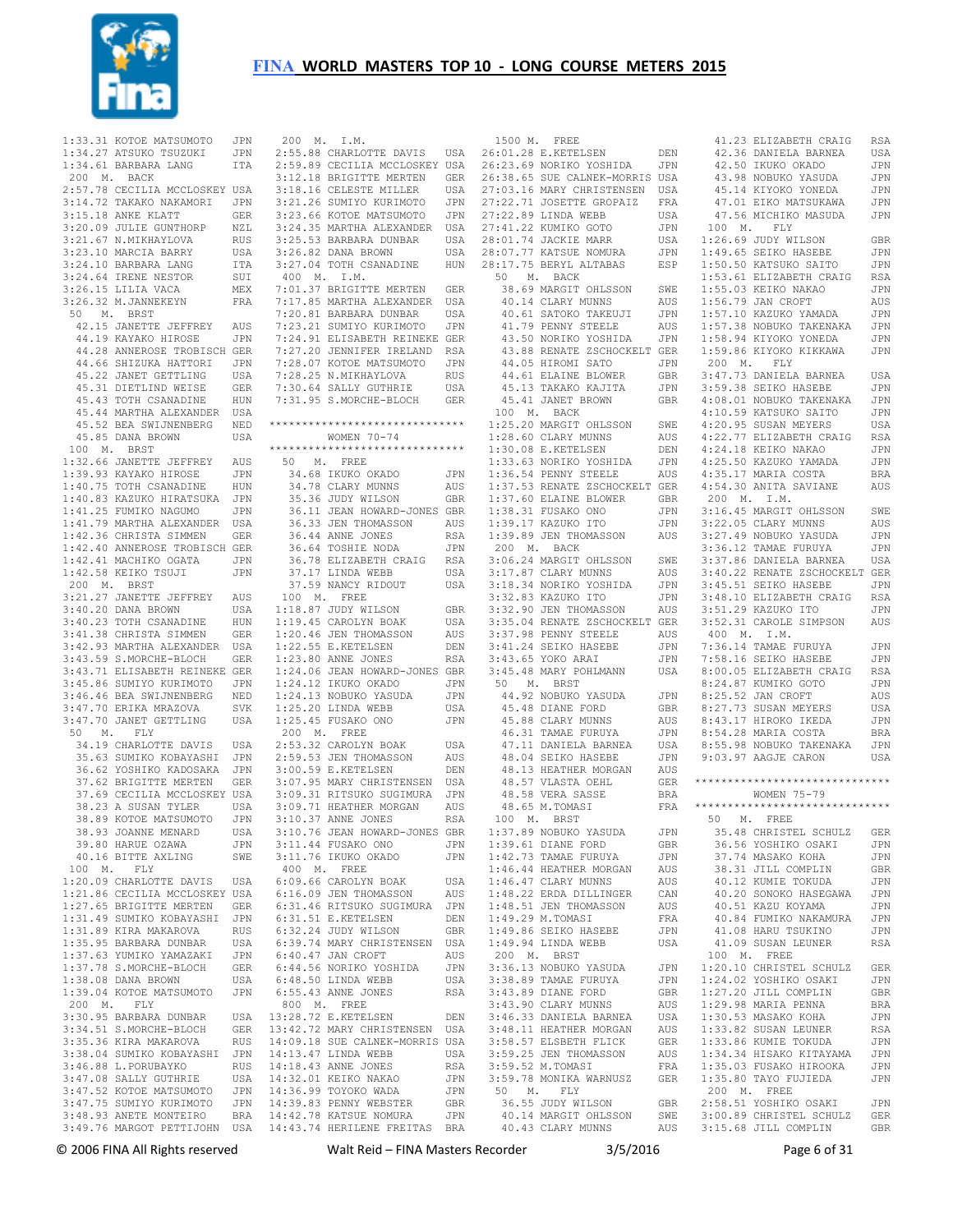

|        | 1:33.31 KOTOE MATSUMOTO                                                                                           | JPN            |                |
|--------|-------------------------------------------------------------------------------------------------------------------|----------------|----------------|
|        | 1:34.27 ATSUKO TSUZUKI                                                                                            | JPN            | $\overline{c}$ |
|        | 1:34.61 BARBARA LANG                                                                                              | ITA            | $\overline{c}$ |
|        |                                                                                                                   |                |                |
|        | 200 M. BACK                                                                                                       |                | 3              |
|        | 2:57.78 CECILIA MCCLOSKEY USA                                                                                     |                | 3              |
|        | 3:14.72 TAKAKO NAKAMORI JPN                                                                                       |                | 3              |
|        | 3:15.18 ANKE KLATT                                                                                                | GER            | 3              |
|        |                                                                                                                   |                |                |
|        | 3:20.09 JULIE GUNTHORP NZL                                                                                        |                | 3              |
|        | $3:21.67$ N.MIKHAYLOVA                                                                                            | RUS            | 3              |
|        | 3:23.10 MARCIA BARRY                                                                                              | USA            | 3              |
|        |                                                                                                                   | ITA            | 3              |
|        | 3:24.10 BARBARA LANG<br>3:24.64 IRENE NESTOR                                                                      | SUI            |                |
|        |                                                                                                                   |                |                |
|        | 3:26.15 LILIA VACA                                                                                                | MEX            | $\overline{7}$ |
|        | 3:26.32 M. JANNEKEYN                                                                                              | FRA            | $\overline{7}$ |
|        | 50 M. BRST                                                                                                        |                | $\overline{7}$ |
|        |                                                                                                                   | AUS            | $\overline{7}$ |
|        | 42.15 JANETTE JEFFREY<br>44.19 KAYAKO HIROSE                                                                      |                | $\overline{7}$ |
|        |                                                                                                                   | JPN            |                |
|        | 44.28 ANNEROSE TROBISCH GER                                                                                       |                | $\overline{7}$ |
|        | 44.66 SHIZUKA HATTORI JPN                                                                                         |                | $\overline{7}$ |
|        | 45.22 JANET GETTLING                                                                                              |                | $\overline{7}$ |
|        |                                                                                                                   | USA<br>GER     | $\overline{7}$ |
|        | 45.31 DIETLIND WEISE<br>45.43 TOTH CSANADINE                                                                      |                |                |
|        |                                                                                                                   | HUN            | $\overline{7}$ |
|        | 45.44 MARTHA ALEXANDER USA<br>45.52 BEA SWIJNENBERG NED                                                           |                |                |
|        |                                                                                                                   |                |                |
|        | 45.85 DANA BROWN                                                                                                  | USA            |                |
|        |                                                                                                                   |                |                |
|        | 100 M. BRST                                                                                                       |                | * *            |
|        | 1:32.66 JANETTE JEFFREY AUS                                                                                       |                |                |
|        | 1:39.93 KAYAKO HIROSE                                                                                             | JPN            |                |
|        | 1:40.75 TOTH CSANADINE                                                                                            |                |                |
|        |                                                                                                                   |                |                |
|        | 1:40.75 TOTH CSANADINE HUN<br>1:40.83 KAZUKO HIRATSUKA JPN                                                        |                |                |
|        | 1:41.25 FUMIKO NAGUMO                                                                                             | JPN            |                |
|        | 1:41.79 MARTHA ALEXANDER                                                                                          | USA            |                |
|        | 1:42.36 CHRISTA SIMMEN GER                                                                                        |                |                |
|        |                                                                                                                   |                |                |
|        | 1:42.40 ANNEROSE TROBISCH GER                                                                                     |                |                |
|        | 1:42.41 MACHIKO OGATA                                                                                             | JPN            |                |
|        | 1:42.58 KEIKO TSUJI                                                                                               | JPN            |                |
|        |                                                                                                                   |                |                |
|        | 200 M. BRST                                                                                                       |                |                |
|        | 3:21.27 JANETTE JEFFREY                                                                                           | AUS            |                |
|        | 3:40.20 DANA BROWN                                                                                                | USA            | 1              |
|        | 3:40.23 TOTH CSANADINE                                                                                            | HUN            | 1              |
|        |                                                                                                                   |                | $1\,$          |
|        | 3:41.38 CHRISTA SIMMEN                                                                                            | GER            |                |
|        | 3:42.93 MARTHA ALEXANDER USA<br>3:43.59 S.MORCHE-BLOCH GER                                                        |                | $\mathbf{1}$   |
|        |                                                                                                                   |                | $1\,$          |
|        | 3:43.71 ELISABETH REINEKE GER                                                                                     |                | $1\,$          |
|        |                                                                                                                   |                |                |
|        | 3:45.86 SUMIYO KURIMOTO JPN                                                                                       |                | 1              |
|        | 3:46.46 BEA SWIJNENBERG                                                                                           | NED            | 1              |
|        | 3:47.70 ERIKA MRAZOVA                                                                                             | SVK            | 1              |
|        | 3:47.70 JANET GETTLING                                                                                            | <b>USA</b>     | 1              |
|        |                                                                                                                   |                |                |
| 50 M.  | FLY                                                                                                               |                |                |
|        | 34.19 CHARLOTTE DAVIS                                                                                             | USA            | $\overline{c}$ |
|        | 35.63 SUMIKO KOBAYASHI                                                                                            | JPN            | $\overline{c}$ |
|        | 36.62 YOSHIKO KADOSAKA JPN                                                                                        |                | 3              |
|        | 37.62 BRIGITTE MERTEN                                                                                             | GER            | $\overline{3}$ |
|        |                                                                                                                   |                |                |
|        | 37.69 CECILIA MCCLOSKEY USA                                                                                       |                | 3              |
|        | 38.23 A SUSAN TYLER<br>38.23 A SUSAN TYLER USA<br>38.89 KOTOE MATSUMOTO JPN                                       |                | $\overline{3}$ |
|        |                                                                                                                   |                | 3              |
|        | 38.93 JOANNE MENARD                                                                                               | USA            | 3              |
|        |                                                                                                                   |                |                |
|        | 39.80 HARUE OZAWA                                                                                                 | JPN            | 3              |
|        | 40.16 BITTE AXLING                                                                                                | SWE            | 3              |
|        | 100 M. FLY                                                                                                        |                |                |
|        | 1:20.09 CHARLOTTE DAVIS USA                                                                                       |                | 6              |
|        |                                                                                                                   |                |                |
|        |                                                                                                                   |                | 6              |
|        |                                                                                                                   |                | 6              |
|        | 1:21.86 CECILIA MCCLOSKEY USA<br>1:27.65 BRIGITTE MERTEN GER<br>1:31.49 SUMIKO KOBAYASHI JPN                      |                | 6              |
|        | 1:31.89 KIRA MAKAROVA<br>1:35.95 BARBARA DUNBAR USA<br>1:37.63 YUMIKO YAMAZAKI JPN<br>1:37.63 YUMIKO YAMAZAKI JPN |                | 6              |
|        |                                                                                                                   |                |                |
|        |                                                                                                                   |                | 6              |
|        |                                                                                                                   |                | 6              |
|        |                                                                                                                   |                | 6              |
|        | 1:38.08 DANA BROWN                                                                                                | USA            | 6              |
|        | 1:39.04 KOTOE MATSUMOTO JPN                                                                                       |                |                |
|        |                                                                                                                   |                | 6              |
| 200 M. | FLY                                                                                                               |                |                |
|        | 3:30.95 BARBARA DUNBAR                                                                                            | USA            | 13             |
|        |                                                                                                                   | GER            | 13             |
|        | 3:34.51 S.MORCHE-BLOCH<br>3:35.36 KIRA MAKAROVA                                                                   |                | 14             |
|        |                                                                                                                   | RUS            |                |
|        | 3:38.04 SUMIKO KOBAYASHI                                                                                          | $\mathtt{JPN}$ | 14             |
|        | 3:46.88 L.PORUBAYKO<br>3:47.08 SALLY GUTHRIE                                                                      | RUS            | 14             |
|        |                                                                                                                   |                | 14             |
|        |                                                                                                                   | USA<br>JPN     |                |
|        | 3:47.52 KOTOE MATSUMOTO                                                                                           |                | 14             |
|        | 3:47.75 SUMIYO KURIMOTO                                                                                           | $\mathtt{JPN}$ | 14             |
|        | 3:48.93 ANETE MONTEIRO                                                                                            | $_{\rm BRA}$   | 14             |
|        | 3:49.76 MARGOT PETTIJOHN                                                                                          | USA            | $14$           |
|        |                                                                                                                   |                |                |

|  |  |  | 200 M. I.M.                                                                                                                                                                                            |                             |
|--|--|--|--------------------------------------------------------------------------------------------------------------------------------------------------------------------------------------------------------|-----------------------------|
|  |  |  | 2:55.88 CHARLOTTE DAVIS USA                                                                                                                                                                            |                             |
|  |  |  | 2:59.89 CECILIA MCCLOSKEY USA                                                                                                                                                                          |                             |
|  |  |  |                                                                                                                                                                                                        |                             |
|  |  |  |                                                                                                                                                                                                        |                             |
|  |  |  | 2.3.12.18 BRIGITTE MERTEN GER<br>3:12.18 BRIGITTE MERTEN GER<br>3:18.16 CELESTE MILLER USA<br>3:21.26 SUMIYO KURIMOTO JPN                                                                              |                             |
|  |  |  |                                                                                                                                                                                                        | JPN<br>USA                  |
|  |  |  | 3:23.66 KOTOE MATSUMOTO<br>3:23.66 KOTOE MATSUMOTO<br>3:24.35 MARTHA ALEXANDER                                                                                                                         |                             |
|  |  |  |                                                                                                                                                                                                        | USA                         |
|  |  |  |                                                                                                                                                                                                        | USA                         |
|  |  |  | 3:25.53 BARBARA DUNBAR<br>3:25.53 BARBARA DUNBAR<br>3:26.82 DANA BROWN<br>3:27.04 TOTH CSANADINE                                                                                                       | HUN                         |
|  |  |  | 400 M. I.M.                                                                                                                                                                                            |                             |
|  |  |  | 7:01.37 BRIGITTE MERTEN<br>7:17.85 MARTHA ALEXANDER                                                                                                                                                    |                             |
|  |  |  |                                                                                                                                                                                                        | GER<br>USA                  |
|  |  |  |                                                                                                                                                                                                        |                             |
|  |  |  |                                                                                                                                                                                                        |                             |
|  |  |  |                                                                                                                                                                                                        |                             |
|  |  |  |                                                                                                                                                                                                        |                             |
|  |  |  |                                                                                                                                                                                                        |                             |
|  |  |  |                                                                                                                                                                                                        |                             |
|  |  |  |                                                                                                                                                                                                        |                             |
|  |  |  | 7:31.95 S.MORCHE-BLOCH GER                                                                                                                                                                             |                             |
|  |  |  |                                                                                                                                                                                                        |                             |
|  |  |  | ******************************                                                                                                                                                                         |                             |
|  |  |  | WOMEN 70-74                                                                                                                                                                                            |                             |
|  |  |  | ******************************                                                                                                                                                                         |                             |
|  |  |  | 50 M. FREE                                                                                                                                                                                             |                             |
|  |  |  | 34.68 IKUKO OKADO<br>34.78 CLARY MUNNS<br>35.36 JUDY WILSON                                                                                                                                            | JPN                         |
|  |  |  |                                                                                                                                                                                                        | AUS                         |
|  |  |  |                                                                                                                                                                                                        | GBR                         |
|  |  |  | 36.11 JEAN HOWARD-JONES GBR                                                                                                                                                                            |                             |
|  |  |  |                                                                                                                                                                                                        |                             |
|  |  |  |                                                                                                                                                                                                        |                             |
|  |  |  |                                                                                                                                                                                                        |                             |
|  |  |  |                                                                                                                                                                                                        |                             |
|  |  |  | 36.33 JEN THOMASSON<br>36.33 JEN THOMASSON<br>36.44 ANNE JONES<br>36.64 TOSHIE NODA<br>36.78 ELIZABETH CRAIG<br>37.17 LINDA WEBB<br>37.59 NANCY RIDOUT<br>37.59 NANCY RIDOUT<br>USA                    |                             |
|  |  |  |                                                                                                                                                                                                        |                             |
|  |  |  | $100$ M. FREE                                                                                                                                                                                          |                             |
|  |  |  | 1:18.87 JUDY WILSON<br>1:19.45 CAROLYN BOAK                                                                                                                                                            | GBR                         |
|  |  |  |                                                                                                                                                                                                        | USA                         |
|  |  |  | 1:20.46 JEN THOMASSON                                                                                                                                                                                  | AUS                         |
|  |  |  | 1:22.55 E.KETELSEN<br>1.23 80 ANNE JONES                                                                                                                                                               | DEN                         |
|  |  |  | 1:23.80 ANNE JONES                                                                                                                                                                                     | RSA                         |
|  |  |  | 1:24.06 JEAN HOWARD-JONES GBR<br>1:24.12 IKUKO OKADO JPN<br>1:24.13 NOBUKO YASUDA JPN<br>1:25.20 LINDA WEBB USA<br>1:25.45 FUSARO ONO JPN<br>1:25.45 FUSARO ONO JPN                                    |                             |
|  |  |  |                                                                                                                                                                                                        |                             |
|  |  |  |                                                                                                                                                                                                        |                             |
|  |  |  |                                                                                                                                                                                                        |                             |
|  |  |  |                                                                                                                                                                                                        |                             |
|  |  |  | 200 M. FREE                                                                                                                                                                                            |                             |
|  |  |  |                                                                                                                                                                                                        |                             |
|  |  |  |                                                                                                                                                                                                        |                             |
|  |  |  |                                                                                                                                                                                                        |                             |
|  |  |  |                                                                                                                                                                                                        |                             |
|  |  |  |                                                                                                                                                                                                        |                             |
|  |  |  |                                                                                                                                                                                                        |                             |
|  |  |  | 2.53.32 CAROLYN BOAK USA<br>2.53.32 CAROLYN BOAK USA<br>3.00.59 E.KETELSEN DEN<br>3.07.95 MARY CHRISTENSEN USA<br>3.09.31 RITSUKO SUGIMURA JPN<br>3.09.71 HEATHER MORGAN AUS<br>3.10.37 ANNE JONES RSA |                             |
|  |  |  | 3:10.76 JEAN HOWARD-JONES GBR                                                                                                                                                                          |                             |
|  |  |  | 3:11.44 FUSAKO ONO                                                                                                                                                                                     | JPN                         |
|  |  |  | 3:11.76 IKUKO OKADO                                                                                                                                                                                    | JPN                         |
|  |  |  | 400 M. FREE                                                                                                                                                                                            |                             |
|  |  |  | 6:09.66 CAROLYN BOAK                                                                                                                                                                                   | USA                         |
|  |  |  | 6:16.09 JEN THOMASSON                                                                                                                                                                                  | AUS                         |
|  |  |  | 6:31.46 RITSUKO SUGIMURA                                                                                                                                                                               | JPN                         |
|  |  |  |                                                                                                                                                                                                        | DEN                         |
|  |  |  | 6:31.51 E.KETELSEN<br>6:32.24 JUDY WILSON                                                                                                                                                              | <b>GBR</b>                  |
|  |  |  |                                                                                                                                                                                                        |                             |
|  |  |  | 6:39.74 MARY CHRISTENSEN USA<br>6:40.47 JAN CROFT AUS                                                                                                                                                  |                             |
|  |  |  | 6:44.56 NORIKO YOSHIDA                                                                                                                                                                                 | JPN                         |
|  |  |  | 6:48.50 LINDA WEBB                                                                                                                                                                                     | USA                         |
|  |  |  | 6:55.43 ANNE JONES                                                                                                                                                                                     | RSA                         |
|  |  |  | 800 M. FREE                                                                                                                                                                                            |                             |
|  |  |  | 13:28.72 E.KETELSEN                                                                                                                                                                                    | $\mathop{\rm DEN}\nolimits$ |
|  |  |  | 13:42.72 MARY CHRISTENSEN USA                                                                                                                                                                          |                             |
|  |  |  |                                                                                                                                                                                                        |                             |
|  |  |  |                                                                                                                                                                                                        |                             |
|  |  |  | 14:09.18 SUE CALNEK-MORRIS USA<br>14:13.47 LINDA WEBB USA<br>14:18.43 ANNE JONES RSA                                                                                                                   |                             |
|  |  |  | 14:32.01 KEIKO NAKAO                                                                                                                                                                                   | JPN                         |
|  |  |  | 14:36.99 TOYOKO WADA                                                                                                                                                                                   | JPN                         |
|  |  |  | 14:39.83 PENNY WEBSTER                                                                                                                                                                                 | GBR                         |
|  |  |  | 14:42.78 KATSUE NOMURA                                                                                                                                                                                 | JPN                         |
|  |  |  | 14:43.74 HERILENE FREITAS BRA                                                                                                                                                                          |                             |

|             | 1500 M. FREE                                              |            |             | 41.23 ELIZABETH CRAIG                            | RSA         |
|-------------|-----------------------------------------------------------|------------|-------------|--------------------------------------------------|-------------|
|             | 26:01.28 E.KETELSEN                                       | DEN        |             | 42.36 DANIELA BARNEA                             | USA         |
|             | 26:23.69 NORIKO YOSHIDA<br>26:38.65 SUE CALNEK-MORRIS USA | JPN        |             | 42.50 IKUKO OKADO<br>43.98 NOBUKO YASUDA         | JPN<br>JPN  |
|             | 27:03.16 MARY CHRISTENSEN                                 | USA        |             | 45.14 KIYOKO YONEDA                              | JPN         |
|             | 27:22.71 JOSETTE GROPAIZ                                  | FRA        |             | 47.01 EIKO MATSUKAWA                             | JPN         |
|             | 27:22.89 LINDA WEBB                                       | USA        |             | 47.56 MICHIKO MASUDA                             | JPN         |
|             | 27:41.22 KUMIKO GOTO                                      | JPN        | 100 M.      | FLY                                              |             |
|             | 28:01.74 JACKIE MARR                                      | USA        |             | 1:26.69 JUDY WILSON                              | GBR         |
|             | 28:07.77 KATSUE NOMURA                                    | JPN        |             | 1:49.65 SEIKO HASEBE                             | JPN         |
| 50          | 28:17.75 BERYL ALTABAS<br>M. BACK                         | ESP        |             | 1:50.50 KATSUKO SAITO<br>1:53.61 ELIZABETH CRAIG | JPN<br>RSA  |
|             | 38.69 MARGIT OHLSSON                                      | SWE        |             | 1:55.03 KEIKO NAKAO                              | JPN         |
|             | 40.14 CLARY MUNNS                                         | AUS        |             | 1:56.79 JAN CROFT                                | AUS         |
|             | 40.61 SATOKO TAKEUJI                                      | JPN        |             | 1:57.10 KAZUKO YAMADA                            | JPN         |
|             | 41.79 PENNY STEELE                                        | AUS        |             | 1:57.38 NOBUKO TAKENAKA                          | JPN         |
|             | 43.50 NORIKO YOSHIDA<br>43.88 RENATE ZSCHOCKELT GER       | JPN        |             | 1:58.94 KIYOKO YONEDA<br>1:59.86 KIYOKO KIKKAWA  | JPN<br>JPN  |
|             | 44.05 HIROMI SATO                                         | JPN        | 200 M.      | FLY                                              |             |
|             | 44.61 ELAINE BLOWER                                       | GBR        |             | 3:47.73 DANIELA BARNEA                           | USA         |
|             | 45.13 TAKAKO KAJITA                                       | JPN        |             | 3:59.38 SEIKO HASEBE                             | JPN         |
|             | 45.41 JANET BROWN                                         | GBR        |             | 4:08.01 NOBUKO TAKENAKA                          | JPN         |
|             | 100 M. BACK                                               |            |             | 4:10.59 KATSUKO SAITO                            | JPN         |
|             | 1:25.20 MARGIT OHLSSON<br>1:28.60 CLARY MUNNS             | SWE<br>AUS |             | 4:20.95 SUSAN MEYERS<br>4:22.77 ELIZABETH CRAIG  | USA<br>RSA  |
|             | 1:30.08 E.KETELSEN                                        | DEN        |             | 4:24.18 KEIKO NAKAO                              | JPN         |
|             | 1:33.63 NORIKO YOSHIDA                                    | JPN        |             | 4:25.50 KAZUKO YAMADA                            | JPN         |
|             | 1:36.54 PENNY STEELE                                      | AUS        |             | 4:35.17 MARIA COSTA                              | BRA         |
|             | 1:37.53 RENATE ZSCHOCKELT GER                             |            |             | 4:54.30 ANITA SAVIANE                            | AUS         |
|             | 1:37.60 ELAINE BLOWER                                     | GBR        | 200 M.      | I.M.                                             |             |
|             | 1:38.31 FUSAKO ONO<br>1:39.17 KAZUKO ITO                  | JPN<br>JPN |             | 3:16.45 MARGIT OHLSSON<br>3:22.05 CLARY MUNNS    | SWE<br>AUS  |
|             | 1:39.89 JEN THOMASSON                                     | AUS        |             | 3:27.49 NOBUKO YASUDA                            | JPN         |
| 200 M.      | BACK                                                      |            |             | 3:36.12 TAMAE FURUYA                             | JPN         |
|             | 3:06.24 MARGIT OHLSSON                                    | SWE        |             | 3:37.86 DANIELA BARNEA                           | USA         |
|             | 3:17.87 CLARY MUNNS                                       | AUS        |             | 3:40.22 RENATE ZSCHOCKELT GER                    |             |
|             | 3:18.34 NORIKO YOSHIDA                                    | JPN        |             | 3:45.51 SEIKO HASEBE                             | JPN         |
|             | 3:32.83 KAZUKO ITO<br>3:32.90 JEN THOMASSON               | JPN<br>AUS |             | 3:48.10 ELIZABETH CRAIG<br>3:51.29 KAZUKO ITO    | RSA<br>JPN  |
|             | 3:35.04 RENATE ZSCHOCKELT GER                             |            |             | 3:52.31 CAROLE SIMPSON                           | AUS         |
|             | 3:37.98 PENNY STEELE                                      | AUS        | 400 M. I.M. |                                                  |             |
|             | 3:41.24 SEIKO HASEBE                                      | JPN        |             | 7:36.14 TAMAE FURUYA                             | JPN         |
|             | 3:43.65 YOKO ARAI                                         | JPN        |             | 7:58.16 SEIKO HASEBE                             | JPN         |
|             | 3:45.48 MARY POHLMANN                                     | USA        |             | 8:00.05 ELIZABETH CRAIG                          | RSA         |
| 50          | M. BRST<br>44.92 NOBUKO YASUDA                            | JPN        |             | 8:24.87 KUMIKO GOTO<br>8:25.52 JAN CROFT         | JPN<br>AUS  |
|             | 45.48 DIANE FORD                                          | GBR        |             | 8:27.73 SUSAN MEYERS                             | USA         |
|             | 45.88 CLARY MUNNS                                         | AUS        |             | 8:43.17 HIROKO IKEDA                             | JPN         |
|             | 46.31 TAMAE FURUYA                                        | JPN        |             | 8:54.28 MARIA COSTA                              | BRA         |
|             | 47.11 DANIELA BARNEA                                      | USA        |             | 8:55.98 NOBUKO TAKENAKA                          | JPN         |
|             | 48.04 SEIKO HASEBE<br>48.13 HEATHER MORGAN                | JPN<br>AUS |             | 9:03.97 AAGJE CARON                              | USA         |
|             | 48.57 VLASTA OEHL                                         | GER        |             | ******************************                   |             |
|             | 48.58 VERA SASSE                                          | BRA        |             | WOMEN 75-79                                      |             |
|             | 48.65 M.TOMASI                                            | FRA        |             | *******************************                  |             |
| 100 M.      | <b>BRST</b>                                               |            | 50          | M. FREE                                          |             |
|             | 1:37.89 NOBUKO YASUDA                                     | JPN        |             | 35.48 CHRISTEL SCHULZ                            | ${\tt GER}$ |
|             | $1:39.61$ DIANE FORD<br>1:42.73 TAMAE FURUYA              | GBR<br>JPN |             | 36.56 YOSHIKO OSAKI<br>37.74 MASAKO KOHA         | JPN<br>JPN  |
|             | 1:46.44 HEATHER MORGAN                                    | AUS        |             | 38.31 JILL COMPLIN                               | GBR         |
|             | 1:46.47 CLARY MUNNS                                       | AUS        |             | 40.12 KUMIE TOKUDA                               | JPN         |
|             | 1:48.22 ERDA DILLINGER                                    | CAN        |             | 40.20 SONOKO HASEGAWA                            | JPN         |
|             | 1:48.51 JEN THOMASSON                                     | AUS        |             | 40.51 KAZU KOYAMA                                | JPN         |
|             | 1:49.29 M.TOMASI                                          | FRA        |             | 40.84 FUMIKO NAKAMURA                            | JPN         |
|             | 1:49.86 SEIKO HASEBE<br>1:49.94 LINDA WEBB                | JPN<br>USA |             | 41.08 HARU TSUKINO<br>41.09 SUSAN LEUNER         | JPN<br>RSA  |
| 200 M. BRST |                                                           |            |             | 100 M. FREE                                      |             |
|             | 3:36.13 NOBUKO YASUDA                                     | JPN        |             | 1:20.10 CHRISTEL SCHULZ                          | GER         |
|             | 3:38.89 TAMAE FURUYA                                      | JPN        |             | 1:24.02 YOSHIKO OSAKI                            | JPN         |
|             | 3:43.89 DIANE FORD                                        | GBR        |             | 1:27.20 JILL COMPLIN                             | GBR         |
|             | 3:43.90 CLARY MUNNS<br>3:46.33 DANIELA BARNEA             | AUS<br>USA |             | 1:29.98 MARIA PENNA<br>1:30.53 MASAKO KOHA       | BRA<br>JPN  |
|             | 3:48.11 HEATHER MORGAN                                    | AUS        |             | 1:33.82 SUSAN LEUNER                             | <b>RSA</b>  |
|             | 3:58.57 ELSBETH FLICK                                     | GER        |             | 1:33.86 KUMIE TOKUDA                             | JPN         |
|             | 3:59.25 JEN THOMASSON                                     | AUS        |             | 1:34.34 HISAKO KITAYAMA                          | JPN         |
|             | 3:59.52 M.TOMASI                                          | FRA        |             | 1:35.03 FUSAKO HIROOKA                           | JPN         |
|             | 3:59.78 MONIKA WARNUSZ                                    | GER        |             | 1:35.80 TAYO FUJIEDA                             | JPN         |
|             | 50 M. FLY<br>36.55 JUDY WILSON                            | GBR        | 200 M. FREE | 2:58.51 YOSHIKO OSAKI                            | JPN         |
|             | 40.14 MARGIT OHLSSON                                      | SWE        |             | $3:00.89$ CHRISTEL SCHULZ                        | GER         |
|             | 40.43 CLARY MUNNS                                         | AUS        |             | 3:15.68 JILL COMPLIN                             | GBR         |
|             |                                                           |            |             |                                                  |             |

© 2006 FINA All Rights reserved Walt Reid – FINA Masters Recorder 3/5/2016 Page 6 of 31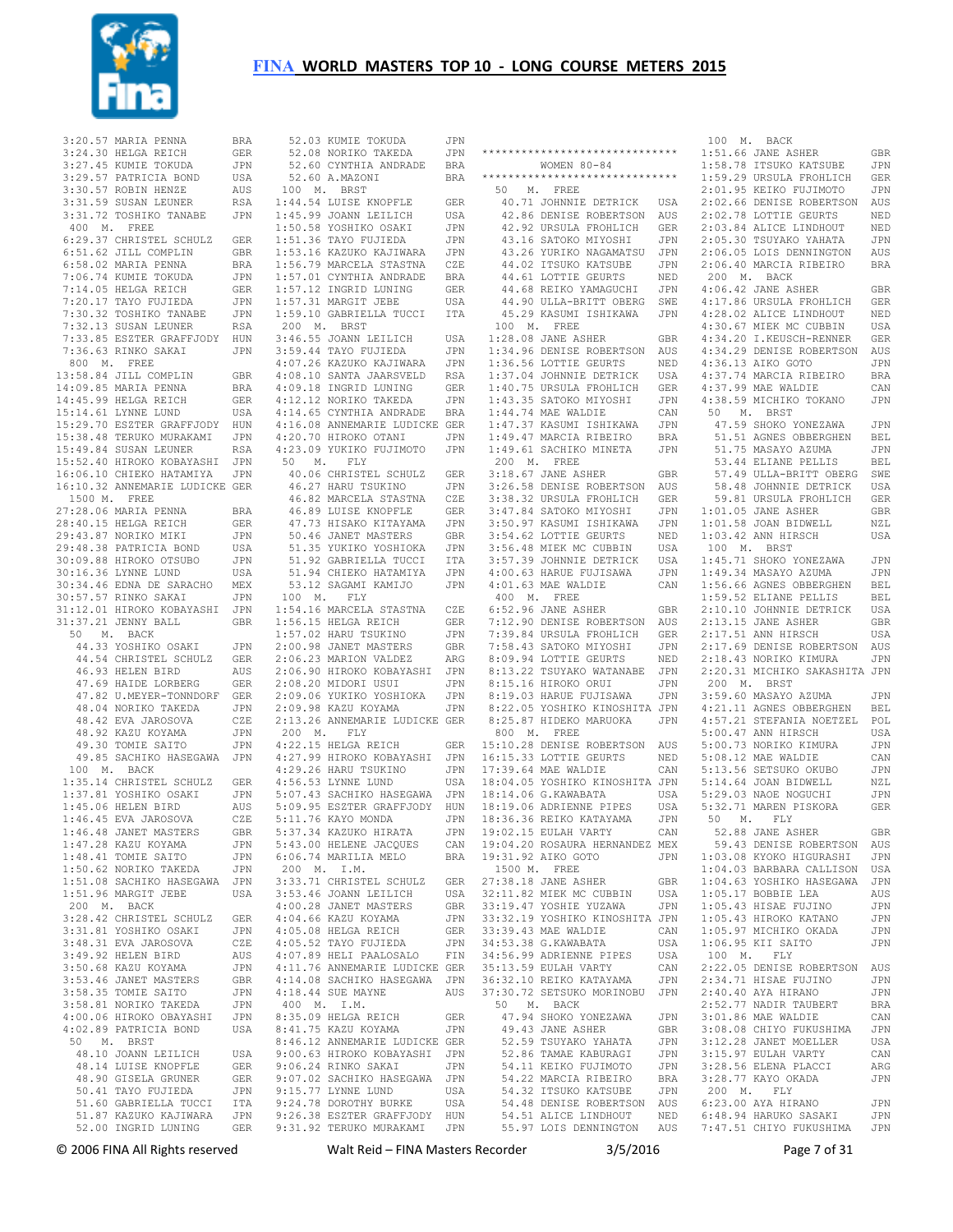

| 3:20.57 MARIA PENNA            | BRA        |                          |
|--------------------------------|------------|--------------------------|
|                                |            |                          |
| 3:24.30 HELGA REICH            | GER        |                          |
| 3:27.45 KUMIE TOKUDA           | JPN        | $1 - 1 - 1 = 1 - 1$      |
| 3:29.57 PATRICIA BOND          | USA        |                          |
| 3:30.57 ROBIN HENZE            | AUS        | 1(                       |
|                                |            |                          |
| 3:31.59 SUSAN LEUNER           | RSA        | 1:4                      |
| 3:31.72 TOSHIKO TANABE         | JPN        | 1:4                      |
| 400 M. FREE                    |            | 1:5                      |
|                                |            |                          |
| 6:29.37 CHRISTEL SCHULZ        | GER        | 1:5                      |
| 6:51.62 JILL COMPLIN           | GBR        | 1:3                      |
| 6:58.02 MARIA PENNA            | BRA        | 1:5                      |
|                                |            |                          |
| 7:06.74 KUMIE TOKUDA           | JPN        | 1:5                      |
| 7:14.05 HELGA REICH            | GER        | 1:3                      |
| 7:20.17 TAYO FUJIEDA           | JPN        | 1:5                      |
|                                |            |                          |
| 7:30.32 TOSHIKO TANABE         | JPN        | 1:5                      |
| 7:32.13 SUSAN LEUNER           | RSA        | 2(                       |
| 7:33.85 ESZTER GRAFFJODY       | HUN        | 3:4                      |
|                                |            |                          |
| 7:36.63 RINKO SAKAI            | JPN        | 3:5                      |
| 800 M. FREE                    |            | 4:0                      |
| 13:58.84 JILL COMPLIN          | GBR        | 4:0                      |
|                                |            |                          |
| 14:09.85 MARIA PENNA           | BRA        | 4:0                      |
| 14:45.99 HELGA REICH           | GER        | 4:                       |
| 15:14.61 LYNNE LUND            | USA        | 4:1                      |
|                                |            |                          |
| 15:29.70 ESZTER GRAFFJODY      | HUN        | 4:                       |
| 15:38.48 TERUKO MURAKAMI       | JPN        | 4:2                      |
| 15:49.84 SUSAN LEUNER          | RSA        | 4:2                      |
|                                |            |                          |
| 15:52.40 HIROKO KOBAYASHI      | JPN        | 5                        |
| 16:06.10 CHIEKO HATAMIYA       | JPN        | $\overline{\phantom{a}}$ |
| 16:10.32 ANNEMARIE LUDICKE GER |            | $\overline{\phantom{a}}$ |
|                                |            |                          |
| 1500 M. FREE                   |            | $\overline{\phantom{a}}$ |
| 27:28.06 MARIA PENNA           | BRA        | $\overline{\phantom{a}}$ |
| 28:40.15 HELGA REICH           | GER        | $\overline{\phantom{a}}$ |
|                                |            |                          |
| 29:43.87 NORIKO MIKI           | JPN        |                          |
| 29:48.38 PATRICIA BOND         | USA        |                          |
| 30:09.88 HIROKO OTSUBO         | JPN        | 10.10.10.10              |
| 30:16.36 LYNNE LUND            |            |                          |
|                                | USA        |                          |
| 30:34.46 EDNA DE SARACHO       | MEX        |                          |
| 30:57.57 RINKO SAKAI           | JPN        | 1(                       |
|                                |            |                          |
| 31:12.01 HIROKO KOBAYASHI      | JPN        | 1:5                      |
| 31:37.21 JENNY BALL            | GBR        | 1:5                      |
| 50 M. BACK                     |            | 1:5                      |
| 44.33 YOSHIKO OSAKI            |            | 2:0                      |
|                                | JPN        |                          |
| 44.54 CHRISTEL SCHULZ          | GER        | 2:0                      |
| 46.93 HELEN BIRD               | AUS        | 2:0                      |
| 47.69 HAIDE LORBERG            | GER        | 2:0                      |
|                                |            |                          |
| 47.82 U.MEYER-TONNDORF         | GER        | 2:0                      |
| 48.04 NORIKO TAKEDA            | JPN        | 2:0                      |
| 48.42 EVA JAROSOVA             | CZE        | 2:1                      |
|                                |            |                          |
| 48.92 KAZU KOYAMA              | JPN        | 2(                       |
| 49.30 TOMIE SAITO              | JPN        | 4:2                      |
| 49.85 SACHIKO HASEGAWA JPN     |            | 4:2                      |
|                                |            |                          |
| 100 M. BACK                    |            | 4:2                      |
| 1:35.14 CHRISTEL SCHULZ        | GER        | 4:5                      |
| 1:37.81 YOSHIKO OSAKI          | JPN        | 5:0                      |
| 1:45.06 HELEN BIRD             | AUS        | 5:0                      |
|                                |            |                          |
| 1:46.45 EVA JAROSOVA           | CZE        | 5:                       |
| 1:46.48 JANET MASTERS          | GBR        | 5:3                      |
| 1:47.28 KAZU KOYAMA            | JPN        | 5:4                      |
|                                |            |                          |
| 1:48.41 TOMIE SAITO            | JPN        | 6:0                      |
| 1:50.62 NORIKO TAKEDA          | JPN        | 2(                       |
| 1:51.08 SACHIKO HASEGAWA       | JPN        | 3:3                      |
|                                |            |                          |
| 1:51.96 MARGIT JEBE            | USA        | 3:5                      |
| 200 M.<br>BACK                 |            | 4:0                      |
| 3:28.42 CHRISTEL SCHULZ        | <b>GER</b> | 4:0                      |
|                                |            |                          |
| 3:31.81 YOSHIKO OSAKI          | JPN        | 4:0                      |
| 3:48.31 EVA JAROSOVA           | CZE        | 4:0                      |
| 3:49.92 HELEN BIRD             | AUS        | 4:0                      |
| 3:50.68 KAZU KOYAMA            | JPN        | 4:                       |
|                                |            |                          |
| 3:53.46 JANET MASTERS          | <b>GBR</b> | 4:1                      |
| 3:58.35 TOMIE SAITO            | JPN        | 4:1                      |
| 3:58.81 NORIKO TAKEDA          | JPN        | 4(                       |
|                                |            |                          |
| 4:00.06 HIROKO OBAYASHI        | JPN        | 8:3                      |
| 4:02.89 PATRICIA BOND          | USA        | 8:4                      |
| 50 M. BRST                     |            | 8:4                      |
|                                |            |                          |
| 48.10 JOANN LEILICH            | USA        | 9:0                      |
| 48.14 LUISE KNOPFLE            | GER        | 9:0                      |
| 48.90 GISELA GRUNER            | GER        | 9:0                      |
|                                |            |                          |
| 50.41 TAYO FUJIEDA             | JPN        | 9:1                      |
| 51.60 GABRIELLA TUCCI          | ITA        | 9:2                      |
| 51.87 KAZUKO KAJIWARA          | JPN        | 9:2                      |
|                                |            |                          |
| 52.00 INGRID LUNING            | GER        | 9:3                      |

| 52.08 NORIKO TAKEDA                                                                                                                                                                                                                                             | JPN            |
|-----------------------------------------------------------------------------------------------------------------------------------------------------------------------------------------------------------------------------------------------------------------|----------------|
| 52.60 CYNTHIA ANDRADE BRA                                                                                                                                                                                                                                       |                |
| 52.60 A.MAZONI                                                                                                                                                                                                                                                  | BRA            |
| 100 M. BRST                                                                                                                                                                                                                                                     |                |
| $1:44.54$ LUISE KNOPFLE                                                                                                                                                                                                                                         | GER            |
| 1:45.99 JOANN LEILICH                                                                                                                                                                                                                                           | USA            |
| 1:50.58 YOSHIKO OSAKI<br>1:51.36 TAYO FUJIEDA<br>1:53.16 KAZUKO KAJUKARA                                                                                                                                                                                        | JPN            |
|                                                                                                                                                                                                                                                                 | JPN            |
|                                                                                                                                                                                                                                                                 | JPN            |
|                                                                                                                                                                                                                                                                 |                |
| 1:56.79 MARCELA STASTNA CZE<br>1:57.01 CYNTHIA ANDRADE BRA<br>1:57.12 INGRID LUNING GER<br>1:57.31 MARGIT JEBE USA                                                                                                                                              |                |
|                                                                                                                                                                                                                                                                 |                |
| 1:57.31 MARGIT JEBE                                                                                                                                                                                                                                             | USA            |
| 1:59.10 GABRIELLA TUCCI                                                                                                                                                                                                                                         | ITA            |
| 200 M. BRST                                                                                                                                                                                                                                                     |                |
| 3:46.55 JOANN DELLED<br>3:59.44 TAYO FUJIEDA JPN<br>4:07.26 KAZUKO KAJIWARA JPN<br>10 CANTA JAARSVELD RSA                                                                                                                                                       |                |
|                                                                                                                                                                                                                                                                 |                |
|                                                                                                                                                                                                                                                                 |                |
|                                                                                                                                                                                                                                                                 |                |
| $\begin{tabular}{llllll} 4:08.10 & \texttt{SANTA} & \texttt{JAARSVELD} & \texttt{RSA} \\ 4:09.18 & \texttt{INGRID LUNING} & \texttt{GER} \\ 4:12.12 & \texttt{NORIKO TAKEDA} & \texttt{JPN} \\ 4:14.65 & \texttt{CYNTHIA ANDRADE} & \texttt{BRA} \end{tabular}$ |                |
|                                                                                                                                                                                                                                                                 |                |
| 4:16.08 ANNEMARIE LUDICKE GER                                                                                                                                                                                                                                   |                |
| 4:20.70 HIROKO OTANI                                                                                                                                                                                                                                            | JPN            |
| 4:23.09 YUKIKO FUJIMOTO JPN                                                                                                                                                                                                                                     |                |
| 50 M. FLY                                                                                                                                                                                                                                                       |                |
|                                                                                                                                                                                                                                                                 |                |
| 40.06 CHRISTEL SCHULZ GER<br>46.27 HARU TSUKINO JPN                                                                                                                                                                                                             |                |
|                                                                                                                                                                                                                                                                 | CZE            |
|                                                                                                                                                                                                                                                                 | GER            |
| 46.82 MARCELA STASTNA<br>46.89 LUISE KNOPFLE<br>47.73 HISAKO KITAYAMA                                                                                                                                                                                           | JPN            |
|                                                                                                                                                                                                                                                                 | GBR            |
| 50.46 JANET MASTERS<br>51.35 YUKIKO YOSHIOKA<br>51.92 GABRIELLA TUCCI                                                                                                                                                                                           | $_{\rm JPN}$   |
|                                                                                                                                                                                                                                                                 | <b>ITA</b>     |
|                                                                                                                                                                                                                                                                 | JPN            |
|                                                                                                                                                                                                                                                                 | JPN            |
| 53.12 SAGAMI KAMIJO<br>100 M. FLY                                                                                                                                                                                                                               |                |
| 1:54.16 MARCELA STASTNA CZE<br>1:56.15 HELGA REICH GER                                                                                                                                                                                                          |                |
|                                                                                                                                                                                                                                                                 |                |
| 1:57.02 HARU TSUKINO                                                                                                                                                                                                                                            | JPN            |
| 2:00.98 JANET MASTERS<br>2:06.23 MARION VALDEZ                                                                                                                                                                                                                  | GBR            |
|                                                                                                                                                                                                                                                                 | ARG            |
| 2:06.90 HIROKO KOBAYASHI JPN                                                                                                                                                                                                                                    |                |
| 2:08.20 MIDORI USUI                                                                                                                                                                                                                                             | JPN            |
| 2:09.06 YUKIKO YOSHIOKA<br>2:09.98 KAZU KOYAMA                                                                                                                                                                                                                  | JPN            |
|                                                                                                                                                                                                                                                                 | JPN            |
| 2:13.26 ANNEMARIE LUDICKE GER                                                                                                                                                                                                                                   |                |
| 200 M. FLY                                                                                                                                                                                                                                                      |                |
| 4:22.15 HELGA REICH                                                                                                                                                                                                                                             | GER            |
| 4:27.99 HIROKO KOBAYASHI                                                                                                                                                                                                                                        | JPN            |
| 4:29.26 HARU TSUKINO JPN<br>4:56.53 LYNNE LUND USA<br>5:07.43 SACHIKO HASEGAWA JPN                                                                                                                                                                              |                |
|                                                                                                                                                                                                                                                                 |                |
|                                                                                                                                                                                                                                                                 |                |
| 5:09.95 ESZTER GRAFFJODY HUN<br>5:11.76 KAYO MONDA JPN<br>5:37.34 KAZUKO HIRATA JPN                                                                                                                                                                             |                |
|                                                                                                                                                                                                                                                                 |                |
| 5:43.00 HELENE JACQUES                                                                                                                                                                                                                                          | $_{\rm CAN}$   |
| $6:06.74$ MARILIA MELO                                                                                                                                                                                                                                          | BRA            |
| 200 M. I.M.                                                                                                                                                                                                                                                     |                |
| 3:33.71 CHRISTEL SCHULZ                                                                                                                                                                                                                                         | GER            |
| 3:53.46 JOANN LEILICH<br>3:53.46 JOANN LEILICH                                                                                                                                                                                                                  | USA            |
| 4:00.28 JANET MASTERS                                                                                                                                                                                                                                           | GBR            |
| 4:04.66 KAZU KOYAMA                                                                                                                                                                                                                                             | JPN            |
| 4:05.08 HELGA REICH                                                                                                                                                                                                                                             | GER            |
| $4:05.52$ TAYO FUJIEDA                                                                                                                                                                                                                                          | JPN            |
| 4:07.89 HELI PAALOSALO                                                                                                                                                                                                                                          | FIN            |
| 4:11.76 ANNEMARIE LUDICKE GER                                                                                                                                                                                                                                   |                |
| 4:14.08 SACHIKO HASEGAWA JPN                                                                                                                                                                                                                                    |                |
| 4:18.44 SUE MAYNE                                                                                                                                                                                                                                               | AUS            |
| 400 M. I.M.                                                                                                                                                                                                                                                     |                |
| 8:35.09 HELGA REICH                                                                                                                                                                                                                                             | GER            |
| 8:41.75 KAZU KOYAMA                                                                                                                                                                                                                                             | JPN            |
| 8:46.12 ANNEMARIE LUDICKE GER                                                                                                                                                                                                                                   |                |
| 9:00.63 HIROKO KOBAYASHI JPN                                                                                                                                                                                                                                    |                |
| 9:06.24 RINKO SAKAI<br>9:07.02 SACHIKO HASEGAWA                                                                                                                                                                                                                 | $\mathtt{JPN}$ |
|                                                                                                                                                                                                                                                                 | JPN            |
| 9:15.77 LYNNE LUND                                                                                                                                                                                                                                              | USA            |
| 9:24.78 DOROTHY BURKE                                                                                                                                                                                                                                           | USA            |
| 9:26.38 ESZTER GRAFFJODY<br>9:31.92 TERUKO MURAKAMI JPN                                                                                                                                                                                                         | HUN            |
|                                                                                                                                                                                                                                                                 |                |

52.03 KUMIE TOKUDA JPN

 \*\*\*\*\*\*\*\*\*\*\*\*\*\*\*\*\*\*\*\*\*\*\*\*\*\*\*\*\*\* 1:51.66 JANE ASHER GBR WOMEN 80-84 \*\*\*\*\*\*\*\*\*\*\*\*\*\*\*\*\*\*\*\*\*\*\*\*\*\*\*\*\*\* 50 M. FREE 42.86 DENISE ROBERTSON AUS 42.92 URSULA FROHLICH GER 43.16 SATOKO MIYOSHI JPN 43.26 YURIKO NAGAMATSU JPN 44.61 LOTTIE GEURTS NED 100 M. FREE 1:28.08 JANE ASHER GBR 1:34.96 DENISE ROBERTSON AUS 1:36.56 LOTTIE GEURTS NED 1:37.04 JOHNNIE DETRICK USA 1:40.75 URSULA FROHLICH GER 1:43.35 SATOKO MIYOSHI JPN 1:44.74 MAE WALDIE CAN 1:47.37 KASUMI ISHIKAWA JPN<br>1:47.37 KASUMI ISHIKAWA JPN<br>1:49.47 MARCIA DIDIT 1:49.47 MARCIA RIBEIRO BRA 1:49.61 SACHIKO MINETA JPN 200 M. FREE 3:18.67 JANE ASHER GBR 3:47.84 SATOKO MIYOSHI 3:50.97 KASUMI ISHIKAWA<br>3:54.62 LOTTIE GEURTS 3:54.62 LOTTIE GEURTS NED 3:56.48 MIEK MC CUBBIN USA 3:57.39 JOHNNIE DETRICK USA 4:00.63 HARUE FUJISAWA JPN 4:01.63 MAE WALDIE CAN 400 M. FREE 8:09.94 LOTTIE GEURTS NED 8:13.22 TSUYAKO WATANABE JPN 8:15.16 HIROKO ORUI JPN 8:19.03 HARUE FUJISAWA JPN 800 M. FREE 18:04.05 YOSHIKO KINOSHITA JPN 18:14.06 G.KAWABATA USA 18:19.06 ADRIENNE PIPES USA 18:36.36 REIKO KATAYAMA JPN 19:02.15 EULAH VARTY CAN 19:04.20 ROSAURA HERNANDEZ MEX 1500 M. FREE<br>
27:38.18 JANE ASHER GBR<br>
32:11.82 MIEK MC CUBBIN USA<br>
33:32.19 YOSHIE YUZAWA JPN<br>
33:32.19 YOSHIKO KINOSHITA JPN<br>
33:32.43 MAE WALDIE CAN<br>
34:53.38 G.KAWABATA USA 50 M. BACK 47.94 SHOKO YONEZAWA JPN<br>49.43 JANE ASHER GBR<br>52.59 TSUYAKO YAHATA JPN<br>52.86 TAMAE KABURAGI JPN<br>54.11 KEIKO FUJIMOTO JPN 54.32 ITSUKO KATSUBE JPN 54.48 DENISE ROBERTSON AUS 54.51 ALICE LINDHOUT NED

 40.71 JOHNNIE DETRICK USA 2:02.66 DENISE ROBERTSON AUS 44.02 ITSUKO KATSUBE JPN 2:06.40 MARCIA RIBEIRO BRA 44.68 REIKO YAMAGUCHI JPN 44.90 ULLA-BRITT OBERG SWE 4:06.42 JANE ASHER GBR 4:17.86 URSULA FROHLICH GER 45.29 KASUMI ISHIKAWA JPN 4:28.02 ALICE LINDHOUT NED 3:26.58 DENISE ROBERTSON AUS 3:38.32 URSULA FROHLICH GER 58.48 JOHNNIE DETRICK USA 59.81 URSULA FROHLICH GER 6:52.96 JANE ASHER GBR 7:12.90 DENISE ROBERTSON AUS 2:10.10 JOHNNIE DETRICK USA 2:13.15 JANE ASHER GBR 7:39.84 URSULA FROHLICH GER 7:58.43 SATOKO MIYOSHI JPN 2:17.51 ANN HIRSCH USA 2:17.69 DENISE ROBERTSON AUS 8:22.05 YOSHIKO KINOSHITA JPN 4:21.11 AGNES OBBERGHEN BEL 8:25.87 HIDEKO MARUOKA JPN 4:57.21 STEFANIA NOETZEL POL 15:10.28 DENISE ROBERTSON AUS 5:00.73 NORIKO KIMURA JPN 16:15.33 LOTTIE GEURTS NED 17:39.64 MAE WALDIE CAN 5:08.12 MAE WALDIE CAN 5:13.56 SETSUKO OKUBO JPN 19:31.92 AIKO GOTO JPN 1:03.08 KYOKO HIGURASHI JPN 34:56.99 ADRIENNE PIPES USA 100 M. FLY<br>35:13.59 EULAH VARTY CAN 2:22.05 DENISE ROBERTSON AUS 36:32.10 REIKO KATAYAMA JPN 37:30.72 SETSUKO MORINOBU JPN 2:34.71 HISAE FUJINO JPN 2:40.40 AYA HIRANO JPN 54.22 MARCIA RIBEIRO BRA 3:28.77 KAYO OKADA JPN 55.97 LOIS DENNINGTON AUS 7:47.51 CHIYO FUKUSHIMA JPN 1:58.78 ITSUKO KATSUBE JPN 1:59.29 URSULA FROHLICH GER 2:01.95 KEIKO FUJIMOTO JPN 2:02.78 LOTTIE GEURTS<br>2:03.84 ALICE LINDHOUT NED<br>2:05.30 TSUYAKO YAHATA<br>2:06.05 LOIS DENNINGTON AUS 200 M. BACK 4:30.67 MIEK MC CUBBIN USA 4:34.20 I.KEUSCH-RENNER GER 4:34.29 DENISE ROBERTSON AUS 4:36.13 AIKO GOTO JPN 4:37.74 MARCIA RIBEIRO BRA 4:37.99 MAE WALDIE CAN 4:38.59 MICHIKO TOKANO JPN 50 M. BRST 47.59 SHOKO YONEZAWA JPN 51.51 AGNES OBBERGHEN BEL 51.75 MASAYO AZUMA JPN 53.44 ELIANE PELLIS BEL 57.49 ULLA-BRITT OBERG SWE 1:01.05 JANE ASHER GBR 1:01.58 JOAN BIDWELL NZL 1:03.42 ANN HIRSCH USA 100 M. BRST<br>1:45.71 SHOKO YONEZAWA JPN<br>1:49.34 MASAYO AZUMA JPN<br>1:56.66 AGNES OBBERGHEN BEL<br>1:59.52 ELIANE PELLIS BEL 2:18.43 NORIKO KIMURA JPN 2:20.31 MICHIKO SAKASHITA JPN 200 M. BRST 3:59.60 MASAYO AZUMA JPN 5:00.47 ANN HIRSCH USA 5:14.64 JOAN BIDWELL NZL<br>5:29.03 NAOE NOGUCHI JPN<br>5:32.71 MAREN PISKORA GER<br>50 M. FLY 52.88 JANE ASHER GBR 59.43 DENISE ROBERTSON AUS 1:04.03 BARBARA CALLISON USA<br>
1:05.17 BOBBIE LEA AUS<br>
1:05.43 HISAE FUJINO JPN<br>
1:05.43 HISAE FUJINO JPN<br>
1:05.43 HISAE FUJINO JPN<br>
1:05.97 MICHIKO OKADA JPN<br>
1:06.95 KII SAITO JPN 2:52.77 NADIR TAUBERT BRA<br>JPN 3:01.86 MAE WALDIE CAN 3:01.86 MAE WALDIE CAN 3:08.08 CHIYO FUKUSHIMA JPN 3:12.28 JANET MOELLER USA 3:15.97 EULAH VARTY CAN 3:28.56 ELENA PLACCI ARG 200 M. FLY 6:23.00 AYA HIRANO JPN 6:48.94 HARUKO SASAKI JPN

100 M. BACK

© 2006 FINA All Rights reserved Walt Reid – FINA Masters Recorder 3/5/2016 Page 7 of 31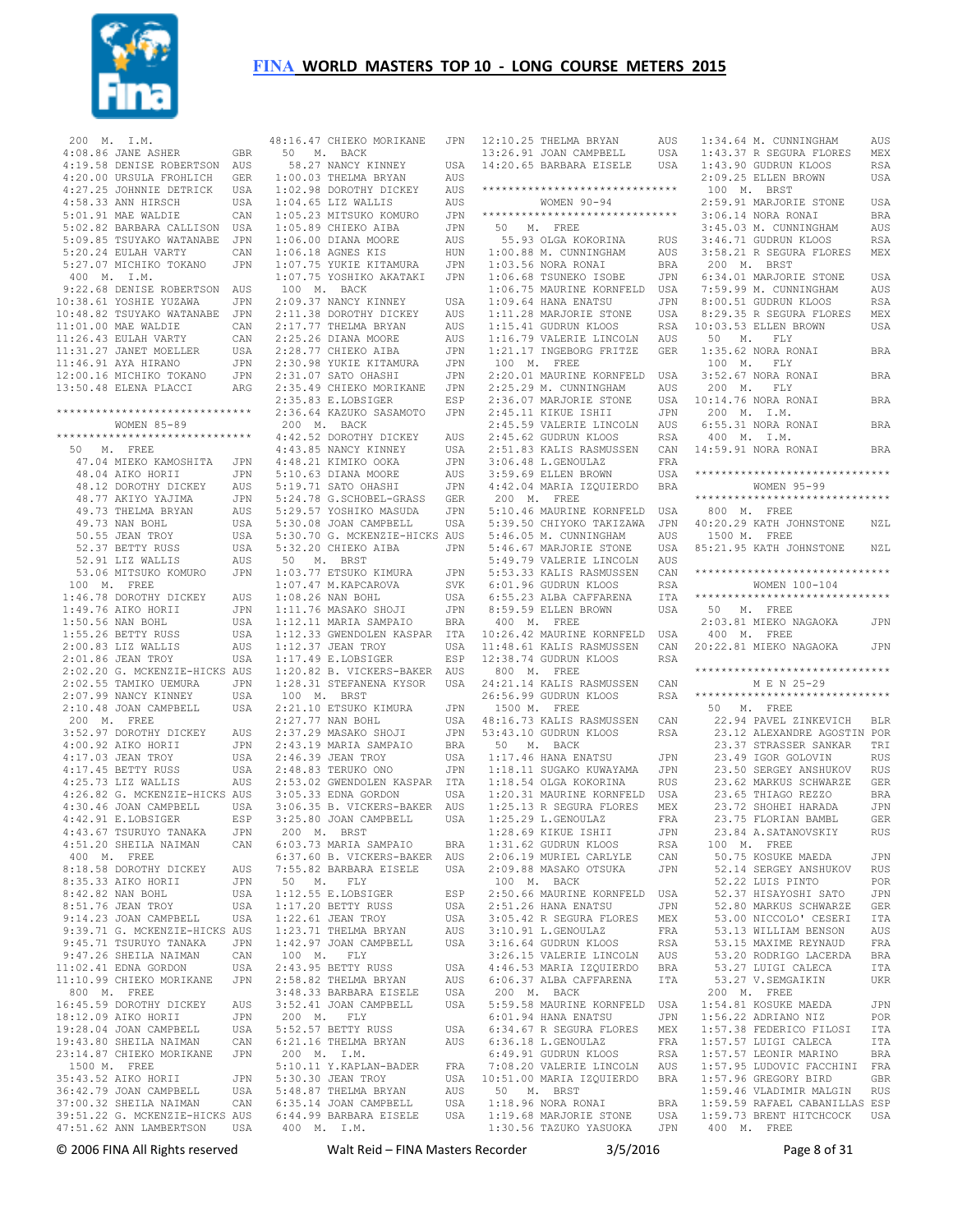

| 200 M. I.M.  |                                                                                                        |            |
|--------------|--------------------------------------------------------------------------------------------------------|------------|
|              | $4:08.86$ JANE ASHER                                                                                   | GBR        |
|              |                                                                                                        | AUS        |
|              |                                                                                                        | GER        |
|              | 4:19.58 DENISE ROBERTSON<br>4:20.00 URSULA FROHLICH<br>4:27.25 JOHNNIE DETRICK                         | USA        |
|              | 4:58.33 ANN HIRSCH                                                                                     | USA        |
|              |                                                                                                        |            |
|              | 5:01.91 MAE WALDIE CAN<br>5:02.82 BARBARA CALLISON USA                                                 |            |
|              | 5:09.85 TSUYAKO WATANABE                                                                               | JPN        |
|              |                                                                                                        | CAN        |
|              | 5:20.24 EULAH VARTY CAN<br>5:27.07 MICHIKO TOKANO JPN                                                  |            |
| 400 M. I.M.  |                                                                                                        |            |
|              | 9:22.68 DENISE ROBERTSON AUS                                                                           |            |
|              | 10:38.61 YOSHIE YUZAWA                                                                                 | JPN        |
|              | 10:48.82 TSUYAKO WATANABE                                                                              | JPN        |
|              | $11:01.00$ MAE WALDIE                                                                                  | CAN        |
|              |                                                                                                        | CAN        |
|              | 11:26.43 EULAH VARTY<br>11:26.43 EULAH VARTY<br>11:31.27 JANET MOELLER                                 | USA        |
|              | 11:46.91 AYA HIRANO                                                                                    | JPN        |
|              | 12:00.16 MICHIKO TOKANO                                                                                | JPN        |
|              | 13:50.48 ELENA PLACCI                                                                                  | ARG        |
|              |                                                                                                        |            |
|              | *******************************                                                                        |            |
|              | WOMEN 85-89                                                                                            |            |
|              | ******************************                                                                         |            |
|              | 50 M. FREE                                                                                             |            |
|              | 47.04 MIEKO KAMOSHITA                                                                                  | JPN        |
|              | 48.04 AIKO HORII                                                                                       | JPN        |
|              | 10.112 DOROTHY DICKEY<br>48.77 AKIYO YAJIMA<br>49.73 THELMA BRYAN<br>49.73 NAN BOHL<br>50.55 JEAN TROY | AUS        |
|              |                                                                                                        | JPN        |
|              |                                                                                                        | AUS        |
|              |                                                                                                        | USA        |
|              |                                                                                                        | USA        |
|              |                                                                                                        |            |
|              |                                                                                                        |            |
|              |                                                                                                        |            |
|              | 100 M. FREE                                                                                            |            |
|              | 1:46.78 DOROTHY DICKEY<br>1:46.78 DUROIN<br>1:49.76 AIKO HORII<br>1:49.76 AIKO HORII                   | AUS<br>JPN |
|              | 1:50.56 NAN BOHL                                                                                       | USA        |
|              | $1:55.26$ BETTY RUSS                                                                                   | USA        |
|              | $2:00.83$ LIZ WALLIS                                                                                   | AUS        |
|              | 2:01.86 JEAN TROY                                                                                      | USA        |
|              | 2:02.20 G. MCKENZIE-HICKS AUS                                                                          |            |
|              |                                                                                                        | JPN        |
|              | 2:02.55 TAMIKO UEMURA<br>2:07.09 NAMCY KINNEY<br>2:07.99 NANCY KINNEY                                  | USA        |
|              | 2:10.48 JOAN CAMPBELL                                                                                  | USA        |
|              | $200$ M. FREE                                                                                          |            |
|              | 3:52.97 DOROTHY DICKEY<br>4:00.92 AIKO HORII<br>4:17 03 JEAN TROY                                      | AUS        |
|              |                                                                                                        | JPN        |
|              | 4:17.03 JEAN TROY                                                                                      | USA        |
|              | 4:17.45 BETTY RUSS                                                                                     | USA        |
|              | 4:25.73 LIZ WALLIS                                                                                     | AUS        |
|              | 4:26.82 G. MCKENZIE-HICKS AUS                                                                          |            |
|              | 4:30.46 JOAN CAMPBELL<br>4·42 91 E LOBSIGER                                                            | USA        |
|              | 4:42.91 E.LOBSIGER                                                                                     | <b>ESP</b> |
|              | 4:43.67 TSURUYO TANAKA                                                                                 | JPN        |
|              | 4:51.20 SHEILA NAIMAN                                                                                  | CAN        |
|              | $400$ $\,$ M. $\,$ FREE                                                                                |            |
|              | 8:18.58 DOROTHY DICKEY                                                                                 | AUS        |
|              | 8:35.33 AIKO HORII                                                                                     | JPN        |
|              | 8:42.82 NAN BOHL                                                                                       | USA        |
|              | 8:51.76 JEAN TROY                                                                                      | USA        |
|              | 9:14.23 JOAN CAMPBELL                                                                                  | USA        |
|              | 9:39.71 G. MCKENZIE-HICKS AUS<br>9:45.71 TSURUYO TANAKA JPN<br>9:47.26 SHEILA NAIMAN CAN               |            |
|              |                                                                                                        |            |
|              |                                                                                                        |            |
|              | 11:02.41 EDNA GORDON                                                                                   | USA        |
|              | 11:10.99 CHIEKO MORIKANE                                                                               | JPN        |
| 800 M. FREE  | 16:45.59 DOROTHY DICKEY                                                                                | AUS        |
|              | 18:12.09 AIKO HORII                                                                                    | JPN        |
|              |                                                                                                        | USA        |
|              | 19:28.04 JOAN CAMPBELL<br>19:43.80 SHEILA NAIMAN                                                       | CAN        |
|              | 23:14.87 CHIEKO MORIKANE                                                                               | JPN        |
| 1500 M. FREE |                                                                                                        |            |
|              | 35:43.52 AIKO HORII                                                                                    | JPN        |
|              | 36:42.79 JOAN CAMPBELL                                                                                 | USA        |
|              | 37:00.32 SHEILA NAIMAN CAN                                                                             |            |
|              | 39:51.22 G. MCKENZIE-HICKS AUS                                                                         |            |
|              | 47:51.62 ANN LAMBERTSON USA                                                                            |            |

| 48:16.47 CHIEKO MORIKANE JPN                                                                                                                            |                       | 1              |
|---------------------------------------------------------------------------------------------------------------------------------------------------------|-----------------------|----------------|
| 50 M. BACK                                                                                                                                              |                       | $\mathbf{1}$   |
| 58.27 NANCY KINNEY                                                                                                                                      | USA                   | $\mathbf{1}$   |
| $1:00.03$ THELMA BRYAN                                                                                                                                  | AUS                   |                |
| 1:02.98 DOROTHY DICKEY                                                                                                                                  | AUS                   | $\star$        |
| $1:04.65$ LIZ WALLIS                                                                                                                                    | AUS                   |                |
| 1:05.23 MITSUKO KOMURO<br>1:05.89 CHIEKO AIBA<br>1:06.00 DIANA MOORE<br>1:06.18 AGNES KIS                                                               | JPN                   | $\star$        |
|                                                                                                                                                         | JPN                   |                |
|                                                                                                                                                         | AUS                   |                |
|                                                                                                                                                         | HUN<br>JPN            |                |
| 1:07.75 YUKIE KITAMURA<br>1:07.75 YOSHIKO AKATAKI                                                                                                       | JPN                   |                |
| $100$ M. BACK                                                                                                                                           |                       |                |
| 2:09.37 NANCY KINNEY                                                                                                                                    | USA                   |                |
| 2:09.37 NANCY KINNEI<br>2:11.38 DOROTHY DICKEY                                                                                                          | AUS                   |                |
| 2:17.77 THELMA BRYAN<br>2:25.26 DIANA MOORE<br>2:28.77 CHIEKO AIBA                                                                                      | AUS                   |                |
|                                                                                                                                                         | AUS                   |                |
| 2:28.77 CHIEKO AIBA JPN<br>2:30.98 YUKIE KITAMURA JPN<br>2:31.07 SATO OHASHI JPN<br>2:35.49 CHIEKO MORIKANE JPN                                         | JPN                   |                |
|                                                                                                                                                         |                       |                |
|                                                                                                                                                         |                       |                |
|                                                                                                                                                         |                       |                |
| 2:35.83 E.LOBSIGER                                                                                                                                      | ESP                   |                |
| 2:36.64 KAZUKO SASAMOTO JPN                                                                                                                             |                       |                |
| 200 M. BACK                                                                                                                                             | AUS                   |                |
| 4:42.52 DOROTHY DICKEY<br>4:43.85 NANCY KINNEY<br>4:48.21 KIMIKO OOKA                                                                                   | USA                   |                |
|                                                                                                                                                         | JPN                   |                |
|                                                                                                                                                         | AUS                   |                |
| 5:10.63 DIANA MOORE<br>5:19.71 SATO OHASHI                                                                                                              | JPN                   |                |
| 911777 SAND URASHI<br>5:24.78 G.SCHOBEL-GRASS GER<br>5:29.57 YOSHIKO MASUDA JPN<br>5:30.08 JOAN CAMPBELL USA                                            |                       |                |
|                                                                                                                                                         |                       |                |
|                                                                                                                                                         |                       |                |
| 5:30.70 G. MCKENZIE-HICKS AUS                                                                                                                           |                       |                |
| 5:32.20 CHIEKO AIBA                                                                                                                                     | JPN                   |                |
| 50 M. BRST                                                                                                                                              |                       |                |
| 1:03.77 ETSUKO KIMURA<br>1:07.47 M.KAPCAROVA<br>1:08.26 NAN BOHL                                                                                        | JPN                   |                |
|                                                                                                                                                         | SVK                   |                |
|                                                                                                                                                         | USA<br>JPN            |                |
| 1:11.76 MARAKO SHOJI<br>1:11.76 MASAKO SHOJI<br>1:12.11 MARIA SAMPAIO                                                                                   | BRA                   | í              |
| 1:12.33 GWENDOLEN KASPAR ITA                                                                                                                            |                       | $\mathbf{1}$   |
|                                                                                                                                                         | USA                   | $\mathbf{1}$   |
| 1:12.37 JEAN TROY<br>1:17.49 E.LOBSIGER                                                                                                                 | ESP                   | $\mathbf{1}$   |
|                                                                                                                                                         |                       |                |
| 1:20.82 B. VICKERS-BAKER AUS<br>1:28.31 STEFANENA KYSOR USA                                                                                             |                       | $\mathbf{2}$   |
| 100 M. BRST                                                                                                                                             |                       | $\mathbf{2}$   |
| $2:21.10$ ETSUKO KIMURA                                                                                                                                 | JPN                   |                |
| 2:27.77 NAN BOHL                                                                                                                                        | USA                   | $\overline{4}$ |
| 2:37.29 MASAKO SHOJI                                                                                                                                    | JPN                   | $\overline{5}$ |
| 2:43.19 MARIA SAMPAIO<br>2:46.39 JEAN TROY<br>2:48.83 TERUKO ONO                                                                                        | BRA                   |                |
|                                                                                                                                                         | USA<br>$\mathtt{JPN}$ |                |
| 2:53.02 GWENDOLEN KASPAR                                                                                                                                | ITA                   |                |
| 3:05.33 EDNA GORDON                                                                                                                                     | USA                   |                |
| 3:06.35 B. VICKERS-BAKER AUS                                                                                                                            |                       |                |
| 3:25.80 JOAN CAMPBELL                                                                                                                                   | USA                   |                |
| 200 M. BRST                                                                                                                                             |                       |                |
|                                                                                                                                                         |                       |                |
| 200 F. DIN.<br>6:03.73 MARIA SAMPAIO BRA<br>6:37.60 B. VICKERS-BAKER AUS                                                                                |                       |                |
| 7:55.82 BARBARA EISELE                                                                                                                                  | USA                   |                |
| 50 M. FLY                                                                                                                                               |                       |                |
| 1:12.55 E.LOBSIGER<br>1:17.20 BETTY RUSS                                                                                                                | ESP                   |                |
|                                                                                                                                                         | USA<br>USA            |                |
| 1:12.55 E.LOBSIGER<br>1:17.20 BETTY RUSS<br>1:22.61 JEAN TROY<br>1:23.71 THELMA BRYAN<br>1:42.97 JOAN CAMPBELL<br>100 M ETV                             | AUS                   |                |
|                                                                                                                                                         | USA                   |                |
|                                                                                                                                                         |                       |                |
| 100 M. FLY<br>2:43.95 BETTY RUSS                                                                                                                        | USA                   |                |
|                                                                                                                                                         |                       |                |
|                                                                                                                                                         |                       |                |
|                                                                                                                                                         |                       |                |
| 200 M. FLY                                                                                                                                              |                       |                |
| 5:52.57 BETTY RUSS                                                                                                                                      | USA                   |                |
| $6:21.16$ THELMA BRYAN                                                                                                                                  | AUS                   |                |
| 200 M. I.M.                                                                                                                                             |                       |                |
|                                                                                                                                                         | $USA$ 1               |                |
|                                                                                                                                                         |                       |                |
|                                                                                                                                                         |                       |                |
| 200 m. 1.<br>5:10.11 Y.KAPLAN-BADER FRA<br>5:30.30 JEAN TROY USA<br>5:48.87 THELMA BRYAN AUS<br>6:35.14 JOAN CAMPBELL USA<br>6:44.99 BARBARA EISELE USA |                       |                |
| 400 M. I.M.                                                                                                                                             |                       |                |
|                                                                                                                                                         |                       |                |

| 12:10.25 THELMA BRYAN                                                                | AUS        |
|--------------------------------------------------------------------------------------|------------|
| 12.10.23 INEERA BRIAN<br>13:26.91 JOAN CAMPBELL<br>14:20.65 BARBARA EISELE           | USA        |
|                                                                                      | USA        |
|                                                                                      |            |
| ******************************                                                       |            |
| WOMEN 90-94                                                                          |            |
| ******************************                                                       |            |
| 50 M. FREE<br>55.93 OLGA KOKORINA                                                    | <b>RUS</b> |
| $1:00.88$ M. CUNNINGHAM                                                              | AUS        |
| $1:03.56$ NORA RONAI                                                                 | <b>BRA</b> |
| 1:06.68 TSUNEKO ISOBE                                                                | JPN        |
| 1:06.75 MAURINE KORNFELD                                                             | USA        |
| $1:09.64$ HANA ENATSU                                                                | JPN        |
| 1:11.28 MARJORIE STONE                                                               | USA        |
| $1:15.41$ GUDRUN KLOOS                                                               | RSA        |
| 1:16.79 VALERIE LINCOLN<br>1:21.17 INGEBORG FRITZE                                   | AUS        |
|                                                                                      | GER        |
| 100 M. FREE                                                                          |            |
| 2:20.01 MAURINE KORNFELD USA                                                         |            |
| 2:25.29 M. CUNNINGHAM                                                                | AUS        |
| 2:36.07 MARJORIE STONE USA<br>2:45.11 KIKUE ISHII JPN<br>2:45.59 VALERIE LINCOLN AUS |            |
|                                                                                      |            |
| 2:45.62 GUDRUN KLOOS                                                                 | RSA        |
| 2:51.83 KALIS RASMUSSEN                                                              | CAN        |
| 3:06.48 L.GENOULAZ                                                                   | FRA        |
| 3:59.69 ELLEN BROWN                                                                  | USA        |
| 4:42.04 MARIA IZQUIERDO                                                              | <b>BRA</b> |
| $200$ M. FREE                                                                        |            |
| 5:10.46 MAURINE KORNFELD                                                             | USA        |
| 5:39.50 CHIYOKO TAKIZAWA                                                             | JPN        |
| 5:46.05 M. CUNNINGHAM<br>5:46.67 MARJORIE STONE                                      | AUS        |
|                                                                                      | USA        |
| -<br>5:49.79 VALERIE LINCOLN AUS<br>5:53.33 KALIS RASMUSSEN CAN                      |            |
| 6:01.96 GUDRUN KLOOS                                                                 | RSA        |
| 6:55.23 ALBA CAFFARENA                                                               | ITA        |
| 8:59.59 ELLEN BROWN                                                                  | USA        |
| 400 M. FREE                                                                          |            |
| 10:26.42 MAURINE KORNFELD                                                            | USA        |
| 11:48.61 KALIS RASMUSSEN                                                             | CAN        |
| 12:38.74 GUDRUN KLOOS                                                                | RSA        |
| 800 M. FREE                                                                          |            |
| 24:21.14 KALIS RASMUSSEN                                                             | CAN        |
| 26:56.99 GUDRUN KLOOS                                                                | <b>RSA</b> |
| 1500 M. FREE                                                                         |            |
| 48:16.73 KALIS RASMUSSEN<br>53:43.10 GUDRUN KLOOS                                    | CAN        |
| 50 M. BACK                                                                           | <b>RSA</b> |
| $1:17.46$ HANA ENATSU                                                                | JPN        |
| 1:18.11 SUGAKO KUWAYAMA                                                              | JPN        |
| 1:18.54 OLGA KOKORINA                                                                | <b>RUS</b> |
| 1:20.31 MAURINE KORNFELD                                                             | USA        |
| 1:25.13 R SEGURA FLORES MEX                                                          |            |
| 1:25.29 L.GENOULAZ                                                                   | FRA        |
| 1:28.69 KIKUE ISHII                                                                  | JPN        |
| 1:31.62 GUDRUN KLOOS                                                                 | RSA        |
| 2:06.19 MURIEL CARLYLE                                                               | CAN        |
| 2:09.88 MASAKO OTSUKA                                                                | JPN        |
| $100$ $\,$ M. $\,$ BACK<br>2:50.66 MAURINE KORNFELD                                  |            |
| $2:51.26$ HANA ENATSU                                                                | USA<br>JPN |
|                                                                                      |            |
|                                                                                      |            |
| 3:05.42 R SEGURA FLORES MEX<br>3:10.91 L.GENOULAZ FRA<br>3:16.64 GUDRUN KLOOS RSA    |            |
|                                                                                      | AUS        |
| 3:26.15 VALERIE LINCOLN<br>4:46.53 MARIA IZQUIERDO                                   | BRA        |
| $6:06.37$ ALBA CAFFARENA                                                             | ITA        |
| 200 M. BACK<br>5:59.58 MAURINE KORNFELD USA                                          |            |
|                                                                                      |            |
| 6:01.94 HANA ENATSU JPN<br>6:34.67 R SEGURA FLORES MEX                               |            |
| 6:36.18 L.GENOULAZ                                                                   | FRA        |
| $6:49.91$ GUDRUN KLOOS                                                               | RSA        |
|                                                                                      | AUS        |
| 7:08.20 VALERIE LINCOLN<br>10:51.00 MARIA IZQUIERDO                                  | BRA        |
| 50 M. BRST                                                                           |            |
| 1:18.96 NORA RONAI                                                                   | BRA        |
| 1:19.68 MARJORIE STONE                                                               | USA        |
| 1:30.56 TAZUKO YASUOKA                                                               | JPN        |

| $1:34.64$ M. CUNNINGHAM                                                                                                                                                                                                       | AUS               |
|-------------------------------------------------------------------------------------------------------------------------------------------------------------------------------------------------------------------------------|-------------------|
| 1:43.37 R SEGURA FLORES MEX                                                                                                                                                                                                   |                   |
| 1:43.90 GUDRUN KLOOS<br>2:09.25 ELLEN BROWN<br>$2:09.25$ ELLEN BROWN                                                                                                                                                          | RSA<br>USA        |
| 100 M. BRST                                                                                                                                                                                                                   |                   |
| 2:59.91 MARJORIE STONE USA                                                                                                                                                                                                    |                   |
| 3:06.14 NORA RONAI<br>3:45.03 M. CUNNINGHAM<br>3:46.71 GUDRUN KLOOS                                                                                                                                                           | <b>BRA</b>        |
|                                                                                                                                                                                                                               | AUS<br><b>RSA</b> |
| 3:58.21 R SEGURA FLORES                                                                                                                                                                                                       | MEX               |
| 200 M. BRST                                                                                                                                                                                                                   |                   |
| 6:34.01 MARJORIE STONE                                                                                                                                                                                                        | USA               |
|                                                                                                                                                                                                                               |                   |
| 7:59.99 M. CUNNINGHAM AUS<br>8:00.51 GUDRUN KLOOS RSA<br>8:29.35 R SEGURA FLORES MEX                                                                                                                                          |                   |
| $10:03.53$ ELLEN BROWN<br>50 M. FLY                                                                                                                                                                                           | USA               |
| 1:35.62 NORA RONAI                                                                                                                                                                                                            | <b>BRA</b>        |
| 100 M. FLY                                                                                                                                                                                                                    |                   |
| 3:52.67 NORA RONAI                                                                                                                                                                                                            | <b>BRA</b>        |
| 200 M. FLY<br>10:14.76 NORA RONAI                                                                                                                                                                                             | <b>BRA</b>        |
| 200 M. I.M.                                                                                                                                                                                                                   |                   |
| 6:55.31 NORA RONAI<br>400 M. I.M.                                                                                                                                                                                             | <b>BRA</b>        |
| 14:59.91 NORA RONAI                                                                                                                                                                                                           | BRA               |
| *****************************                                                                                                                                                                                                 |                   |
| WOMEN 95-99                                                                                                                                                                                                                   |                   |
| *****************************                                                                                                                                                                                                 |                   |
| 800 M. FREE                                                                                                                                                                                                                   |                   |
| 40:20.29 KATH JOHNSTONE<br>1500 M. FREE                                                                                                                                                                                       | NZL               |
| 85:21.95 KATH JOHNSTONE NZL                                                                                                                                                                                                   |                   |
| *****************************                                                                                                                                                                                                 |                   |
| WOMEN 100-104                                                                                                                                                                                                                 |                   |
| *****************************                                                                                                                                                                                                 |                   |
| 50 M. FREE<br>2:03.81 MIEKO NAGAOKA                                                                                                                                                                                           | JPN               |
| 400 M. FREE                                                                                                                                                                                                                   |                   |
| 20:22.81 MIEKO NAGAOKA                                                                                                                                                                                                        |                   |
|                                                                                                                                                                                                                               | JPN               |
| ******************************                                                                                                                                                                                                |                   |
| M E N 25-29                                                                                                                                                                                                                   |                   |
| *****************************                                                                                                                                                                                                 |                   |
| 50 M. FREE<br>22.94 PAVEL ZINKEVICH BLR                                                                                                                                                                                       |                   |
| 23.12 ALEXANDRE AGOSTIN POR                                                                                                                                                                                                   |                   |
|                                                                                                                                                                                                                               |                   |
|                                                                                                                                                                                                                               |                   |
|                                                                                                                                                                                                                               |                   |
|                                                                                                                                                                                                                               |                   |
|                                                                                                                                                                                                                               |                   |
| 23.37 STRASSER SANKAR HOUSE<br>23.37 STRASSER SANKAR TRI<br>23.49 IGOR GOLOVIN RUS<br>23.50 SERGEY ANSHUKOV RUS<br>23.62 MARKUS SCHWARZE GER<br>23.75 FLORIAN BAMBL GER<br>23.75 FLORIAN BAMBL GER<br>23.75 FLORIAN BAMBL GER |                   |
| 23.84 A.SATANOVSKIY                                                                                                                                                                                                           | RUS               |
| 100 M. FREE<br>50.75 KOSUKE MAEDA                                                                                                                                                                                             | <b>JPN</b>        |
| 52.14 SERGEY ANSHUKOV                                                                                                                                                                                                         | <b>RUS</b>        |
| 52.22 LUIS PINTO                                                                                                                                                                                                              | POR               |
| 52.37 HISAYOSHI SATO                                                                                                                                                                                                          | JPN               |
| 52.80 MARKUS SCHWARZE                                                                                                                                                                                                         | <b>GER</b><br>ITA |
| 53.00 NICCOLO' CESERI<br>53.13 WILLIAM BENSON                                                                                                                                                                                 | AUS               |
| 53.15 MAXIME REYNAUD                                                                                                                                                                                                          | FRA               |
| 53.20 RODRIGO LACERDA                                                                                                                                                                                                         | BRA               |
| 53.27 LUIGI CALECA                                                                                                                                                                                                            | ITA               |
| 53.27 V.SEMGAIKIN                                                                                                                                                                                                             | UKR               |
| 200 M. FREE<br>1:54.81 KOSUKE MAEDA                                                                                                                                                                                           | JPN               |
| 1:56.22 ADRIANO NIZ                                                                                                                                                                                                           | POR               |
| 1:57.38 FEDERICO FILOSI                                                                                                                                                                                                       | ITA               |
|                                                                                                                                                                                                                               | ITA               |
| 1:57.57 LUIGI CALECA<br>1:57.57 LEONIR MARINO                                                                                                                                                                                 | BRA               |
| 1:57.95 LUDOVIC FACCHINI FRA                                                                                                                                                                                                  | GBR               |
| 1:57.96 GREGORY BIRD<br>1:59.46 VLADIMIR MALGIN RUS                                                                                                                                                                           |                   |
| 1:59.59 RAFAEL CABANILLAS ESP                                                                                                                                                                                                 |                   |
| 1:59.73 BRENT HITCHCOCK USA<br>400 M. FREE                                                                                                                                                                                    |                   |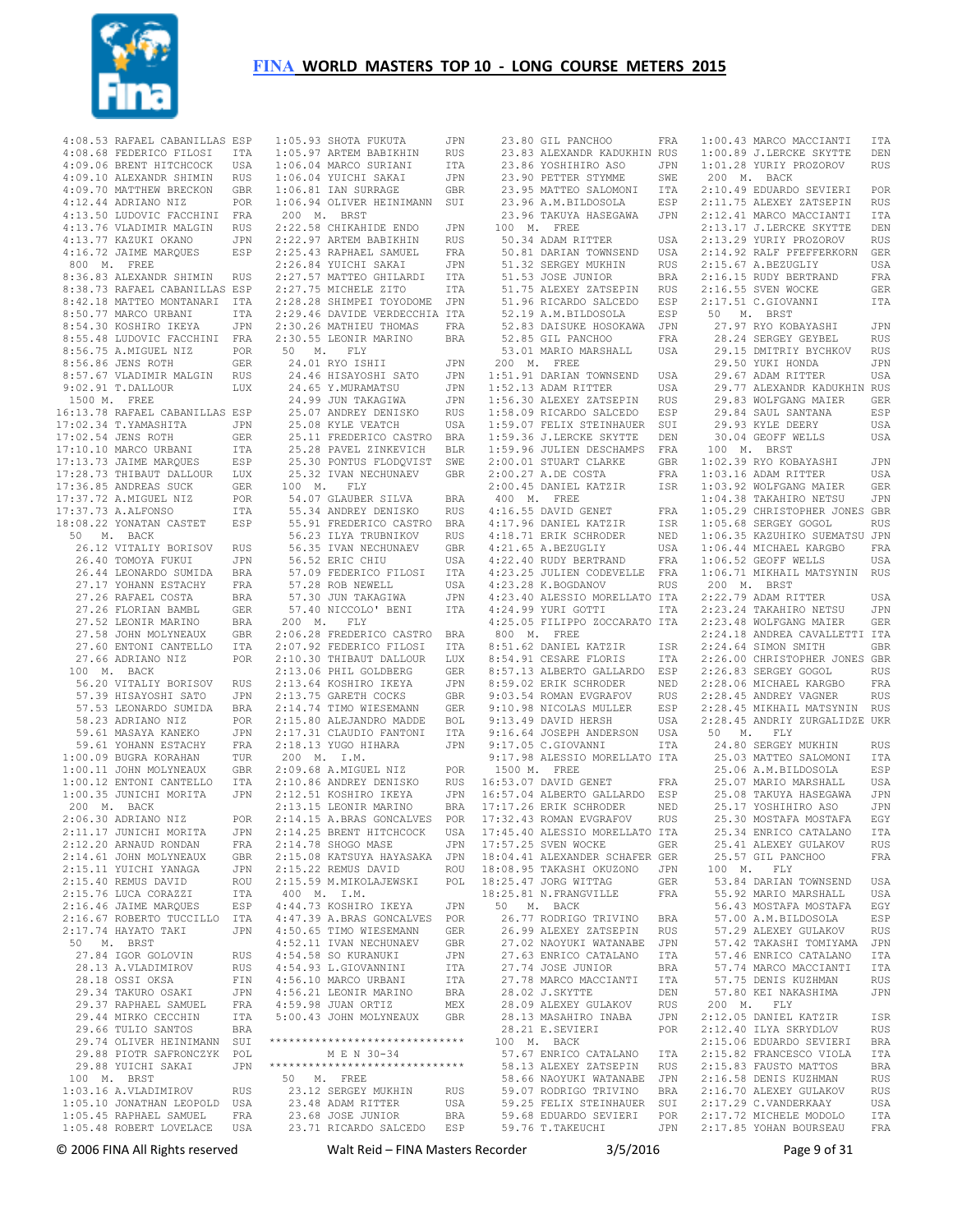

| 4:08.53 RAFAEL CABANILLAS ESP                                                                                                                                                                                                     |            |  |
|-----------------------------------------------------------------------------------------------------------------------------------------------------------------------------------------------------------------------------------|------------|--|
| 4:08.68 FEDERICO FILOSI ITA<br>4:09.06 BRENT HITCHCOCK USA<br>4:09.10 ALEXANDR SHIMIN RUS                                                                                                                                         |            |  |
|                                                                                                                                                                                                                                   |            |  |
|                                                                                                                                                                                                                                   |            |  |
| 4:09.70 MATTHEW BRECKON GBR<br>4:12.44 ADRIANO NIZ POR                                                                                                                                                                            |            |  |
|                                                                                                                                                                                                                                   |            |  |
| 4:12.44 ADRIANO NIZ<br>4:13.50 LUDOVIC FACCHINI FRA                                                                                                                                                                               |            |  |
| 4:13.76 VLADIMIR MALGIN RUS<br>4:13.77 KAZUKI OKANO JPN<br>4:16.72 JAIME MARQUES ESP                                                                                                                                              |            |  |
|                                                                                                                                                                                                                                   |            |  |
|                                                                                                                                                                                                                                   |            |  |
| 800 $M$ . FREE                                                                                                                                                                                                                    |            |  |
| 8:36.83 ALEXANDR SHIMIN RUS                                                                                                                                                                                                       |            |  |
| 8:38.73 RAFAEL CABANILLAS ESP                                                                                                                                                                                                     |            |  |
|                                                                                                                                                                                                                                   |            |  |
|                                                                                                                                                                                                                                   |            |  |
| 8:42.18 MATEG MONTANARI ITA<br>8:50.77 MARCO URBANI ITA<br>8:50.77 MARCO URBANI ITA<br>8:54.30 KOSHIRO IKEYA JPN<br>8:55.48 LUDOVIC FACCHINI FRA<br>8:56.75 A.MIGUEL NIZ POR                                                      |            |  |
|                                                                                                                                                                                                                                   |            |  |
|                                                                                                                                                                                                                                   |            |  |
| 8:56.75 A.MIGUEL NIZ<br>8:56.75 A.MIGUEL NIZ POR<br>8:56.86 JENS ROTH GER<br>8:57.67 VLADIMIR_MALGIN RUS                                                                                                                          |            |  |
|                                                                                                                                                                                                                                   |            |  |
|                                                                                                                                                                                                                                   |            |  |
| $9:02.91$ T.DALLOUR                                                                                                                                                                                                               | LUX        |  |
| 1500 M. FREE                                                                                                                                                                                                                      |            |  |
| 16:13.78 RAFAEL CABANILLAS ESP                                                                                                                                                                                                    |            |  |
| 17:02.34 T.YAMASHITA<br>17:02.34 T.YAMASHITA<br>17:02.54 JENS ROTH<br>17:10.10 MARCO URBANI                                                                                                                                       | JPN        |  |
|                                                                                                                                                                                                                                   | GER        |  |
|                                                                                                                                                                                                                                   | ITA        |  |
|                                                                                                                                                                                                                                   |            |  |
|                                                                                                                                                                                                                                   |            |  |
|                                                                                                                                                                                                                                   |            |  |
|                                                                                                                                                                                                                                   |            |  |
|                                                                                                                                                                                                                                   |            |  |
| 17.13.73 JAIME MARQUES ESP<br>17:13.73 JAIME MARQUES ESP<br>17:28.73 THIBAUT DALLOUR LUX<br>17:36.85 ANDREAS SUCK GER<br>17:37.73 A.ALEONSO GER<br>17:37.73 A.ALEONSO ITA<br>18:08.22 VONATAN COCO<br>18:08.22 YONATAN CASTET ESP |            |  |
| 50 M. BACK                                                                                                                                                                                                                        |            |  |
| 0 M. BACK<br>26.12 VITALIY BORISOV RUS<br>26.40 TOMOYA FUKUI JPN<br>26.44 LEONARDO SUMIDA BRA<br>27.17 YOHANN ESTACHY FRA<br>27.17 YOHANN ESTACHY FRA                                                                             |            |  |
|                                                                                                                                                                                                                                   |            |  |
|                                                                                                                                                                                                                                   |            |  |
|                                                                                                                                                                                                                                   |            |  |
|                                                                                                                                                                                                                                   |            |  |
| 27.26 RAFAEL COSTA                                                                                                                                                                                                                | <b>BRA</b> |  |
| 27.20 KAPAEL COSIA<br>27.26 FLORIAN BAMBL<br>27.52 LEONIR MARINO<br>27.58 JOHN MOLYNEAUX                                                                                                                                          | GER        |  |
|                                                                                                                                                                                                                                   | BRA        |  |
|                                                                                                                                                                                                                                   | GBR        |  |
| 27.60 ENTONI CANTELLO<br>27.66 ADRIANO NIZ                                                                                                                                                                                        | ITA        |  |
| 27.66 ADRIANO NIZ                                                                                                                                                                                                                 | POR        |  |
| 100 M. BACK                                                                                                                                                                                                                       |            |  |
| 56.20 VITALIY BORISOV RUS<br>57.39 HISAYOSHI SATO JPN<br>57.53 LEONARDO SUMIDA BRA<br>57.53 LEONARDO SUMIDA BRA                                                                                                                   |            |  |
|                                                                                                                                                                                                                                   |            |  |
|                                                                                                                                                                                                                                   |            |  |
| 58.23 ADRIANO NIZ POR<br>59.61 MASAYA KANEKO JPN<br>59.61 YOHANN ESTACHY FRA<br>1:00.09 BUGRA KORAHAN TUR                                                                                                                         |            |  |
|                                                                                                                                                                                                                                   |            |  |
|                                                                                                                                                                                                                                   |            |  |
|                                                                                                                                                                                                                                   |            |  |
| 1:00.11 JOHN MOLYNEAUX<br>1:00.11 JOHN MOLYNEAUX GBR<br>1:00.12 ENTONI CANTELLO ITA<br>1:00.35 JUNICHI MORITA JPN                                                                                                                 |            |  |
|                                                                                                                                                                                                                                   |            |  |
|                                                                                                                                                                                                                                   |            |  |
| 200 M. BACK                                                                                                                                                                                                                       |            |  |
| 2:06.30 ADRIANO NIZ                                                                                                                                                                                                               |            |  |
| POR<br>TA JPN<br>2:11.17 JUNICHI MORITA                                                                                                                                                                                           |            |  |
|                                                                                                                                                                                                                                   | JPN        |  |
| $2:12.20$ ARNAUD RONDAN                                                                                                                                                                                                           | FRA        |  |
| 2:14.61 JOHN MOLYNEAUX<br>2:15.11 YUICHI YANAGA                                                                                                                                                                                   | GBR        |  |
|                                                                                                                                                                                                                                   | JPN        |  |
| 2:15.40 REMUS DAVID                                                                                                                                                                                                               | ROU        |  |
| 2:15.76 LUCA CORAZZI                                                                                                                                                                                                              | ITA        |  |
| 2:16.46 JAIME MARQUES                                                                                                                                                                                                             | ESP        |  |
| 2:16.67 ROBERTO TUCCILLO                                                                                                                                                                                                          | ITA        |  |
| 2:17.74 HAYATO TAKI                                                                                                                                                                                                               | JPN        |  |
| 50 M. BRST                                                                                                                                                                                                                        |            |  |
| 27.84 IGOR GOLOVIN                                                                                                                                                                                                                | <b>RUS</b> |  |
| 28.13 A.VLADIMIROV                                                                                                                                                                                                                | <b>RUS</b> |  |
| 28.18 OSSI OKSA                                                                                                                                                                                                                   | FIN        |  |
| 29.34 TAKURO OSAKI                                                                                                                                                                                                                | JPN        |  |
| 29.37 RAPHAEL SAMUEL                                                                                                                                                                                                              | FRA        |  |
| 29.44 MIRKO CECCHIN                                                                                                                                                                                                               | ITA        |  |
| 29.66 TULIO SANTOS                                                                                                                                                                                                                | <b>BRA</b> |  |
| 29.74 OLIVER HEINIMANN                                                                                                                                                                                                            | SUI        |  |
| 29.88 PIOTR SAFRONCZYK                                                                                                                                                                                                            | POL        |  |
| 29.88 YUICHI SAKAI                                                                                                                                                                                                                | JPN        |  |
| 100 M. BRST                                                                                                                                                                                                                       |            |  |
| $1:03.16$ A.VLADIMIROV                                                                                                                                                                                                            | RUS        |  |
| 1:05.10 JONATHAN LEOPOLD                                                                                                                                                                                                          | USA        |  |
| $1:05.45$ RAPHAEL SAMUEL                                                                                                                                                                                                          |            |  |
|                                                                                                                                                                                                                                   | FRA        |  |
| 1:05.48 ROBERT LOVELACE                                                                                                                                                                                                           | USA        |  |

| 23.71 RICARDO SALCEDO                                                                                                                                                                                                                                                                                    | ESP                 |
|----------------------------------------------------------------------------------------------------------------------------------------------------------------------------------------------------------------------------------------------------------------------------------------------------------|---------------------|
| 23.68 JOSE JUNIOR                                                                                                                                                                                                                                                                                        | BRA                 |
| 23.12 SERVICE<br>23.48 ADAM RITTER<br>23.48 ADAM JUNIOR                                                                                                                                                                                                                                                  | USA                 |
| 23.12 SERGEY MUKHIN                                                                                                                                                                                                                                                                                      | RUS                 |
| 50 M. FREE                                                                                                                                                                                                                                                                                               |                     |
| ******************************                                                                                                                                                                                                                                                                           |                     |
| M E N 30-34                                                                                                                                                                                                                                                                                              |                     |
| ******************************                                                                                                                                                                                                                                                                           |                     |
| 5:00.43 JOHN MOLYNEAUX                                                                                                                                                                                                                                                                                   | GBR                 |
| 4:59.98 JUAN ORTIZ                                                                                                                                                                                                                                                                                       | MEX                 |
| $4:56.21$ LEONIR MARINO                                                                                                                                                                                                                                                                                  | <b>BRA</b>          |
| $4:56.10$ MARCO URBANI                                                                                                                                                                                                                                                                                   | ITA                 |
| 4:54.58 SO KURANUKI<br>4:54.93 L.GIOVANNINI                                                                                                                                                                                                                                                              | ITA                 |
|                                                                                                                                                                                                                                                                                                          | JPN                 |
| 4:50.65 TIMO WIESEMANN<br>4:52.11 IVAN NECHUNAEV                                                                                                                                                                                                                                                         | GBR                 |
|                                                                                                                                                                                                                                                                                                          | GER                 |
| $4:47.39$ A.BRAS GONCALVES                                                                                                                                                                                                                                                                               | POR                 |
| 400 M. I.M.<br>4:44.73 KOSHIRO IKEYA                                                                                                                                                                                                                                                                     | JPN                 |
| 2:15.59 M.MIKOLAJEWSKI                                                                                                                                                                                                                                                                                   | POL                 |
|                                                                                                                                                                                                                                                                                                          | ROU                 |
| 2:15.08 KATSUYA HAYASAKA<br>2:15.22 REMUS DAVID                                                                                                                                                                                                                                                          | JPN                 |
| 2:14.78 SHOGO MASE                                                                                                                                                                                                                                                                                       | JPN                 |
| 2:14.25 BRENT HITCHCOCK                                                                                                                                                                                                                                                                                  | USA                 |
| 2:14.15 A.BRAS GONCALVES POR                                                                                                                                                                                                                                                                             |                     |
|                                                                                                                                                                                                                                                                                                          | BRA                 |
| 2:10.86 ANDREY DENISKO RUS<br>2:12.51 KOSHIRO IKEYA JPN<br>2:13.15 LEONIR MARINO BRA                                                                                                                                                                                                                     |                     |
|                                                                                                                                                                                                                                                                                                          |                     |
| $2:09.68$ A.MIGUEL NIZ                                                                                                                                                                                                                                                                                   | POR                 |
| 200 M. I.M.                                                                                                                                                                                                                                                                                              |                     |
| 2:18.13 YUGO HIHARA                                                                                                                                                                                                                                                                                      | JPN                 |
| 2:15.80 ALEJANDRO PANTONI<br>2:17.31 CLAUDIO FANTONI                                                                                                                                                                                                                                                     | ITA                 |
| 2:15.80 ALEJANDRO MADDE                                                                                                                                                                                                                                                                                  | BOL                 |
| 2:14.74 TIMO WIESEMANN                                                                                                                                                                                                                                                                                   | GER                 |
| $\begin{tabular}{llllll} 2:07.92 & \texttt{FEDERICO FILOSI} & \texttt{ITA} \\ 2:10.30 & \texttt{THBAUT DALLOUR} & \texttt{LUX} \\ 2:13.06 & \texttt{PHIL GOLDBERG} & \texttt{GER} \\ 2:13.64 & \texttt{KOSHIRO IKEYA} & \texttt{JPN} \\ 2:13.75 & \texttt{GARETH COCKS} & \texttt{GBR} \\ \end{tabular}$ |                     |
|                                                                                                                                                                                                                                                                                                          |                     |
|                                                                                                                                                                                                                                                                                                          |                     |
|                                                                                                                                                                                                                                                                                                          |                     |
|                                                                                                                                                                                                                                                                                                          |                     |
| 200 M. F.J.<br>2:06.28 FREDERICO CASTRO BRA<br>200 PEREPERICO FILOSI ITA                                                                                                                                                                                                                                 |                     |
| 200 M. FLY                                                                                                                                                                                                                                                                                               |                     |
| 57.40 NICCOLO' BENI                                                                                                                                                                                                                                                                                      | ITA                 |
| 57.30 JUN TAKAGIWA                                                                                                                                                                                                                                                                                       | JPN                 |
|                                                                                                                                                                                                                                                                                                          | USA                 |
| 57.09 FEDERICO FILOSI<br>57.28 ROB NEWELL                                                                                                                                                                                                                                                                |                     |
|                                                                                                                                                                                                                                                                                                          | USA<br>ITA          |
|                                                                                                                                                                                                                                                                                                          | GBR                 |
| 56.23 ILYA TRUBNIKOV<br>56.35 IVAN NECHUNAEV<br>56.52 ERIC CHIU                                                                                                                                                                                                                                          | <b>RUS</b>          |
|                                                                                                                                                                                                                                                                                                          |                     |
| 54.07 GLAUBER SILVA BRA<br>55.34 ANDREY DENISKO RUS<br>55.91 FREDERICO CASTRO BRA                                                                                                                                                                                                                        |                     |
| 54.07 GLAUBER SILVA                                                                                                                                                                                                                                                                                      |                     |
| 100 M. FLY                                                                                                                                                                                                                                                                                               |                     |
|                                                                                                                                                                                                                                                                                                          | GBR                 |
| 25.30 PONTUS FLODQVIST<br>25.32 IVAN NECHUNAEV                                                                                                                                                                                                                                                           | SWE                 |
|                                                                                                                                                                                                                                                                                                          |                     |
| 25.11 FREDERICO CASTRO BRA<br>25.28 PAVEL ZINKEVICH BLR                                                                                                                                                                                                                                                  |                     |
| 25.08 KYLE VEATCH                                                                                                                                                                                                                                                                                        | USA                 |
|                                                                                                                                                                                                                                                                                                          | RUS                 |
|                                                                                                                                                                                                                                                                                                          | JPN                 |
| 24.65 Y.MURAMAISU<br>24.99 JUN TAKAGIWA<br>25.07 ANDREY DENISKO                                                                                                                                                                                                                                          | JPN                 |
| 0 M.<br>24.01 RYO ISHII<br>24.46 HISAYOSHI SATO<br>^^ v MURAMATSU                                                                                                                                                                                                                                        | JPN                 |
|                                                                                                                                                                                                                                                                                                          | JPN                 |
| 50 M. FLY                                                                                                                                                                                                                                                                                                |                     |
|                                                                                                                                                                                                                                                                                                          | BRA                 |
| -----<br>2:30.26 MATHIEU THOMAS<br>2:30.55 LEONIR MARINO                                                                                                                                                                                                                                                 | $_{\rm FRA}$        |
| 2:26.84 YUICHI SAKAI JPN<br>2:27.57 MATEO GHILARDI ITA<br>2:27.75 MICHELE ZITO ITA<br>2:28.28 SHIMPEI TOYODOME JPN<br>2:29.46 DAVIDE VERDECCHIA ITA                                                                                                                                                      |                     |
|                                                                                                                                                                                                                                                                                                          |                     |
|                                                                                                                                                                                                                                                                                                          |                     |
|                                                                                                                                                                                                                                                                                                          |                     |
|                                                                                                                                                                                                                                                                                                          | RUS<br>FRA<br>JPN   |
| 2:22.58 CHIKAHIDE ENDO<br>2:22.97 ARTEM BABIKHIN<br>2:25.43 RAPHAEL SAMUEL                                                                                                                                                                                                                               |                     |
|                                                                                                                                                                                                                                                                                                          |                     |
|                                                                                                                                                                                                                                                                                                          | JPN                 |
| 200 M. BRST                                                                                                                                                                                                                                                                                              |                     |
| $1:06.81$ IAN SURRAGE<br>1:06.94 OLIVER HEINIMANN SUI                                                                                                                                                                                                                                                    | GBR                 |
| $1:06.04$ YUICHI SAKAI                                                                                                                                                                                                                                                                                   |                     |
|                                                                                                                                                                                                                                                                                                          | $_{\tt ITA}$<br>JPN |
| 1:05.95 SAVIA IVA<br>1:05.97 ARTEM BABIKHIN<br>1:06.04 MARCO SURIANI                                                                                                                                                                                                                                     | RUS                 |
| 1:05.93 SHOTA FUKUTA                                                                                                                                                                                                                                                                                     | JPN                 |
|                                                                                                                                                                                                                                                                                                          |                     |

|                       | 23.80 GIL PANCHOO              | FRA        |                        | 1:00.43 MARCO MACCIANTI       | ITA        |
|-----------------------|--------------------------------|------------|------------------------|-------------------------------|------------|
|                       | 23.83 ALEXANDR KADUKHIN RUS    |            |                        | 1:00.89 J.LERCKE SKYTTE       | DEN        |
|                       | 23.86 YOSHIHIRO ASO            | JPN        |                        | 1:01.28 YURIY PROZOROV        | RUS        |
|                       | 23.90 PETTER STYMME            | SWE        | 200 M.                 | BACK                          |            |
|                       | 23.95 MATTEO SALOMONI          | ITA        |                        | 2:10.49 EDUARDO SEVIERI       | POR        |
|                       |                                |            |                        |                               |            |
|                       | 23.96 A.M.BILDOSOLA            | ESP        |                        | 2:11.75 ALEXEY ZATSEPIN       | RUS        |
|                       | 23.96 TAKUYA HASEGAWA          | JPN        |                        | 2:12.41 MARCO MACCIANTI       | ITA        |
| 100                   | M. FREE                        |            |                        | 2:13.17 J.LERCKE SKYTTE       | DEN        |
|                       | 50.34 ADAM RITTER              | USA        |                        | 2:13.29 YURIY PROZOROV        | <b>RUS</b> |
|                       |                                |            |                        |                               |            |
|                       | 50.81 DARIAN TOWNSEND          | USA        |                        | 2:14.92 RALF PFEFFERKORN      | GER        |
|                       | 51.32 SERGEY MUKHIN            | RUS        |                        | 2:15.67 A.BEZUGLIY            | USA        |
|                       | 51.53 JOSE JUNIOR              | BRA        |                        | 2:16.15 RUDY BERTRAND         | FRA        |
|                       | 51.75 ALEXEY ZATSEPIN          | RUS        |                        | 2:16.55 SVEN WOCKE            | GER        |
|                       |                                |            |                        |                               |            |
|                       | 51.96 RICARDO SALCEDO          | ESP        |                        | 2:17.51 C.GIOVANNI            | ITA        |
|                       | 52.19 A.M.BILDOSOLA            | ESP        | 50                     | M. BRST                       |            |
|                       | 52.83 DAISUKE HOSOKAWA         | JPN        |                        | 27.97 RYO KOBAYASHI           | JPN        |
|                       | 52.85 GIL PANCHOO              | FRA        |                        | 28.24 SERGEY GEYBEL           | RUS        |
|                       |                                |            |                        |                               |            |
|                       | 53.01 MARIO MARSHALL           | USA        |                        | 29.15 DMITRIY BYCHKOV         | RUS        |
|                       | 200 M. FREE                    |            |                        | 29.50 YUKI HONDA              | JPN        |
|                       | 1:51.91 DARIAN TOWNSEND        | USA        |                        | 29.67 ADAM RITTER             | USA        |
|                       | 1:52.13 ADAM RITTER            | USA        |                        | 29.77 ALEXANDR KADUKHIN RUS   |            |
|                       |                                |            |                        |                               |            |
|                       | 1:56.30 ALEXEY ZATSEPIN        | RUS        |                        | 29.83 WOLFGANG MAIER          | GER        |
|                       | 1:58.09 RICARDO SALCEDO        | ESP        |                        | 29.84 SAUL SANTANA            | ESP        |
|                       | 1:59.07 FELIX STEINHAUER       | SUI        |                        | 29.93 KYLE DEERY              | USA        |
|                       | 1:59.36 J.LERCKE SKYTTE        | DEN        |                        | 30.04 GEOFF WELLS             | USA        |
|                       |                                |            |                        |                               |            |
|                       | 1:59.96 JULIEN DESCHAMPS       | FRA        | М.<br>100              | BRST                          |            |
|                       | 2:00.01 STUART CLARKE          | GBR        |                        | 1:02.39 RYO KOBAYASHI         | JPN        |
|                       | 2:00.27 A.DE COSTA             | FRA        |                        | 1:03.16 ADAM RITTER           | USA        |
|                       |                                |            |                        |                               |            |
|                       | 2:00.45 DANIEL KATZIR          | ISR        |                        | 1:03.92 WOLFGANG MAIER        | GER        |
| 400 M. FREE           |                                |            |                        | 1:04.38 TAKAHIRO NETSU        | JPN        |
|                       | 4:16.55 DAVID GENET            | FRA        |                        | 1:05.29 CHRISTOPHER JONES GBR |            |
|                       | 4:17.96 DANIEL KATZIR          | ISR        |                        | 1:05.68 SERGEY GOGOL          | <b>RUS</b> |
|                       |                                |            |                        |                               |            |
|                       | 4:18.71 ERIK SCHRODER          | NED        |                        | 1:06.35 KAZUHIKO SUEMATSU JPN |            |
|                       | 4:21.65 A.BEZUGLIY             | USA        |                        | 1:06.44 MICHAEL KARGBO        | FRA        |
|                       | 4:22.40 RUDY BERTRAND          | FRA        |                        | 1:06.52 GEOFF WELLS           | USA        |
|                       | 4:23.25 JULIEN CODEVELLE       | FRA        |                        | 1:06.71 MIKHAIL MATSYNIN      | RUS        |
|                       |                                |            |                        |                               |            |
|                       | 4:23.28 K. BOGDANOV            | RUS        | 200 M.                 | <b>BRST</b>                   |            |
|                       | 4:23.40 ALESSIO MORELLATO ITA  |            |                        | 2:22.79 ADAM RITTER           | USA        |
|                       | 4:24.99 YURI GOTTI             | ITA        |                        | 2:23.24 TAKAHIRO NETSU        | JPN        |
|                       | 4:25.05 FILIPPO ZOCCARATO ITA  |            |                        | 2:23.48 WOLFGANG MAIER        | GER        |
|                       |                                |            |                        |                               |            |
|                       | 800 M. FREE                    |            |                        | 2:24.18 ANDREA CAVALLETTI ITA |            |
|                       | 8:51.62 DANIEL KATZIR          | ISR        |                        | 2:24.64 SIMON SMITH           | GBR        |
|                       | 8:54.91 CESARE FLORIS          | ITA        |                        | 2:26.00 CHRISTOPHER JONES GBR |            |
|                       | 8:57.13 ALBERTO GALLARDO       | ESP        |                        | 2:26.83 SERGEY GOGOL          | RUS        |
|                       |                                |            |                        |                               |            |
|                       |                                |            |                        |                               |            |
| 8:59.02 ERIK SCHRODER |                                | NED        | 2:28.06 MICHAEL KARGBO |                               | FRA        |
|                       | 9:03.54 ROMAN EVGRAFOV         | RUS        |                        | 2:28.45 ANDREY VAGNER         | RUS        |
|                       |                                |            |                        |                               |            |
|                       | 9:10.98 NICOLAS MULLER         | ESP        |                        | 2:28.45 MIKHAIL MATSYNIN      | RUS        |
|                       | 9:13.49 DAVID HERSH            | USA        |                        | 2:28.45 ANDRIY ZURGALIDZE UKR |            |
|                       | 9:16.64 JOSEPH ANDERSON        | USA        | 50<br>Μ.               | FLY                           |            |
|                       | 9:17.05 C.GIOVANNI             | ITA        |                        | 24.80 SERGEY MUKHIN           | <b>RUS</b> |
|                       |                                |            |                        |                               |            |
|                       | 9:17.98 ALESSIO MORELLATO ITA  |            |                        | 25.03 MATTEO SALOMONI         | ITA        |
| 1500 M.               | FREE                           |            |                        | 25.06 A.M.BILDOSOLA           | ESP        |
|                       | 16:53.07 DAVID GENET           | FRA        |                        | 25.07 MARIO MARSHALL          | USA        |
|                       | 16:57.04 ALBERTO GALLARDO      | ESP        |                        | 25.08 TAKUYA HASEGAWA         | JPN        |
|                       |                                |            |                        |                               |            |
|                       | 17:17.26 ERIK SCHRODER         | NED        |                        | 25.17 YOSHIHIRO ASO           | JPN        |
|                       | 17:32.43 ROMAN EVGRAFOV        | <b>RUS</b> |                        | 25.30 MOSTAFA MOSTAFA         | EGY        |
|                       | 17:45.40 ALESSIO MORELLATO ITA |            |                        | 25.34 ENRICO CATALANO         | ITA        |
|                       |                                |            |                        |                               |            |
|                       | 17:57.25 SVEN WOCKE            | GER        |                        | 25.41 ALEXEY GULAKOV          | RUS        |
|                       | 18:04.41 ALEXANDER SCHAFER GER |            |                        | 25.57 GIL PANCHOO             | FRA        |
|                       | 18:08.95 TAKASHI OKUZONO       | JPN        | 100 M. FLY             |                               |            |
|                       | 18:25.47 JORG WITTAG           | GER        |                        | 53.84 DARIAN TOWNSEND         | USA        |
|                       |                                |            |                        |                               |            |
|                       | 18:25.81 N.FRANGVILLE          | FRA        |                        | 55.92 MARIO MARSHALL          | USA        |
| 50                    | M. BACK                        |            |                        | 56.43 MOSTAFA MOSTAFA         | EGY        |
|                       | 26.77 RODRIGO TRIVINO          | BRA        |                        | 57.00 A.M.BILDOSOLA           | ESP        |
|                       | 26.99 ALEXEY ZATSEPIN          | RUS        |                        | 57.29 ALEXEY GULAKOV          | RUS        |
|                       |                                |            |                        | 57.42 TAKASHI TOMIYAMA        | JPN        |
|                       | 27.02 NAOYUKI WATANABE         | JPN        |                        |                               |            |
|                       | 27.63 ENRICO CATALANO          | ITA        |                        | 57.46 ENRICO CATALANO         | ITA        |
|                       | 27.74 JOSE JUNIOR              | BRA        |                        | 57.74 MARCO MACCIANTI         | ITA        |
|                       | 27.78 MARCO MACCIANTI          | ITA        |                        | 57.75 DENIS KUZHMAN           | RUS        |
|                       |                                |            |                        |                               |            |
|                       | 28.02 J.SKYTTE                 | DEN        |                        | 57.80 KEI NAKASHIMA           | JPN        |
|                       | 28.09 ALEXEY GULAKOV           | RUS        | 200 M.                 | FLY                           |            |
|                       | 28.13 MASAHIRO INABA           | JPN        |                        | 2:12.05 DANIEL KATZIR         | ISR        |
|                       | 28.21 E.SEVIERI                | POR        |                        | 2:12.40 ILYA SKRYDLOV         | RUS        |
|                       |                                |            |                        |                               |            |
| 100                   | M. BACK                        |            |                        | 2:15.06 EDUARDO SEVIERI       | BRA        |
|                       | 57.67 ENRICO CATALANO          | ITA        |                        | 2:15.82 FRANCESCO VIOLA       | ITA        |
|                       | 58.13 ALEXEY ZATSEPIN          | RUS        |                        | 2:15.83 FAUSTO MATTOS         | BRA        |
|                       |                                |            |                        |                               |            |
|                       | 58.66 NAOYUKI WATANABE         | JPN        |                        | 2:16.58 DENIS KUZHMAN         | RUS        |
|                       | 59.07 RODRIGO TRIVINO          | BRA        |                        | 2:16.70 ALEXEY GULAKOV        | RUS        |
|                       | 59.25 FELIX STEINHAUER SUI     |            |                        | 2:17.29 C.VANDERKAAY          | USA        |
|                       | 59.68 EDUARDO SEVIERI POR      |            |                        | 2:17.72 MICHELE MODOLO        | ITA        |

© 2006 FINA All Rights reserved Walt Reid – FINA Masters Recorder 3/5/2016 Page 9 of 31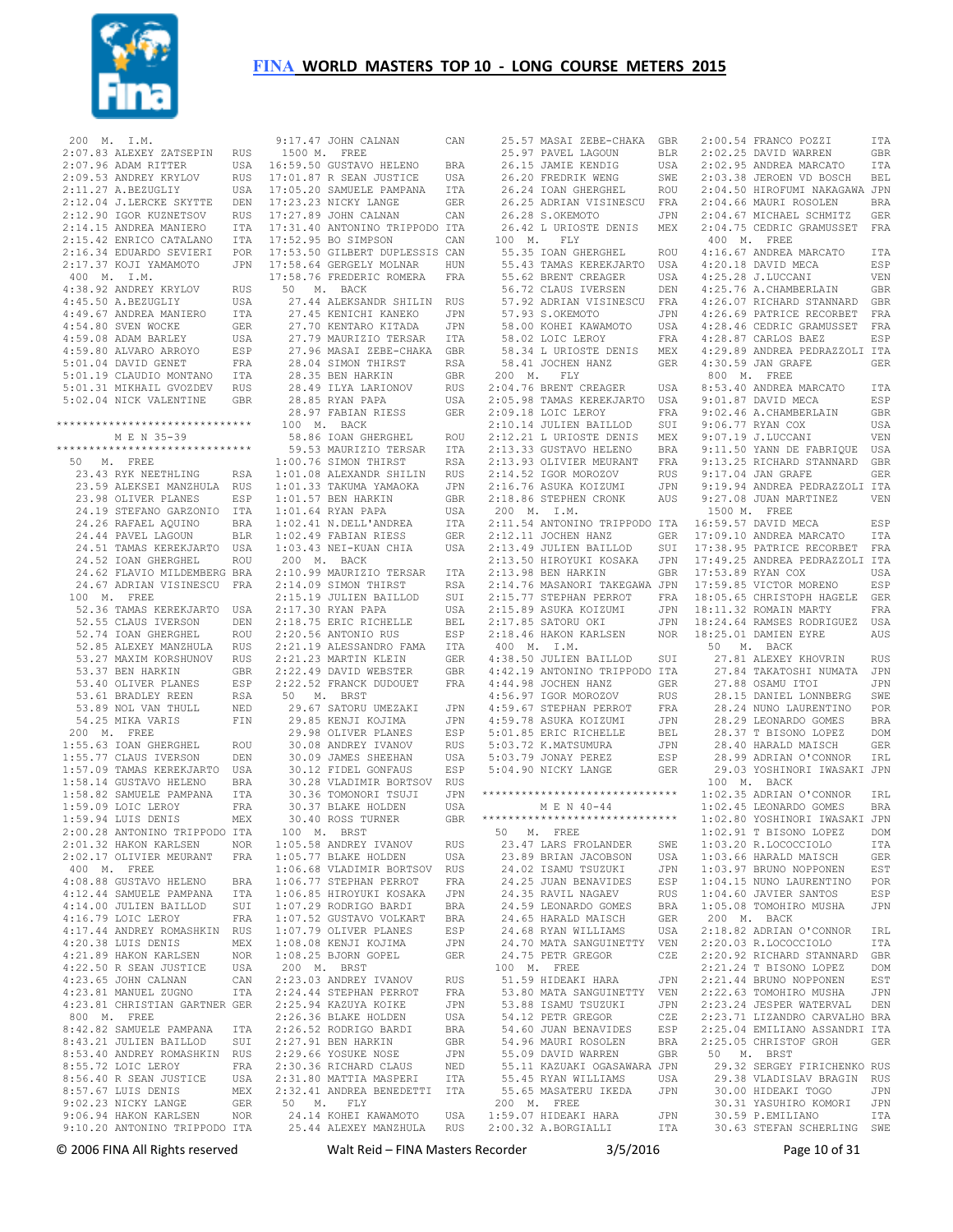

 200 M. I.M. 2:07.83 ALEXEY ZATSEPIN RUS 2:07.96 ADAM RITTER USA 2:09.53 ANDREY KRYLOV RUS 2:11.27 A.BEZUGLIY USA 2:12.04 J.LERCKE SKYTTE DEN 2:12.90 IGOR KUZNETSOV RUS 2:14.15 ANDREA MANIERO ITA 2:15.42 ENRICO CATALANO ITA 2:16.34 EDUARDO SEVIERI POR 2:17.37 KOJI YAMAMOTO JPN 400 M. I.M. 4:38.92 ANDREY KRYLOV RUS 4:45.50 A.BEZUGLIY USA 4:49.67 ANDREA MANIERO ITA 4:54.80 SVEN WOCKE GER 4:59.08 ADAM BARLEY USA 4:59.80 ALVARO ARROYO ESP 5:01.04 DAVID GENET FRA 5:01.19 CLAUDIO MONTANO ITA 5:01.31 MIKHAIL GVOZDEV RUS 5:02.04 NICK VALENTINE GBR \*\*\*\*\*\*\*\*\*\*\*\*\*\*\*\*\*\*\*\*\*\*\*\*\*\*\*\*\*\* M E N 35-39 \*\*\*\*\*\*\*\*\*\*\*\*\*\*\*\*\*\*\*\*\*\*\* 50 M. FREE 23.43 RYK NEETHLING RSA 23.59 ALEKSEI MANZHULA RUS 23.98 OLIVER PLANES ESP 24.19 STEFANO GARZONIO ITA 24.26 RAFAEL AQUINO BRA 24.44 PAVEL LAGOUN BLR 24.51 TAMAS KEREKJARTO USA 24.52 IOAN GHERGHEL ROU 24.62 FLAVIO MILDEMBERG BRA 24.67 ADRIAN VISINESCU FRA 100 M. FREE 52.36 TAMAS KEREKJARTO USA 52.55 CLAUS IVERSON DEN 52.74 IOAN GHERGHEL ROU 52.85 ALEXEY MANZHULA RUS 53.27 MAXIM KORSHUNOV RUS 53.37 BEN HARKIN GBR 53.40 OLIVER PLANES ESP 53.61 BRADLEY REEN RSA 53.89 NOL VAN THULL NED 54.25 MIKA VARIS FIN 200 M. FREE 1:55.63 IOAN GHERGHEL ROU 1:55.77 CLAUS IVERSON DEN 1:57.09 TAMAS KEREKJARTO USA 1:58.14 GUSTAVO HELENO BRA 1:58.82 SAMUELE PAMPANA ITA 1:59.09 LOIC LEROY FRA 1:59.94 LUIS DENIS MEX 2:00.28 ANTONINO TRIPPODO ITA 2:01.32 HAKON KARLSEN NOR 2:02.17 OLIVIER MEURANT FRA 400 M. FREE 4:08.88 GUSTAVO HELENO BRA 4:12.44 SAMUELE PAMPANA ITA 4:14.00 JULIEN BAILLOD SUI 4:16.79 LOIC LEROY FRA 4:17.44 ANDREY ROMASHKIN RUS 4:20.38 LUIS DENIS MEX 4:21.89 HAKON KARLSEN NOR 4:22.50 R SEAN JUSTICE USA 4:23.65 JOHN CALNAN CAN 4:23.81 MANUEL ZUGNO ITA 4:23.81 CHRISTIAN GARTNER GER 800 M. FREE 8:42.82 SAMUELE PAMPANA ITA 8:43.21 JULIEN BAILLOD SUI 8:53.40 ANDREY ROMASHKIN RUS 8:55.72 LOIC LEROY FRA 8:56.40 R SEAN JUSTICE USA 8:57.67 LUIS DENIS MEX 9:02.23 NICKY LANGE GER 9:06.94 HAKON KARLSEN NOR 9:10.20 ANTONINO TRIPPODO ITA

| $9:17.47$ JOHN CALNAN                                                                                                                                                                                                                                                                                                                      | CAN               |
|--------------------------------------------------------------------------------------------------------------------------------------------------------------------------------------------------------------------------------------------------------------------------------------------------------------------------------------------|-------------------|
| 1500 M. FREE<br>1500 M. FREE<br>16:59.50 GUSTAVO HELENO<br>17:01.87 R SEAN JUSTICE<br>17:05.20 SAMUELE PAMPANA<br>17:05.20 SAMUELE PAMPANA                                                                                                                                                                                                 | BRA               |
|                                                                                                                                                                                                                                                                                                                                            | USA               |
|                                                                                                                                                                                                                                                                                                                                            | ITA               |
|                                                                                                                                                                                                                                                                                                                                            | GER               |
| 17:27.89 JOHN CALNAN<br>17:27.89 JOHN CALNAN<br>17:31 40 AMERICAL                                                                                                                                                                                                                                                                          | CAN               |
| 17:31.40 ANTONINO TRIPPODO ITA                                                                                                                                                                                                                                                                                                             |                   |
| 17:52.95 BO SIMPSON                                                                                                                                                                                                                                                                                                                        | CAN               |
| 17:53.50 GILBERT DUPLESSIS CAN                                                                                                                                                                                                                                                                                                             |                   |
| 17:58.64 GERGELY MOLNAR HUN<br>17:58.76 FREDERIC ROMERA FRA                                                                                                                                                                                                                                                                                |                   |
| 50 M. BACK                                                                                                                                                                                                                                                                                                                                 |                   |
| 27.44 ALEKSANDR SHILIN RUS                                                                                                                                                                                                                                                                                                                 |                   |
| 27.45 KENICHI KANEKO                                                                                                                                                                                                                                                                                                                       | JPN               |
| 27.70 KENTARO KITADA<br>27.79 MAURIZIO TERSAR<br>27.96 MASAI ZEBE-CHAKA                                                                                                                                                                                                                                                                    | $_{\rm JPN}$      |
|                                                                                                                                                                                                                                                                                                                                            | ITA<br>GBR        |
|                                                                                                                                                                                                                                                                                                                                            | RSA               |
|                                                                                                                                                                                                                                                                                                                                            | GBR               |
| 28.04 SIMON THIRST<br>28.35 BEN HARKIN<br>28.49 ILYA LARIONOV<br>28.85 RYAN PAPA                                                                                                                                                                                                                                                           | RUS               |
| 28.85 RYAN PAPA                                                                                                                                                                                                                                                                                                                            | USA               |
| 28.97 FABIAN RIESS                                                                                                                                                                                                                                                                                                                         | GER               |
| 100 M. BACK                                                                                                                                                                                                                                                                                                                                |                   |
|                                                                                                                                                                                                                                                                                                                                            | ROU               |
| $1:00.76$ SIMON THIRST                                                                                                                                                                                                                                                                                                                     | ITA<br><b>RSA</b> |
| 1120 IOAN GHERGHEL<br>59.53 MAURIZIO TERSAR<br>00.76 SIMON THIRST<br>01.08 ALEVANT                                                                                                                                                                                                                                                         | RUS               |
| 1:01.08 ALEXANDR SHILIN<br>1:01.33 TAKUMA YAMAOKA<br>1:01.57 PEN UAPKIN                                                                                                                                                                                                                                                                    | JPN               |
| $1:01.57$ BEN HARKIN                                                                                                                                                                                                                                                                                                                       | <b>GBR</b>        |
|                                                                                                                                                                                                                                                                                                                                            | USA               |
|                                                                                                                                                                                                                                                                                                                                            | ITA               |
| 1:01.64 RYAN PAPA<br>1:02.41 N.DELL'ANDREA<br>1:02.41 N.DELL'ANDREA<br>1:03.43 NET-VIINN CITES                                                                                                                                                                                                                                             | ${\tt GER}$       |
| 1:03.43 NEI-KUAN CHIA                                                                                                                                                                                                                                                                                                                      | USA               |
| 200 M. BACK                                                                                                                                                                                                                                                                                                                                |                   |
| 2:10.99 MAURIZIO TERSAR ITA<br>2:14.09 SIMON THIRST RSA                                                                                                                                                                                                                                                                                    |                   |
| 2:11:00 JULIEN BAILLOD                                                                                                                                                                                                                                                                                                                     | SUI               |
| 2:17.30 RYAN PAPA                                                                                                                                                                                                                                                                                                                          | USA               |
|                                                                                                                                                                                                                                                                                                                                            | <b>BEL</b>        |
| 2:18.75 ERIC RICHELLE<br>2:20.56 ANTONIO RUS                                                                                                                                                                                                                                                                                               | ESP               |
| 2:20.56 ANTONIO RUS<br>2:21.19 ALESSANDRO FAMA                                                                                                                                                                                                                                                                                             | ITA               |
| 2:21.23 MARTIN KLEIN<br>2:22.49 DAVID WEBSTER                                                                                                                                                                                                                                                                                              | GER               |
| 2:22.52 FRANCK DUDOUET                                                                                                                                                                                                                                                                                                                     | <b>GBR</b><br>FRA |
| 50 M. BRST                                                                                                                                                                                                                                                                                                                                 |                   |
| 29.67 SATORU UMEZAKI<br>29.67 SATORU UMEZAKI<br>29.98 OLIVER PLANES<br>30.08 ANDREY IVANOV<br>30.09 JAMES SHEEHAN<br>30.12 FIDEL GONFAUS                                                                                                                                                                                                   | JPN               |
|                                                                                                                                                                                                                                                                                                                                            | JPN               |
|                                                                                                                                                                                                                                                                                                                                            | ESP               |
|                                                                                                                                                                                                                                                                                                                                            | <b>RUS</b>        |
|                                                                                                                                                                                                                                                                                                                                            | USA               |
|                                                                                                                                                                                                                                                                                                                                            | ESP<br>RUS        |
|                                                                                                                                                                                                                                                                                                                                            | JPN               |
|                                                                                                                                                                                                                                                                                                                                            | USA               |
| 30.28 VLADIMIR BORTSOV<br>30.36 TOMONORI TSUJI<br>30.37 BLAKE HOLDEN<br>30.40 ROSS TURNER                                                                                                                                                                                                                                                  | GBR               |
| 100 M. BRST                                                                                                                                                                                                                                                                                                                                |                   |
| 1:05.58 ANDREY IVANOV<br>1:05.77 BLAKE HOLDEN                                                                                                                                                                                                                                                                                              | RUS               |
|                                                                                                                                                                                                                                                                                                                                            |                   |
|                                                                                                                                                                                                                                                                                                                                            |                   |
| $\begin{tabular}{lllllllll} 1:05.50 & \dots & & & & & & \dots \\ 1:05.77 & BLARE HOLDEN & & & & \dots \\ 1:06.68 & VLADIMIR BORTSOV & RUS \\ 1:06.77 & STEPHAN PERROT & FRA \\ & & & & & \dots \\ & & & & & & \dots \\ & & & & & & & \dots \\ \end{tabular}$<br>1:06.77 STEPHAN PERROT<br>1:06.85 HIROYUKI KOSAKA<br>1:07.29 RODRIGO BARDI |                   |
|                                                                                                                                                                                                                                                                                                                                            | <b>BRA</b>        |
|                                                                                                                                                                                                                                                                                                                                            |                   |
|                                                                                                                                                                                                                                                                                                                                            |                   |
| 1:07.52 GUSTAVO VOLKART BRA<br>1:07.79 OLIVER PLANES ESP<br>1:08.08 KENJI KOJIMA JPN<br>1:08.25 BJORN GOPEL GER                                                                                                                                                                                                                            |                   |
| $200$ M. BRST                                                                                                                                                                                                                                                                                                                              |                   |
| 2:23.03 ANDREY IVANOV                                                                                                                                                                                                                                                                                                                      | RUS               |
|                                                                                                                                                                                                                                                                                                                                            | FRA               |
|                                                                                                                                                                                                                                                                                                                                            | JPN               |
| 2:24.44 STEPHAN PERROT<br>2:25.94 KAZUYA KOIKE<br>2:26.36 BLAKE HOLDEN                                                                                                                                                                                                                                                                     | USA               |
| 2:26.52 RODRIGO BARDI<br>2:27.91 BEN HARKIN<br>2:29.66 YOSUKE NOSE                                                                                                                                                                                                                                                                         | BRA               |
|                                                                                                                                                                                                                                                                                                                                            | GBR               |
|                                                                                                                                                                                                                                                                                                                                            | JPN               |
| 2:30.36 RICHARD CLAUS<br>2:31.80 MATTIA MASPERI                                                                                                                                                                                                                                                                                            | NED<br>ITA        |
| 2:32.41 ANDREA BENEDETTI ITA                                                                                                                                                                                                                                                                                                               |                   |
|                                                                                                                                                                                                                                                                                                                                            |                   |
| 50 M. FLY<br>24.14 KOHEI KAWAMOTO                                                                                                                                                                                                                                                                                                          | USA               |
| 25.44 ALEXEY MANZHULA                                                                                                                                                                                                                                                                                                                      | ${\tt RUS}$       |

 25.57 MASAI ZEBE-CHAKA GBR 25.97 PAVEL LAGOUN BLR 2:00.54 FRANCO POZZI ITA 2:02.25 DAVID WARREN GBR 26.15 JAMIE KENDIG USA<br>26.20 FREDRIK WENG SWE 26.20 FREDRIK WENG 26.24 IOAN GHERGHEL ROU 26.25 ADRIAN VISINESCU FRA<br>26.28 S.OKEMOTO JPN 26.28 S.OKEMOTO 26.42 L URIOSTE DENIS MEX 2:04.75 CEDRIC GRAMUSSET FRA 100 M. FLY 55.35 IOAN GHERGHEL ROU 55.43 TAMAS KEREKJARTO USA 55.62 BRENT CREAGER USA 4:25.28 J.LUCCANI VEN 56.72 CLAUS IVERSEN DEN 57.92 ADRIAN VISINESCU FRA 4:25.76 A.CHAMBERLAIN GBR 4:26.07 RICHARD STANNARD GBR 57.93 S.OKEMOTO JPN<br>58.00 KOHEI KAWAMOTO USA 58.00 KOHEI KAWAMOTO 58.02 LOIC LEROY FRA<br>58.34 L URIOSTE DENIS MEX 58.34 L URIOSTE DENIS 58.41 JOCHEN HANZ 200 M. FLY 2:04.76 BRENT CREAGER USA 2:05.98 TAMAS KEREKJARTO USA 2:09.18 LOIC LEROY FRA<br>2:10.14 JULIEN BAILLOD SUI  $2 \cdot 10$  14 JULIEN BAILLOD 2:12.21 L URIOSTE DENIS MEX 2:13.33 GUSTAVO HELENO BRA  $2:13.93$  OLIVIER MEURANT FRA<br> $2:13.93$  OLIVIER MEURANT FRA 2:14.52 IGOR MOROZOV RUS<br>2:16.76 ASUKA KOIZUMI JPN 2:16.76 ASUKA KOIZUMI JPN 2:18.86 STEPHEN CRONK AUS 9:19.94 ANDREA PEDRAZZOLI ITA 9:27.08 JUAN MARTINEZ VEN 200 M. I.M. 2:11.54 ANTONINO TRIPPODO ITA 16:59.57 DAVID MECA ESP 2:12.11 JOCHEN HANZ GER 2:13.49 JULIEN BAILLOD SUI 2:13.50 HIROYUKI KOSAKA JPN 2:13.98 BEN HARKIN GBR 2:14.76 MASANORI TAKEGAWA JPN 17:53.89 RYAN COX USA 17:59.85 VICTOR MORENO ESP 2:15.77 STEPHAN PERROT FRA 18:05.65 CHRISTOPH HAGELE GER 2:15.89 ASUKA KOIZUMI JPN 2:17.85 SATORU OKI JPN 18:11.32 ROMAIN MARTY FRA 18:24.64 RAMSES RODRIGUEZ USA 2:18.46 HAKON KARLSEN NOR 18:25.01 DAMIEN EYRE AUS 400 M. I.M. 4:38.50 JULIEN BAILLOD SUI 4:42.19 ANTONINO TRIPPODO ITA 4:44.98 JOCHEN HANZ GER 4:56.97 IGOR MOROZOV RUS 4:59.67 STEPHAN PERROT FRA 4:59.78 ASUKA KOIZUMI JPN<br>
5:01.85 ERIC RICHELLE BEL<br>
5:03.72 JONAY PEREZ ESP<br>
5:03.79 JONAY PEREZ ESP<br>
5:04.90 NICKY LANGE GER \*\*\*\*\*\*\*\*\*\*\*\*\*\*\*\*\*\*\*\*\*\*\*\*\*\*\*\*\*\* 1:02.35 ADRIAN O'CONNOR IRL M E N 40-44 \*\*\*\*\*\*\*\*\*\*\*\*\*\*\*\*\*\*\*\*\*\*\*\*\*\*\*\*\*\* 50 M. FREE 23.47 LARS FROLANDER SWE 23.89 BRIAN JACOBSON USA 24.02 ISAMU TSUZUKI JPN 24.25 JUAN BENAVIDES ESP 24.35 RAVIL NAGAEV RUS<br>24.59 LEONARDO GOMES BRA 24.59 LEONARDO GOMES 24.65 HARALD MAISCH GER 24.68 RYAN WILLIAMS USA 24.70 MATA SANGUINETTY VEN 24.75 PETR GREGOR CZE 2:20.92 RICHARD STANNARD GBR 100 M. FREE<br>51.59 HIDEAKI HARA 51.59 HIDEAKI HARA JPN 53.80 MATA SANGUINETTY VEN 53.88 ISAMU TSUZUKI JPN 54.12 PETR GREGOR CZE 54.60 JUAN BENAVIDES ESP 54.96 MAURI ROSOLEN BRA 55.09 DAVID WARREN GBR 55.11 KAZUAKI OGASAWARA JPN 55.45 RYAN WILLIAMS USA 55.65 MASATERU IKEDA JPN 200 M. FREE 1:59.07 HIDEAKI HARA JPN 2:00.32 A.BORGIALLI ITA 30.63 STEFAN SCHERLING SWE 2:02.95 ANDREA MARCATO ITA 2:03.38 JEROEN VD BOSCH BEL 2:04.50 HIROFUMI NAKAGAWA JPN 2:04.66 MAURI ROSOLEN BRA<br>2:04.67 MICHAEL SCHMITZ GER 2:04.67 MICHAEL SCHMITZ 400 M. FREE 4:16.67 ANDREA MARCATO ITA 4:20.18 DAVID MECA ESP 4:26.69 PATRICE RECORBET FRA 4:28.46 CEDRIC GRAMUSSET FRA 4:28.87 CARLOS BAEZ ESP 4:29.89 ANDREA PEDRAZZOLI ITA GER 4:30.59 JAN GRAFE GER 800 M. FREE 8:53.40 ANDREA MARCATO ITA 9:01.87 DAVID MECA ESP 9:02.46 A.CHAMBERLAIN GBR 9:06.77 RYAN COX USA 9:07.19 J.LUCCANI VEN 9:11.50 YANN DE FABRIQUE USA 9:13.25 RICHARD STANNARD GBR 9:17.04 JAN GRAFE GER 1500 M. FREE 17:09.10 ANDREA MARCATO ITA 17:38.95 PATRICE RECORBET FRA 17:49.25 ANDREA PEDRAZZOLI ITA 50 M. BACK 27.81 ALEXEY KHOVRIN RUS 27.84 TAKATOSHI NUMATA JPN 27.88 OSAMII TTOT JPN 28.15 DANIEL LONNBERG SWE 28.24 NUNO LAURENTINO POR 28.29 LEONARDO GOMES BRA 28.37 T BISONO LOPEZ DOM 28.40 HARALD MAISCH GER 28.99 ADRIAN O'CONNOR IRL 29.03 YOSHINORI IWASAKI JPN 100 M. BACK 1:02.45 LEONARDO GOMES BRA 1:02.80 YOSHINORI IWASAKI JPN 1:02.91 T BISONO LOPEZ DOM 1:03.20 R.LOCOCCIOLO ITA 1:03.66 HARALD MAISCH GER 1:03.97 BRUNO NOPPONEN EST 1:04.15 NUNO LAURENTINO POR 1:04.60 JAVIER SANTOS ESP 1:05.08 TOMOHIRO MUSHA JPN 200 M. BACK 2:18.82 ADRIAN O'CONNOR IRL 2:20.03 R.LOCOCCIOLO ITA 2:21.24 T BISONO LOPEZ DOM 2:21.44 BRUNO NOPPONEN EST 2:22.63 TOMOHIRO MUSHA JPN 2:23.24 JESPER WATERVAL DEN 2:23.71 LIZANDRO CARVALHO BRA 2:25.04 EMILIANO ASSANDRI ITA 2:25.05 CHRISTOF GROH GER 50 M. BRST 29.32 SERGEY FIRICHENKO RUS 29.38 VLADISLAV BRAGIN RUS 30.00 HIDEAKI TOGO JPN 30.31 YASUHIRO KOMORI JPN 30.59 P.EMILIANO ITA

© 2006 FINA All Rights reserved Walt Reid – FINA Masters Recorder 3/5/2016 Page 10 of 31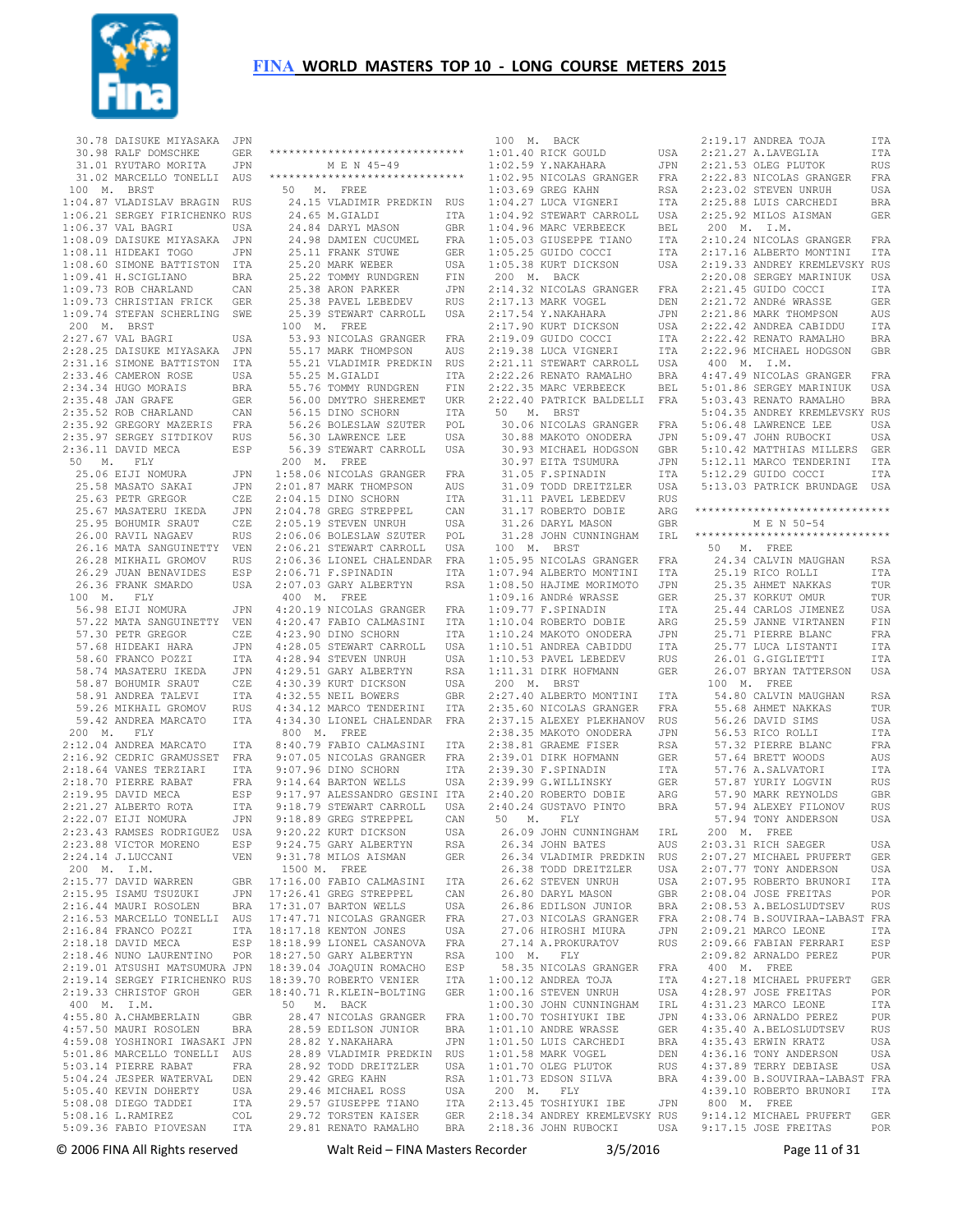

|             | 30.78 DAISUKE MIYASAKA JPN<br>30.98 RALF DOMSCHKE GER<br>31.01 RYUTARO MORITA JPN<br>31.02 MARCELLO TONELLI AUS                                                                                                                                                 |            |
|-------------|-----------------------------------------------------------------------------------------------------------------------------------------------------------------------------------------------------------------------------------------------------------------|------------|
|             |                                                                                                                                                                                                                                                                 |            |
|             |                                                                                                                                                                                                                                                                 |            |
|             |                                                                                                                                                                                                                                                                 |            |
|             | 100 M. BRST                                                                                                                                                                                                                                                     |            |
|             | 100 M. BRST TRICHENNO RUS<br>1:04.87 VLADISLAV BRAGIN RUS<br>1:06.21 SERGEY FIRICHENNO RUS<br>1:06.37 VAL BAGRI USA<br>1:08.09 DAISUKE MIYASAKA JPN<br>1:08.11 HIDEAKI TOGO JPN<br>1:09.73 ROB CHARLAND BRA<br>1:09.73 ROB CHARLAND CAN<br>1:09.73 ROB          |            |
|             |                                                                                                                                                                                                                                                                 |            |
|             |                                                                                                                                                                                                                                                                 |            |
|             |                                                                                                                                                                                                                                                                 |            |
|             |                                                                                                                                                                                                                                                                 |            |
|             |                                                                                                                                                                                                                                                                 |            |
|             |                                                                                                                                                                                                                                                                 |            |
|             |                                                                                                                                                                                                                                                                 |            |
|             | 1:09.73 CHRISTIAN FRICK                                                                                                                                                                                                                                         | GER        |
|             |                                                                                                                                                                                                                                                                 |            |
|             | 1:09.74 STEFAN SCHERLING SWE<br>200 M. BRST                                                                                                                                                                                                                     |            |
|             | 2:27.67 VAL BAGRI                                                                                                                                                                                                                                               |            |
|             |                                                                                                                                                                                                                                                                 | USA        |
|             | 2:28.25 DAISUKE MIYASAKA<br>2:31.16 SIMONE BATTISTON                                                                                                                                                                                                            | JPN        |
|             |                                                                                                                                                                                                                                                                 | ITA        |
|             |                                                                                                                                                                                                                                                                 | USA        |
|             |                                                                                                                                                                                                                                                                 |            |
|             | 2:33.46 CAMERON ROSE USA<br>2:33.46 CAMERON ROSE USA<br>2:34.34 HUGO MORAIS BRA<br>2:35.48 JAN GRAFE GER<br>2:35.52 ROB CHARLAND CAN<br>2:35.92 GREGORY MAZERIS FRA<br>2:35.97 SERGEY SITDIKOV RUS<br>2:35.11 SERGEY SITDIKOV RUS                               |            |
|             |                                                                                                                                                                                                                                                                 |            |
|             |                                                                                                                                                                                                                                                                 |            |
|             |                                                                                                                                                                                                                                                                 |            |
|             | 2:36.11 DAVID MECA                                                                                                                                                                                                                                              | ESP        |
|             | 50 M. FLY                                                                                                                                                                                                                                                       |            |
|             | % M. FLY<br>25.06 EIJI NOMURA<br>25.68 MASATO SAKAI<br>25.63 PETR GREGOR<br>25.63 PETR GREGOR<br>25.95 BOHUMIR SRAUT<br>26.00 RAVIL NAGAEV<br>26.00 RAVIL NAGAEV<br>26.16 MATA SANGUINETTY<br>26.28 MIKHAIL GROMOV<br>26.29 JUAN BENAVIDES<br>26.29 JUAN BENAVI | JPN        |
|             |                                                                                                                                                                                                                                                                 | JPN        |
|             |                                                                                                                                                                                                                                                                 | CZE        |
|             |                                                                                                                                                                                                                                                                 | JPN        |
|             |                                                                                                                                                                                                                                                                 | CZE        |
|             |                                                                                                                                                                                                                                                                 | <b>RUS</b> |
|             |                                                                                                                                                                                                                                                                 | VEN        |
|             |                                                                                                                                                                                                                                                                 | <b>RUS</b> |
|             |                                                                                                                                                                                                                                                                 | ESP        |
|             | 26.36 FRANK SMARDO                                                                                                                                                                                                                                              | USA        |
|             | $100 \quad \, \mathrm{M} \, . \qquad \, \mathrm{FLY}$                                                                                                                                                                                                           |            |
|             | 56.98 EIJI NOMURA                                                                                                                                                                                                                                               | JPN        |
|             | 57.22 MATA SANGUINETTY                                                                                                                                                                                                                                          | VEN        |
|             |                                                                                                                                                                                                                                                                 | CZE        |
|             |                                                                                                                                                                                                                                                                 |            |
|             | 57.30 PETR GREGOR                                                                                                                                                                                                                                               |            |
|             |                                                                                                                                                                                                                                                                 | JPN        |
|             |                                                                                                                                                                                                                                                                 | ITA        |
|             |                                                                                                                                                                                                                                                                 | JPN        |
|             |                                                                                                                                                                                                                                                                 | CZE        |
|             |                                                                                                                                                                                                                                                                 | ITA        |
|             | 97.68 HIDEAKI HARA<br>58.60 FRANCO POZZI<br>58.74 MASATERU IKEDA<br>58.87 BOHUMIR SRAUT<br>58.91 ANDREA TALEVI<br>59.26 MIKHAIL GROMOV                                                                                                                          | <b>RUS</b> |
|             | 59.42 ANDREA MARCATO                                                                                                                                                                                                                                            | ITA        |
|             | 200 M. FLY                                                                                                                                                                                                                                                      |            |
|             | 2:12.04 ANDREA MARCATO                                                                                                                                                                                                                                          | ITA        |
|             |                                                                                                                                                                                                                                                                 |            |
|             |                                                                                                                                                                                                                                                                 | FRA<br>ITA |
|             |                                                                                                                                                                                                                                                                 | FRA        |
|             |                                                                                                                                                                                                                                                                 | ESP        |
|             |                                                                                                                                                                                                                                                                 |            |
|             |                                                                                                                                                                                                                                                                 | ITA<br>JPN |
|             | 2:16.92 CEDRIC GRAMUSSET<br>2:16.92 CEDRIC GRAMUSSET<br>2:18.64 VANES TERZIARI<br>2:18.70 PIERRE RABAT<br>2:19.95 DAVID MECA<br>2:21.27 ALBERTO ROTA<br>2:22.07 EIJI NOMURA<br>2:23.43 RAMSES RODRIGUEZ                                                         | USA        |
|             | 2:23.88 VICTOR MORENO                                                                                                                                                                                                                                           | ESP        |
|             | 2:24.14 J.LUCCANI                                                                                                                                                                                                                                               | VEN        |
|             |                                                                                                                                                                                                                                                                 |            |
|             |                                                                                                                                                                                                                                                                 | GBR        |
|             | 200 M. I.M.<br>2:15.77 DAVID WARREN<br>2:15.95 ISAMU TSUZUKI                                                                                                                                                                                                    | JPN        |
|             | 2:16.44 MAURI ROSOLEN                                                                                                                                                                                                                                           | <b>BRA</b> |
|             | 2:16.53 MARCELLO TONELLI AUS                                                                                                                                                                                                                                    |            |
|             |                                                                                                                                                                                                                                                                 | ITA        |
|             | 2:16.84 FRANCO POZZI<br>2:18.18 DAVID MECA                                                                                                                                                                                                                      | ESP        |
|             | 2:18.46 NUNO LAURENTINO                                                                                                                                                                                                                                         | POR        |
|             |                                                                                                                                                                                                                                                                 |            |
|             | 2:19.01 ATSUSHI MATSUMURA JPN<br>2:19.14 SERGEY FIRICHENKO RUS                                                                                                                                                                                                  |            |
|             | 2:19.33 CHRISTOF GROH                                                                                                                                                                                                                                           | GER        |
|             |                                                                                                                                                                                                                                                                 |            |
| 400 M. I.M. | 4:55.80 A.CHAMBERLAIN                                                                                                                                                                                                                                           | GBR        |
|             |                                                                                                                                                                                                                                                                 | <b>BRA</b> |
|             | 4:57.50 MAURI ROSOLEN                                                                                                                                                                                                                                           |            |
|             | 4:59.08 YOSHINORI IWASAKI JPN                                                                                                                                                                                                                                   |            |
|             | 5:01.86 MARCELLO TONELLI AUS                                                                                                                                                                                                                                    |            |
|             |                                                                                                                                                                                                                                                                 | FRA        |
|             |                                                                                                                                                                                                                                                                 | DEN        |
|             | 5:03.14 PIERRE RABAT<br>5:04.24 JESPER WATERVAL<br>5:05.40 KEVIN DOHERTY                                                                                                                                                                                        | USA        |
|             |                                                                                                                                                                                                                                                                 | ITA        |
|             | 5:08.08 DIEGO TADDEI<br>5:08.16 L.RAMIREZ<br>5:09.36 FABIO PIOVESAN                                                                                                                                                                                             | COL<br>ITA |

| ******************************                                                                              |                   |
|-------------------------------------------------------------------------------------------------------------|-------------------|
| M E N 45-49                                                                                                 |                   |
| *****************************                                                                               |                   |
| 50 M. FREE                                                                                                  |                   |
| 24.15 VLADIMIR PREDKIN                                                                                      | RUS               |
| 24.65 M.GIALDI                                                                                              | ITA               |
| 24.84 DARYL MASON                                                                                           | GBR<br>FRA        |
| 24.98 DAMIEN CUCUMEL<br>25.11 FRANK STUWE<br>25.20 MARK WEBER                                               | <b>GER</b>        |
|                                                                                                             | USA               |
| 25.22 TOMMY RUNDGREN                                                                                        | FIN               |
| 25.38 ARON PARKER                                                                                           | JPN               |
| 25.38 PAVEL LEBEDEV                                                                                         | <b>RUS</b>        |
| 25.39 STEWART CARROLL                                                                                       | USA               |
| 100 M. FREE                                                                                                 |                   |
| 53.93 NICOLAS GRANGER FRA                                                                                   |                   |
| 55.17 MARK THOMPSON                                                                                         | AUS               |
| 55.21 VLADIMIR PREDKIN                                                                                      | RUS               |
| 55.25 M.GIALDI                                                                                              | <b>ITA</b>        |
| 55.76 TOMMY RUNDGREN                                                                                        | FIN               |
| 56.00 DMYTRO SHEREMET                                                                                       | <b>UKR</b>        |
| 56.15 DINO SCHORN<br>56.26 BOLESLAW SZUTER                                                                  | ITA<br>POL        |
| 56.30 LAWRENCE LEE                                                                                          | USA               |
| 56.39 STEWART CARROLL                                                                                       | USA               |
| 200 M. FREE                                                                                                 |                   |
| 1:58.06 NICOLAS GRANGER<br>2:01.87 MARK THOMPSON                                                            | FRA               |
|                                                                                                             | AUS               |
| 2:04.15 DINO SCHORN                                                                                         | ITA               |
|                                                                                                             | CAN               |
| 2:04.78 GREG STREPPEL<br>2:05.19 STEVEN UNRUH                                                               | USA               |
| 2:06.06 BOLESLAW SZUTER                                                                                     | $_{\rm POL}$      |
| 2:06.21 STEWART CARROLL                                                                                     | USA               |
| 2:06.36 LIONEL CHALENDAR FRA<br>2:06.71 F.SPINADIN ITA                                                      |                   |
|                                                                                                             |                   |
| 2:07.03 GARY ALBERTYN                                                                                       | RSA               |
| 400 M. FREE                                                                                                 |                   |
| 4:20.19 NICOLAS GRANGER FRA                                                                                 |                   |
| 4:20.47 FABIO CALMASINI<br>4:23.90 DINO SCHORN                                                              | ITA               |
| 4:28.05 STEWART CARROLL                                                                                     | ITA<br>USA        |
|                                                                                                             | USA               |
|                                                                                                             | RSA               |
| 4:28.94 STEVEN UNIVERSITYN<br>4:29.51 GARY ALBERTYN                                                         | USA               |
| 4:32.55 NEIL BOWERS                                                                                         | GBR               |
| 4:34.12 MARCO TENDERINI                                                                                     | ITA               |
| 4:34.30 LIONEL CHALENDAR                                                                                    | FRA               |
| 800 $M$ . FREE                                                                                              |                   |
| 8:40.79 FABIO CALMASINI                                                                                     | ITA               |
| 9:07.05 NICOLAS GRANGER FRA                                                                                 |                   |
| 9:07.96 DINO SCHORN<br>9:07.96 DINO SCHORN ITA<br>9:14.64 BARTON WELLS USA<br>9:17.97 ALESSANDRO GESINI ITA |                   |
|                                                                                                             |                   |
|                                                                                                             |                   |
| 9:18.79 STEWART CARROLL                                                                                     | USA               |
| 9:18.89 GREG STREPPEL<br>9:20.22 KURT DICKSON<br>0.04.35 CADY ALDERTYN                                      | CAN<br>USA        |
| 9:24.75 GARY ALBERTYN                                                                                       | RSA               |
| 9:31.78 MILOS AISMAN                                                                                        | GER               |
| 1500 M. FREE                                                                                                |                   |
| 17:16.00 FABIO CALMASINI                                                                                    | ITA               |
|                                                                                                             | CAN               |
| 17:26.41 GREG STREPPEL<br>17:31.07 BARTON WELLS                                                             | USA               |
| 17:47.71 NICOLAS GRANGER                                                                                    | FRA               |
| 18:17.18 KENTON JONES                                                                                       | USA               |
| 18:18.99 LIONEL CASANOVA                                                                                    | FRA               |
| 18:27.50 GARY ALBERTYN                                                                                      | RSA               |
| 18:39.04 JOAQUIN ROMACHO                                                                                    | ESP               |
| 18:39.70 ROBERTO VENIER                                                                                     | ITA               |
| 18:40.71 R.KLEIN-BOLTING GER                                                                                |                   |
| 50 M. BACK                                                                                                  |                   |
| 28.47 NICOLAS GRANGER<br>28.59 EDILSON JUNIOR                                                               | FRA<br><b>BRA</b> |
| 28.82 Y.NAKAHARA                                                                                            | JPN               |
| 28.89 VLADIMIR PREDKIN                                                                                      | RUS               |
| 28.92 TODD DREITZLER                                                                                        | USA               |
| 29.42 GREG KAHN                                                                                             | RSA               |
| 29.46 MICHAEL ROSS                                                                                          | USA               |
| 29.57 GIUSEPPE TIANO                                                                                        | ITA               |
| 29.72 TORSTEN KAISER                                                                                        | GER               |
| 29.81 RENATO RAMALHO                                                                                        | <b>BRA</b>        |
|                                                                                                             |                   |

| 100 M. BACK                                                                                                                                                                                                                                                   |                   |
|---------------------------------------------------------------------------------------------------------------------------------------------------------------------------------------------------------------------------------------------------------------|-------------------|
| $1:01.40$ RICK GOULD                                                                                                                                                                                                                                          | USA               |
| 1:01.40 RICK GOULD USA<br>1:02.59 Y.NAKAHARA JPN<br>1:02.95 NICOLAS GRANGER FRA                                                                                                                                                                               | JPN               |
|                                                                                                                                                                                                                                                               |                   |
|                                                                                                                                                                                                                                                               |                   |
|                                                                                                                                                                                                                                                               | ITA               |
| 1.02.00 CREG KAHN RSA<br>1.04.27 LUCA VIGNERI ITA<br>1.04.92 STEWART CARROLL USA                                                                                                                                                                              |                   |
|                                                                                                                                                                                                                                                               | BEL<br>ITA<br>ITA |
|                                                                                                                                                                                                                                                               |                   |
|                                                                                                                                                                                                                                                               |                   |
| 1:04.96 MARC VERBEECK<br>1:05.03 GIUSEPPE TIANO<br>1:05.25 GUIDO COCCI<br>1:05.38 KURT DICKSON                                                                                                                                                                | USA               |
| $200$ M. BACK                                                                                                                                                                                                                                                 |                   |
| 2:14.32 NICOLAS GRANGER FRA                                                                                                                                                                                                                                   |                   |
| 2:17.13 MARK VOGEL<br>2:17.54 Y.NAKAHARA<br>2:17.90 KURT DICKSON                                                                                                                                                                                              | DEN               |
|                                                                                                                                                                                                                                                               | JPN               |
|                                                                                                                                                                                                                                                               | USA               |
|                                                                                                                                                                                                                                                               | ITA               |
|                                                                                                                                                                                                                                                               |                   |
|                                                                                                                                                                                                                                                               |                   |
|                                                                                                                                                                                                                                                               |                   |
| 172 38 LUCA VIGNERI ITA 2:21.11 STEWART CARROLL USA 2:22.26 RENATO RAMALHO BRA<br>2:22.26 RENATO RAMALHO BRA<br>2:22.26 RENATO RAMALHO BRA<br>2:22.35 MARC VERBEECK BEL<br>2:22.40 PATRICK BALDELLI FRA                                                       |                   |
| 50 M. BRST                                                                                                                                                                                                                                                    |                   |
| 30.06 NICOLAS GRANGER                                                                                                                                                                                                                                         | FRA               |
|                                                                                                                                                                                                                                                               | $_{\rm JPN}$      |
| 30.88 MAKOTO ONODERA<br>30.93 MICHAEL HODGSON                                                                                                                                                                                                                 | GBR               |
|                                                                                                                                                                                                                                                               | JPN               |
| 30.97 EITA TSUMURA<br>31.05 F.SPINADIN<br>31.09 TODD DREITZLER                                                                                                                                                                                                | ITA               |
|                                                                                                                                                                                                                                                               | USA               |
|                                                                                                                                                                                                                                                               | ${\tt RUS}$       |
|                                                                                                                                                                                                                                                               | ARG               |
| 31.11 PAVEL LEBEDEV<br>31.17 ROBERTO DOBIE<br>31.26 DARYL MASON                                                                                                                                                                                               | GBR               |
| 31.28 JOHN CUNNINGHAM                                                                                                                                                                                                                                         | IRL               |
| $100$ M. BRST                                                                                                                                                                                                                                                 |                   |
| 1:05.95 NICOLAS GRANGER FRA                                                                                                                                                                                                                                   |                   |
| 1:07.94 ALBERTO MONTINI ITA<br>1:08.50 HAJIME MORIMOTO JPN<br>1:09.16 ANDRé WRASSE GER<br>1:09.77 F.SPINADIN ITA                                                                                                                                              |                   |
|                                                                                                                                                                                                                                                               |                   |
|                                                                                                                                                                                                                                                               |                   |
|                                                                                                                                                                                                                                                               |                   |
| 1:09.77 F.SPINADIN<br>1:10.04 ROBERTO DOBIE<br>1:10.24 MAKOTO ONODERA                                                                                                                                                                                         | ARG               |
|                                                                                                                                                                                                                                                               | JPN               |
| 1:10.51 ANDREA CABIDDU<br>1:10.53 PAVEL LEBEDEV<br>1:11.31 DIRK HOFMANN                                                                                                                                                                                       | ITA               |
|                                                                                                                                                                                                                                                               | RUS               |
|                                                                                                                                                                                                                                                               | GER               |
| 200 M. BRST<br>200 M. BRST<br>2:27.40 ALBERTO MONTINI ITA<br>2:35.60 NICOLAS GRANGER FRA<br>2:37.15 ALEXEY PLEKHANOV RUS<br>2:38.35 MAKOTO ONODERA JPN<br>2:38.81 GRAEME FISER RSA<br>2:39.01 DIRK HOFMANN GER<br>2:39.30 F.SPINADIN ITA<br>2:39.99 G.WILLINS | ITA               |
|                                                                                                                                                                                                                                                               |                   |
|                                                                                                                                                                                                                                                               |                   |
|                                                                                                                                                                                                                                                               | JPN               |
|                                                                                                                                                                                                                                                               |                   |
|                                                                                                                                                                                                                                                               |                   |
|                                                                                                                                                                                                                                                               |                   |
| 2:39.99 G.WILLINSKY                                                                                                                                                                                                                                           | GER               |
| 2:40.20 ROBERTO DOBIE                                                                                                                                                                                                                                         | ARG               |
| 2:40.24 GUSTAVO PINTO                                                                                                                                                                                                                                         | <b>BRA</b>        |
| 50 M. FLY                                                                                                                                                                                                                                                     |                   |
| 26.09 JOHN CUNNINGHAM                                                                                                                                                                                                                                         | IRL               |
| 26.34 JOHN BATES                                                                                                                                                                                                                                              | AUS               |
| 26.34 VLADIMIR PREDKIN RUS                                                                                                                                                                                                                                    |                   |
| 26.38 TODD DREITZLER                                                                                                                                                                                                                                          | USA               |
| 26.62 STEVEN UNRUH                                                                                                                                                                                                                                            | USA               |
| 26.80 DARYL MASON<br>26.86 EDILSON JUNIOR                                                                                                                                                                                                                     | GBR               |
|                                                                                                                                                                                                                                                               | <b>BRA</b>        |
| 27.03 NICOLAS GRANGER                                                                                                                                                                                                                                         | FRA               |
| 27.06 HIROSHI MIURA                                                                                                                                                                                                                                           | JPN               |
| 27.14 A. PROKURATOV<br>100 M. FLY                                                                                                                                                                                                                             | <b>RUS</b>        |
| 58.35 NICOLAS GRANGER                                                                                                                                                                                                                                         | FRA               |
| $1:00.12$ ANDREA TOJA                                                                                                                                                                                                                                         | ITA               |
| $1:00.16$ STEVEN UNRUH                                                                                                                                                                                                                                        | USA               |
| 1:00.30 JOHN CUNNINGHAM<br>1:00.70 TOSHIYUKI IBE                                                                                                                                                                                                              | IRL               |
|                                                                                                                                                                                                                                                               | JPN               |
| 1:01.10 ANDRE WRASSE<br>1:01.50 LUIS CARCHEDI                                                                                                                                                                                                                 | GER               |
|                                                                                                                                                                                                                                                               | BRA               |
| $1:01.58$ MARK VOGEL                                                                                                                                                                                                                                          | DEN               |
| 1:01.70 OLEG PLUTOK                                                                                                                                                                                                                                           | RUS               |
| 1:01.73 EDSON SILVA                                                                                                                                                                                                                                           | <b>BRA</b>        |
| 200 M. FLY<br>2:13.45 TOSHIYUKI IBE                                                                                                                                                                                                                           | JPN               |
| 2:18.34 ANDREY KREMLEVSKY RUS                                                                                                                                                                                                                                 |                   |
| 2:18.36 JOHN RUBOCKI                                                                                                                                                                                                                                          | USA               |
|                                                                                                                                                                                                                                                               |                   |

| 2:19.17 ANDREA TOJA                                                                     | ITA            |
|-----------------------------------------------------------------------------------------|----------------|
| $2:21.27$ A.LAVEGLIA                                                                    | ITA            |
| 2:21.53 OLEG PLUTOK                                                                     | RUS            |
| 2:22.83 NICOLAS GRANGER                                                                 | FRA            |
|                                                                                         | USA            |
| 2:23.02 STEVEN UNRUH<br>2:25.88 LUIS CARCHEDI                                           | BRA            |
| 2:25.92 MILOS AISMAN                                                                    | GER            |
| 200 M. I.M.                                                                             |                |
|                                                                                         |                |
| 2:10.24 NICOLAS GRANGER FRA<br>2:17.16 ALBERTO MONTINI ITA                              | ITA            |
|                                                                                         |                |
| 2:19.33 ANDREY KREMLEVSKY RUS<br>2:20.08 SERGEY MARINIUK USA                            |                |
| 2:21.45 GUIDO COCCI                                                                     | ITA            |
| 2:21.72 ANDRé WRASSE                                                                    | GER            |
| 2:21.72 ANDRE WRADOW<br>2:21.86 MARK THOMPSON                                           | AUS            |
|                                                                                         |                |
|                                                                                         |                |
| 2:22.42 ANDREA CABIDDU ITA<br>2:22.42 RENATO RAMALHO BRA<br>2:22.96 MICHAEL HODGSON GBR |                |
| $400$ M. I.M.                                                                           |                |
| 4:47.49 NICOLAS GRANGER                                                                 | FRA            |
|                                                                                         |                |
| 5:01.86 SERGEY MARINIUK USA<br>5:03.43 RENATO RAMALHO BRA                               |                |
| 5:04.35 ANDREY KREMLEVSKY RUS                                                           |                |
| 5:06.48 LAWRENCE LEE<br>5:09.47 JOHN RUBOCKI                                            | USA            |
|                                                                                         | USA            |
| 5:10.42 MATTHIAS MILLERS                                                                | GER            |
| 5:12.11 MARCO TENDERINI                                                                 | ITA            |
| 5:12.29 GUIDO COCCI                                                                     | <b>ITA</b>     |
| 5:13.03 PATRICK BRUNDAGE USA                                                            |                |
| *******************************                                                         |                |
| M E N 50-54                                                                             |                |
| ******************************                                                          |                |
| 50 M. FREE                                                                              |                |
| 24.34 CALVIN MAUGHAN                                                                    | RSA            |
| 25.19 RICO ROLLI                                                                        | ITA            |
|                                                                                         | TUR            |
| 25.35 AHMET NAKKAS<br>25.37 KORKUT OMUR                                                 | TUR            |
|                                                                                         | USA            |
| 25.44 CARLOS JIMENEZ<br>25.59 JANNE VIRTANEN                                            | FIN            |
|                                                                                         | FRA            |
|                                                                                         |                |
|                                                                                         | ITA            |
|                                                                                         | ITA            |
| 25.71 PIERRE BLANC<br>25.77 LUCA LISTANTI<br>26.01 G.GIGLIETTI<br>26.07 BRYAN TATTERSON | USA            |
| 100 M. FREE                                                                             |                |
| 54.80 CALVIN MAUGHAN                                                                    | RSA            |
|                                                                                         | TUR            |
|                                                                                         | USA            |
|                                                                                         | <b>ITA</b>     |
|                                                                                         | FRA            |
| 55.68 AHMET NAKKAS<br>56.26 DAVID SIMS<br>56.53 RICO ROLLI<br>57.32 PIERRE BLANC        | AUS            |
|                                                                                         | ITA            |
| 57.64 BRETT WOODS<br>57.76 A.SALVATORI<br>57.87 YURIY LOGVIN                            | RUS            |
| 57.90 MARK REYNOLDS                                                                     | GBR            |
|                                                                                         | RUS            |
| 57.94 ALEXEY FILONOV<br>57.94 TONY ANDERSON                                             | USA            |
| 200<br>M. FREE                                                                          |                |
|                                                                                         | <b>USA</b>     |
| 2:03.31 RICH SAEGER<br>2:07.27 MICHAEL PRUFERT                                          | GER            |
| 2:07.77 TONY ANDERSON                                                                   | USA            |
| 2:07.95 ROBERTO BRUNORI                                                                 | ITA            |
| 2:08.04 JOSE FREITAS                                                                    | POR            |
| 2:08.53 A.BELOSLUDTSEV                                                                  | RUS            |
| 2:08.74 B.SOUVIRAA-LABAST FRA                                                           |                |
| 2:09.21 MARCO LEONE                                                                     | <b>ITA</b>     |
| 2:09.66 FABIAN FERRARI                                                                  | ESP            |
| 2:09.82 ARNALDO PEREZ                                                                   | PUR            |
| $400$ M. FREE                                                                           | GER            |
| 4:27.18 MICHAEL PRUFERT<br>4:28.97 JOSE FREITAS                                         | $\mathtt{POR}$ |
| 4:31.23 MARCO LEONE                                                                     | ITA            |
| $4:33.06$ ARNALDO PEREZ                                                                 | PUR            |
|                                                                                         | RUS            |
|                                                                                         | USA            |
| 4:35.40 A.BELOSLUDTSEV<br>4:35.43 ERWIN KRATZ<br>4:36.16 TONY ANDERSON                  | USA            |
| 4:37.89 TERRY DEBIASE                                                                   | USA            |
| 4:39.00 B.SOUVIRAA-LABAST FRA                                                           |                |
| 4:39.10 ROBERTO BRUNORI                                                                 | ITA            |
| 800 M. FREE                                                                             |                |
| 9:14.12 MICHAEL PRUFERT<br>9:17.15 JOSE FREITAS                                         | GER<br>POR     |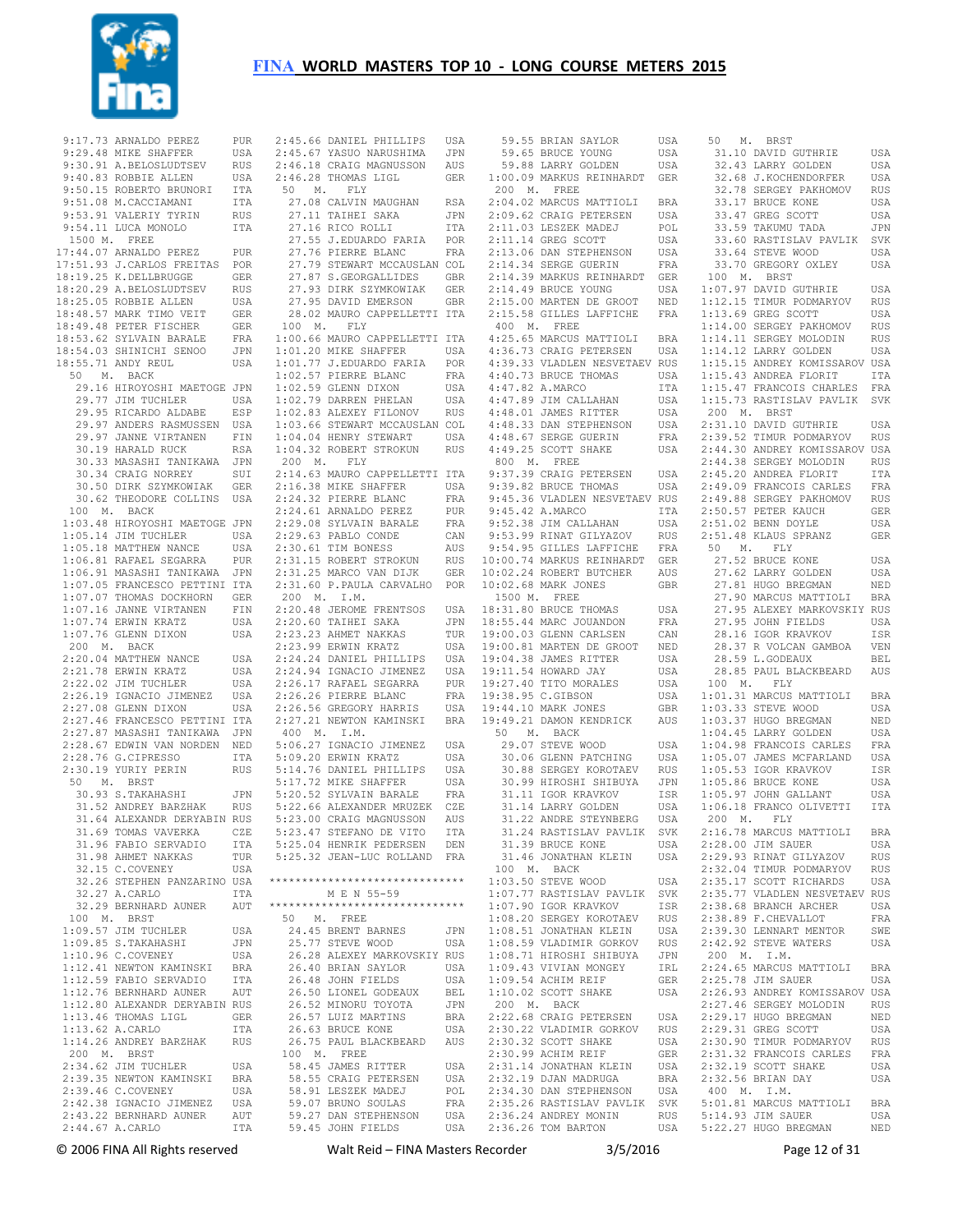

| 9:17.73 ARNALDO PEREZ                                                                                                                                                                                    | PUR        |
|----------------------------------------------------------------------------------------------------------------------------------------------------------------------------------------------------------|------------|
| 9:29.48 MIKE SHAFFER                                                                                                                                                                                     | USA        |
| 9:30.91 A.BELOSLUDTSEV                                                                                                                                                                                   | RUS        |
| 9:40.83 ROBBIE ALLEN                                                                                                                                                                                     | USA        |
| 9:50.15 ROBERTO BRUNORI                                                                                                                                                                                  | ITA        |
| 9:51.08 M. CACCIAMANI                                                                                                                                                                                    | ITA        |
| 9:53.91 VALERIY TYRIN                                                                                                                                                                                    | RUS        |
| 9:54.11 LUCA MONOLO                                                                                                                                                                                      | ITA        |
| 1500 M. FREE                                                                                                                                                                                             |            |
| 17:44.07 ARNALDO PEREZ                                                                                                                                                                                   | PUR        |
| 17:51.93 J.CARLOS FREITAS                                                                                                                                                                                | POR        |
| 18:19.25 K.DELLBRUGGE                                                                                                                                                                                    | GER        |
| 18:20.29 A.BELOSLUDTSEV                                                                                                                                                                                  | RUS        |
| 18:25.05 ROBBIE ALLEN<br>18:48.57 MARK TIMO VEIT<br>18:49.48 PETER FISCHER                                                                                                                               | USA        |
|                                                                                                                                                                                                          | GER        |
|                                                                                                                                                                                                          | GER        |
| 18:53.62 SYLVAIN BARALE                                                                                                                                                                                  | FRA        |
| 18:54.03 SHINICHI SENOO                                                                                                                                                                                  | JPN        |
| 18:55.71 ANDY REUL                                                                                                                                                                                       | USA        |
| 50 M. BACK                                                                                                                                                                                               |            |
|                                                                                                                                                                                                          |            |
| 29.16 HIROYOSHI MAETOGE JPN<br>29.77 JIM TUCHLER USA                                                                                                                                                     |            |
| 29.77 JIM TUCHLER<br>29.77 JIM TUCHLER<br>29.95 RICARDO ALDABE ESP<br>29.97 ANDERS RASMUSSEN USA<br>29.97 JANNE VIRTANEN FIN<br>30.19 HARALD RUCK RSA<br>30.33 MASASHI TANIKAWA JPN<br>30.34 CRAIG NOREY |            |
|                                                                                                                                                                                                          |            |
|                                                                                                                                                                                                          |            |
|                                                                                                                                                                                                          |            |
|                                                                                                                                                                                                          |            |
| 30.34 CRAIG NORREY                                                                                                                                                                                       | SUI        |
| 30.50 DIRK SZYMKOWIAK                                                                                                                                                                                    | GER        |
| 30.62 THEODORE COLLINS                                                                                                                                                                                   | USA        |
| 100 M. BACK                                                                                                                                                                                              |            |
| 1:03.48 HIROYOSHI MAETOGE JPN<br>1:05.14 JIM TUCHLER USA                                                                                                                                                 |            |
|                                                                                                                                                                                                          | USA        |
|                                                                                                                                                                                                          | USA        |
|                                                                                                                                                                                                          | PUR        |
| 1:05.18 MATTHEW NANCE<br>1:06.81 RAFAEL SEGARRA<br>1:06.91 MASASHI TANIKAWA                                                                                                                              | JPN        |
| 1:07.05 FRANCESCO PETTINI ITA<br>1:07.07 THOMAS DOCKHORN GER                                                                                                                                             |            |
|                                                                                                                                                                                                          |            |
| 1:07.16 JANNE VIRTANEN<br>1:07.74 ERWIN KRATZ                                                                                                                                                            | FIN        |
|                                                                                                                                                                                                          | USA        |
| 1:07.76 GLENN DIXON                                                                                                                                                                                      | USA        |
| 200 M. BACK                                                                                                                                                                                              |            |
| 2:20.04 MATTHEW NANCE                                                                                                                                                                                    | USA        |
| 2:21.78 ERWIN KRATZ                                                                                                                                                                                      | USA        |
| 2:22.02 JIM TUCHLER                                                                                                                                                                                      | USA        |
| 2:26.19 IGNACIO JIMENEZ<br>2:27.08 GLENN DIXON                                                                                                                                                           | USA        |
|                                                                                                                                                                                                          | USA        |
| 2:27.46 FRANCESCO PETTINI ITA<br>2:27.87 MASASHI TANIKAWA JPN<br>2:28.67 EDWIN VAN NORDEN NED                                                                                                            |            |
|                                                                                                                                                                                                          |            |
|                                                                                                                                                                                                          |            |
| 2:28.76 G.CIPRESSO                                                                                                                                                                                       | ITA        |
| 2:30.19 YURIY PERIN<br>50 M. BRST                                                                                                                                                                        | <b>RUS</b> |
| 30.93 S.TAKAHASHI                                                                                                                                                                                        | JPN        |
| 31.52 ANDREY BARZHAK RUS                                                                                                                                                                                 |            |
| 31.64 ALEXANDR DERYABIN RUS                                                                                                                                                                              |            |
| 31.69 TOMAS VAVERKA                                                                                                                                                                                      | CZE        |
| 31.96 FABIO SERVADIO                                                                                                                                                                                     | ITA        |
| 31.98 AHMET NAKKAS                                                                                                                                                                                       | TUR        |
| 32.15 C.COVENEY                                                                                                                                                                                          | USA        |
| 32.26 STEPHEN PANZARINO USA                                                                                                                                                                              |            |
| 32.27 A.CARLO                                                                                                                                                                                            | ITA        |
| 32.29 BERNHARD AUNER                                                                                                                                                                                     | AUT        |
| 100 M. BRST                                                                                                                                                                                              |            |
| 1:09.57 JIM TUCHLER                                                                                                                                                                                      | USA        |
| 1:09.85 S.TAKAHASHI                                                                                                                                                                                      | JPN        |
| 1:10.96 C.COVENEY                                                                                                                                                                                        | USA        |
| 1:12.41 NEWTON KAMINSKI                                                                                                                                                                                  | BRA        |
| 1:12.59 FABIO SERVADIO                                                                                                                                                                                   | <b>ITA</b> |
| 1:12.76 BERNHARD AUNER                                                                                                                                                                                   | AUT        |
| 1:12.80 ALEXANDR DERYABIN RUS<br>1:13.46 THOMAS LIGL GER                                                                                                                                                 |            |
|                                                                                                                                                                                                          |            |
| 1:13.62 A.CARLO                                                                                                                                                                                          | ITA        |
| 1:14.26 ANDREY BARZHAK                                                                                                                                                                                   | <b>RUS</b> |
| 200 M. BRST                                                                                                                                                                                              |            |
| 2:34.62 JIM TUCHLER                                                                                                                                                                                      | USA        |
| 2:39.35 NEWTON KAMINSKI                                                                                                                                                                                  | BRA        |
| 2:39.46 C.COVENEY                                                                                                                                                                                        | USA        |
| 2:42.38 IGNACIO JIMENEZ<br>2:43.22 BERNHARD AUNER                                                                                                                                                        | USA        |
| $2:44.67$ A.CARLO                                                                                                                                                                                        | AUT<br>ITA |
|                                                                                                                                                                                                          |            |

| 2:45.66 DANIEL PHILLIPS<br>2:45.67 YASUO NARUSHIMA JPN<br>2:46.18 CRAIG MAGNUSSON AUS                                                                                                                                                                  |            |
|--------------------------------------------------------------------------------------------------------------------------------------------------------------------------------------------------------------------------------------------------------|------------|
|                                                                                                                                                                                                                                                        |            |
| 2:46.28 THOMAS LIGL                                                                                                                                                                                                                                    | GER        |
| 50 M. FLY                                                                                                                                                                                                                                              |            |
| 27.08 CALVIN MAUGHAN RSA                                                                                                                                                                                                                               |            |
|                                                                                                                                                                                                                                                        |            |
|                                                                                                                                                                                                                                                        |            |
|                                                                                                                                                                                                                                                        |            |
|                                                                                                                                                                                                                                                        |            |
| 27.11 TAIHEI SAKA – DON<br>27.11 TAIHEI SAKA – JPN<br>27.16 RICO ROLLI – ITA<br>27.55 J.EDUARDO FARIA – POR<br>27.79 STEWART MCCAUSIAN COL<br>27.79 STEWART MCCAUSIAN COR<br>27.95 DRK SZYMKOWIAK – GER<br>27.95 DRK SZYMKOWIAK – GER<br>27.95 DRK SZY |            |
|                                                                                                                                                                                                                                                        |            |
| 28.02 MAURO CAPPELLETTI ITA                                                                                                                                                                                                                            |            |
| 100 M. FLY                                                                                                                                                                                                                                             |            |
| 100 F. LE.<br>1:00.66 MAURO CAPPELLETTI ITA<br>1.01.20 MIKE SHAFFER USA                                                                                                                                                                                |            |
| $1:01.20$ MIKE SHAFFER                                                                                                                                                                                                                                 |            |
|                                                                                                                                                                                                                                                        |            |
|                                                                                                                                                                                                                                                        |            |
| 1:01.20 MIKE SHAFFER USA<br>1:02.57 PIERRE BLANC FRAIR<br>1:02.59 GLENN DIXON USA<br>1:02.59 GLENN DIXON USA<br>1:02.79 DARREN PHELAN USA<br>1:02.83 ALEXEY FILONOV RUS<br>1:03.66 STEWART MCCAUSLAN COL<br>1:04.04 HENRY STEWART USA                  |            |
|                                                                                                                                                                                                                                                        |            |
|                                                                                                                                                                                                                                                        |            |
|                                                                                                                                                                                                                                                        |            |
| 1:04.32 ROBERT STROKUN RUS                                                                                                                                                                                                                             |            |
| $200$ $\,$ M, $\,$ $\,$ FLY<br>2:14.63 MAURO CAPPELLETTI ITA                                                                                                                                                                                           |            |
|                                                                                                                                                                                                                                                        |            |
|                                                                                                                                                                                                                                                        |            |
|                                                                                                                                                                                                                                                        |            |
| 2:14.03 MAUNO CAPPELLETTI ITA<br>2:24.32 PIERRE BIARC USA<br>2:24.32 PIERRE BIARC FRA<br>2:24.61 ARNALDO PEREZ PUR<br>2:29.08 SYLVAIN BARALE FRA<br>2:29.63 PABLO CONDE CAN<br>2:30.61 TIM BONESS AUS<br>2:31.15 ROBERT STROKUN RUS<br>2:31.15 MARCO U |            |
|                                                                                                                                                                                                                                                        |            |
|                                                                                                                                                                                                                                                        |            |
| 2:31.15 ROBERT STROKUN RUS<br>2:31.25 MARCO VAN DIJK GER<br>2:31.60 P.PAULA CARVALHO POR                                                                                                                                                               |            |
|                                                                                                                                                                                                                                                        |            |
| 200 M. I.M.                                                                                                                                                                                                                                            |            |
|                                                                                                                                                                                                                                                        |            |
|                                                                                                                                                                                                                                                        |            |
| 2:20.48 JEROME FRENTSOS USA<br>2:20.60 TAIHEI SAKA JPN<br>2:23.23 AHMET NAKKAS TUR<br>2:23.23 AHMET NAKKAS TUR                                                                                                                                         |            |
| 2:23.99 ERMIN NARTZ<br>2:23.99 ERMIN KRATZ<br>2:24.24 DANIEL PHILLIPS<br>2:24.94 IGNACIO JIMENEZ<br>2:26.17 RAFAEL SEGARRA<br>2:26.26 PIERRE BLANC<br>2:26.56 GREGORY HARRIS                                                                           | USA<br>USA |
|                                                                                                                                                                                                                                                        | USA        |
|                                                                                                                                                                                                                                                        | PUR<br>FRA |
|                                                                                                                                                                                                                                                        |            |
|                                                                                                                                                                                                                                                        | USA        |
| 2:27.21 NEWTON KAMINSKI BRA                                                                                                                                                                                                                            |            |
| $400$ M. I.M.                                                                                                                                                                                                                                          | USA        |
| 5:06.27 IGNACIO JIMENEZ<br>5:09.20 ERWIN KRATZ                                                                                                                                                                                                         | USA        |
|                                                                                                                                                                                                                                                        |            |
|                                                                                                                                                                                                                                                        |            |
|                                                                                                                                                                                                                                                        |            |
|                                                                                                                                                                                                                                                        |            |
| 951922 MARIN MARIN 1981<br>5:11.76 DANIEL PHILLIPS USA<br>5:20.52 SYLVAIN BARALE FRA<br>5:22.66 ALEXANDER MRUZEK CZE<br>5:23.00 CRAIG MAGNUSSON AUS<br>5:23.00 CRAIG MAGNUSSON AUS                                                                     |            |
| 5:23.47 STEFANO DE VITO<br>5:25.04 HENRIK PEDERSEN                                                                                                                                                                                                     | ITA<br>DEN |
| 5:25.32 JEAN-LUC ROLLAND                                                                                                                                                                                                                               | FRA        |
|                                                                                                                                                                                                                                                        |            |
| *****************************<br>M E N 55-59                                                                                                                                                                                                           |            |
| ******************************                                                                                                                                                                                                                         |            |
| 50 M. FREE                                                                                                                                                                                                                                             |            |
| 24.45 BRENT BARNES                                                                                                                                                                                                                                     | JPN        |
| 25.77 STEVE WOOD                                                                                                                                                                                                                                       | USA        |
| 26.28 ALEXEY MARKOVSKIY RUS<br>26.40 BRIAN SAYLOR USA                                                                                                                                                                                                  |            |
| 26.48 JOHN FIELDS                                                                                                                                                                                                                                      | USA        |
|                                                                                                                                                                                                                                                        | BEL        |
| 26.50 LIONEL GODEAUX<br>26.52 MINORU TOYOTA                                                                                                                                                                                                            | JPN        |
|                                                                                                                                                                                                                                                        | BRA        |
| 26.57 LUIZ MARTINS<br>26.63 BRUCE KONE<br>26.75 PAUL BLACKBEARD                                                                                                                                                                                        | USA        |
|                                                                                                                                                                                                                                                        | AUS        |
| 100 M. FREE<br>58.45 JAMES RITTER                                                                                                                                                                                                                      |            |
|                                                                                                                                                                                                                                                        |            |
| 58.55 CRAIG PETERSEN                                                                                                                                                                                                                                   | USA<br>USA |
|                                                                                                                                                                                                                                                        | POL        |
|                                                                                                                                                                                                                                                        | FRA        |
| 58.91 LESZEK MADEJ<br>59.07 BRUNO SOULAS<br>59.27 DAN STEPHENSON<br>59.27 DAN STEPHENSON<br>59.45 JOHN FIELDS                                                                                                                                          | USA<br>USA |

© 2006 FINA All Rights reserved Walt Reid – FINA Masters Recorder 3/5/2016

|              | 59.55 BRIAN SAYLOR<br>59.65 BRUCE YOUNG                                                                                                                 | USA        |
|--------------|---------------------------------------------------------------------------------------------------------------------------------------------------------|------------|
|              |                                                                                                                                                         | USA        |
|              |                                                                                                                                                         |            |
|              | 59.88 LARRY GOLDEN<br>00.09 MADWIG --                                                                                                                   | USA        |
|              | 1:00.09 MARKUS REINHARDT GER                                                                                                                            |            |
| 200 M. FREE  |                                                                                                                                                         |            |
|              | 2:04.02 MARCUS MATTIOLI                                                                                                                                 | BRA        |
|              |                                                                                                                                                         |            |
|              | $2:09.62$ CRAIG PETERSEN                                                                                                                                | USA        |
|              |                                                                                                                                                         | POL        |
|              | 2:11.03 LESZEK MADEJ<br>2:11.14 GREG SCOTT                                                                                                              | USA        |
|              |                                                                                                                                                         | USA        |
|              | 2:13.06 DAN STEPHENSON<br>2:14.34 SERGE GUERIN                                                                                                          |            |
|              |                                                                                                                                                         | FRA        |
|              | 2:14.39 MARKUS REINHARDT                                                                                                                                | GER        |
|              | 2:14.49 BRUCE YOUNG                                                                                                                                     | USA        |
|              | 2:15.00 MARTEN DE GROOT NED                                                                                                                             |            |
|              |                                                                                                                                                         |            |
|              | 2:15.58 GILLES LAFFICHE                                                                                                                                 | FRA        |
| 400 M. FREE  |                                                                                                                                                         |            |
|              | 4:25.65 MARCUS MATTIOLI BRA<br>4:36.73 CRAIG PETERSEN USA                                                                                               |            |
|              |                                                                                                                                                         |            |
|              | 4:39.33 VLADLEN NESVETAEV RUS                                                                                                                           |            |
|              | 4:40.73 BRUCE THOMAS                                                                                                                                    |            |
|              |                                                                                                                                                         | USA        |
|              |                                                                                                                                                         | ITA        |
|              |                                                                                                                                                         | USA        |
|              |                                                                                                                                                         | USA        |
|              |                                                                                                                                                         | USA        |
|              |                                                                                                                                                         |            |
|              |                                                                                                                                                         | FRA        |
|              |                                                                                                                                                         | USA        |
| 800 M. FREE  | 4:47.82 A.MARCO<br>4:47.89 JIM CALLAHAN<br>4:48.01 JAMES RITTER<br>4:48.33 DAN STEPHENSON<br>4:48.67 SERGE GUERIN<br>4:49.25 SCOTT SHAKE<br>800 M. FREE |            |
|              | 9:37.39 CRAIG PETERSEN USA<br>9:39.82 BRUCE THOMAS USA                                                                                                  |            |
|              |                                                                                                                                                         |            |
|              | 9:45.36 VLADLEN NESVETAEV RUS                                                                                                                           |            |
|              |                                                                                                                                                         |            |
|              | 9:45.42 A.MARCO                                                                                                                                         | ITA        |
|              | 9:52.38 JIM CALLAHAN<br>9:53.99 RINAT GILYAZOV                                                                                                          | USA        |
|              |                                                                                                                                                         | RUS        |
|              |                                                                                                                                                         |            |
|              | 9:54.95 GILLES LAFFICHE                                                                                                                                 | FRA        |
|              |                                                                                                                                                         |            |
|              | 10:00.74 MARKUS REINHARDT GER<br>10:02.24 ROBERT BUTCHER AUS<br>10:02.68 MARK JONES GBR                                                                 |            |
|              |                                                                                                                                                         |            |
| 1500 M. FREE |                                                                                                                                                         |            |
|              |                                                                                                                                                         |            |
|              | 18:31.80 BRUCE THOMAS                                                                                                                                   | USA        |
|              |                                                                                                                                                         | FRA        |
|              | 18:31.80 BRUCE THOMAS<br>18:55.44 MARC JOUANDON<br>19:00.03 GLENN CARLSEN                                                                               | CAN        |
|              | 19:00.81 MARTEN DE GROOT NED                                                                                                                            |            |
|              |                                                                                                                                                         | USA        |
|              | 19:04.38 JAMES RITTER<br>19:11.54 HOWARD JAY<br>19:27.40 TITO MORALES                                                                                   |            |
|              |                                                                                                                                                         | USA        |
|              |                                                                                                                                                         | USA        |
|              | 19:38.95 C.GIBSON                                                                                                                                       | USA        |
|              | 19:38.95 C.GIBSON<br>19:44.10 MARK JONES                                                                                                                | GBR        |
|              | 19:49.21 DAMON KENDRICK AUS                                                                                                                             |            |
|              |                                                                                                                                                         |            |
| 50 M. BACK   |                                                                                                                                                         |            |
|              | 29.07 STEVE WOOD                                                                                                                                        | USA        |
|              |                                                                                                                                                         | USA        |
|              |                                                                                                                                                         | RUS        |
|              |                                                                                                                                                         |            |
|              |                                                                                                                                                         |            |
|              |                                                                                                                                                         | JPN        |
|              |                                                                                                                                                         | ISR        |
|              |                                                                                                                                                         | USA        |
|              | 2000 GLEND NOUD<br>30.88 SERGEY KOROTAEV<br>30.99 HIROSHI SHIBUYA<br>31.11 IGOR KRAVKOV<br>31.14 LARRY GOLDEN<br>31.22 ANDRE STEYNBERG                  | USA        |
|              |                                                                                                                                                         |            |
|              | 31.24 RASTISLAV PAVLIK SVK                                                                                                                              |            |
|              | 31.39 BRUCE KONE                                                                                                                                        | USA        |
|              | 31.46 JONATHAN KLEIN                                                                                                                                    | USA        |
|              | 100 M. BACK                                                                                                                                             |            |
|              | 1:03.50 STEVE WOOD                                                                                                                                      | USA        |
|              |                                                                                                                                                         |            |
|              | 1:07.77 RASTISLAV PAVLIK                                                                                                                                | SVK        |
|              |                                                                                                                                                         |            |
|              | 1:07.90 IGOR KRAVKOV ISR<br>1:08.20 SERGEY KOROTAEV RUS                                                                                                 |            |
|              | $1:08.51$ JONATHAN KLEIN                                                                                                                                | USA        |
|              |                                                                                                                                                         | RUS        |
|              |                                                                                                                                                         |            |
|              | 1:08.59 VLADIMIR GORKOV<br>1:08.71 HIROSHI SHIBUYA                                                                                                      | JPN        |
|              | 1:09.43 VIVIAN MONGEY                                                                                                                                   | IRL        |
|              | $1:09.54$ ACHIM REIF                                                                                                                                    | GER        |
|              | 1:10.02 SCOTT SHAKE                                                                                                                                     | USA        |
|              | 200 M. BACK                                                                                                                                             |            |
|              |                                                                                                                                                         | USA        |
|              | 2:22.68 CRAIG PETERSEN                                                                                                                                  |            |
|              | 2:30.22 VLADIMIR GORKOV                                                                                                                                 | RUS        |
|              | 2:30.32 SCOTT SHAKE                                                                                                                                     | USA        |
|              | 2:30.99 ACHIM REIF                                                                                                                                      | GER        |
|              | 2:31.14 JONATHAN KLEIN                                                                                                                                  | USA        |
|              |                                                                                                                                                         |            |
|              |                                                                                                                                                         | BRA        |
|              | 2:32.19 DJAN MADRUGA<br>2:34.30 DAN STEPHENSON                                                                                                          | USA        |
|              | 2:35.26 RASTISLAV PAVLIK SVK                                                                                                                            |            |
|              | 2:36.24 ANDREY MONIN<br>2:36.26 TOM BARTON                                                                                                              | RUS<br>USA |

|             | 50 M. BRST                                                                                                                                                                                                                                     |              |
|-------------|------------------------------------------------------------------------------------------------------------------------------------------------------------------------------------------------------------------------------------------------|--------------|
|             | 31.10 DAVID GUTHRIE<br>32.43 LARRY GOLDEN<br>32.68 J.KOCHENDORFER                                                                                                                                                                              | USA<br>USA   |
|             |                                                                                                                                                                                                                                                |              |
|             | 32.43 LAKKI GULDEN USA<br>32.68 J.KOCHENDORFER USA<br>32.78 SERGEY PAKHOMOV RUS<br>33.17 BRUCE KONE USA                                                                                                                                        |              |
|             |                                                                                                                                                                                                                                                |              |
|             | 33.47 GREG SCOTT                                                                                                                                                                                                                               |              |
|             | SCOTT توسيق<br>33.59 TAKUMU TADA<br>33.60 PACTI                                                                                                                                                                                                | USA          |
|             | 33.60 RASTISLAV PAVLIK SVK                                                                                                                                                                                                                     | JPN          |
|             | 33.64 STEVE WOOD                                                                                                                                                                                                                               | USA          |
|             | 33.70 GREGORY OXLEY                                                                                                                                                                                                                            | USA          |
|             | 100 M. BRST                                                                                                                                                                                                                                    |              |
|             | 1:07.97 DAVID GUTHRIE                                                                                                                                                                                                                          | USA          |
|             | 1:12.15 TIMUR PODMARYOV                                                                                                                                                                                                                        |              |
|             | 1:13.69 GREG SCOTT                                                                                                                                                                                                                             | RUS<br>USA   |
|             | 1:14.00 SERGEY PAKHOMOV RUS<br>1:14.11 SERGEY MOLODIN RUS<br>1:14.12 LARRY GOLDEN USA                                                                                                                                                          |              |
|             |                                                                                                                                                                                                                                                |              |
|             |                                                                                                                                                                                                                                                |              |
|             | 1:15.15 ANDREY KOMISSAROV USA<br>1:15.43 ANDREA FLORIT ITA<br>1:15.47 FRANCOIS CHARLES FRA                                                                                                                                                     |              |
|             |                                                                                                                                                                                                                                                |              |
|             |                                                                                                                                                                                                                                                |              |
|             | 1:15.73 RASTISLAV PAVLIK                                                                                                                                                                                                                       | SVK          |
|             | 200 M. BRST                                                                                                                                                                                                                                    |              |
|             | 2:31.10 DAVID GUTHRIE USA<br>2:39.52 TIMUR PODMARYOV RUS                                                                                                                                                                                       |              |
|             |                                                                                                                                                                                                                                                |              |
|             |                                                                                                                                                                                                                                                |              |
|             |                                                                                                                                                                                                                                                |              |
|             |                                                                                                                                                                                                                                                |              |
|             |                                                                                                                                                                                                                                                |              |
|             |                                                                                                                                                                                                                                                |              |
|             |                                                                                                                                                                                                                                                |              |
|             |                                                                                                                                                                                                                                                |              |
|             | 2:39.52 TIMUR PODMARYOV RUS<br>2:44.38 SERGEY MOMISSAROV USA<br>2:45.20 ANDREY MOLODIN RUS<br>2:45.20 ANDREA FLORIT ITA<br>2:49.09 FRANCOIS CARLES FRA<br>2:50.57 PETER KAUCH GUS<br>2:50.57 PETER KAUCH GER<br>2:51.02 BENN DOYLE USA<br>2:51 |              |
|             | 50 M. FLY<br>27.52 BRUCE KONE                                                                                                                                                                                                                  | USA          |
|             | 27.62 LARRY GOLDEN<br>27.81 HUGO BREGMAN                                                                                                                                                                                                       | USA          |
|             |                                                                                                                                                                                                                                                |              |
|             | 27.81 HUGO BREGMAN NED<br>27.90 MARCUS MATTIOLI BRA<br>27.95 ALEXEY MARKOVSKIY RUS                                                                                                                                                             |              |
|             |                                                                                                                                                                                                                                                |              |
|             | 27.95 JOHN FIELDS                                                                                                                                                                                                                              |              |
|             |                                                                                                                                                                                                                                                |              |
|             | 27.95 JOHN FIELDS USA<br>28.16 IGOR KRAVKOV ISR<br>28.37 R VOLCAN GAMBOA VEN                                                                                                                                                                   |              |
|             | 28.59 L.GODEAUX                                                                                                                                                                                                                                | BEL          |
|             | 28.85 PAUL BLACKBEARD                                                                                                                                                                                                                          | AUS          |
|             | 100 M. FLY                                                                                                                                                                                                                                     |              |
|             | 1:01.31 MARCUS MATTIOLI BRA                                                                                                                                                                                                                    |              |
|             | 1:03.37 HUGO BREGMAN USA<br>1:03.37 HUGO BREGMAN NED<br>1:04.45 LARRY GOLDEN USA<br>1:04.98 FRANCOIS CARLES FRA<br>1:05.07 JAMES MCFARLAND USA<br>1:05.53 IGOR KRAVKOV ISR<br>1:05.56 BRUCE KONE USA<br>1:05.56 BRUCE KONE USA<br>1:05.97 JOHN |              |
|             |                                                                                                                                                                                                                                                |              |
|             |                                                                                                                                                                                                                                                |              |
|             |                                                                                                                                                                                                                                                |              |
|             |                                                                                                                                                                                                                                                |              |
|             |                                                                                                                                                                                                                                                |              |
|             |                                                                                                                                                                                                                                                | $_{\rm USA}$ |
|             | 1:06.18 FRANCO OLIVETTI ITA                                                                                                                                                                                                                    |              |
| 200 M. FLY  |                                                                                                                                                                                                                                                |              |
|             | 2:16.78 MARCUS MATTIOLI                                                                                                                                                                                                                        | <b>BRA</b>   |
|             | 2:28.00 JIM SAUER                                                                                                                                                                                                                              | USA          |
|             | 2:29.93 RINAT GILYAZOV                                                                                                                                                                                                                         | RUS          |
|             |                                                                                                                                                                                                                                                |              |
|             | 2:32.04 TIMUR PODMARYOV RUS<br>2:35.17 SCOTT RICHARDS USA<br>2:35.77 VLADLEN NESVETAEV RUS                                                                                                                                                     |              |
|             |                                                                                                                                                                                                                                                |              |
|             | 2:38.68 BRANCH ARCHER                                                                                                                                                                                                                          | USA          |
|             | 2:38.89 F.CHEVALLOT<br>2:39.30 LENNART MENTOR                                                                                                                                                                                                  | FRA          |
|             |                                                                                                                                                                                                                                                | SWE          |
| 200 M. I.M. | 2:42.92 STEVE WATERS                                                                                                                                                                                                                           | USA          |
|             | 2:24.65 MARCUS MATTIOLI BRA                                                                                                                                                                                                                    |              |
|             | 2:25.78 JIM SAUER                                                                                                                                                                                                                              | USA          |
|             |                                                                                                                                                                                                                                                |              |
|             | 2:26.93 ANDREY KOMISSAROV USA<br>2:27.46 SERGEY MOLODIN RUS                                                                                                                                                                                    |              |
|             | 2:29.17 HUGO BREGMAN<br>2:29.17 HUGO BREGMAN<br>2:29.31 GREG SCOTT<br>2:30.90 TIMUR PODMARYOV<br>2:31.32 FRANCOIS CARLES<br>2:32.19 SCOTT SHAKE                                                                                                | NED          |
|             |                                                                                                                                                                                                                                                | USA          |
|             |                                                                                                                                                                                                                                                | RUS          |
|             |                                                                                                                                                                                                                                                | FRA          |
|             |                                                                                                                                                                                                                                                | USA          |
|             | 2:32.56 BRIAN DAY                                                                                                                                                                                                                              | USA          |
|             | 400 M. I.M.<br>5:01.81 MARCUS MATTIOLI<br>5:14.93 JIM SAUER                                                                                                                                                                                    |              |
|             |                                                                                                                                                                                                                                                | <b>BRA</b>   |
|             |                                                                                                                                                                                                                                                | USA          |
|             | 5:22.27 HUGO BREGMAN                                                                                                                                                                                                                           | NED          |
|             | Page 12 of 31                                                                                                                                                                                                                                  |              |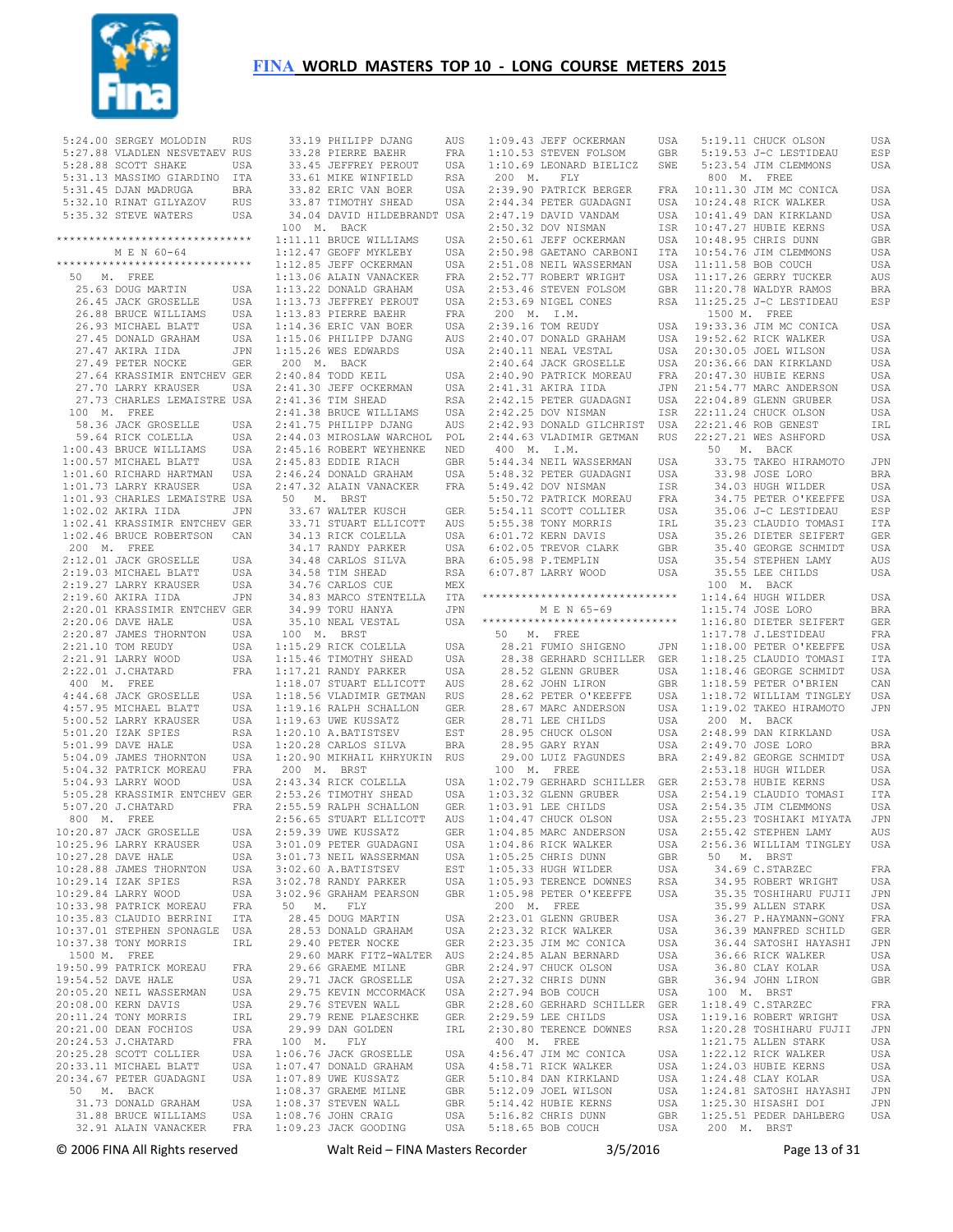

| 5:24.00 SERGEY MOLODIN RUS                                                           |            |
|--------------------------------------------------------------------------------------|------------|
| 5:27.88 VLADLEN NESVETAEV RUS                                                        |            |
| 5:28.88 SCOTT SHAKE                                                                  | USA        |
| 5:31.13 MASSIMO GIARDINO ITA                                                         |            |
| 5:31.45 DJAN MADRUGA                                                                 | <b>BRA</b> |
| 5:32.10 RINAT GILYAZOV RUS<br>5:35.32 STEVE WATERS                                   |            |
|                                                                                      | USA        |
| *******************************                                                      |            |
| M E N 60-64                                                                          |            |
| ******************************                                                       |            |
| 50 M. FREE                                                                           |            |
| 25.63 DOUG MARTIN<br>26.45 JACK GROSELLE                                             | USA        |
|                                                                                      | USA        |
| 26.88 BRUCE WILLIAMS                                                                 | USA        |
| 26.93 MICHAEL BLATT                                                                  | USA        |
| 27.45 DONALD GRAHAM<br>27.47 AKIRA IIDA                                              | USA        |
| 27.47 AKIRA IIDA<br>27.49 PETER NOCKE                                                | JPN        |
|                                                                                      | GER        |
| 27.64 KRASSIMIR ENTCHEV GER<br>27.70 LARRY KRAUSER                                   | USA        |
| 27.73 CHARLES LEMAISTRE USA                                                          |            |
| 100 M. FREE                                                                          |            |
| 58.36 JACK GROSELLE                                                                  | USA        |
| 59.64 RICK COLELLA<br>1:00.43 BRUCE WILLIAMS                                         | USA        |
|                                                                                      | USA        |
| $1:00.57$ MICHAEL BLATT                                                              | USA        |
| 1:01.60 RICHARD HARTMAN<br>1:01.73 LARRY KRAUSER                                     | USA        |
|                                                                                      | USA        |
| 1:01.93 CHARLES LEMAISTRE USA                                                        |            |
| 1:02.02 AKIRA IIDA JPN<br>1:02.41 KRASSIMIR ENTCHEV GER                              |            |
| 1:02.46 BRUCE ROBERTSON CAN                                                          |            |
| 200 M. FREE                                                                          |            |
| 2:12.01 JACK GROSELLE                                                                | USA        |
|                                                                                      | USA        |
|                                                                                      | USA        |
| 2:19.03 MICHAEL BLATT<br>2:19.27 LARRY KRAUSER<br>2:19.60 AKIRA IIDA                 | JPN        |
|                                                                                      |            |
| 2:20.01 KRASSIMIR ENTCHEV GER<br>2:20.06 DAVE HALE USA<br>2:20.87 JAMES THORNTON USA |            |
| 2:21.10 TOM REUDY                                                                    | USA        |
| 2:21.91 LARRY WOOD<br>2:21.91 LARRY WOOD<br>2:22.01 J CHATARR                        | USA        |
| 2:22.01 J. CHATARD                                                                   | <b>FRA</b> |
| 400 M. FREE                                                                          |            |
| 4:44.68 JACK GROSELLE<br>4:57.95 MICHAEL BLATT                                       | USA        |
|                                                                                      | USA        |
| 5:00.52 LARRY KRAUSER<br>5:01.20 IZAK SPIES                                          | USA        |
|                                                                                      | RSA        |
| $5:01.99$ DAVE HALE<br>5:04.09 JAMES THORNTON                                        | USA<br>USA |
| 5:04.32 PATRICK MOREAU                                                               | FRA        |
| 5:04.93 LARRY WOOD                                                                   | USA        |
| 5:05.28 KRASSIMIR ENTCHEV GER                                                        |            |
| 5:07.20 J. CHATARD                                                                   | FRA        |
| 800 M. FREE                                                                          |            |
| 10:20.87 JACK GROSELLE                                                               | USA        |
| 10:25.96 LARRY KRAUSER                                                               | USA        |
| 10:27.28 DAVE HALE                                                                   | USA        |
| 10:28.88 JAMES THORNTON<br>10:29.14 IZAK SPIES                                       | USA<br>RSA |
| 10:29.84 LARRY WOOD                                                                  | USA        |
| 10:33.98 PATRICK MOREAU                                                              | FRA        |
| 10:35.83 CLAUDIO BERRINI                                                             | <b>ITA</b> |
| 10:37.01 STEPHEN SPONAGLE                                                            | USA        |
| 10:37.38 TONY MORRIS                                                                 | IRL        |
| 1500 M. FREE                                                                         |            |
| 19:50.99 PATRICK MOREAU                                                              | FRA        |
| 19:54.52 DAVE HALE<br>20:05.20 NEIL WASSERMAN                                        | USA        |
| 20:08.00 KERN DAVIS                                                                  | USA        |
| 20:11.24 TONY MORRIS                                                                 |            |
|                                                                                      | USA        |
|                                                                                      | IRL        |
| 20:21.00 DEAN FOCHIOS<br>20:24.53 J.CHATARD                                          | USA<br>FRA |
| 20:25.28 SCOTT COLLIER                                                               | USA        |
| 20:33.11 MICHAEL BLATT                                                               | USA        |
| 20:34.67 PETER GUADAGNI                                                              | USA        |
|                                                                                      |            |
| 50 M. BACK<br>31.73 DONALD GRAHAM<br>31.88 BRUCE WILLIAMS                            | USA<br>USA |

33.28 PIERRE BAEHR 33.45 JEFFREY PEROUT USA 33.61 MIKE WINFIELD RSA 33.82 ERIC VAN BOER USA 33.87 TIMOTHY SHEAD USA 34.04 DAVID HILDEBRANDT USA 100 M. BACK 1:11.11 BRUCE WILLIAMS USA 1:12.47 GEOFF MYKLEBY USA 1:12.85 JEFF OCKERMAN USA 1:13.06 ALAIN VANACKER FRA 1:13.22 DONALD GRAHAM USA 1:13.73 JEFFREY PEROUT USA 1:13.83 PIERRE BAEHR FRA 1:14.36 ERIC VAN BOER USA 1:15.06 PHILIPP DJANG AUS 1:15.26 WES EDWARDS USA 200 M. BACK 2:40.84 TODD KEIL USA<br>2:41.30 JEFF OCKERMAN USA  $2:41.30$  JEFF OCKERMAN 2:41.36 TIM SHEAD RSA<br>2:41.38 BRUCE WILLIAMS USA 2:41.38 BRUCE WILLIAMS 2:41.75 PHILIPP DJANG AUS 2:44.03 MIROSLAW WARCHOL POL 2:45.16 ROBERT WEYHENKE NED 2:45.83 EDDIE RIACH GBR 2:46.24 DONALD GRAHAM USA 2:47.32 ALAIN VANACKER FRA 50 M. BRST 33.67 WALTER KUSCH GER 33.71 STUART ELLICOTT AUS 34.13 RICK COLELLA USA 34.17 RANDY PARKER USA 34.48 CARLOS SILVA BRA 34.58 TIM SHEAD RSA 34.76 CARLOS CUE MEX 34.99 TORU HANYA JPN 35.10 NEAL VESTAL USA 100 M. BRST 1:15.29 RICK COLELLA USA<br>1:15.46 TIMOTHY SHEAD USA  $1:15.46$  TIMOTHY SHEAD 1:17.21 RANDY PARKER USA 1:18.07 STUART ELLICOTT AUS 1:18.56 VLADIMIR GETMAN RUS<br>1:19.16 RALPH SCHALLON GER  $1:19.16$  RALPH SCHALLON 1:19.63 UWE KUSSATZ GER 1:20.10 A.BATISTSEV EST 1:20.28 CARLOS SILVA BRA 1:20.90 MIKHAIL KHRYUKIN RUS 200 M. BRST 2:43.34 RICK COLELLA USA  $2:53.26$  TIMOTHY SHEAD 2:55.59 RALPH SCHALLON 2:56.65 STUART ELLICOTT AUS 2:59.39 UWE KUSSATZ GER 3:01.09 PETER GUADAGNI 3:01.73 NEIL WASSERMAN 3:02.60 A.BATISTSEV EST 3:02.78 RANDY PARKER USA 3:02.96 GRAHAM PEARSON GBR 50 M. FLY 28.45 DOUG MARTIN USA 28.53 DONALD GRAHAM USA 29.40 PETER NOCKE GER 29.60 MARK FITZ-WALTER AUS 29.66 GRAEME MILNE GBR 29.71 JACK GROSELLE USA 29.75 KEVIN MCCORMACK USA 29.76 STEVEN WALL GBR 29.79 RENE PLAESCHKE GER 29.99 DAN GOLDEN IRL 100 M. FLY<br>
1:06.76 JACK GROSELLE USA<br>
1:07.47 DONALD GRAHAM USA<br>
1:07.89 UWE KUSSATZ GER<br>
1:08.37 GRAEME MILNE GBR<br>
1:08.37 STEVEN WALL GBR<br>
1:08.76 JOHN CRAIG USA<br>
1:09.23 JACK GOODING USA

33.19 PHILIPP DJANG AUS<br>33.28 PIERRE BAEHR FRA

 1:09.43 JEFF OCKERMAN USA 1:10.53 STEVEN FOLSOM GBR 200 M. FLY 2:39.90 PATRICK BERGER 2:44.34 PETER GUADAGNI USA 2:47.19 DAVID VANDAM USA 2:50.32 DOV NISMAN ISR 2:50.61 JEFF OCKERMAN USA 2:50.98 GAETANO CARBONI ITA  $2:51.08$  NEIL WASSERMAN  $2:52.77$  ROBERT WRIGHT 200 M. I.M. 2:39.16 TOM REUDY USA 2:40.07 DONALD GRAHAM USA 2:40.11 NEAL VESTAL USA 2:40.64 JACK GROSELLE USA 2:40.90 PATRICK MOREAU FRA<br>2:41.31 AKIRA IIDA JPN<br>2:42.15 PETER GUADAGNI USA<br>2:42.25 DOV NISMAN ISR 400 M. I.M. 5:44.34 NEIL WASSERMAN USA 5:48.32 PETER GUADAGNI USA<br>5:49.42 DOV NISMAN ISR<br>5:50.72 PATRICK MOREAU FRA 5:49.42 DOV NISMAN ISR 5:50.72 PATRICK MOREAU FRA 5:54.11 SCOTT COLLIER USA 5:55.38 TONY MORRIS IRL 6:01.72 KERN DAVIS USA 6:02.05 TREVOR CLARK GBR 6:07.87 LARRY WOOD USA \*\*\*\*\*\*\*\*\*\*\*\*\*\*\*\*\*\*\*\*\*\*\*\*\*\*\*\*\*\* 50 M. FREE 28.21 FUMIO SHIGENO JPN 28.38 GERHARD SCHILLER GER 28.52 GLENN GRUBER USA 28.62 JOHN LIRON GBR USA 28.62 PETER O'KEEFFE USA 28.71 LEE CHILDS USA 28.95 CHUCK OLSON USA 28.95 GARY RYAN USA 29.00 LUIZ FAGUNDES BRA 200 LUIZ FAGUNDES BRA 200 M. FREE 1:02.79 GERHARD SCHILLER GER 1:03.32 GLENN GRUBER USA 1:03.91 LEE CHILDS USA 1:04.47 CHUCK OLSON USA 1:04.85 MARC ANDERSON USA 1:04.86 RICK WALKER USA 1:05.25 CHRIS DUNN GBR USA 1:05.33 HUGH WILDER USA 1:05.98 PETER O'KEEFFE USA 200 M. FREE 2:23.01 GLENN GRUBER USA 2:23.32 RICK WALKER USA 2:23.35 JIM MC CONICA USA 2:24.85 ALAN BERNARD USA 2:24.97 CHUCK OLSON USA 2:27.32 CHRIS DUNN GBR 2:27.94 BOB COUCH USA 2:28.60 GERHARD SCHILLER GER 2:29.59 LEE CHILDS USA 2:30.80 TERENCE DOWNES RSA 400 M. FREE<br>
4:56.47 JIM MC CONICA USA<br>
5:10.84 DAN KIRKLAND USA<br>
5:12.09 JOEL WILSON USA<br>
5:14.42 HUBIE KERNS USA<br>
5:16.62 CHRIS DUNN GBR<br>
5:16.65 BOB COUCH USA

 34.83 MARCO STENTELLA ITA \*\*\*\*\*\*\*\*\*\*\*\*\*\*\*\*\*\*\*\*\*\*\*\*\*\*\*\*\*\* 1:14.64 HUGH WILDER USA 1:10.69 LEONARD BIELICZ SWE 5:23.54 JIM CLEMMONS USA 2:53.46 STEVEN FOLSOM GBR 2:53.69 NIGEL CONES RSA 11:20.78 WALDYR RAMOS BRA 11:25.25 J-C LESTIDEAU ESP 2:42.93 DONALD GILCHRIST USA 22:21.46 ROB GENEST IRL 2:44.63 VLADIMIR GETMAN RUS 22:27.21 WES ASHFORD USA M E N 65-69 1:15.74 JOSE LORO BRA 5:19.11 CHUCK OLSON USA 5:19.53 J-C LESTIDEAU ESP 800 M. FREE FRA 10:11.30 JIM MC CONICA USA 10:24.48 RICK WALKER USA 10:41.49 DAN KIRKLAND USA<br>10:47.27 HUBIE KERNS USA<br>10:48.95 CHRIS DUNN GBR<br>10:54.76 JIM CLEMMONS USA 11:11.58 BOB COUCH USA<br>11:17.26 GERRY TUCKER AUS 1500 M. FREE USA 19:33.36 JIM MC CONICA USA 19:52.62 RICK WALKER USA 20:30.05 JOEL WILSON USA 20:36.66 DAN KIRKLAND USA 20:47.30 HUBIE KERNS USA 21:54.77 MARC ANDERSON USA 22:04.89 GLENN GRUBER USA 22:11.24 CHUCK OLSON USA 50 M. BACK 33.75 TAKEO HIRAMOTO JPN 33.98 JOSE LORO BRA 34.03 HUGH WILDER USA 34.75 PETER O'KEEFFE USA 35.06 J-C LESTIDEAU ESP 35.23 CLAUDIO TOMASI ITA 35.26 DIETER SEIFERT GER 35.40 GEORGE SCHMIDT USA 35.54 STEPHEN LAMY AUS 35.55 LEE CHILDS USA 100 M. BACK 1:16.80 DIETER SEIFERT GER<br>1:17.78 J.LESTIDEAU FRA<br>1:18.00 PETER O'KEEFFE USA<br>1:18.25 CLAUDIO TOMASI ITA 1:18.46 GEORGE SCHMIDT USA 1:18.59 PETER O'BRIEN CAN 1:18.72 WILLIAM TINGLEY USA 1:19.02 TAKEO HIRAMOTO JPN 200 M. BACK 2:48.99 DAN KIRKLAND USA 2:49.70 JOSE LORO BRA 2:49.82 GEORGE SCHMIDT USA 2:53.18 HUGH WILDER USA 2:53.78 HUBIE KERNS USA<br>2:54.19 CLAUDIO TOMASI UTA<br>2:54.35 JIM CLEMMONS USA<br>2:55.23 TOSHIAKI MIYATA JPN 2:55.42 STEPHEN LAMY AUS 2:56.36 WILLIAM TINGLEY USA 50 M. BRST 34.69 C.STARZEC FRA 34.95 ROBERT WRIGHT USA 35.35 TOSHIHARU FUJII JPN 35.99 ALLEN STARK USA 36.27 P.HAYMANN-GONY FRA 36.39 MANFRED SCHILD GER<br>36.44 SATOSHI HAYASHI JPN 36.44 SATOSHI HAYASHI 36.66 RICK WALKER USA 36.80 CLAY KOLAR USA 36.94 JOHN LIRON GBR 100 M. BRST 1:18.49 C.STARZEC FRA 1:19.16 ROBERT WRIGHT USA 1:20.28 TOSHIHARU FUJII JPN 1:21.75 ALLEN STARK USA 1:24.03 HUBIE KERNS USA 1:24.48 CLAY KOLAR USA 1:24.48 CLAY KOLAR USA 1:24.81 SATOSHI HAYASHI JPN 1:25.51 PEDER DAHLBERG USA 1:24.81 SATOSHI HAYASHI JPN 1:25.51 PEDER DAHLBERG USA 1:24.81 PR

© 2006 FINA All Rights reserved Walt Reid – FINA Masters Recorder 3/5/2016 Page 13 of 31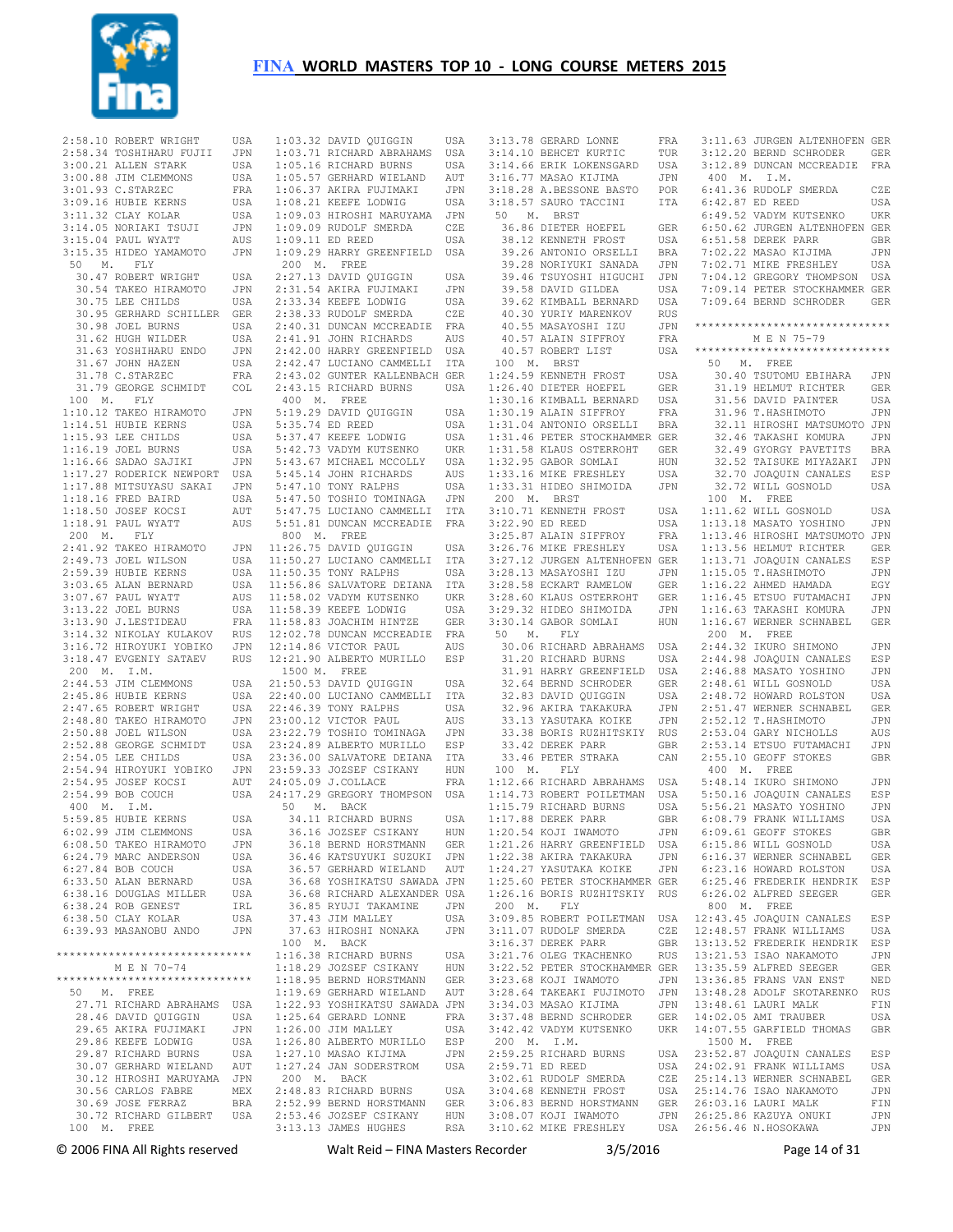

| 2:58.10 ROBERT WRIGHT                          | USA        | 1:0           |
|------------------------------------------------|------------|---------------|
| 2:58.34 TOSHIHARU FUJII                        | JPN        | 1:0           |
| $3:00.21$ ALLEN STARK                          | USA        | 1:0           |
| 3:00.88 JIM CLEMMONS                           | USA        | 1:0           |
| 3:01.93 C. STARZEC                             | FRA        | 1:0           |
| 3:09.16 HUBIE KERNS                            | USA        | 1:0           |
| 3:11.32 CLAY KOLAR                             | USA        | 1:0           |
| 3:14.05 NORIAKI TSUJI                          | JPN        | 1:0           |
| 3:15.04 PAUL WYATT                             | AUS        | 1:0           |
| 3:15.35 HIDEO YAMAMOTO                         | JPN        | 1:0           |
| 50<br>M. FLY<br>30.47 ROBERT WRIGHT            |            | 2(<br>2:2     |
| 30.54 TAKEO HIRAMOTO                           | USA        |               |
| 30.75 LEE CHILDS                               | JPN<br>USA | 2:3<br>2:3    |
| 30.95 GERHARD SCHILLER                         | GER        | 2:            |
| 30.98 JOEL BURNS                               | USA        | 2:4           |
| 31.62 HUGH WILDER                              | USA        | 2:4           |
| 31.63 YOSHIHARU ENDO                           | JPN        | 2:4           |
| 31.67 JOHN HAZEN                               | USA        | 2:4           |
| 31.78 C.STARZEC                                | FRA        | 2:4           |
| 31.79 GEORGE SCHMIDT                           | COL        | 2:4           |
| 100 M. FLY                                     |            | 4(            |
| 1:10.12 TAKEO HIRAMOTO                         | JPN        | 5:            |
| 1:14.51 HUBIE KERNS                            | USA        | 5:            |
| 1:15.93 LEE CHILDS                             | USA        | 5:            |
| 1:16.19 JOEL BURNS                             | USA        | 5:4           |
| 1:16.66 SADAO SAJIKI                           | JPN        | 5:            |
| 1:17.27 RODERICK NEWPORT                       | USA        | 5:4           |
| 1:17.88 MITSUYASU SAKAI                        | JPN        | 5:4           |
| 1:18.16 FRED BAIRD                             | USA        | 5:4           |
| $1:18.50$ JOSEF KOCSI                          | AUT        | 5:4           |
| 1:18.91 PAUL WYATT                             | AUS        | 5:            |
| 200 M. FLY                                     |            | 8(            |
| 2:41.92 TAKEO HIRAMOTO                         | JPN        | 11:2          |
| 2:49.73 JOEL WILSON                            | USA        | 11:           |
| 2:59.39 HUBIE KERNS                            | USA        | 11:           |
| 3:03.65 ALAN BERNARD                           | USA        | 11:           |
| 3:07.67 PAUL WYATT                             | AUS        | 11:           |
| 3:13.22 JOEL BURNS                             | USA        | 11:           |
| 3:13.90 J.LESTIDEAU                            | FRA        | 11:           |
| 3:14.32 NIKOLAY KULAKOV                        | RUS        | 12:1          |
| 3:16.72 HIROYUKI YOBIKO                        | JPN        | 12:           |
| 3:18.47 EVGENIY SATAEV                         | RUS        | 12:2          |
| 200 M. I.M.                                    |            | 1!            |
| 2:44.53 JIM CLEMMONS                           | USA        | 21:           |
| 2:45.86 HUBIE KERNS                            | USA        | 22:           |
| 2:47.65 ROBERT WRIGHT                          | USA        | 22:           |
| 2:48.80 TAKEO HIRAMOTO                         | JPN        | 23:1          |
| 2:50.88 JOEL WILSON                            | USA        | 23:2          |
| 2:52.88 GEORGE SCHMIDT<br>2:54.05 LEE CHILDS   | USA        | 23:2<br>23:   |
|                                                | USA<br>JPN |               |
| 2:54.94 HIROYUKI YOBIKO<br>2:54.95 JOSEF KOCSI | AUT        | 23:5<br>24:1  |
| 2:54.99 BOB COUCH                              | USA        | 24:           |
| 400 M. I.M.                                    |            | 5             |
| 5:59.85 HUBIE KERNS                            | USA        |               |
| 6:02.99 JIM CLEMMONS                           | USA        |               |
| 6:08.50 TAKEO HIRAMOTO                         | JPN        |               |
| 6:24.79 MARC ANDERSON                          | USA        |               |
| 6:27.84 BOB COUCH                              | USA        |               |
| 6:33.50 ALAN BERNARD                           | USA        | アンティング アンディング |
| 6:38.16 DOUGLAS MILLER                         | USA        |               |
| 6:38.24 ROB GENEST                             | IRL        |               |
| 6:38.50 CLAY KOLAR                             | USA        |               |
| 6:39.93 MASANOBU ANDO                          | JPN        |               |
|                                                |            | $\mathbf{1}$  |
| *******************************                |            | 1:            |
| M E N 70-74                                    |            | 1:            |
| *******************************                |            | 1:            |
| 50 M. FREE                                     |            | 1:            |
| 27.71 RICHARD ABRAHAMS                         | USA        | 1:2           |
| 28.46 DAVID QUIGGIN                            | USA        | 1:2           |
| 29.65 AKIRA FUJIMAKI                           | JPN        | 1:2           |
| 29.86 KEEFE LODWIG                             | USA        | 1:2           |
| 29.87 RICHARD BURNS                            | USA        | 1:2           |
| 30.07 GERHARD WIELAND                          | AUT        | 1:2           |
| 30.12 HIROSHI MARUYAMA                         | JPN        | 2(            |
| 30.56 CARLOS FABRE                             | MEX        | 2:4           |
| 30.69 JOSE FERRAZ                              | BRA        | 2:!           |
| 30.72 RICHARD GILBERT                          | USA        | 2:5           |
| 100 M. FREE                                    |            | 3:1           |

03.32 DAVID OUIGGIN USA 03.71 RICHARD ABRAHAMS USA 05.16 RICHARD BURNS USA 1:05.57 GERHARD WIELAND AUT 06.37 AKIRA FUJIMAKI JPN 08.21 KEEFE LODWIG USA 1:09.03 HIROSHI MARUYAMA JPN 09.09 RUDOLF SMERDA CZE<br>09.11 ED REED USA 09.11 ED REED 1:09.29 HARRY GREENFIELD USA 200 M. FREE 2:27.13 DAVID QUIGGIN USA 2:31.54 AKIRA FUJIMAKI JPN 2:33.34 KEEFE LODWIG USA 2:38.33 RUDOLF SMERDA CZE 2:40.31 DUNCAN MCCREADIE FRA 2:41.91 JOHN RICHARDS AUS 2:42.00 HARRY GREENFIELD USA 2:42.47 LUCIANO CAMMELLI ITA 2:43.02 GUNTER KALLENBACH GER 2:43.15 RICHARD BURNS USA 400 M. FREE 5:19.29 DAVID QUIGGIN USA 5:35.74 ED REED USA 37.47 KEEFE LODWIG 42.73 VADYM KUTSENKO 5:43.67 MICHAEL MCCOLLY USA 45.14 JOHN RICHARDS AUS 5:47.10 TONY RALPHS USA 5:47.50 TOSHIO TOMINAGA JPN 5:47.75 LUCIANO CAMMELLI ITA 5:51.81 DUNCAN MCCREADIE FRA 800 M. FREE 11:26.75 DAVID QUIGGIN USA 11:50.27 LUCIANO CAMMELLI ITA 11:50.35 TONY RALPHS USA 11:56.86 SALVATORE DEIANA ITA 11:58.02 VADYM KUTSENKO UKR 11:58.39 KEEFE LODWIG USA 11:58.83 JOACHIM HINTZE GER 12:02.78 DUNCAN MCCREADIE FRA 14.86 VICTOR PAUL AUS 21.90 ALBERTO MURILLO ESP 1500 M. FREE 21:50.53 DAVID QUIGGIN USA 22:40.00 LUCIANO CAMMELLI ITA 22:46.39 TONY RALPHS USA 00.12 VICTOR PAUL AUS 23:22.79 TOSHIO TOMINAGA JPN 24:39 ALBERTO MURILLO ESP 23:36.00 SALVATORE DEIANA ITA 23:59.33 JOZSEF CSIKANY HUN 24:05.09 J.COLLACE FRA 24:17.29 GREGORY THOMPSON USA 1:12.66 RICHARD ABRAHAMS USA 1:14.73 ROBERT POILETMAN USA 50 M. BACK 34.11 RICHARD BURNS USA 36.16 JOZSEF CSIKANY HUN 36.18 BERND HORSTMANN GER 36.46 KATSUYUKI SUZUKI JPN 36.57 GERHARD WIELAND AUT 36.68 YOSHIKATSU SAWADA JPN 36.68 RICHARD ALEXANDER USA 36.85 RYUJI TAKAMINE JPN 37.43 JIM MALLEY USA 16.38 RICHARD BURNS USA 18.29 JOZSEF CSIKANY HUN 1:18.95 BERND HORSTMANN GER 1:19.69 GERHARD WIELAND AUT 1:22.93 YOSHIKATSU SAWADA JPN 25.64 GERARD LONNE FRA<br>26.00 JIM MALLEY USA 26.00 JIM MALLEY USA<br>26.80 ALBERTO MURJIJO RSP 26.80 ALBERTO MURILLO 1:27.10 MASAO KIJIMA JPN 1:27.24 JAN SODERSTROM USA 200 M. BACK <sup>UU</sup> M. BAUN<br>48.83 RICHARD BURNS USA 2:52.99 BERND HORSTMANN GER 53.46 JOZSEF CSIKANY 13.13 JAMES HUGHES

 3:13.78 GERARD LONNE FRA 3:14.10 BEHCET KURTIC TUR 3:14.66 ERIK LOKENSGARD USA 3:16.77 MASAO KIJIMA JPN  $3:18.28$  A.BESSONE BASTO 3:18.57 SAURO TACCINI 50 M. BRST 36.86 DIETER HOEFEL GER 38.12 KENNETH FROST USA 39.26 ANTONIO ORSELLI BRA 39.28 NORIYUKI SANADA JPN 39.46 TSUYOSHI HIGUCHI JPN 39.58 DAVID GILDEA USA 39.62 KIMBALL BERNARD USA 40.30 YURIY MARENKOV RUS 40.55 MASAYOSHI IZU JPN 40.57 ALAIN SIFFROY FRA 40.57 ROBERT LIST 100 M. BRST 1:24.59 KENNETH FROST USA 1:26.40 DIETER HOEFEL GER 1:30.16 KIMBALL BERNARD USA 1:30.19 ALAIN SIFFROY FRA 1:31.04 ANTONIO ORSELLI BRA 1:31.46 PETER STOCKHAMMER GER 1:31.58 KLAUS OSTERROHT GER 1:32.95 GABOR SOMLAI HUN<br>1:33.16 MIKE FRESHLEY USA 1:33.31 HIDEO SHIMOIDA JPN 200 M. BRST 3:10.71 KENNETH FROST USA 3:22.90 ED REED USA 3:25.87 ALAIN SIFFROY FRA 3:26.76 MIKE FRESHLEY USA 3:27.12 JURGEN ALTENHOFEN GER 3:28.13 MASAYOSHI IZU JPN 3:29.32 HIDEO SHIMOIDA JPN 3:30.14 GABOR SOMLAI HUN 50 M. FLY<br>30.06 RICHARD ABRAHAMS USA 30.06 RICHARD ABRAHAMS USA 31.20 RICHARD BURNS USA 31.91 HARRY GREENFIELD USA 32.64 BERND SCHRODER GER 32.83 DAVID QUIGGIN USA 32.83 DAVID QUIGGIN USA<br>32.96 AKIRA TAKAKURA JPN<br>33.13 YASUTAKA KOIKE JPN 33.13 YASUTAKA KOIKE 33.38 BORIS RUZHITSKIY RUS 33.42 DEREK PARR GBR 33.46 PETER STRAKA CAN 100 M. FLY 1:15.79 RICHARD BURNS USA 1:17.88 DEREK PARR GBR 1:20.54 KOJI IWAMOTO JPN 1:22.38 AKIRA TAKAKURA JPN 1:24.27 YASUTAKA KOIKE JPN 1:25.60 PETER STOCKHAMMER GER 1:26.16 BORIS RUZHITSKIY RUS 200 M. FLY 3:34.03 MASAO KIJIMA 200 M. I.M.<br>2:59.25 RICHARD BURNS<br>2:59.71 ED BEED 2:59.25 RICHARD BURNS USA 2:59.71 ED REED USA 3:02.61 RUDOLF SMERDA CZE 3:04.68 KENNETH FROST USA 3:06.83 BERND HORSTMANN GER 3:08.07 KOJI IWAMOTO JPN

 37.63 HIROSHI NONAKA JPN 100 M. BACK 3:11.07 RUDOLF SMERDA CZE 3:16.37 DEREK PARR GBR 12:48.57 FRANK WILLIAMS USA 13:13.52 FREDERIK HENDRIK ESP 3:28.58 ECKART RAMELOW GER 3:28.60 KLAUS OSTERROHT GER 1:16.22 AHMED HAMADA EGY 1:16.45 ETSUO FUTAMACHI JPN 1:21.26 HARRY GREENFIELD USA 6:09.61 GEOFF STOKES GBR 6:15.86 WILL GOSNOLD USA 3:09.85 ROBERT POILETMAN USA 12:43.45 JOAQUIN CANALES ESP 3:21.76 OLEG TKACHENKO RUS 13:21.53 ISAO NAKAMOTO JPN<br>3:22.52 PETER STOCKHAMMER GER 13:35.59 ALFRED SEEGER GER 3:23.68 KOJI IWAMOTO JPN 3:28.64 TAKEAKI FUJIMOTO JPN 13:36.85 FRANS VAN ENST NED 13:48.28 ADOLF SKOTARENKO RUS 3:37.48 BERND SCHRODER GER 3:42.42 VADYM KUTSENKO UKR 14:02.05 AMI TRAUBER USA 14:07.55 GARFIELD THOMAS GBR 3:10.62 MIKE FRESHLEY USA 26:56.46 N.HOSOKAWA JPN FRA 3:11.63 JURGEN ALTENHOFEN GER<br>TUR 3:12.20 BERND SCHRODER GER 3:12.20 BERND SCHRODER GER 3:12.89 DUNCAN MCCREADIE FRA 400 M. I.M. 6:41.36 RUDOLF SMERDA CZE FOR 6:41.36 RUDOLF SMERDA CZE<br>ITA 6:42.87 ED REED USA<br>6:49.52 VADYM KUTSENKO UKR 6:49.52 VADYM KUTSENKO UKR 6:50.62 JURGEN ALTENHOFEN GER<br>6:51 58 DEREK PARR  $6:51.58$  DEREK PARR 7:02.22 MASAO KIJIMA JPN 7:02.71 MIKE FRESHLEY USA 7:04.12 GREGORY THOMPSON USA 7:09.14 PETER STOCKHAMMER GER 7:09.64 BERND SCHRODER GER \*\*\*\*\*\*\*\*\*\*\*\*\*\*\*\*\*\*\*\*\*\*\*\*\*\*\*\*\*\* M E N 75-79 \*\*\*\*\*\*\*\*\*\*\*\*\*\*\*\*\*\*\*\*\*\*\*\*\*\*\*\*\*\* 50 M. FREE 30.40 TSUTOMU EBIHARA JPN 31.19 HELMUT RICHTER GER 31.56 DAVID PAINTER USA<br>31.96 T HASHIMOTO JEN 31.96 T.HASHIMOTO 32.11 HIROSHI MATSUMOTO JPN 32.46 TAKASHI KOMURA JPN GER 32.49 GYORGY PAVETITS BRA<br>HUN 32.52 TAISUKE MIYAZAKI JPN<br>USA 32.70 JOAQUIN CANALES ESP 32.52 TAISUKE MIYAZAKI JPN 32.70 JOAQUIN CANALES ESP 32.72 WILL GOSNOLD USA 100 M. FREE 1:11.62 WILL GOSNOLD USA 1:13.18 MASATO YOSHINO JPN<br>1:13.46 HIROSHI MATSUMOTO JPN<br>1:13.56 HELMUT RICHTER GER<br>1:13.71 JOAQUIN CANALES ESP<br>1:15.05 T.HASHIMOTO JPN 1:16.63 TAKASHI KOMURA JPN 1:16.67 WERNER SCHNABEL GER 200 M. FREE 2:44.32 IKURO SHIMONO JPN 2:44.98 JOAQUIN CANALES ESP 2:46.88 MASATO YOSHINO JPN 2:48.61 WILL GOSNOLD USA 2:48.72 HOWARD ROLSTON USA 2:51.47 WERNER SCHNABEL GER 2:52.12 T.HASHIMOTO JPN 2:53.04 GARY NICHOLLS AUS 2:53.14 ETSUO FUTAMACHI JPN 2:55.10 GEOFF STOKES GBR 400 M. FREE 5:48.14 IKURO SHIMONO JPN 5:50.16 JOAQUIN CANALES ESP 5:56.21 MASATO YOSHINO JPN 6:08.79 FRANK WILLIAMS USA 6:16.37 WERNER SCHNABEL GER 6:23.16 HOWARD ROLSTON USA 6:25.46 FREDERIK HENDRIK ESP 6:26.02 ALFRED SEEGER GER 800 M. FREE 13:48.61 LAURI MALK FIN 1500 M. FREE 23:52.87 JOAQUIN CANALES ESP 24:02.91 FRANK WILLIAMS USA 25:14.13 WERNER SCHNABEL GER 25:14.76 ISAO NAKAMOTO JPN 26:03.16 LAURI MALK FIN 26:25.86 KAZUYA ONUKI JPN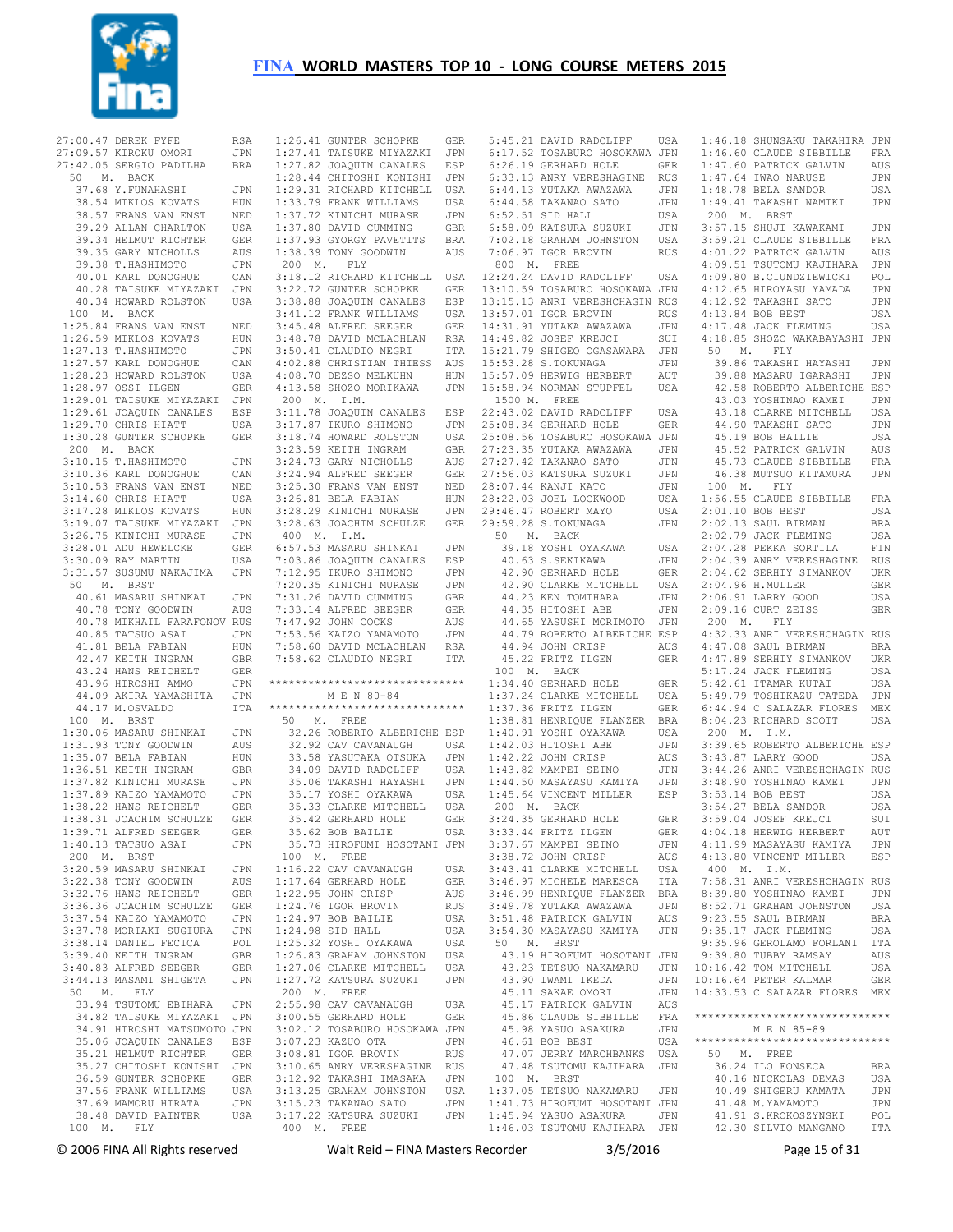

| 27:00.47 DEREK FYFE RSA<br>27:09.57 KIROKU OMORI JPN<br>27:42.05 SERGIO PADILHA BRA<br>50 M. BACK                                                                                                                                                      |                   |
|--------------------------------------------------------------------------------------------------------------------------------------------------------------------------------------------------------------------------------------------------------|-------------------|
|                                                                                                                                                                                                                                                        |                   |
|                                                                                                                                                                                                                                                        |                   |
|                                                                                                                                                                                                                                                        |                   |
| 37.68 Y.FUNAHASHI<br>38.54 MIKLOS KOVATS                                                                                                                                                                                                               | JPN               |
|                                                                                                                                                                                                                                                        | HUN               |
| 38.57 FRANS VAN ENST<br>39.29 ALLAN CHARLTON<br>39.34 HELMUT RICHTER                                                                                                                                                                                   | NED               |
|                                                                                                                                                                                                                                                        |                   |
|                                                                                                                                                                                                                                                        | USA<br>GER        |
| 39.35 GARY NICHOLLS<br>39.38 T.HASHIMOTO<br>40.01 KARL DONOGHUE<br>TRANSLE DONOGHUE                                                                                                                                                                    | AUS               |
|                                                                                                                                                                                                                                                        | JPN               |
|                                                                                                                                                                                                                                                        |                   |
|                                                                                                                                                                                                                                                        | CAN               |
| 40.28 TAISUKE MIYAZAKI<br>40.34 HOWARD ROLSTON                                                                                                                                                                                                         | JPN               |
|                                                                                                                                                                                                                                                        | USA               |
| 100 M. BACK                                                                                                                                                                                                                                            |                   |
| 1:25.84 FRANS VAN ENST<br>1:25.84 FRANS VAN ENST<br>1:26.59 MIKLOS KOVATS HUN<br>1:27.13 T.HASHIMOTO JPN<br>1:28.23 HOWARD ROLSTON USA<br>1:28.27 OSSI LLGEN<br>1:28.91 TAISUEF MIXAZET TEM                                                            |                   |
|                                                                                                                                                                                                                                                        |                   |
|                                                                                                                                                                                                                                                        |                   |
|                                                                                                                                                                                                                                                        |                   |
|                                                                                                                                                                                                                                                        |                   |
|                                                                                                                                                                                                                                                        |                   |
|                                                                                                                                                                                                                                                        |                   |
| 1:29.01 TAISUKE MIYAZAKI JPN<br>1:29.61 JOAQUIN CANALES ESP<br>1:29.70 CHRIS HIATT USA                                                                                                                                                                 |                   |
|                                                                                                                                                                                                                                                        |                   |
|                                                                                                                                                                                                                                                        |                   |
| 1:30.28 GUNTER SCHOPKE<br>200 M. BACK                                                                                                                                                                                                                  | ${\tt GER}$       |
|                                                                                                                                                                                                                                                        |                   |
| 200 M. DAVIN<br>3:10.15 T.HASHIMOTO<br>3:10.36 KARL DONOGHUE<br>3:10.53 FRANS VAN ENST<br>53 FRANS VAN ENST                                                                                                                                            | JPN               |
|                                                                                                                                                                                                                                                        | CAN               |
|                                                                                                                                                                                                                                                        |                   |
| 3:14.60 CHRIS HIATT<br>3:14.60 CHRIS HIATT<br>3:17.28 MIKLOS KOVATS                                                                                                                                                                                    | NED<br>USA<br>HUN |
|                                                                                                                                                                                                                                                        |                   |
| 3:19.07 TAISUKE MIYAZAKI JPN<br>3:26.75 KINICHI MURASE JPN<br>2007 ANNICHI OVER                                                                                                                                                                        |                   |
|                                                                                                                                                                                                                                                        |                   |
|                                                                                                                                                                                                                                                        |                   |
|                                                                                                                                                                                                                                                        |                   |
| 3:28.01 ADU HEWELCKE<br>3:30.09 RAY MARTIN USA<br>3:31.57 SUSUMU NAKAJIMA JPN<br>50 M. BRST                                                                                                                                                            |                   |
|                                                                                                                                                                                                                                                        |                   |
|                                                                                                                                                                                                                                                        |                   |
| 40.61 MASARU SHINKAI<br>40.78 TONY GOODWIN                                                                                                                                                                                                             | JPN               |
|                                                                                                                                                                                                                                                        | AUS               |
| 40.78 MIKHAIL FARAFONOV RUS                                                                                                                                                                                                                            |                   |
|                                                                                                                                                                                                                                                        |                   |
|                                                                                                                                                                                                                                                        |                   |
| $\begin{tabular}{llllll} 40.85 & TATSUO ASAI & JPN \\ 41.81 & BELA FABIAN & HUN \\ 42.47 & KEITH INGRAM & GBR \end{tabular}$                                                                                                                           | HUN<br>GBR        |
| 42.37 NITTH THE SER<br>43.24 HANS REICHELT GER<br>43.96 HIROSHI AMMO JPN<br>44.09 AKIRA YAMASHITA JPN                                                                                                                                                  |                   |
|                                                                                                                                                                                                                                                        |                   |
|                                                                                                                                                                                                                                                        |                   |
| 44.17 M.OSVALDO                                                                                                                                                                                                                                        | ITA               |
|                                                                                                                                                                                                                                                        |                   |
| 100 M. BRST                                                                                                                                                                                                                                            |                   |
|                                                                                                                                                                                                                                                        |                   |
|                                                                                                                                                                                                                                                        |                   |
|                                                                                                                                                                                                                                                        |                   |
|                                                                                                                                                                                                                                                        |                   |
|                                                                                                                                                                                                                                                        |                   |
|                                                                                                                                                                                                                                                        |                   |
|                                                                                                                                                                                                                                                        |                   |
| 1:30.06 MASARU SHINKAI JPN<br>1:31.93 TONY GOODWIN AUS<br>1:35.07 BELA FABIAN HUN<br>1:35.07 BELA FABIAN HUN<br>1:35.07 BELA FABIAN HUNG<br>1:37.82 KINICHI MURASE JPN<br>1:37.89 KAIZO YAMAMOTO JPN<br>1:38.22 HANS REICHELT GER<br>1:38.21 JACAHIM S |                   |
| 1:39.71 ALFRED SEEGER                                                                                                                                                                                                                                  |                   |
|                                                                                                                                                                                                                                                        |                   |
|                                                                                                                                                                                                                                                        | GER               |
| 1:40.13 TATSUO ASAI                                                                                                                                                                                                                                    | JPN               |
| 200 M. BRST                                                                                                                                                                                                                                            |                   |
| 3:20.59 MASARU SHINKAI                                                                                                                                                                                                                                 | JPN               |
| 3:22.38 TONY GOODWIN                                                                                                                                                                                                                                   | AUS               |
|                                                                                                                                                                                                                                                        | GER               |
| 3:22.38 TONY GOODWIN<br>3:32.76 HANS REICHELT                                                                                                                                                                                                          | GER               |
|                                                                                                                                                                                                                                                        | $\mathtt{JPN}$    |
|                                                                                                                                                                                                                                                        | JPN               |
| 3:36.36 JOACHIM SCHULZE<br>3:37.54 KAIZO YAMAMOTO<br>3:37.78 MORIAKI SUGIURA                                                                                                                                                                           | POL               |
|                                                                                                                                                                                                                                                        | GBR               |
|                                                                                                                                                                                                                                                        | GER               |
| 3:38.14 DANIEL FECICA<br>3:39.40 KEITH INGRAM<br>3:40.83 ALFRED SEEGER                                                                                                                                                                                 | JPN               |
| 3:44.13 MASAMI SHIGETA                                                                                                                                                                                                                                 |                   |
| 50 M. FLY                                                                                                                                                                                                                                              |                   |
| 33.94 TSUTOMU EBIHARA JPN                                                                                                                                                                                                                              |                   |
| 34.82 TAISUKE MIYAZAKI                                                                                                                                                                                                                                 | JPN               |
|                                                                                                                                                                                                                                                        |                   |
|                                                                                                                                                                                                                                                        |                   |
|                                                                                                                                                                                                                                                        |                   |
|                                                                                                                                                                                                                                                        |                   |
| 34.91 HROSHI MATSUMOTO JPN<br>35.06 JOAQUIN CANALES ESP<br>35.21 HELMUT RICHTER GER<br>35.27 CHITOSHI KONISHI JPN<br>35.27 CHITOSHI COOPER<br>36.59 GUNTER SCHOPKE                                                                                     | GER               |
|                                                                                                                                                                                                                                                        |                   |
|                                                                                                                                                                                                                                                        | USA<br>JPN        |
|                                                                                                                                                                                                                                                        | USA               |
| 37.56 FRANK WILLIAMS<br>37.69 MAMORU HIRATA<br>38.48 DAVID PAINTER<br>100 M. FLY                                                                                                                                                                       |                   |

 1:27.41 TAISUKE MIYAZAKI JPN 1:27.82 JOAQUIN CANALES ESP 1:28.44 CHITOSHI KONISHI JPN 1:29.31 RICHARD KITCHELL USA 1:33.79 FRANK WILLIAMS USA<br>1:37.72 KINICHI MURASE JPN  $1:37.72$  KINICHI MURASE 1:37.80 DAVID CUMMING GBR<br>1:37.93 GYORGY PAVETITS RRA 1:37.93 GYORGY PAVETITS BRA 1:38.39 TONY GOODWIN AUS 200 M. FLY 3:18.12 RICHARD KITCHELL USA 3:22.72 GUNTER SCHOPKE GER 3:38.88 JOAQUIN CANALES ESP 3:38.80 UVARULA ULLIAMS USA<br>3:41.12 FRANK WILLIAMS USA 3:45.48 ALFRED SEEGER GER 3:48.78 DAVID MCLACHLAN RSA 3:50.41 CLAUDIO NEGRI ITA 4:02.88 CHRISTIAN THIESS AUS 4:08.70 DEZSO MELKUHN HUN 4:13.58 SHOZO MORIKAWA JPN 200 M. I.M. 3:11.78 JOAQUIN CANALES ESP 3:17.87 IKURO SHIMONO JPN 3:18.74 HOWARD ROLSTON USA 3:23.59 KEITH INGRAM GBR 3:24.73 GARY NICHOLLS AUS 3:24.94 ALFRED SEEGER GER 3:25.30 FRANS VAN ENST NED 3:26.81 BELA FABIAN HUN 3:28.29 KINICHI MURASE JPN 3:28.63 JOACHIM SCHULZE GER 400 M. I.M. 6:57.53 MASARU SHINKAI JPN 7:03.86 JOAQUIN CANALES ESP 7:12.95 IKURO SHIMONO JPN 7:20.35 KINICHI MURASE JPN 7:31.26 DAVID CUMMING GBR 7:33.14 ALFRED SEEGER GER 7:47.92 JOHN COCKS AUS 7:53.56 KAIZO YAMAMOTO JPN 7:58.60 DAVID MCLACHLAN RSA 7:58.62 CLAUDIO NEGRI ITA \*\*\*\*\*\*\*\*\*\*\*\*\*\*\*\*\*\*\*\*\*\*\*\*\*\*\*\*\*\* M E N 80-84 \*\*\*\*\*\*\*\*\*\*\*\*\*\*\*\*\*\*\*\*\*\*\*\*\*\*\*\*\*\* 50 M. FREE 32.26 ROBERTO ALBERICHE ESP 32.92 CAV CAVANAUGH USA 33.58 YASUTAKA OTSUKA JPN 34.09 DAVID RADCLIFF USA 35.06 TAKASHI HAYASHI JPN 35.17 YOSHI OYAKAWA USA 35.33 CLARKE MITCHELL USA 35.42 GERHARD HOLE GER 35.62 BOB BAILIE USA 35.73 HIROFUMI HOSOTANI JPN 100 M. FREE 1:16.22 CAV CAVANAUGH USA 1:17.64 GERHARD HOLE GER 1:22.95 JOHN CRISP AUS 1:24.76 IGOR BROVIN RUS 1:24.97 BOB BAILIE USA 1:24.98 SID HALL USA 1:25.32 YOSHI OYAKAWA USA 1:26.83 GRAHAM JOHNSTON USA 1:27.06 CLARKE MITCHELL USA 1:27.72 KATSURA SUZUKI JPN 200 M. FREE 2:55.98 CAV CAVANAUGH USA 3:00.55 GERHARD HOLE GER 3:02.12 TOSABURO HOSOKAWA JPN 3:07.23 KAZUO OTA JPN 3:08.81 IGOR BROVIN RUS 3:10.65 ANRY VERESHAGINE RUS 3:12.92 TAKASHI IMASAKA JPN 3:13.25 GRAHAM JOHNSTON USA 3:15.23 TAKANAO SATO JPN 3:17.22 KATSURA SUZUKI JPN

1:26.41 GUNTER SCHOPKE GER

|              | 5:45.21 DAVID RADCLIFF                       | USA        | $1:46$ .                         |
|--------------|----------------------------------------------|------------|----------------------------------|
|              | 6:17.52 TOSABURO HOSOKAWA JPN                |            | 1:46.                            |
|              | 6:26.19 GERHARD HOLE                         | GER        | $1:47$ .                         |
|              | 6:33.13 ANRY VERESHAGINE RUS                 |            | $1:47$ .                         |
|              | 6:44.13 YUTAKA AWAZAWA                       | JPN        | 1:48.                            |
|              | 6:44.58 TAKANAO SATO                         | JPN        | 1:49.                            |
|              | 6:52.51 SID HALL                             | USA        | 200                              |
|              | 6:58.09 KATSURA SUZUKI                       | JPN        | $3:57$ .                         |
|              | 7:02.18 GRAHAM JOHNSTON                      | USA        | 3:59.                            |
|              | 7:06.97 IGOR BROVIN                          | RUS        | $4:01$ .                         |
| 800 M. FREE  |                                              |            | $4:09$ .                         |
|              | 12:24.24 DAVID RADCLIFF USA                  |            | 4:09.                            |
|              | 13:10.59 TOSABURO HOSOKAWA JPN               |            | 4:12.                            |
|              | 13:15.13 ANRI VERESHCHAGIN RUS               |            | $4:12$ .                         |
|              | 13:57.01 IGOR BROVIN<br>14:31.91 YUTAKA AWAZ | RUS        | 4:13.<br>4:17.                   |
|              | YUTAKA AWAZAWA<br>14:49.82 JOSEF KREJCI      | JPN        | $4:18$ .                         |
|              | 15:21.79 SHIGEO OGASAWARA                    | SUI<br>JPN | 50                               |
|              | 15:53.28 S.TOKUNAGA                          | JPN        | 39.                              |
|              | 15:57.09 HERWIG HERBERT                      | AUT        | 39.                              |
|              | 15:58.94 NORMAN STUPFEL                      | USA        | 42.                              |
| 1500 M. FREE |                                              |            | 43.                              |
|              | 22:43.02 DAVID RADCLIFF                      | USA        | 43.                              |
|              | 25:08.34 GERHARD HOLE                        | GER        | 44.                              |
|              | 25:08.56 TOSABURO HOSOKAWA JPN               |            | $4\,5$ .                         |
|              | 27:23.35 YUTAKA AWAZAWA                      | JPN        | $4\,5$ .                         |
|              | 27:27.42 TAKANAO SATO                        | JPN        | 45.                              |
|              | 27:56.03 KATSURA SUZUKI                      | JPN        | $4\,6$ .                         |
|              | 28:07.44 KANJI KATO                          | JPN        | 100                              |
|              | 28:22.03 JOEL LOCKWOOD                       | USA        | $1:56$ .                         |
|              | 29:46.47 ROBERT MAYO                         | USA        | $2:01$ .                         |
|              | 29:59.28 S.TOKUNAGA                          | JPN        | $2:02$ .                         |
|              | 50 M. BACK                                   |            | $2:02$ .                         |
|              | 39.18 YOSHI OYAKAWA                          | USA        | 2:04.                            |
|              | 40.63 S.SEKIKAWA                             | JPN        | 2:04.                            |
|              | 42.90 GERHARD HOLE                           | GER        | 2:04.                            |
|              | 42.90 CLARKE MITCHELL                        | USA        | 2:04.                            |
|              | 44.23 KEN TOMIHARA                           | JPN        | $2:06$ .                         |
|              | 44.35 HITOSHI ABE                            | JPN        | 2:09.                            |
|              | 44.65 YASUSHI MORIMOTO                       | JPN        | 200                              |
|              | 44.79 ROBERTO ALBERICHE ESP                  |            | 4:32.                            |
|              | 44.94 JOHN CRISP                             | AUS        | 4:47.                            |
|              | 45.22 FRITZ ILGEN                            | GER        | 4:47.                            |
|              | 100 M. BACK                                  |            | $5:17$ .                         |
|              | 1:34.40 GERHARD HOLE                         | GER        | 5:42.                            |
|              | 1:37.24 CLARKE MITCHELL                      | USA        | 5:49.                            |
|              | 1:37.36 FRITZ ILGEN                          | GER        | $6:44$ .                         |
|              | 1:38.81 HENRIQUE FLANZER BRA                 |            | $8:04$ .                         |
|              | 1:40.91 YOSHI OYAKAWA                        | USA        | 200                              |
|              | 1:42.03 HITOSHI ABE                          | JPN        | 3:39.                            |
|              | 1:42.22 JOHN CRISP                           | AUS        | 3:43.                            |
|              | 1:43.82 MAMPEI SEINO                         | JPN        | 3:44.                            |
|              | 1:44.50 MASAYASU KAMIYA                      | JPN        | $3:48$ .                         |
|              | 1:45.64 VINCENT MILLER                       | ESP        | 3:53.                            |
| 200 M. BACK  |                                              |            | 3:54.                            |
|              | 3:24.35 GERHARD HOLE                         | GER        | 3:59.                            |
|              | 3:33.44 FRITZ ILGEN                          | GER        | 4:04.                            |
|              | 3:37.67 MAMPEI SEINO                         | JPN        | 4:11.                            |
|              | 3:38.72 JOHN CRISP                           | AUS        | 4:13.                            |
|              | 3:43.41 CLARKE MITCHELL                      | USA        | 400                              |
|              | 3:46.97 MICHELE MARESCA                      | ITA        | 7:58.                            |
|              | 3:46.99 HENRIQUE FLANZER                     | BRA        | 8:39.                            |
|              | 3:49.78 YUTAKA AWAZAWA                       | JPN        | 8:52.                            |
|              | 3:51.48 PATRICK GALVIN                       | AUS        | 9:23.                            |
|              | 3:54.30 MASAYASU KAMIYA                      | JPN        | 9:35.                            |
| 50 M.        | <b>BRST</b>                                  |            | 9:35.                            |
|              | 43.19 HIROFUMI HOSOTANI JPN                  |            | 9:39.                            |
|              | 43.23 TETSUO NAKAMARU                        | JPN        | $10:16$ .                        |
|              | 43.90 IWAMI<br>IKEDA                         | JPN        | $10:16$ .                        |
|              | 45.11 SAKAE OMORI                            | JPN        | 14:33.                           |
|              | 45.17 PATRICK GALVIN                         | AUS        |                                  |
|              | 45.86 CLAUDE SIBBILLE                        | FRA        | $******$                         |
|              | 45.98 YASUO ASAKURA                          | JPN        |                                  |
|              | 46.61 BOB BEST                               | USA        | $\star\star\star\star\star\star$ |
|              | 47.07 JERRY MARCHBANKS                       | USA        | 50                               |
|              | 47.48 TSUTOMU KAJIHARA                       | JPN        | 36.                              |
| 100 M.       | <b>BRST</b>                                  |            | 40.                              |
|              | 1:37.05 TETSUO NAKAMARU JPN                  |            | 40.                              |
|              | 1:41.73 HIROFUMI HOSOTANI JPN                |            | $4\,1$ .                         |
|              | 1:45.94 YASUO ASAKURA                        | JPN        | 41.                              |
|              | 1:46.03 TSUTOMU KAJIHARA JPN                 |            | 42.                              |
|              |                                              |            |                                  |

.18 SHUNSAKU TAKAHIRA JPN 1:46.60 CLAUDE SIBBILLE FRA .60 PATRICK GALVIN AUS 1:47.64 IWAO NARUSE JPN .78 BELA SANDOR USA 1:49.41 TAKASHI NAMIKI JPN 200 M. BRST .15 SHUJI KAWAKAMI JPN .<br>21 CLAUDE SIBBILLE FRA .22 PATRICK GALVIN AUS .51 TSUTOMU KAJIHARA JPN 4:09.80 B.CIUNDZIEWICKI POL 4:12.65 HIROYASU YAMADA JPN 4:12.92 TAKASHI SATO JPN 84 BOB BEST USA 48 JACK FLEMING USA 4:18.85 SHOZO WAKABAYASHI JPN M. FLY 39.86 TAKASHI HAYASHI JPN 39.88 MASARU IGARASHI JPN 42.58 ROBERTO ALBERICHE ESP 43.03 YOSHINAO KAMEI JPN .<br>18 CLARKE MITCHELL USA 44.90 TAKASHI SATO JPN .<br>19 BOB BAILIE USA<br>52 PATRICK GALVIN AUS 52 PATRICK GALVIN 45.73 CLAUDE SIBBILLE FRA 46.38 MUTSUO KITAMURA JPN M. FLY 1:56.55 CLAUDE SIBBILLE FRA 2:01.10 BOB BEST USA 2:02.13 SAUL BIRMAN BRA .<br>79 JACK FLEMING USA 28 PEKKA SORTILA FIN 2:04.39 ANRY VERESHAGINE RUS 2:04.62 SERHIY SIMANKOV UKR 2:04.96 H.MULLER GER 2:06.91 LARRY GOOD USA es and the series of the series of the series of the series of the series of the series of the series of the s<br>The current series of the series of the series of the series of the series of the series of the series of the s M. FLY 4:32.33 ANRI VERESHCHAGIN RUS 4:47.08 SAUL BIRMAN BRA 4:47.89 SERHIY SIMANKOV UKR 5:17.24 JACK FLEMING USA 5:42.61 ITAMAR KUTAI USA 5:49.79 TOSHIKAZU TATEDA JPN 94 C SALAZAR FLORES MEX .23 RICHARD SCOTT USA M. T.M. 3:39.65 ROBERTO ALBERICHE ESP 3:43.87 LARRY GOOD USA 26 ANRI VERESHCHAGIN RUS .90 YOSHINAO KAMEI JPN 14 BOB BEST USA<br>27 BELA SANDOR USA .27 BELA SANDOR .04 JOSEF KREJCI SUI 4:04.18 HERWIG HERBERT AUT 4:11.99 MASAYASU KAMIYA JPN 4:13.80 VINCENT MILLER ESP M. I.M. ....<br>31 ANRI VERESHCHAGIN RUS .80 YOSHINAO KAMEI JPN 8:52.71 GRAHAM JOHNSTON USA 9:23.55 SAUL BIRMAN BRA 9:35.17 JACK FLEMING USA .96 GEROLAMO FORLANI ITA .80 TUBBY RAMSAY AUS 12 TOM MITCHELL USA 10:16.64 PETER KALMAR GER 14:33.53 C SALAZAR FLORES MEX \*\*\*\*\*\*\*\*\*\*\*\*\*\*\*\*\*\*\*\*\*\*\*\*\*\*\*\*\*\* M E N 85-89 \*\*\*\*\*\*\*\*\*\*\*\*\*\*\*\*\*\*\*\*\*\*\*\*\*\*\*\*\*\* M. FREE 24 ILO FONSECA BRA<br>16 NICKOLAS DEMAS USA<br>49 SHIGERU KAMATA JPN 16 NICKOLAS DEMAS .49 SHIGERU KAMATA . 48 M.YAMAMOTO JPN 91 S. KROKOSZYNSKI POL 42.30 SILVIO MANGANO ITA

400 M. FREE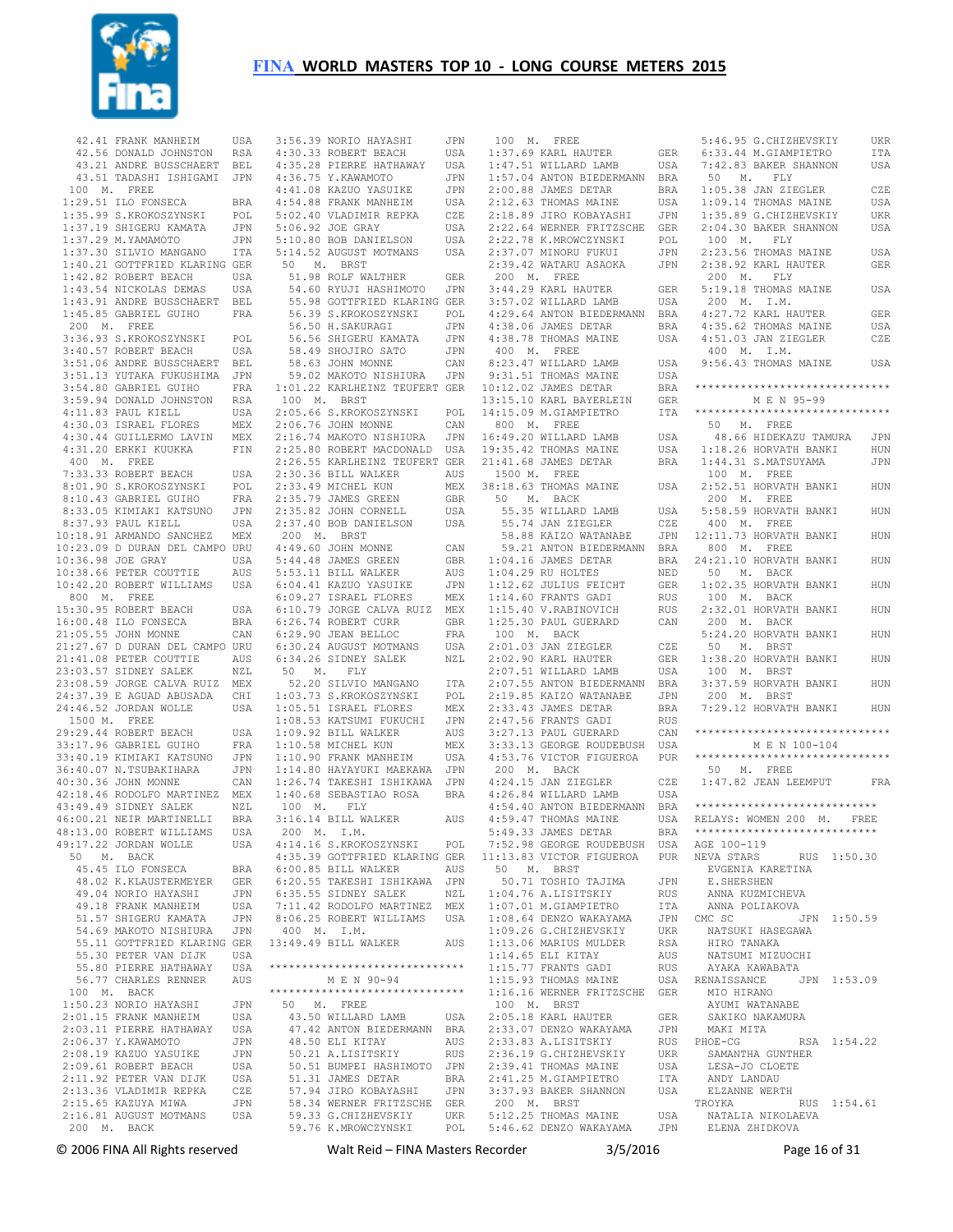

| 42.41 FRANK MANHEIM                                                                       | USA         |
|-------------------------------------------------------------------------------------------|-------------|
| 42.56 DONALD JOHNSTON RSA<br>43.21 ANDRE BUSSCHAERT BEL<br>43.51 TADASHI ISHIGAMI JPN     |             |
|                                                                                           |             |
|                                                                                           |             |
| 100 M. FREE                                                                               |             |
| 1:29.51 ILO FONSECA<br>1:35.99 S.KROKOSZYNSKI                                             | BRA         |
|                                                                                           | POL         |
| 1:37.19 SHIGERU KAMATA                                                                    | JPN         |
| 1:37.29 M.YAMAMOTO                                                                        | JPN         |
| $1:37.30$ SILVIO MANGANO                                                                  | ITA         |
|                                                                                           |             |
|                                                                                           |             |
| 1:40.21 GOTTFRIED KLARING GER<br>1:42.82 ROBERT BEACH USA<br>1:43.54 NICKOLAS DEMAS USA   |             |
|                                                                                           |             |
| 1:43.91 ANDRE BUSSCHAERT                                                                  | BEL         |
| 1:45.85 GABRIEL GUIHO                                                                     | FRA         |
| 200 M. FREE                                                                               |             |
| 3:36.93 S.KROKOSZYNSKI                                                                    | POL         |
| 3:40.57 ROBERT BEACH                                                                      | USA         |
| 3:51.06 ANDRE BUSSCHAERT BEL                                                              |             |
| 3:51.13 YUTAKA FUKUSHIMA                                                                  | JPN         |
| 3:54.80 GABRIEL GUIHO                                                                     | FRA         |
| 3:59.94 DONALD JOHNSTON<br>4:11.83 PAUL KIELL                                             | <b>RSA</b>  |
|                                                                                           | USA         |
| 4:30.03 ISRAEL FLORES                                                                     | MEX         |
| $4:30.44$ GUILLERMO LAVIN                                                                 | MEX         |
| 4:31.20 ERKKI KUUKKA                                                                      | ${\rm FIN}$ |
| 400 M. FREE                                                                               |             |
| 7:33.33 ROBERT BEACH                                                                      | USA         |
| 8:01.90 S.KROKOSZYNSKI                                                                    | POL         |
| 8:10.43 GABRIEL GUIHO                                                                     | FRA         |
|                                                                                           |             |
| 8:33.05 KIMIAKI KATSUNO<br>8:37.93 PAUL KIELL                                             | JPN         |
|                                                                                           | USA         |
| 10:18.91 ARMANDO SANCHEZ                                                                  | MEX         |
|                                                                                           |             |
|                                                                                           |             |
| 10:38.66 PETER COUTTIE                                                                    | AUS         |
| 10:42.20 ROBERT WILLIAMS                                                                  | USA         |
| 800 M. FREE                                                                               |             |
| 15:30.95 ROBERT BEACH                                                                     | USA         |
| 15:30.95 ROBERT BEACH<br>16:00.48 ILO FONSECA                                             | BRA         |
| 21:05.55 JOHN MONNE                                                                       | CAN         |
|                                                                                           |             |
|                                                                                           |             |
| 21:27.67 D DURAN DEL CAMPO URU<br>21:41.08 PETER COUTTIE AUS<br>23:03.57 SIDNEY SALEK NZL |             |
| 23:08.59 JORGE CALVA RUIZ                                                                 | MEX         |
| 24:37.39 E AGUAD ABUSADA                                                                  | CHI         |
| 24:46.52 JORDAN WOLLE                                                                     | USA         |
| 1500 M. FREE                                                                              |             |
| 29:29.44 ROBERT BEACH                                                                     |             |
|                                                                                           | USA         |
| 33:17.96 GABRIEL GUIHO                                                                    | FRA         |
| 33:40.19 KIMIAKI KATSUNO                                                                  | JPN         |
| 36:40.07 N.TSUBAKIHARA<br>40:30.36 JOHN MONNE<br>42:18.46 RODOLFO MARTINEZ                | JPN         |
|                                                                                           | CAN         |
|                                                                                           | MEX         |
| 43:49.49 SIDNEY SALEK                                                                     | NZL         |
| 46:00.21 NEIR MARTINELLI BRA                                                              |             |
| 48:13.00 ROBERT WILLIAMS                                                                  | USA         |
| 49:17.22 JORDAN WOLLE                                                                     | USA         |
| 50 M. BACK                                                                                |             |
| 45.45 ILO FONSECA                                                                         | BRA         |
| 48.02 K.KLAUSTERMEYER                                                                     | GER         |
| 49.04 NORIO HAYASHI                                                                       | JPN         |
| 49.18 FRANK MANHEIM                                                                       | USA         |
| 51.57 SHIGERU KAMATA                                                                      | JPN         |
| 54.69 MAKOTO NISHIURA                                                                     | JPN         |
| 55.11 GOTTFRIED KLARING GER                                                               |             |
| 55.30 PETER VAN DIJK                                                                      | USA         |
|                                                                                           | USA         |
| 55.80 PIERRE HATHAWAY<br>56.77 CHARLES RENNER                                             |             |
|                                                                                           | AUS         |
| 100 M. BACK                                                                               |             |
| 1:50.23 NORIO HAYASHI                                                                     | JPN         |
| 2:01.15 FRANK MANHEIM                                                                     | USA         |
| 2:03.11 PIERRE HATHAWAY                                                                   | USA         |
| 2:06.37 Y. KAWAMOTO                                                                       | JPN         |
|                                                                                           | JPN         |
|                                                                                           | USA         |
|                                                                                           | USA         |
| 2:13.36 VLADIMIR REPKA                                                                    | CZE         |
| 2:15.65 KAZUYA MIWA                                                                       | JPN         |
| 2:16.81 AUGUST MOTMANS                                                                    |             |
|                                                                                           |             |
| 200 M. BACK                                                                               | USA         |

| 3:56.39 NORIO HAYASHI                                                                                                                                                                                                          | JPN               |
|--------------------------------------------------------------------------------------------------------------------------------------------------------------------------------------------------------------------------------|-------------------|
| 4:30.33 ROBERT BEACH                                                                                                                                                                                                           | USA               |
| 4:35.28 PIERRE HATHAWAY USA<br>4:36.75 Y.KAWAMOTO JPN                                                                                                                                                                          |                   |
|                                                                                                                                                                                                                                |                   |
|                                                                                                                                                                                                                                | JPN               |
|                                                                                                                                                                                                                                | USA               |
| 4:41.08 KAZUO YASUIKE<br>4:54.88 FRANK MANHEIM<br>5:02.40 VLADIMIR REPKA                                                                                                                                                       | CZE               |
| 5:06.92 JOE GRAY                                                                                                                                                                                                               | USA               |
| 5:10.80 BOB DANIELSON                                                                                                                                                                                                          | USA               |
| 5:14.52 AUGUST MOTMANS                                                                                                                                                                                                         | USA               |
| 50 M. BRST                                                                                                                                                                                                                     |                   |
| 51.98 ROLF WALTHER                                                                                                                                                                                                             | GER               |
| 54.60 RYUJI HASHIMOTO JPN                                                                                                                                                                                                      |                   |
|                                                                                                                                                                                                                                |                   |
| 55.98 GOTTFRIED KLARING GER                                                                                                                                                                                                    |                   |
| 56.39 S.KROKOSZYNSKI                                                                                                                                                                                                           | POL               |
| 56.50 H.SAKURAGI<br>30.30 H.SANOKAGI<br>56.56 SHIGERU KAMATA                                                                                                                                                                   | JPN               |
|                                                                                                                                                                                                                                | JPN               |
| 58.49 SHOJIRO SATO<br>58.63 JOHN MONNE                                                                                                                                                                                         | JPN               |
|                                                                                                                                                                                                                                | CAN               |
| J0.03 JOHN MONNE<br>59.02 MAKOTO NISHIURA                                                                                                                                                                                      | JPN               |
| 1:01.22 KARLHEINZ TEUFERT GER                                                                                                                                                                                                  |                   |
| 100 M. BRST                                                                                                                                                                                                                    |                   |
| 2:05.66 S.KROKOSZYNSKI                                                                                                                                                                                                         | POL               |
| 2:06.76 JOHN MONNE                                                                                                                                                                                                             | CAN               |
| 2:35:79 SOMN HONNE<br>2:16.74 MAKOTO NISHIURA JPN<br>2:25.80 ROBERT MACDONALD USA                                                                                                                                              |                   |
|                                                                                                                                                                                                                                |                   |
| 2:26.55 KARLHEINZ TEUFERT GER<br>2:30.36 BILL WALKER AUS<br>2:33.49 MICHEL KUN MEX                                                                                                                                             |                   |
|                                                                                                                                                                                                                                |                   |
|                                                                                                                                                                                                                                |                   |
|                                                                                                                                                                                                                                | <b>GBR</b>        |
|                                                                                                                                                                                                                                | USA               |
| 2:33.49 MICHEL KUN<br>2:35.79 JAMES GREEN<br>2:35.82 JOHN CORNELL<br>2:37.40 BOB DANIELSON<br>2:37.40 BOB DANIELSON                                                                                                            | USA               |
| 200 M. BRST                                                                                                                                                                                                                    |                   |
|                                                                                                                                                                                                                                | CAN               |
| 4:49.60 JOHN MONNE<br>5:44.48 JAMES GREEN<br>5:53.11 BILL WALKER<br>4:49.00<br>5:44.48 JAMES GREEN<br>5:53.11 BILL WALKER<br>6:09.27 ISRAEL FLORES<br>6:09.27 ISRAEL FLORES<br>6:10.79 JORGE CALVA RUIZ<br>2006.74 ROBERT CURR | GBR               |
|                                                                                                                                                                                                                                | AUS               |
|                                                                                                                                                                                                                                | JPN               |
|                                                                                                                                                                                                                                | MEX               |
|                                                                                                                                                                                                                                | MEX               |
|                                                                                                                                                                                                                                | GBR               |
|                                                                                                                                                                                                                                | FRA               |
| 6:30.24 AUGUST MOTMANS                                                                                                                                                                                                         |                   |
| 6:34.26 SIDNEY SALEK                                                                                                                                                                                                           | USA               |
| ${\rm FLY}$<br>50 M.                                                                                                                                                                                                           | NZL               |
|                                                                                                                                                                                                                                | ITA               |
| 52.20 SILVIO MANGANO                                                                                                                                                                                                           |                   |
| 1:03.73 S.KROKOSZYNSKI<br>1:05.51 ISRAEL FLORES<br>1:08.53 KATSUMI FUKUCHI<br>1:09.92 BILL WALKER<br>"WALKER"                                                                                                                  | POL               |
|                                                                                                                                                                                                                                | MEX               |
|                                                                                                                                                                                                                                | JPN               |
|                                                                                                                                                                                                                                | AUS               |
| $1:10.58$ MICHEL KUN                                                                                                                                                                                                           |                   |
|                                                                                                                                                                                                                                |                   |
|                                                                                                                                                                                                                                |                   |
| 1:10.58 MICHEL KUN MEX<br>1:10.90 FRANK MANHEIM USA<br>1:14.80 HAYAYUKI MAEKAWA JPN<br>1:26.74 TAKESHI ISHIKAWA JPN                                                                                                            |                   |
| 1:40.68 SEBASTIAO ROSA                                                                                                                                                                                                         | <b>BRA</b>        |
| 100 M. FLY                                                                                                                                                                                                                     |                   |
| 3:16.14 BILL WALKER                                                                                                                                                                                                            | AUS               |
| 200 M. I.M.                                                                                                                                                                                                                    |                   |
| 4:14.16 S.KROKOSZYNSKI                                                                                                                                                                                                         | POL               |
| 4:35.39 GOTTFRIED KLARING GER                                                                                                                                                                                                  |                   |
| 6:00.85 BILL WALKER                                                                                                                                                                                                            | AUS               |
| 6:20.55 TAKESHI ISHIKAWA                                                                                                                                                                                                       | JPN               |
| 6:35.55 SIDNEY SALEK                                                                                                                                                                                                           | $_{\rm NZL}$      |
| 7:11.42 RODOLFO MARTINEZ                                                                                                                                                                                                       | MEX               |
| 8:06.25 ROBERT WILLIAMS                                                                                                                                                                                                        | USA               |
| 400 M. I.M.                                                                                                                                                                                                                    |                   |
| 13:49.49 BILL WALKER                                                                                                                                                                                                           | AUS               |
|                                                                                                                                                                                                                                |                   |
| ******************************                                                                                                                                                                                                 |                   |
| M E N 90-94                                                                                                                                                                                                                    |                   |
| ******************************                                                                                                                                                                                                 |                   |
| 50 M. FREE                                                                                                                                                                                                                     |                   |
| 43.50 WILLARD LAMB                                                                                                                                                                                                             | USA               |
| 47.42 ANTON BIEDERMANN                                                                                                                                                                                                         | <b>BRA</b>        |
| 48.50 ELI KITAY                                                                                                                                                                                                                | AUS               |
| 50.21 A.LISITSKIY                                                                                                                                                                                                              | RUS               |
| 50.51 BUMPEI HASHIMOTO                                                                                                                                                                                                         | JPN               |
| 51.31 JAMES DETAR                                                                                                                                                                                                              | <b>BRA</b>        |
| 57.94 JIRO KOBAYASHI                                                                                                                                                                                                           | JPN               |
| 58.34 WERNER FRITZSCHE                                                                                                                                                                                                         | GER               |
|                                                                                                                                                                                                                                |                   |
|                                                                                                                                                                                                                                |                   |
| 59.33 G.CHIZHEVSKIY<br>59.76 K.MROWCZYNSKI                                                                                                                                                                                     | <b>UKR</b><br>POL |

| 100 M. FREE                                                                                                                   |                               |
|-------------------------------------------------------------------------------------------------------------------------------|-------------------------------|
| 1:37.69 KARL HAUTER<br>1:47.51 WILLARD LAMB                                                                                   | GER                           |
|                                                                                                                               | USA                           |
| 1:57.04 ANTON BIEDERMANN                                                                                                      | <b>BRA</b>                    |
|                                                                                                                               | <b>BRA</b>                    |
|                                                                                                                               | USA                           |
| 2.00.06 JAMES DETAR<br>2:12.63 THOMAS MAINE<br>2:18.89 JIRO KOBAYASHI<br>2:22 64 WEDNER --                                    | JPN                           |
| 2:22.64 WERNER FRITZSCHE GER                                                                                                  |                               |
| 2:22.78 K.MROWCZYNSKI<br>2:37.07 MINORU FUKUI                                                                                 | POL<br>JPN                    |
| 2:37.07 MINORU FUKUI<br>2:39.42 WATARU ASAOKA                                                                                 | JPN                           |
| $200$ M. FREE                                                                                                                 |                               |
|                                                                                                                               | GER                           |
| 3:44.29 KARL HAUTER<br>3:57.02 WILLARD LAMB                                                                                   | USA                           |
| 4:29.64 ANTON BIEDERMANN BRA                                                                                                  |                               |
| JAMES DETAR<br>4:38.78 THOMAS MAINE<br>400 M. FREE<br>8:23 47                                                                 | <b>BRA</b>                    |
|                                                                                                                               | USA                           |
|                                                                                                                               |                               |
| $8:23.47$ WILLARD LAMB                                                                                                        | USA                           |
| 9:31.51 THOMAS MAINE<br>10:12.02 JAMES DETAR                                                                                  | USA                           |
|                                                                                                                               | <b>BRA</b>                    |
| 13:15.10 KARL BAYERLEIN                                                                                                       | GER                           |
| 14:15.09 M.GIAMPIETRO                                                                                                         | ITA                           |
| 800 M. FREE                                                                                                                   |                               |
| 16:49.20 WILLARD LAMB USA<br>19:35.42 THOMAS MAINE USA<br>21:41.68 JAMES DETAR BRA                                            |                               |
|                                                                                                                               |                               |
|                                                                                                                               |                               |
| 1500 M. FREE                                                                                                                  | USA                           |
| 38:18.63 THOMAS MAINE<br>50 M. BACK                                                                                           |                               |
|                                                                                                                               | USA                           |
| 55.35 WILLARD LAMB<br>55.74 JAN ZIEGLER                                                                                       | CZE                           |
| 55.74 JAN ZIEGLER<br>58.88 KAIZO WATANABE                                                                                     | $_{\rm JPN}$                  |
| 59.21 ANTON BIEDERMANN BRA                                                                                                    |                               |
|                                                                                                                               | BRA                           |
| 1:04.16 JAMES DETAR<br>1:04.29 RU HOLTES                                                                                      | NED                           |
| 1:12.62 JULIUS FEICHT<br>1:14.60 FRANTS GADI<br>1:15.40 V.RABINOVICH                                                          | GER                           |
|                                                                                                                               | RUS                           |
|                                                                                                                               | RUS                           |
| 1:25.30 PAUL GUERARD                                                                                                          | CAN                           |
|                                                                                                                               |                               |
| 100 M. BACK                                                                                                                   |                               |
|                                                                                                                               | CZE                           |
|                                                                                                                               | GER                           |
| 2:01.03 JAN ZIEGLER<br>2:02.90 KARL HAUTER<br>2:07.51 WILLARD LAMB                                                            | USA                           |
|                                                                                                                               |                               |
|                                                                                                                               | BRA<br>JPN                    |
|                                                                                                                               | <b>BRA</b>                    |
|                                                                                                                               | RUS                           |
| 2:07.55 ANTON BIEDERMANN<br>2:07.55 ANTON BIEDERMANN<br>2:19.85 KAIZO WATANABE<br>2:33.43 JAMES DETAR<br>3:27.13 PAUL GUERARD | CAN                           |
| 3:33.13 GEORGE ROUDEBUSH USA                                                                                                  |                               |
|                                                                                                                               | PUR                           |
| 4:53.76 VICTOR FIGUEROA<br>200 M. BACK                                                                                        |                               |
|                                                                                                                               | $\mathbb C\mathbb Z\mathbb E$ |
| 4:24.15 JAN ZIEGLER<br>4:26.84 WILLARD LAMB                                                                                   | USA                           |
|                                                                                                                               |                               |
| 4:54.40 ANTON BIEDERMANN BRA<br>4:59.47 THOMAS MAINE USA                                                                      | BRA                           |
| 5:49.33 JAMES DETAR<br>7:52.98 GEORGE ROUDEBUSH                                                                               | USA                           |
| 11:13.83 VICTOR FIGUEROA PUR                                                                                                  |                               |
|                                                                                                                               |                               |
| 50 M. BRST<br>50.71 TOSHIO TAJIMA                                                                                             | JPN                           |
| $1:04.76$ A.LISITSKIY                                                                                                         | <b>RUS</b>                    |
|                                                                                                                               | ITA                           |
| 1:04:70 A.LISIISNII<br>1:07.01 M.GIAMPIETRO<br>1:08.64 DENZO WAKAYAMA                                                         | JPN                           |
| 1:09.26 G. CHIZHEVSKIY                                                                                                        | UKR                           |
| 1:13.06 MARIUS MULDER                                                                                                         | RSA                           |
|                                                                                                                               | AUS                           |
| 1:14.65 ELI KITAY<br>1:15.77 FRANTS GADI                                                                                      | RUS                           |
| $1:15.93$ THOMAS MAINE                                                                                                        | USA                           |
| 1:16.16 WERNER FRITZSCHE GER                                                                                                  |                               |
|                                                                                                                               |                               |
| 100 M. BRST<br>2:05.18 KARL HAUTER                                                                                            | GER<br>JPN                    |
| 2:33.07 DENZO WAKAYAMA                                                                                                        |                               |
| 2:33.83 A.LISITSKIY                                                                                                           | ${\tt RUS}$<br>UKR            |
| 2:36.19 G.CHIZHEVSKIY                                                                                                         | USA                           |
| 2:39.41 THOMAS MAINE<br>2:41.25 M.GIAMPIETRO                                                                                  | ITA                           |
| 3:37.93 BAKER SHANNON                                                                                                         | USA                           |
| 200 M. BRST                                                                                                                   |                               |
| $5:12.25$ THOMAS MAINE<br>5:46.62 DENZO WAKAYAMA                                                                              | USA<br>JPN                    |

© 2006 FINA All Rights reserved Walt Reid – FINA Masters Recorder 3/5/2016 Page 16 of 31 GER BRA 21:41.68 JAMES DETAR BRA 1:44.31 S.MATSUYAMA JPN 55.74 JAN ZIEGLER CZE 58.88 KAIZO WATANABE JPN 400 M. FREE 12:11.73 HORVATH BANKI HUN  $GER$ RRA JPN CMC SC USA RENAISSANCE RUS PHOE-CG 5:46.95 G.CHIZHEVSKIY UKR<br>6:33.44 M.GTAMPTETRO TTA 6:33.44 M.GIAMPIETRO 7:42.83 BAKER SHANNON USA 50 M. FLY 1:05.38 JAN ZIEGLER CZE 1:09.14 THOMAS MAINE USA<br>1:35.89 G.CHIZHEVSKIY UKR 1:35.89 G.CHIZHEVSKIY 2:04.30 BAKER SHANNON USA 100 M. FLY 2:23.56 THOMAS MAINE USA 2:38.92 KARL HAUTER GER 200 M. FLY 5:19.18 THOMAS MAINE USA 200 M. I.M. 4:27.72 KARL HAUTER GER 4:35.62 THOMAS MAINE USA 4:51.03 JAN ZIEGLER CZE 400 M. I.M. 9:56.43 THOMAS MAINE USA \*\*\*\*\*\*\*\*\*\*\*\*\*\*\*\*\*\*\*\*\*\*\*\*\*\*\*\*\*\* M E N 95-99 \*\*\*\*\*\*\*\*\*\*\*\*\*\*\*\*\*\*\*\*\*\*\*\*\*\*\*\*\*\* 50 M. FREE 48.66 HIDEKAZU TAMURA JPN 1:18.26 HORVATH BANKI HUN 100 M. FREE 2:52.51 HORVATH BANKI HUN 200 M. FREE 5:58.59 HORVATH BANKI HUN 800 M. FREE 24:21.10 HORVATH BANKI HUN 50 M. BACK 1:02.35 HORVATH BANKI HUN 100 M. BACK 2:32.01 HORVATH BANKI HUN 200 M. BACK 5:24.20 HORVATH BANKI HUN 50 M. BRST 1:38.20 HORVATH BANKI HUN 100 M. BRST 3:37.59 HORVATH BANKI HUN 200 M. BRST 7:29.12 HORVATH BANKI HUN \*\*\*\*\*\*\*\*\*\*\*\*\*\*\*\*\*\*\*\*\*\*\*\*\*\*\*\*\*\* M E N 100-104 \*\*\*\*\*\*\*\*\*\*\*\*\*\*\*\*\*\*\*\*\*\*\*\*\*\*\*\*\*\* 50 M. FREE 1:47.82 JEAN LEEMPUT FRA \*\*\*\*\*\*\*\*\*\*\*\*\*\*\*\*\*\*\*\*\*\*\*\*\*\*\*\* RELAYS: WOMEN 200 M. FREE \*\*\*\*\*\*\*\*\*\*\*\*\*\*\*\*\*\*\*\*\*\*\*\* AGE 100-119 NEVA STARS RUS 1:50.30 EVGENIA KARETINA E.SHERSHEN ANNA KUZMICHEVA ANNA POLIAKOVA JPN 1:50.59 NATSUKI HASEGAWA HIRO TANAKA NATSUMI MIZUOCHI AYAKA KAWABATA JPN 1:53.09 MIO HIRANO AYUMI WATANABE SAKIKO NAKAMURA MAKI MITA RSA 1:54.22 SAMANTHA GUNTHER LESA-JO CLOETE ANDY LANDAU ELZANNE WERTH<br>TROYKA  $RITS$  1:54.61 NATALIA NIKOLAEVA ELENA ZHIDKOVA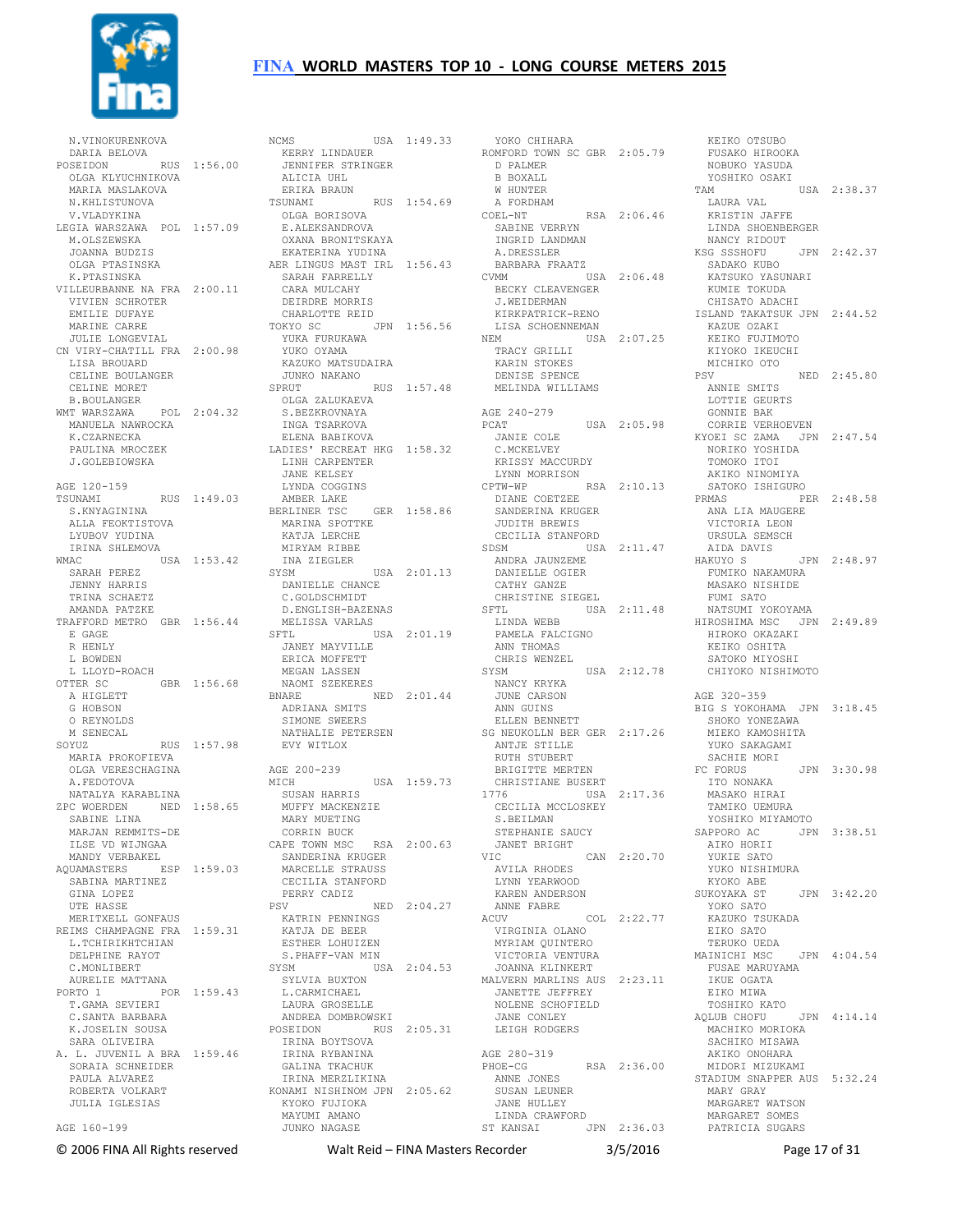

 N.VINOKURENKOVA DARIA BELOVA POSEIDON RUS 1:56.00 OLGA KLYUCHNIKOVA MARIA MASLAKOVA N.KHLISTUNOVA V.VLADYKINA LEGIA WARSZAWA POL 1:57.09 M.OLSZEWSKA JOANNA BUDZIS OLGA PTASINSKA K.PTASINSKA VILLEURBANNE NA FRA 2:00.11 VIVIEN SCHROTER EMILIE DUFAYE MARINE CARRE JULIE LONGEVIAL CN VIRY-CHATILL FRA 2:00.98 LISA BROUARD CELINE BOULANGER CELINE MORET B.BOULANGER WMT WARSZAWA POL 2:04.32 OLGA ZALUKAEVA S.BEZKROVNAYA INGA TSARKOVA MANUELA NAWROCKA K.CZARNECKA PAULINA MROCZEK J.GOLEBIOWSKA AGE 120-159 TSUNAMI RUS 1:49.03 LYNDA COGGINS AMBER LAKE BERLINER TSC GER 1:58.86 S.KNYAGININA ALLA FEOKTISTOVA LYUBOV YUDINA IRINA SHLEMOVA WMAC USA 1:53.42 SARAH PEREZ JENNY HARRIS TRINA SCHAETZ AMANDA PATZKE TRAFFORD METRO GBR 1:56.44 E GAGE R HENLY L BOWDEN L LLOYD-ROACH OTTER SC GBR 1:56.68 A HIGLETT G HOBSON O REYNOLDS M SENECAL SOYUZ RUS 1:57.98 MARIA PROKOFIEVA OLGA VERESCHAGINA A.FEDOTOVA NATALYA KARABLINA ZPC WOERDEN NED 1:58.65 SABINE LINA MARJAN REMMITS-DE ILSE VD WIJNGAA CORRIN BUCK CAPE TOWN MSC RSA 2:00.63 MANDY VERBAKEL AQUAMASTERS ESP 1:59.03 SANDERINA KRUGER MARCELLE STRAUSS SABINA MARTINEZ GINA LOPEZ UTE HASSE MERITXELL GONFAUS REIMS CHAMPAGNE FRA 1:59.31 L.TCHIRIKHTCHIAN DELPHINE RAYOT C.MONLIBERT AURELIE MATTANA PORTO 1 POR 1:59.43 T.GAMA SEVIERI C.SANTA BARBARA K.JOSELIN SOUSA SARA OLIVEIRA A. L. JUVENIL A BRA 1:59.46 IRINA BOYTSOVA IRINA RYBANINA SORAIA SCHNEIDER PAULA ALVAREZ ROBERTA VOLKART JULIA IGLESIAS AGE 160-199

NCMS USA 1:49.33 KERRY LINDAUER JENNIFER STRINGER ALICIA UHL ERIKA BRAUN TSUNAMI RUS 1:54.69 OLGA BORISOVA E.ALEKSANDROVA OXANA BRONITSKAYA EKATERINA YUDINA AER LINGUS MAST IRL 1:56.43 SARAH FARRELLY CARA MULCAHY DEIRDRE MORRIS CHARLOTTE REID TOKYO SC JPN 1:56.56 YUKA FURUKAWA YUKO OYAMA KAZUKO MATSUDAIRA JUNKO NAKANO SPRUT RUS 1:57.48 ELENA BABIKOVA LADIES' RECREAT HKG 1:58.32 LINH CARPENTER JANE KELSEY MARINA SPOTTKE KATJA LERCHE MIRYAM RIBBE INA ZIEGLER SYSM USA 2:01.13 DANIELLE CHANCE C.GOLDSCHMIDT D.ENGLISH-BAZENAS MELISSA VARLAS SFTL USA 2:01.19 JANEY MAYVILLE ERICA MOFFETT MEGAN LASSEN<br>NAOMI SZEKERES NAOMI SZEKERES<br>BNARE – NED 2:01.44<br>ADRIANA SMITS<br>SIMONE SWEERS NATHALIE PETERSEN EVY WITLOX AGE 200-239 MICH USA 1:59.73 SUSAN HARRIS MUFFY MACKENZIE MARY MUETING CECILIA STANFORD<br>PERRY CADIZ PERRY CADIZ<br>
PSV NED 2:04.27<br>
KATRIN PENNINGS<br>
KATJA DE BEER<br>
ESTHER LOHUIZEN S.PHAFF-VAN MIN SYSM USA 2:04.53 SYLVIA BUXTON<br>L.CARMICHAEL<br>LAURA GROSELLE<br>ANDREA DOMBROWSKI POSEIDON RUS 2:05.31 JANE CONLEY LEIGH RODGERS GALINA TKACHUK IRINA MERZLIKINA KONAMI NISHINOM JPN 2:05.62 KYOKO FUJIOKA MAYUMI AMANO JUNKO NAGASE

 YOKO CHIHARA ROMFORD TOWN SC GBR 2:05.79 FUSAKO HIROOKA D PALMER B BOXALL W HUNTER A FORDHAM COEL-NT RSA 2:06.46 COEL-NT<br>COEL-NT RSA 2:06.46<br>SABINE VERRYN INGRID LANDMAN A.DRESSLER BARBARA FRAATZ CVMM USA 2:06.48 BECKY CLEAVENGER J.WEIDERMAN KIRKPATRICK-RENO LISA SCHOENNEMAN ISLAND TAKATSUK JPN 2:44.52 KAZUE OZAKI NEM USA 2:07.25 TRACY GRILLI KEIKO FUJIMOTO KIYOKO IKEUCHI KARIN STOKES DENISE SPENCE MELINDA WILLIAMS AGE 240-279  $IISA$  2:05.98 JANIE COLE C.MCKELVEY KRISSY MACCURDY LYNN MORRISON CPTW-WP RSA 2:10.13 DIANE COETZEE SANDERINA KRUGER JUDITH BREWIS CECILIA STANFORD SDSM USA 2:11.47 ANDRA JAUNZEME AIDA DAVIS HAKUYO S JPN 2:48.97 NEDER<br>ANDRA JAUNZEME<br>DANIELLE OGIER CATHY GANZE CHRISTINE SIEGEL SFTL USA 2:11.48 LINDA WEBB PAMELA FALCIGNO ANN THOMAS CHRIS WENZEL<br>SYSM USA 2:12.78 NANCY KRYKA JUNE CARSON ANN GUINS ELLEN BENNETT SG NEUKOLLN BER GER 2:17.26 SHOKO YONEZAWA ANTJE STILLE RUTH STUBERT BRIGITTE MERTEN CHRISTIANE BUSERT 1776 USA 2:17.36 CECILIA MCCLOSKEY S.BEILMAN STEPHANIE SAUCY JANET BRIGHT<br>VIC VIC CAN 2:20.70 AIKO HORII YUKIE SATO AVILA RHODES LYNN YEARWOOD KAREN ANDERSON KYOKO ABE ANNE FABRE ACUV COL 2:22.77 YOKO SATO KAZUKO TSUKADA VIRGINIA OLANO MYRIAM QUINTERO VICTORIA VENTURA JOANNA KLINKERT MAINICHI MSC JPN 4:04.54 MALVERN MARLINS AUS 2:23.11 JANETTE JEFFREY NOLENE SCHOFIELD AGE 280-319<br>
PHOE-CG RSA 2:36.00<br>
ANNE JONES<br>
SUSAN LEUNER<br>
JANE HULLEY<br>
LINDA CRAWFORD ST KANSAI JPN 2:36.03

 NOBUKO YASUDA YOSHIKO OSAKI TAM USA 2:38.37 LAURA VAL KRISTIN JAFFE LINDA SHOENBERGER NANCY RIDOUT KSG SSSHOFU JPN 2:42.37 SADAKO KUBO<br>KATSUKO YASUNARI<br>KUMIE TOKUDA<br>CHISATO ADACHI MICHIKO OTO PSV NED 2:45.80 ANNIE SMITS LOTTIE GEURTS GONNIE BAK CORRIE VERHOEVEN KYOEI SC ZAMA JPN 2:47.54 NORIKO YOSHIDA TOMOKO ITOI AKIKO NINOMIYA SATOKO ISHIGURO PRMAS PER 2:48.58 ANA LIA MAUGERE ANA LIA MAUGERE<br>VICTORIA LEON URSULA SEMSCH FUMIKO NAKAMURA MASAKO NISHIDE FUMI SATO NATSUMI YOKOYAMA HIROSHIMA MSC JPN 2:49.89 HIROKO OKAZAKI KEIKO OSHITA SATOKO MIYOSHI CHIYOKO NISHIMOTO AGE 320-359 BIG S YOKOHAMA JPN 3:18.45 MIEKO KAMOSHITA YUKO SAKAGAMI SACHIE MORI FC FORUS JPN 3:30.98 ITO NONAKA MASAKO HIRAI TAMIKO UEMURA<br>YOSHIKO MIYAMOTO JPN 3:38.51 YUKO NISHIMURA SUKOYAKA ST JPN 3:42.20 EIKO SATO TERUKO UEDA FUSAE MARUYAMA IKUE OGATA EIKO MIWA TOSHIKO KATO AQLUB CHOFU JPN 4:14.14 MACHIKO MORIOKA SACHIKO MISAWA AKIKO ONOHARA MIDORI MIZUKAMI STADIUM SNAPPER AUS 5:32.24 MARY GRAY MARGARET WATSON MARGARET SOMES PATRICIA SUGARS

KEIKO OTSUBO

© 2006 FINA All Rights reserved Walt Reid – FINA Masters Recorder 3/5/2016 Page 17 of 31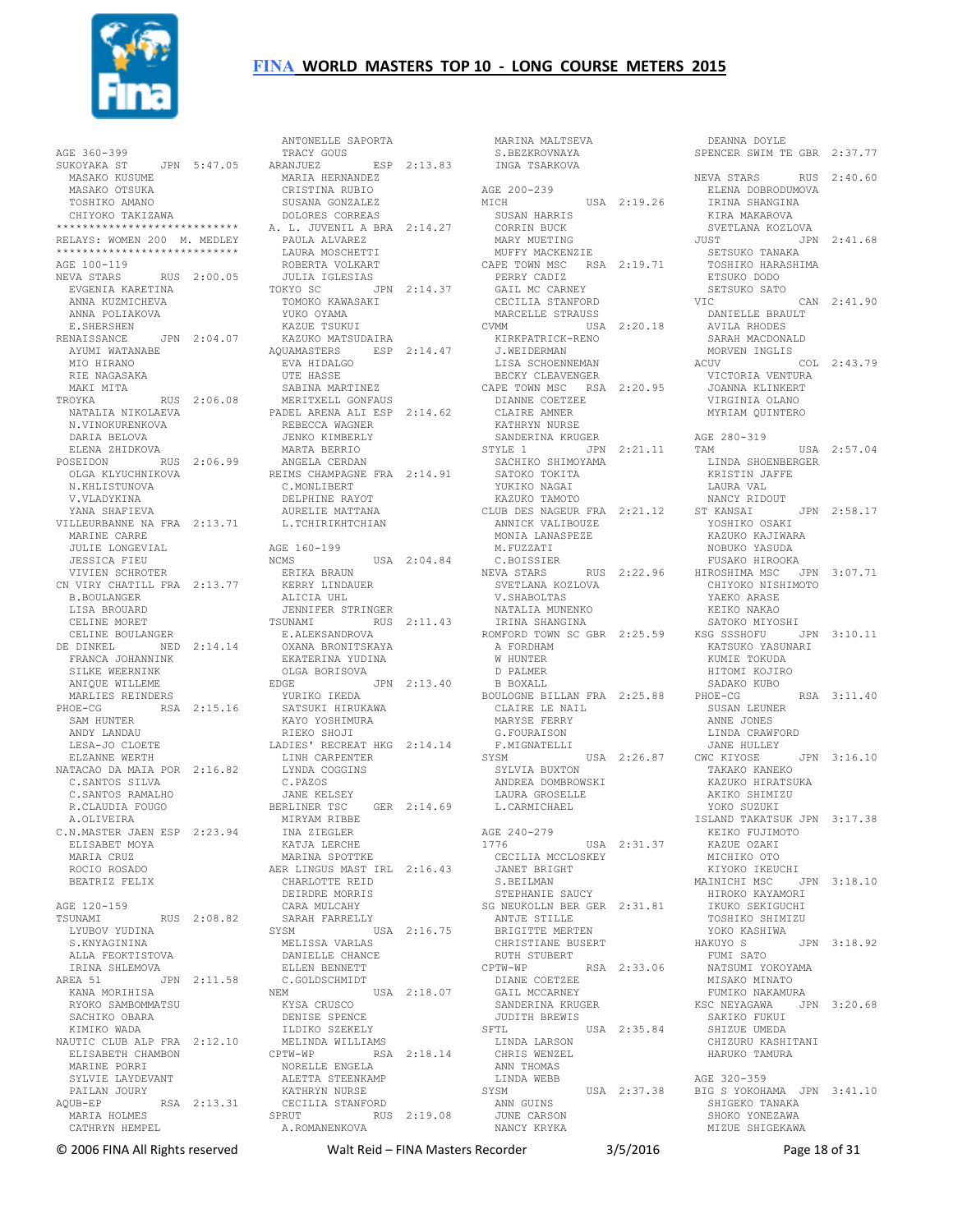

 AGE 360-399 SUKOYAKA ST JPN 5:47.05 MASAKO KUSUME MARIA HERNANDEZ MASAKO OTSUKA TOSHIKO AMANO CHIYOKO TAKIZAWA \*\*\*\*\*\*\*\*\*\*\*\*\*\*\*\*\*\*\*\*\*\*\*\*\*\*\*\* RELAYS: WOMEN 200 M. MEDLEY \*\*\*\*\*\*\*\*\*\*\*\*\*\*\*\*\*\*\*\*\*\*\*\*\*\*\*\* AGE 100-119 NEVA STARS RUS 2:00.05 EVGENIA KARETINA ANNA AILEE<br>ANNA KUZMICHEVA<br>ANNA KUZMICHEVA ANNA POLIAKOVA E.SHERSHEN RENAISSANCE JPN 2:04.07 AYUMI WATANABE MIO HIRANO RIE NAGASAKA MAKI MITA TROYKA RUS 2:06.08 NATALIA NIKOLAEVA N.VINOKURENKOVA DARIA BELOVA ELENA ZHIDKOVA N.KHLISTUNOVA V.VLADYKINA YANA SHAFIEVA VILLEURBANNE NA FRA 2:13.71 MARINE CARRE JULIE LONGEVIAL JESSICA FIEU VIVIEN SCHROTER CN VIRY CHATILL FRA 2:13.77 B.BOULANGER LISA BROUARD CELINE MORET CELINE BOULANGER DE DINKEL NED 2:14.14 FRANCA JOHANNINK SILKE WEERNINK ANIQUE WILLEME MARLIES REINDERS PHOE-CG RSA 2:15.16 SAM HUNTER ANDY LANDAU LESA-JO CLOETE ELZANNE WERTH NATACAO DA MAIA POR 2:16.82 LINH CARPENTER LYNDA COGGINS C.SANTOS SILVA C.SANTOS RAMALHO R.CLAUDIA FOUGO
BERLINER TSC A.OLIVEIRA C.N.MASTER JAEN ESP 2:23.94 ELISABET MOYA MARIA CRUZ ROCIO ROSADO BEATRIZ FELIX AGE 120-159 TSUNAMI RUS 2:08.82<br>
LYUBOV YUDINA<br>
S.KNYAGININA<br>ALLA FEOKTISTOVA<br>
IRINA SHLEMOVA AREA 51 JPN 2:11.58<br>
KANA MORIHISA<br>
RYOKO SAMBOMMATSU<br>
SACHIKO OBARA<br>
KIMIKO WADA<br>
NAUTIC CLUB ALP FRA 2:12.10 ELISABETH CHAMBON MARINE PORRI<br>
SYLVIE LAYDEVANT<br>
PAILAN JOURY<br>
AQUB-EP<br>
MARIA HOLMES<br>
CATHRYN HEMPEL

POSEIDON RUS 2:06.99 OLGA KLYUCHNIKOVA ANGELA CERDAN REIMS CHAMPAGNE FRA 2:14.91 SACHIKO SHIMOYAMA SATOKO TOKITA ANTONELLE SAPORTA TRACY GOUS MARINA MALTSEVA S.BEZKROVNAYA DEANNA DOYLE SPENCER SWIM TE GBR 2:37.77 ANIUNELLE<br>TRACY GOUS<br>201111157. ESP 2:13.83 CRISTINA RUBIO SUSANA GONZALEZ MICH DOLORES CORREAS A. L. JUVENIL A BRA 2:14.27 PAULA ALVAREZ LAURA MOSCHETTI ROBERTA VOLKART JULIA IGLESIAS TOKYO SC JPN 2:14.37 TOMOKO KAWASAKI YUKO OYAMA KAZUE TSUKUI KAZUKO MATSUDAIRA AQUAMASTERS ESP 2:14.47 EVA HIDALGO UTE HASSE SABINA MARTINEZ MERITXELL GONFAUS PADEL ARENA ALI ESP 2:14.62 REBECCA WAGNER JENKO KIMBERLY MARTA BERRIO C.MONLIBERT DELPHINE RAYOT AURELIE MATTANA L.TCHIRIKHTCHIAN AGE 160-199 NCMS USA 2:04.84 ERIKA BRAUN KERRY LINDAUER ALICIA UHL JENNIFER STRINGER TSUNAMI RUS 2:11.43 NATALIA MUNENKO IRINA SHANGINA E.ALEKSANDROVA OXANA BRONITSKAYA EKATERINA YUDINA OLGA BORISOVA EDGE JPN 2:13.40 YURIKO IKEDA SATSUKI HIRUKAWA KAYO YOSHIMURA RIEKO SHOJI LADIES' RECREAT HKG 2:14.14 C.PAZOS JANE KELSEY BERLINER TSC GER 2:14.69 MIRYAM RIBBE INA ZIEGLER KATJA LERCHE MARINA SPOTTKE AER LINGUS MAST IRL 2:16.43 CHARLOTTE REID DEIRDRE MORRIS CARA MULCAHY SARAH FARRELLY SYSM USA 2:16.75 MELISSA VARLAS DANIELLE CHANCE ELLEN BENNETT C.GOLDSCHMIDT<br>
NEM USA 2:18.07<br>
KYSA CRUSCO<br>
DENISE SPENCE<br>
ILDIKO SZEKELY<br>
MELINDA WILLIAMS CPTW-WP RSA 2:18.14 NORELLE ENGELA ALETTA STEENKAMP KATHRYN NURSE CECILIA STANFORD SPRUT RUS 2:19.08 A.ROMANENKOVA

 INGA TSARKOVA AGE 200-239 USA 2:19.26 SUSAN HARRIS CORRIN BUCK MARY MUETING MUFFY MACKENZIE CAPE TOWN MSC RSA 2:19.71 PERRY CADIZ GAIL MC CARNEY CECILIA STANFORD SETSUKO SATO MARCELLE STRAUSS CVMM USA 2:20.18 KIRKPATRICK-RENO J.WEIDERMAN LISA SCHOENNEMAN BECKY CLEAVENGER CAPE TOWN MSC RSA 2:20.95 DIANNE COETZEE CLAIRE AMNER KATHRYN NURSE SANDERINA KRUGER<br>STYLE 1 JPN 2:21.11 YUKIKO NAGAI KAZUKO TAMOTO CLUB DES NAGEUR FRA 2:21.12 ST KANSAI ANNICK VALIBOUZE MONIA LANASPEZE M.FUZZATI C.BOISSIER SVETLANA KOZLOVA V.SHABOLTAS A FORDHAM W HUNTER D PALMER B BOXALL BOULOGNE BILLAN FRA 2:25.88 CLAIRE LE NAIL MARYSE FERRY G.FOURAISON F.MIGNATELLI JANE HULLEY<br>SYSM USA 2:26.87 CWC KIYOSE SYSM USA 2:26.87 SYLVIA BUXTON ANDREA DOMBROWSKI LAURA GROSELLE L.CARMICHAEL AGE 240-279 1776 USA 2:31.37 CECILIA MCCLOSKEY JANET BRIGHT S. BEILMAN STEPHANIE SAUCY SG NEUKOLLN BER GER 2:31.81 HIROKO KAYAMORI IKUKO SEKIGUCHI TOSHIKO SHIMIZU ANTJE STILLE RUTH STUBERT CPTW-WP RSA 2:33.06 FUMI SATO DIANE COETZEE<br>
GAIL MCCARNEY<br>
SANDERINA KRUGER<br>
JUDITH BREWIS<br>
SFTL<br>
LINDA LARSON<br>
LINDA LARSON CHRIS WENZEL ANN THOMAS LINDA WEBB SYSM USA 2:37.38 ANN GUINS JUNE CARSON NANCY KRYKA

NEVA STARS RUS 2:22.96 HIROSHIMA MSC JPN 3:07.71 ROMFORD TOWN SC GBR 2:25.59 SATOKO MIYOSHI KSG SSSHOFU JPN 3:10.11 KATSUKO YASUNARI BRIGITTE MERTEN CHRISTIANE BUSERT YOKO KASHIWA HAKUYO S JPN 3:18.92 NEVA STARS RUS 2:40.60 ELENA DOBRODUMOVA IRINA SHANGINA KIRA MAKAROVA SVETLANA KOZLOVA  $JUST$  SETSUKO TANAKA TOSHIKO HARASHIMA ETSUKO DODO  $CAN 2:41.90$  DANIELLE BRAULT AVILA RHODES SARAH MACDONALD MORVEN INGLIS ACUV COL 2:43.79 VICTORIA VENTURA JOANNA KLINKERT VIRGINIA OLANO MYRIAM QUINTERO AGE 280-319 TAM USA 2:57.04 LINDA SHOENBERGER KRISTIN JAFFE LAURA VAL NANCY RIDOUT JPN 2:58.17 YOSHIKO OSAKI KAZUKO KAJIWARA NOBUKO YASUDA FUSAKO HIROOKA CHIYOKO NISHIMOTO YAEKO ARASE KEIKO NAKAO KUMIE TOKUDA HITOMI KOJIRO SADAKO KUBO RSA 3:11.40 SUSAN LEUNER ANNE JONES LINDA CRAWFORD JANE HULLEY CWC KIYOSE JPN 3:16.10 TAKAKO KANEKO KAZUKO HIRATSUKA AKIKO SHIMIZU YOKO SUZUKI ISLAND TAKATSUK JPN 3:17.38 KEIKO FUJIMOTO KAZUE OZAKI MICHIKO OTO KIYOKO IKEUCHI MAINICHI MSC JPN 3:18.10 NATSUMI YOKOYAMA MISAKO MINATO<br>FUMIKO NAKAMURA<br>KSC NEYAGAWA JPN 3:20.68<br>SAKIKO FUKUI<br>SHIZUE UMEDA<br>CHIZURU KASHITANI HARUKO TAMURA AGE 320-359 BIG S YOKOHAMA JPN 3:41.10 SHIGEKO TANAKA SHOKO YONEZAWA MIZUE SHIGEKAWA

© 2006 FINA All Rights reserved Walt Reid – FINA Masters Recorder 3/5/2016 Page 18 of 31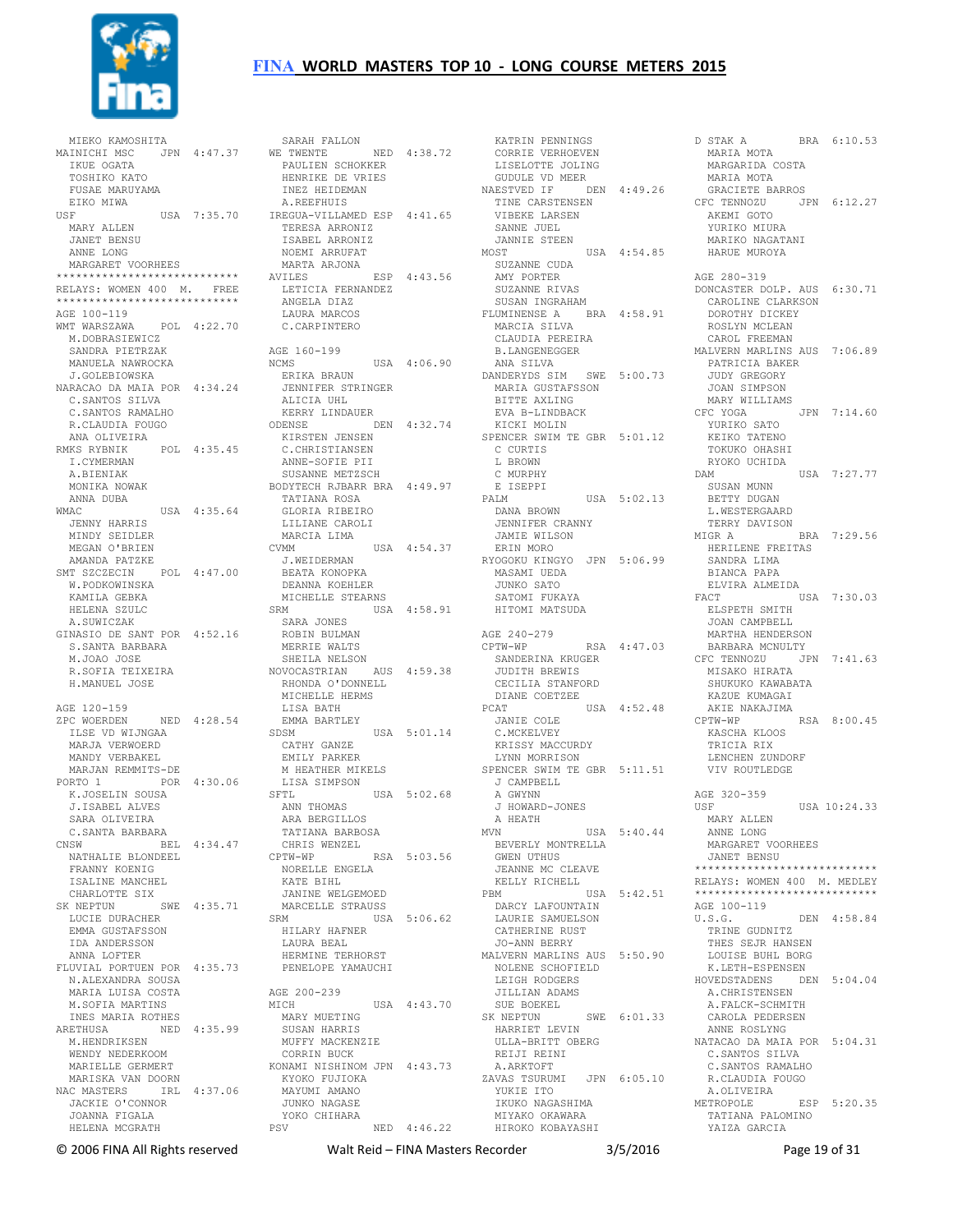

 MIEKO KAMOSHITA MAINICHI MSC JPN 4:47.37 IKUE OGATA TOSHIKO KATO FUSAE MARUYAMA EIKO MIWA<br>USE USA 7:35.70 MARY ALLEN JANET BENSU ANNE LONG MARGARET VOORHEES \*\*\*\*\*\*\*\*\*\*\*\*\*\*\*\*\*\*\*\*\*\*\*\*\*\*\*\* RELAYS: WOMEN 400 M. FREE \*\*<br>\*\*\*\*\*\*\*\*\*\* AGE 100-119<br>WMT WARSZAWA  $POT<sub>1</sub> 4:22.70$  M.DOBRASIEWICZ SANDRA PIETRZAK MANUELA NAWROCKA J.GOLEBIOWSKA NARACAO DA MAIA POR 4:34.24 C.SANTOS SILVA C.SANTOS RAMALHO R.CLAUDIA FOUGO ANA OLIVEIRA RMKS RYBNIK POL 4:35.45 KIRSTEN JENSEN C.CHRISTIANSEN I.CYMERMAN A.BIENIAK MONIKA NOWAK ANNA DUBA<br>WMAC  $USSA$  4:35.64 JENNY HARRIS MINDY SEIDLER MEGAN O'BRIEN AMANDA PATZKE SMT SZCZECIN POL 4:47.00 W.PODKOWINSKA KAMILA GEBKA HELENA SZULC A.SUWICZAK GINASIO DE SANT POR 4:52.16 S.SANTA BARBARA M JOAO JOSE R.SOFIA TEIXEIRA H.MANUEL JOSE AGE 120-159 ZPC WOERDEN NED 4:28.54 ILSE VD WIJNGAA MARJA VERWOERD MANDY VERBAKEL MARJAN REMMITS-DE PORTO 1 POR 4:30.06 K.JOSELIN SOUSA J.ISABEL ALVES SARA OLIVEIRA C.SANTA BARBARA CNSW BEL 4:34.47 NATHALIE BLONDEEL FRANNY KOENIG ISALINE MANCHEL CHARLOTTE SIX SK NEPTUN SWE 4:35.71 LUCIE DURACHER EMMA GUSTAFSSON IDA ANDERSSON ANNA LOFTER FLUVIAL PORTUEN POR 4:35.73 N.ALEXANDRA SOUSA MARIA LUISA COSTA M.SOFIA MARTINS INES MARIA ROTHES ARETHUSA NED 4:35.99 M.HENDRIKSEN WENDY NEDERKOOM MARIELLE GERMERT MARISKA VAN DOORN NAC MASTERS IRL 4:37.06 JACKIE O'CONNOR JOANNA FIGALA HELENA MCGRATH

 SARAH FALLON WE TWENTE NED 4:38.72 PAULIEN SCHOKKER HENRIKE DE VRIES INEZ HEIDEMAN A.REEFHUIS IREGUA-VILLAMED ESP 4:41.65 TERESA ARRONIZ ISABEL ARRONIZ NOEMI ARRUFAT MARTA ARJONA AVILES ESP 4:43.56 LETICIA FERNANDEZ<br>ANCELA PIAC ANGELA DIAZ LAURA MARCOS C.CARPINTERO AGE 160-199 NCMS USA 4:06.90 ERIKA BRAUN JENNIFER STRINGER ALICIA UHL ALICIA UHL<br>KERRY LINDAUER<br>DINAST ODENSE DEN 4:32.74 ANNE-SOFIE PII SUSANNE METZSCH BODYTECH RJBARR BRA 4:49.97 TATIANA ROSA GLORIA RIBEIRO LILIANE CAROLI MARCIA LIMA CVMM USA 4:54.37 J.WEIDERMAN BEATA KONOPKA DEANNA KOEHLER MICHELLE STEARNS<br>SRM USA USA  $4:58.91$ SARA JONES<br>ROBIN BULMAN<br>MERRIE WALTS SHEILA NELSON NOVOCASTRIAN AUS 4:59.38 RHONDA O'DONNELL MICHELLE HERMS LISA BATH EMMA BARTLEY<br>SDSM SDSM USA 5:01.14 CATHY GANZE EMILY PARKER M HEATHER MIKELS<br>LISA SIMPSON<br>SFTL USA LISA SIMPSON SFTL USA 5:02.68 ANN THOMAS ARA BERGILLOS TATIANA BARBOSA CHRIS WENZEL<br>CPTW-WP CPTW-WP RSA 5:03.56 BEVERLY MONTRELLA GWEN UTHUS NORELLE ENGELA KATE BIHL JANINE WELGEMOED MARCELLE STRAUSS SRM USA 5:06.62 HILARY HAFNER .<br>HILARY HAFNER<br>LAURA BEAL HERMINE TERHORST PENELOPE YAMAUCHI AGE 200-239 MICH USA 4:43.70 MARY MUETING SUSAN HARRIS MUFFY MACKENZIE CORRIN BUCK KONAMI NISHINOM JPN 4:43.73 KYOKO FUJIOKA MAYUMI AMANO JUNKO NAGASE YOKO CHIHARA PSV NED 4:46.22 MIYAKO OKAWARA HIROKO KOBAYASHI

 KATRIN PENNINGS CORRIE VERHOEVEN LISELOTTE JOLING GUDULE VD MEER NAESTVED IF DEN 4:49.26 TINE CARSTENSEN VIBEKE LARSEN SANNE JUEL JANNIE STEEN MOST USA 4:54.85 SUZANNE CUDA AMY PORTER SUZANNE RIVAS SUSAN INGRAHAM FLUMINENSE A BRA 4:58.91 MARCIA SILVA CLAUDIA PEREIRA B.LANGENEGGER ANA SILVA DANDERYDS SIM SWE 5:00.73 MARIA GUSTAFSSON BITTE AXLING EVA B-LINDBACK KICKI MOLIN SPENCER SWIM TE GBR 5:01.12 C CURTIS L BROWN C MURPHY E ISEPPI<br>PALM  $USA = 5:02.13$  DANA BROWN JENNIFER CRANNY JAMIE WILSON ERIN MORO RYOGOKU KINGYO JPN 5:06.99 MASAMI UEDA JUNKO SATO SATOMI FUKAYA HITOMI MATSUDA AGE 240-279 CPTW-WP RSA 4:47.03 SANDERINA KRUGER JUDITH BREWIS JUDITH BREWIS<br>CECILIA STANFORD DIANE COETZEE<br>PCAT U PCAT USA 4:52.48 AKIE NAKAJIMA JANIE COLE C.MCKELVEY KRISSY MACCURDY LYNN MORRISON<br>SPENCER SWIM TE GBR 5:11.51 SPENCER SWIM TE GBR 5:11.51<br>J CAMPBELL<br>A GWYNN<br>J HOWARD-JONES<br>A HEATH MVN USA 5:40.44 JEANNE MC CLEAVE KELLY RICHELL PBM USA 5:42.51 DARCY LAFOUNTAIN LAURIE SAMUELSON CATHERINE RUST JO-ANN BERRY MALVERN MARLINS AUS 5:50.90 NOLENE SCHOFIELD LEIGH RODGERS JILLIAN ADAMS SUE BOEKEL SK NEPTUN SWE 6:01.33 HARRIET LEVIN REIJI REINI A.ARKTOFT ZAVAS TSURUMI JPN 6:05.10 YUKIE ITO ITILIU<br>IKUKO NAGASHIMA<br>MIYAKO OKAMADA

 ULLA-BRITT OBERG NATACAO DA MAIA POR 5:04.31 D STAK A BRA 6:10.53 MARIA MOTA MARGARIDA COSTA MARIA MOTA GRACIETE BARROS CFC TENNOZU JPN 6:12.27 AKEMI GOTO YURIKO MIURA MARIKO NAGATANI HARUE MUROYA AGE 280-319 DONCASTER DOLP. AUS 6:30.71 CAROLINE CLARKSON DOROTHY DICKEY ROSLYN MCLEAN CAROL FREEMAN MALVERN MARLINS AUS 7:06.89 PATRICIA BAKER JUDY GREGORY JOAN SIMPSON MARY WILLIAMS CFC YOGA JPN 7:14.60 YURIKO SATO KEIKO TATENO<br>TOKUKO OHASHI RYOKO UCHIDA DAM USA 7:27.77 SUSAN MUNN BETTY DUGAN L.WESTERGAARD TERRY DAVISON<br>MIGR A BRA 7:29.56 MIGR A BRA 7:29.56 HERILENE FREITAS SANDRA LIMA BIANCA PAPA ELVIRA ALMEIDA FACT USA 7:30.03 ELSPETH SMITH JOAN CAMPBELL MARTHA HENDERSON BARBARA MCNULTY CFC TENNOZU JPN 7:41.63 MISAKO HIRATA SHUKUKO KAWABATA SHUKUKO KAWAB*P*<br>KAZUE KUMAGAI RSA 8:00.45 KASCHA KLOOS TRICIA RIX LENCHEN ZUNDORF VIV ROUTLEDGE AGE 320-359 USF USA 10:24.33 MARY ALLEN ANNE LONG MARGARET VOORHEES JANET BENSU \*\*\*\*\*\*\*\*\*\*\*\*\*\*\*\*\*\*\*\*\*\*\*\*\*\*\*\* RELAYS: WOMEN 400 M. MEDLEY \*\*\*\*\*\*\*\*\*\*\*\*\*\*\*\*\*\*\*\*\*\*\*\*\*\*\*\* AGE 100-119 U.S.G. DEN 4:58.84 TRINE GUDNITZ THES SEJR HANSEN LOUISE BUHL BORG K.LETH-ESPENSEN HOVEDSTADENS DEN 5:04.04 A.CHRISTENSEN A.FALCK-SCHMITH CAROLA PEDERSEN ANNE ROSLYNG C.SANTOS SILVA C.SANTOS RAMALHO R.CLAUDIA FOUGO A.OLIVEIRA A.ULIVEIRA<br>METROPOLE ESP 5:20.35 TATIANA PALOMINO YAIZA GARCIA

© 2006 FINA All Rights reserved Walt Reid – FINA Masters Recorder 3/5/2016 Page 19 of 31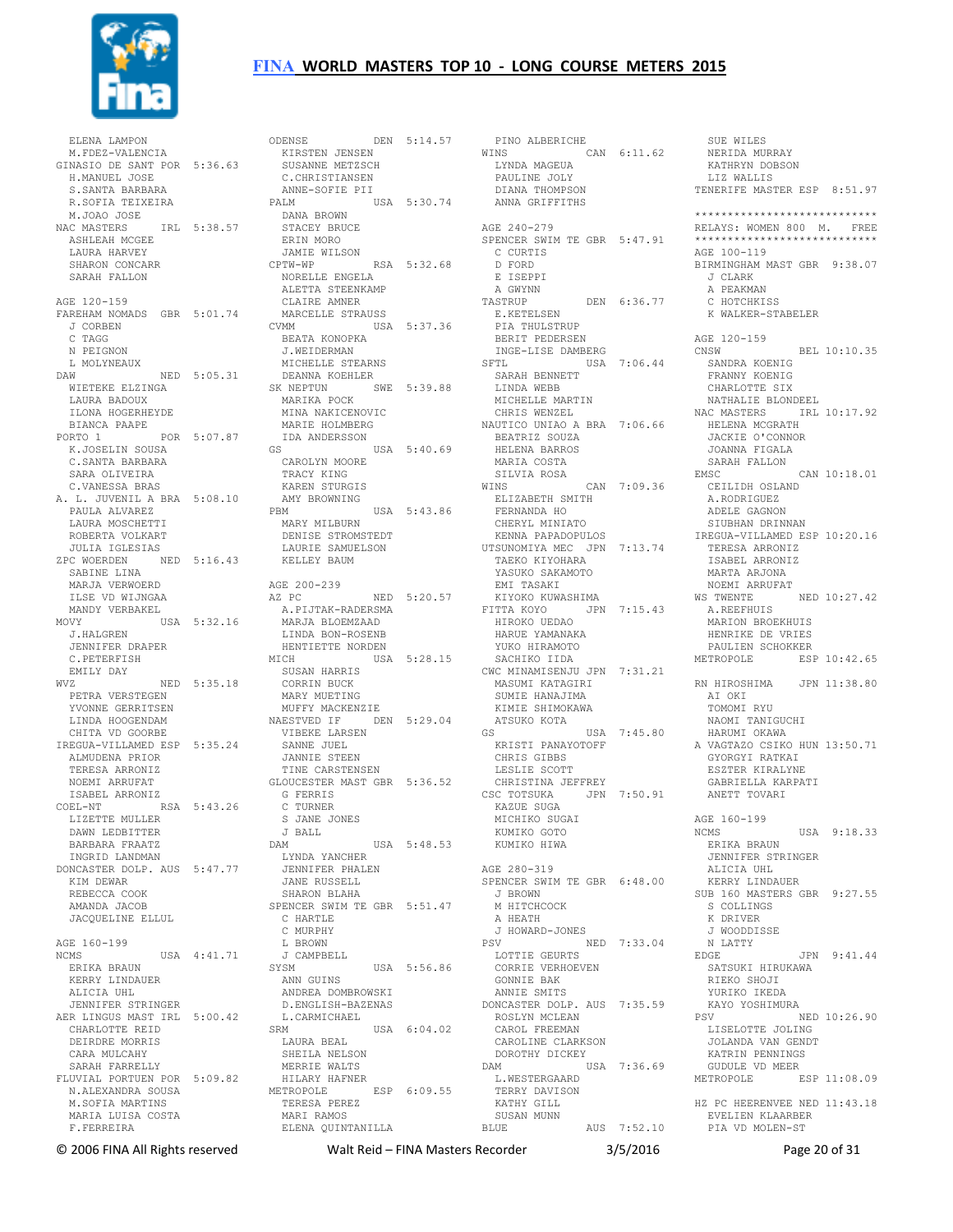

 ELENA LAMPON M.FDEZ-VALENCIA GINASIO DE SANT POR 5:36.63 H.MANUEL JOSE S.SANTA BARBARA R.SOFIA TEIXEIRA M.JOAO JOSE NAC MASTERS IRL 5:38.57 ASHLEAH MCGEE LAURA HARVEY SHARON CONCARR SARAH FALLON AGE 120-159 FAREHAM NOMADS GBR 5:01.74 J CORBEN C TAGG N PEIGNON L MOLYNEAUX L MOLYNEAUX<br>DAW NED 5:05.31 WIETEKE ELZINGA LAURA BADOUX ILONA HOGERHEYDE BIANCA PAAPE PORTO 1 POR 5:07.87 K.JOSELIN SOUSA C.SANTA BARBARA SARA OLIVEIRA C.VANESSA BRAS A. L. JUVENIL A BRA 5:08.10 PAULA ALVAREZ LAURA MOSCHETTI ROBERTA VOLKART JULIA IGLESIAS<br>ZPC WOERDEN NI NED 5:16.43 SABINE LINA MARJA VERWOERD ILSE VD WIJNGAA MANDY VERBAKEL MOVY USA 5:32.16 A.PIJTAK-RADERSMA MARJA BLOEMZAAD J.HALGREN JENNIFER DRAPER C.PETERFISH EMILY DAY WVZ NED 5:35.18 PETRA VERSTEGEN YVONNE GERRITSEN LINDA HOOGENDAM CHITA VD GOORBE IREGUA-VILLAMED ESP 5:35.24 ALMUDENA PRIOR TERESA ARRONIZ NOEMI ARRUFAT ISABEL ARRONIZ COEL-NT RSA 5:43.26 .......<br>LIZETTE MULLER DAWN LEDBITTER BARBARA FRAATZ INGRID LANDMAN DONCASTER DOLP. AUS 5:47.77 LYNDA YANCHER JENNIFER PHALEN KIM DEWAR REBECCA COOK AMANDA JACOB JACQUELINE ELLUL AGE 160-199 NCMS USA 4:41.71 ERIKA BRAUN KERRY LINDAUER ALICIA HHL JENNIFER STRINGER AER LINGUS MAST IRL 5:00.42 CHARLOTTE REID DEIRDRE MORRIS CARA MULCAHY SARAH FARRELLY FLUVIAL PORTUEN POR 5:09.82 N.ALEXANDRA SOUSA M.SOFIA MARTINS MARIA LUISA COSTA F.FERREIRA

ODENSE DEN 5:14.57 KIRSTEN JENSEN SUSANNE METZSCH C.CHRISTIANSEN ANNE-SOFIE PII PALM USA 5:30.74 DANA BROWN STACEY BRUCE ERIN MORO JAMIE WILSON<br>CPTW-WP RSA 5:32.68 NORELLE ENGELA ALETTA STEENKAMP CLAIRE AMNER MARCELLE STRAUSS<br>CVMM USA MARCELLE STRAUSS E.KETELSEN<br>
CVMM USA 5:37.36 PIA THULSTRUP BEATA KONOPKA J.WEIDERMAN MICHELLE STEARNS DEANNA KOEHLER SK NEPTUN SWE 5:39.88 MARIKA POCK MINA NAKICENOVIC MARIE HOLMBERG IDA ANDERSSON  $USA 5:40.69$  CAROLYN MOORE TRACY KING KAREN STURGIS AMY BROWNING PBM USA 5:43.86 PBM<br>MARY MILBURN DENISE STROMSTEDT<br>DENISE STROMSTEDT LAURIE SAMUELSON KELLEY BAUM AGE 200-239 AZ PC NED 5:20.57 LINDA BON-ROSENB HENTIETTE NORDEN MICH USA 5:28.15 SACHIKO IIDA SUSAN HARRIS CORRIN BUCK MARY MUETING MUFFY MACKENZIE NAESTVED IF DEN 5:29.04 VIBEKE LARSEN SANNE JUEL JANNIE STEEN TINE CARSTENSEN GLOUCESTER MAST GBR 5:36.52 G FERRIS C TURNER S JANE JONES J BALL DAM USA 5:48.53 JANE RUSSELL SHARON BLAHA SPENCER SWIM TE GBR 5:51.47 C HARTLE C MURPHY L BROWN<br>J CAMPBEI<br>SYSM<br>TITING J CAMPBELL USA 5:56.86 ANN GUINS ANDREA DOMBROWSKI D.ENGLISH-BAZENAS L.CARMICHAEL  $USA$   $6:04.02$  LAURA BEAL LAURA BEAL<br>SHEILA NELSON MERRIE WALTS HILARY HAFNER METROPOLE ESP 6:09.55 TERESA PEREZ MARI RAMOS ELENA QUINTANILLA

 PINO ALBERICHE WINS CAN 6:11.62 LYNDA MAGEUA PAULINE JOLY DIANA THOMPSON ANNA GRIFFITHS AGE 240-279 SPENCER SWIM TE GBR 5:47.91 C CURTIS D FORD E ISEPPI A GWYNN TASTRUP DEN 6:36.77 BERIT PEDERSEN INGE-LISE DAMBERG SFTL USA 7:06.44 SARAH BENNETT LINDA WEBB LINDA WEBB<br>MICHELLE MARTIN CHRIS WENZEL NAUTICO UNIAO A BRA 7:06.66 BEATRIZ SOUZA HELENA BARROS MARIA COSTA SILVIA ROSA WINS CAN 7:09.36 ELIZABETH SMITH FERNANDA HO CHERYL MINIATO KENNA PAPADOPULOS UTSUNOMIYA MEC JPN 7:13.74 TAEKO KIYOHARA YASUKO SAKAMOTO EMI TASAKI KIYOKO KUWASHIMA FITTA KOYO JPN 7:15.43 HIROKO UEDAO A.REEFHUIS MARION BROEKHUIS HARUE YAMANAKA YUKO HIRAMOTO CWC MINAMISENJU JPN 7:31.21 MASUMI KATAGIRI SUMIE HANAJIMA KIMIE SHIMOKAWA ATSUKO KOTA GS USA 7:45.80 KRISTI PANAYOTOFF CHRIS GIBBS LESLIE SCOTT CHRISTINA JEFFREY CSC TOTSUKA JPN 7:50.91 KAZUE SUGA MICHIKO SUGAI KUMIKO GOTO KUMIKO HIWA AGE 280-319 SPENCER SWIM TE GBR 6:48.00 J BROWN M HITCHCOCK A HEATH J HOWARD-JONES PSV NED 7:33.04 LOTTIE GEURTS CORRIE VERHOEVEN GONNIE BAK ANNIE SMITS DONCASTER DOLP. AUS 7:35.59 ROSLYN MCLEAN CAROL FREEMAN CAROLINE CLARKSON DOROTHY DICKEY DAM USA 7:36.69 L.WESTERGAARD TERRY DAVISON KATHY GILL SUSAN MUNN BLUE AUS 7:52.10

 SUE WILES NERIDA MURRAY KATHRYN DOBSON LIZ WALLIS TENERIFE MASTER ESP 8:51.97 \*\*\*\*\*\*\*\*\*\*\*\*\*\*\*\*\*\*\*\*\*\*\*\*\*\*\*\* RELAYS: WOMEN 800 M. FREE \*\*\*\*\*\*\*\*\*\*\*\*\*\*\*\*\*\*\*\*\*\*\*\*\*\*\*\* AGE 100-119 BIRMINGHAM MAST GBR 9:38.07 J CLARK A PEAKMAN C HOTCHKISS K WALKER-STABELER AGE 120-159 CNSW BEL 10:10.35 SANDRA KOENIG FRANNY KOENIG CHARLOTTE SIX NATHALIE BLONDEEL NAC MASTERS IRL 10:17.92 HELENA MCGRATH JACKIE O'CONNOR JOANNA FIGALA SARAH FALLON EMSC CAN 10:18.01 CEILIDH OSLAND A.RODRIGUEZ ADELE GAGNON SIUBHAN DRINNAN IREGUA-VILLAMED ESP 10:20.16 TERESA ARRONIZ ISABEL ARRONIZ MARTA ARJONA NOEMI ARRUFAT WS TWENTE NED 10:27.42 HENRIKE DE VRIES PAULIEN SCHOKKER METROPOLE ESP 10:42.65 RN HIROSHIMA JPN 11:38.80 AI OKI TOMOMT RYII NAOMI TANIGUCHI HARUMI OKAWA A VAGTAZO CSIKO HUN 13:50.71 GYORGYI RATKAI ESZTER KIRALYNE GABRIELLA KARPATI ANETT TOVARI AGE 160-199 NCMS USA 9:18.33 ERIKA BRAUN JENNIFER STRINGER ALICIA UHL KERRY LINDAUER SUB 160 MASTERS GBR 9:27.55 S COLLINGS K DRIVER J WOODDISSE N LATTY<br>EDGE EDGE JPN 9:41.44 SATSUKI HIRUKAWA RIEKO SHOJI YURIKO IKEDA KAYO YOSHIMURA PSV NED 10:26.90 LISELOTTE JOLING JOLANDA VAN GENDT KATRIN PENNINGS GUDULE VD MEER METROPOLE ESP 11:08.09 HZ PC HEERENVEE NED 11:43.18 EVELIEN KLAARBER PIA VD MOLEN-ST

© 2006 FINA All Rights reserved Walt Reid – FINA Masters Recorder 3/5/2016 Page 20 of 31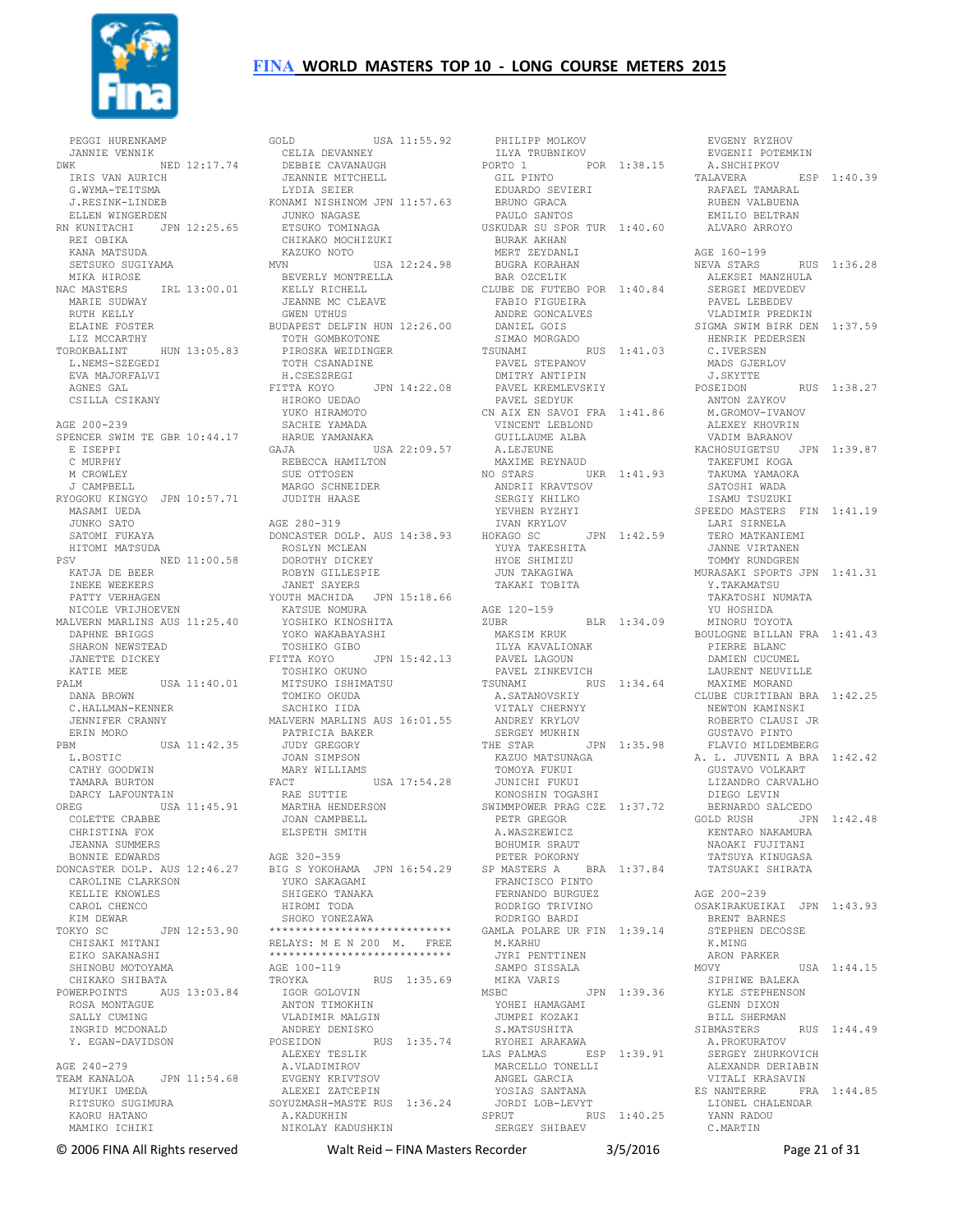

 PEGGI HURENKAMP JANNIE VENNIK DWK NED 12:17.74 IRIS VAN AURICH G.WYMA-TEITSMA J.RESINK-LINDEB ELLEN WINGERDEN RN KUNITACHI JPN 12:25.65 JUNKO NAGASE REI OBIKA KANA MATSUDA SETSUKO SUGIYAMA MIKA HIROSE NAC MASTERS IRL 13:00.01 MARIE SUDWAY RUTH KELLY ELAINE FOSTER LIZ MCCARTHY TOROKBALINT HUN 13:05.83 L.NEMS-SZEGEDI JKONBALLINI ...<br>L.NEMS-SZEGEDI<br>EVA MAJORFALVI AGNES GAL CSILLA CSIKANY AGE 200-239 SPENCER SWIM TE GBR 10:44.17 E ISEPPI C MURPHY M CROWLEY J CAMPBELL RYOGOKU KINGYO JPN 10:57.71 MASAMI UEDA JUNKO SATO SATOMI FUKAYA HITOMI MATSUDA PSV NED 11:00.58 KATJA DE BEER ROBYN GILLESPIE INEKE WEEKERS PATTY VERHAGEN JANET SAYERS YOUTH MACHIDA JPN 15:18.66 NICOLE VRIJHOEVEN MALVERN MARLINS AUS 11:25.40 KATSUE NOMURA YOSHIKO KINOSHITA DAPHNE BRIGGS SHARON NEWSTEAD JANETTE DICKEY KATIE MEE PALM USA 11:40.01 DANA BROWN C.HALLMAN-KENNER JENNIFER CRANNY ERIN MORO PBM USA 11:42.35 L.BOSTIC CATHY GOODWIN TAMARA BURTON DARCY LAFOUNTAIN OREG USA 11:45.91 COLETTE CRABBE CHRISTINA FOX JEANNA SUMMERS BONNIE EDWARDS DONCASTER DOLP. AUS 12:46.27 CAROLINE CLARKSON KELLIE KNOWLES CAROL CHENCO KIM DEWAR TOKYO SC JPN 12:53.90 CHISAKI MITANI EIKO SAKANASHI EIKU SANARASILL<br>SHINOBU MOTOYAMA CHIKAKO SHIBATA POWERPOINTS AUS 13:03.84 ROSA MONTAGUE SALLY CUMING INGRID MCDONALD Y. EGAN-DAVIDSON AGE 240-279 TEAM KANALOA JPN 11:54.68 MIYUKI UMEDA RITSUKO SUGIMURA KAORU HATANO MAMIKO ICHIKI

GOLD USA 11:55.92 CELIA DEVANNEY DEBBIE CAVANAUGH JEANNIE MITCHELL LYDIA SEIER KONAMI NISHINOM JPN 11:57.63 ETSUKO TOMINAGA CHIKAKO MOCHIZUKI KAZUKO NOTO MVN USA 12:24.98 BUGRA KORAHAN BAR OZCELIK NEVA STARS RUS 1:36.28 BEVERLY MONTRELLA KELLY RICHELL JEANNE MC CLEAVE CLUBE DE FUTEBO POR 1:40.84 FABIO FIGUEIRA GWEN UTHUS BUDAPEST DELFIN HUN 12:26.00 TOTH GOMBKOTONE PIROSKA WEIDINGER TOTH CSANADINE H.CSESZREGI FITTA KOYO JPN 14:22.08 HIROKO UEDAO YUKO HIRAMOTO SACHIE YAMADA HARUE YAMANAKA GAJA USA 22:09.57 REBECCA HAMILTON SUE OTTOSEN NO STARS UKR 1:41.93 TAKEFUMI KOGA TAKUMA YAMAOKA MARGO SCHNEIDER JUDITH HAASE AGE 280-319 DONCASTER DOLP. AUS 14:38.93 ROSLYN MCLEAN DOROTHY DICKEY YOKO WAKABAYASHI TOSHIKO GIBO FITTA KOYO JPN 15:42.13 TOSHIKO OKUNO MITSUKO ISHIMATSU<br>TOMIKO OKUDA<br>SACHIKO IIDA<br>MALVERN MARLINS AUS 16:01.55<br>PATRICIA BAKER<br>JUDY GREGORY JOAN SIMPSON KAZUO MATSUNAGA MARY WILLIAMS FACT USA 17:54.28 RAE SUTTIE MARTHA HENDERSON JOAN CAMPBELL ELSPETH SMITH AGE 320-359 BIG S YOKOHAMA JPN 16:54.29 PETER POKORNY SP MASTERS A BRA 1:37.84 YUKO SAKAGAMI SHIGEKO TANAKA HIROMI TODA SHOKO YONEZAWA \*\*\*\*\*\*\*\*\*\*\*\*\*\*\*\*\*\*\*\*\*\*\*\*\*\*\*\* RELAYS: M E N 200 M. FREE \*\*\*\*\*\*\*\*\*\*\*\*\*\*\*\*\*\*\*\*\*\*\*\*\*\* AGE 100-119 TROYKA RUS 1:35.69 IGOR GOLOVIN ANTON TIMOKHIN VLADIMIR MALGIN ANDREY DENISKO POSEIDON RUS 1:35.74 ALEXEY TESLIK A.VLADIMIROV EVGENY KRIVTSOV ALEXEI ZATCEPIN SOYUZMASH-MASTE RUS 1:36.24 A.KADUKHIN

 NIKOLAY KADUSHKIN SPRUT RUS 1:40.25 SERGEY SHIBAEV PHILIPP MOLKOV<br>
ILYA TRUBNIKOV<br>PORTO 1<br>
GIL PINTO<br>
EDUARDO SEVIERI<br>
BRUNO GRACA PAULO SANTOS USKUDAR SU SPOR TUR 1:40.60 BURAK AKHAN MERT ZEYDANLI ANDRE GONCALVES DANIEL GOIS SIMAO MORGADO TSUNAMI RUS 1:41.03 PAVEL STEPANOV DMITRY ANTIPIN PAVEL KREMLEVSKIY J.SKYTTE PAVEL SEDYUK CN AIX EN SAVOI FRA 1:41.86 VINCENT LEBLOND GUILLAUME ALBA A.LEJEUNE MAXIME REYNAUD ANDRII KRAVTSOV SERGIY KHILKO YEVHEN RYZHYI IVAN KRYLOV HOKAGO SC JPN 1:42.59 LARI SIRNELA YUYA TAKESHITA HYOE SHIMIZU JUN TAKAGIWA TAKAKI TOBITA AGE 120-159<br>ZUBR BLR 1:34.09 MAKSIM KRUK BOULOGNE BILLAN FRA 1:41.43 ILYA KAVALIONAK PAVEL LAGOUN PAVEL ZINKEVICH TSUNAMI RUS 1:34.64<br>
A.SATANOVSKIY<br>
VITALY CHERNYY<br>
ANDREY KRYLOV<br>
SERGEY MUKHIN<br>
THE STAR JPN 1:35.98 THE SIAN OIN 1.33.50<br>KAZUO MATSUNAGA<br>TOMOYA FUKUI JUNICHI FUKUI KONOSHIN TOGASHI SWIMMPOWER PRAG CZE 1:37.72 PETR GREGOR GOLD RUSH JPN 1:42.48 A.WASZKEWICZ BOHUMIR SRAUT FRANCISCO PINTO FERNANDO BURGUEZ RODRIGO TRIVINO RODRIGO BARDI GAMLA POLARE UR FIN 1:39.14 M.KARHU JYRI PENTTINEN SAMPO SISSALA MIKA VARIS MSBC JPN 1:39.36 SIPHIWE BALEKA KYLE STEPHENSON UPN<br>YOHEI HAMAGAMI<br>JUMPEI KOLAIL JUMPEI KOZAKI S.MATSUSHITA RYOHEI ARAKAWA LAS PALMAS ESP 1:39.91 MARCELLO TONELLI ANGEL GARCIA YOSIAS SANTANA ANGEL GARCIA<br>YOSIAS SANTANA<br>JORDI LOB-LEVYT

 EVGENY RYZHOV EVGENII POTEMKIN A.SHCHIPKOV EVGENII 101<br>A.SHCHIPKOV ESP 1:40.39 RAFAEL TAMARAL RUBEN VALBUENA EMILIO BELTRAN ALVARO ARROYO AGE 160-199 ALEKSEI MANZHULA SERGEI MEDVEDEV PAVEL LEBEDEV VLADIMIR PREDKIN SIGMA SWIM BIRK DEN 1:37.59 HENRIK PEDERSEN C.IVERSEN MADS GJERLOV RUS 1:38.27 ANTON ZAYKOV M.GROMOV-IVANOV ALEXEY KHOVRIN VADIM BARANOV KACHOSUIGETSU JPN 1:39.87 SATOSHI WADA ISAMU TSUZUKI SPEEDO MASTERS FIN 1:41.19 TERO MATKANIEMI JANNE VIRTANEN TOMMY RUNDGREN MURASAKI SPORTS JPN 1:41.31 Y.TAKAMATSU TAKATOSHI NUMATA YU HOSHIDA MINORU TOYOTA PIERRE BLANC DAMIEN CUCUMEL LAURENT NEUVILLE<br>
MAXIME MORAND<br>CLUBE CURITIBAN BRA 1:42.25<br>
NEWTON KAMINSKI<br>
ROBERTO CLAUSI JR<br>
GUSTAVO PINTO<br>
FLAVIO MILDEMBERG<br>
FLAVIO MILDEMBERG A. L. JUVENIL A BRA 1:42.42 GUSTAVO VOLKART LIZANDRO CARVALHO DIEGO LEVIN BERNARDO SALCEDO KENTARO NAKAMURA NAOAKI FUJITANI TATSUYA KINUGASA TATSUAKI SHIRATA AGE 200-239 OSAKIRAKUEIKAI JPN 1:43.93 BRENT BARNES STEPHEN DECOSSE K.MING ARON PARKER<br>MOVY USA 1:44.15 GLENN DIXON BILL SHERMAN<br>
SIBMASTERS RUS 1:44.49<br>
A.PROKURATOV<br>
SERGEY ZHURKOVICH<br>
ALEXANDR DERIABIN<br>
VITALI KRASAVIN<br>
ES NANTERRE FRA 1:44.85 LIONEL CHALENDAR YANN RADOU C.MARTIN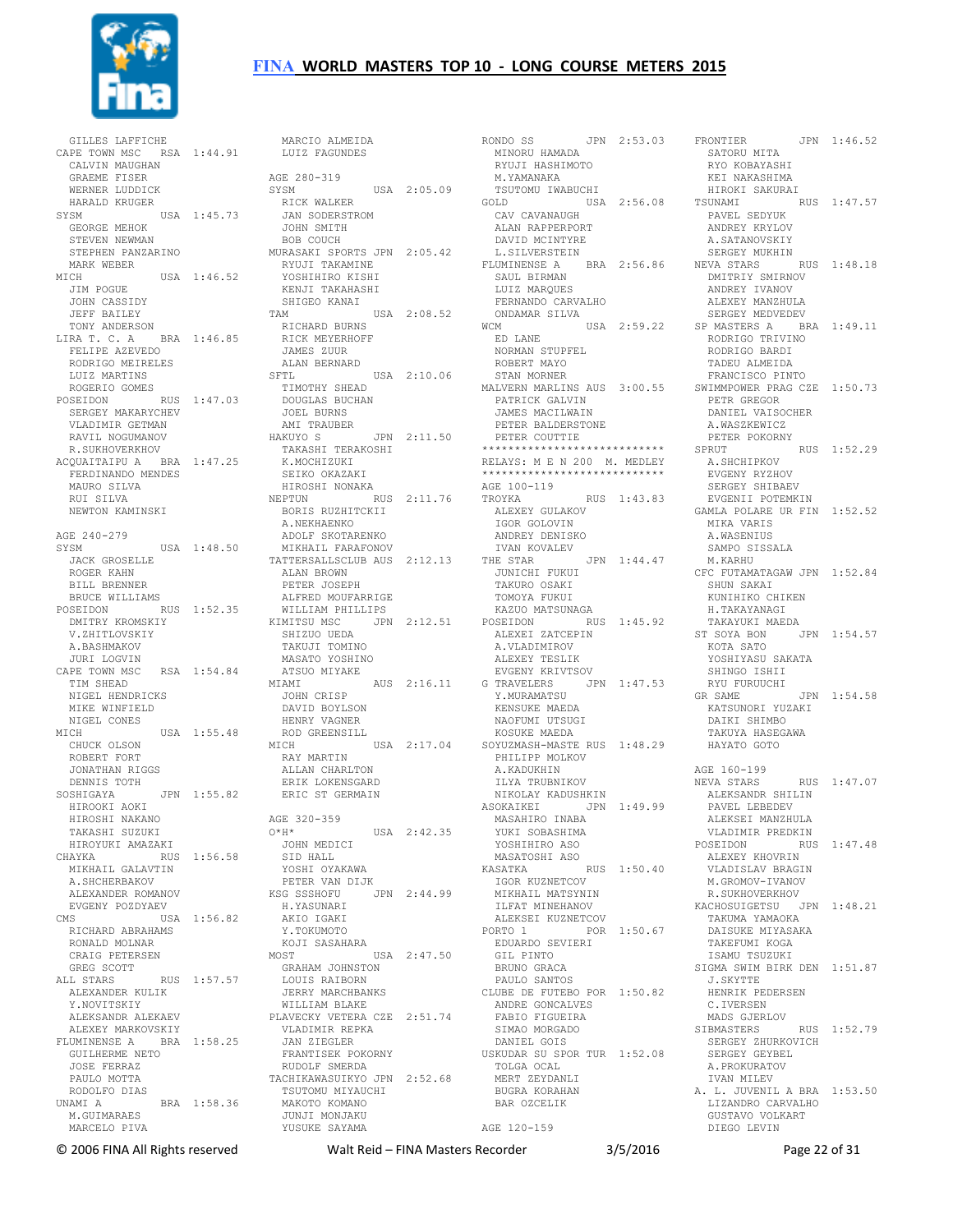

 GILLES LAFFICHE CAPE TOWN MSC RSA 1:44.91 CALVIN MAUGHAN GRAEME FISER WERNER LUDDICK HARALD KRUGER SYSM USA 1:45.73 GEORGE MEHOK STEVEN NEWMAN SIEVEN NEWILL.<br>STEPHEN PANZARINO MARK WEBER MICH USA 1:46.52 RYUJI TAKAMINE YOSHIHIRO KISHI JIM POGUE JOHN CASSIDY<br>
JEFF BAILEY<br>
TONY ANDERSON<br>LIRA T. C. A BRA 1:46.85<br>
FELIPE AZEVEDO<br>
RODRIGO MEIRELES LUIZ MARTINS ROGERIO GOMES POSEIDON RUS 1:47.03 SERGEY MAKARYCHEV VLADIMIR GETMAN RAVIL NOGUMANOV R.SUKHOVERKHOV ACQUAITAIPU A BRA 1:47.25 FERDINANDO MENDES K.MOCHIZUKI SEIKO OKAZAKI MAURO SILVA RUI SILVA NEWTON KAMINSKI AGE 240-279 SYSM USA 1:48.50 JACK GROSELLE ROGER KAHN BILL BRENNER BRUCE WILLIAMS POSEIDON RUS 1:52.35 DMITRY KROMSKIY V.ZHITLOVSKIY A.BASHMAKOV JURI LOGVIN CAPE TOWN MSC RSA 1:54.84 TIM SHEAD NIGEL HENDRICKS MIKE WINFIELD NIGEL CONES<br>MICH USA 1:55.48 ROD GRE<br>MICH MICH CHUCK OLSON ROBERT FORT JONATHAN RIGGS DENNIS TOTH SOSHIGAYA JPN 1:55.82 HIROOKI AOKI HIROSHI NAKANO TAKASHI SUZUKI<br>
HIROYUKI AMAZAKI<br>CHAYKA<br>
MIKHAIL GALAVTIN<br>
A.SHCHERBAKOV<br>
ALEXANDER ROMANOV CMS USA 1:56.82 RICHARD ABRAHAMS RONALD MOLNAR CRAIG PETERSEN GREG SCOTT ALL STARS RUS 1:57.57 ALEXANDER KULIK Y.NOVITSKIY ALEKSANDR ALEKAEV ALEXEY MARKOVSKIY FLUMINENSE A BRA 1:58.25 GUILHERME NETO JOSE FERRAZ PAULO MOTTA RODOLFO DIAS UNAMI A BRA 1:58.36 M.GUIMARAES MARCELO PIVA للمستحدث المستحدث المستحدث المستحدث المستحدث المستحدث المستحدث المستحدث المستحدث المستحدث المستحدث المستخدمات<br>EXAMELIANS REPORTED ABRAHAMS

 EVGENY POZDYAEV MARCIO ALMEIDA LUIZ FAGUNDES AGE 280-319 SYSM USA 2:05.09 RICK WALKER JAN SODERSTROM JOHN SMITH BOB COUCH MURASAKI SPORTS JPN 2:05.42 KENJI TAKAHASHI SHIGEO KANAI USA 2:08.52<br>
RICHARD BURNS<br>
RICK MEYERHOFF<br>
JAMES ZUUR<br>
ALAN BERNARD SFTL USA 2:10.06 TIMOTHY SHEAD DOUGLAS BUCHAN JOEL BURNS AMI TRAUBER HAKUYO S JPN 2:11.50 TAKASHI TERAKOSHI HIROSHI NONAKA NEPTUN RUS 2:11.76 AGE 100-119 TROYKA RUS 1:43.83 BORIS RUZHITCKII A.NEKHAENKO ADOLF SKOTARENKO MIKHAIL FARAFONOV<br>TATTERSALLSCLUB AUS 2:12.13<br>ALAN BROWN<br>PETER JOSEPH<br>ALFRED MOUFARRIGE WILLIAM PHILLIPS KIMITSU MSC JPN 2:12.51 KAZUO MATSUNAGA POSEIDON RUS 1:45.92 SHIZUO UEDA TAKUJI TOMINO MASATO YOSHINO ATSUO MIYAKE<br>MIAMI MIAMI AUS 2:16.11 JOHN CRISP G TRAVELERS JPN 1:47.53 Y.MURAMATSU GR SAME JPN 1:54.58 DAVID BOYLSON HENRY VAGNER ROD GREENSILL MICH USA 2:17.04 SOYUZMASH-MASTE RUS 1:48.29 RAY MARTIN ALLAN CHARLTON ERIK LOKENSGARD ERIC ST GERMAIN AGE 320-359 AGE 320-359 O\*H\* USA 2:42.35<br>
JOHN MEDICI<br>
SID HALL<br>
YOSHI OYAKAWA<br>
PETER VAN DIJK<br>
KSG SSSHOFU JPN 2:44.99 AKIO IGAKI<br>Y.TOKUMOTO<br>KOJI SASAHARA<br>MOST USA 2:47.50<br>GRAHAM JOHNSTON LOUIS RAIBORN JERRY MARCHBANKS WILLIAM BLAKE PLAVECKY VETERA CZE 2:51.74 VLADIMIR REPKA FABIO FIGUEIRA SIMAO MORGADO JAN ZIEGLER FRANTISEK POKORNY RUDOLF SMERDA TACHIKAWASUIKYO JPN 2:52.68 TSUTOMU MIYAUCHI MAKOTO KOMANO JUNJI MONJAKU YUSUKE SAYAMA

RONDO SS JPN 2:53.03 MINORU HAMADA RYUJI HASHIMOTO SATORU MITA RYO KOBAYASHI M.YAMANAKA TSUTOMU IWABUCHI GOLD USA 2:56.08 CAV CAVANAUGH ALAN RAPPERPORT DAVID MCINTYRE L.SILVERSTEIN FLUMINENSE A BRA 2:56.86 NEVA STARS RUS 1:48.18 SAUL BIRMAN LUIZ MARQUES FERNANDO CARVALHO ONDAMAR SILVA<br>WCM USA 2:59.22<br>ED LANE NORMAN STUPFEL ROBERT MAYO STAN MORNER MALVERN MARLINS AUS 3:00.55 SWIMMPOWER PRAG CZE 1:50.73 PATRICK GALVIN JAMES MACILWAIN PETER BALDERSTONE PETER COUTTIE \*\*\*\*\*\*\*\*\*\*\*\*\*\*\*\*\*\*\*\*\*\*\*\*\*\*\*\* RELAYS: M E N 200 M. MEDLEY \*\*\*\*\*\*\*\*\*\*\*\*\*\*\*\*\*\*\*\*\*\*\*\*\*\*\*\* ALEXEY GULAKOV IGOR GOLOVIN ANDREY DENISKO IVAN KOVALEV<br>THE STAR<br>JUNICHI FUKUI<br>TAKURO OSAKI<br>TOMOYA FUKUI ALEXEI ZATCEPIN A.VLADIMIROV ALEXEY TESLIK EVGENY KRIVTSOV Y.MURAMATSU<br>KENSUKE MAEDA NAOFUMI UTSUGI KOSUKE MAEDA PHILIPP MOLKOV A.KADUKHIN<br>ILYA TRUBNIKOV ILYA TRUBNIKOV NIKOLAY KADUSHKIN ASOKAIKEI JPN 1:49.99 MASAHIRO INABA YUKI SOBASHIMA YOSHIHIRO ASO MASATOSHI ASO KASATKA RUS 1:50.40 ALEXEY KHOVRIN VLADISLAV BRAGIN IGOR KUZNETCOV MIKHAIL MATSYNIN ILFAT MINEHANOV ALEKSEI KUZNETCOV PORTO 1 POR 1:50.67 EDUARDO SEVIERI GIL PINTO BRUNO GRACA PAULO SANTOS CLUBE DE FUTEBO POR 1:50.82 ANDRE GONCALVES DANIEL GOIS USKUDAR SU SPOR TUR 1:52.08 TOLGA OCAL TOLGA OCAL<br>MERT ZEYDANLI BUGRA KORAHAN BAR OZCELIK AGE 120-159

JPN 1:46.52 KEI NAKASHIMA HIROKI SAKURAI TSUNAMI RUS 1:47.57 PAVEL SEDYUK ANDREY KRYLOV A.SATANOVSKIY SERGEY MUKHIN DMITRIY SMIRNOV ANDREY IVANOV ALEXEY MANZHULA SERGEY MEDVEDEV SP MASTERS A BRA 1:49.11 RODRIGO TRIVINO RODRIGO TRIVINO<br>RODRIGO BARDI TADEU ALMEIDA FRANCISCO PINTO PETR GREGOR DANIEL VAISOCHER A.WASZKEWICZ PETER POKORNY<br>SPRUT RUS 1:52.29 A.SHCHIPKOV EVGENY RYZHOV SERGEY SHIBAEV EVGENII POTEMKIN GAMLA POLARE UR FIN 1:52.52 MIKA VARIS A.WASENIUS SAMPO SISSALA<br>
M.KARHU<br>CFC FUTAMATAGAW JPN 1:52.84<br>
SHUN SAKAI<br>
KUNIHIKO CHIKEN H.TAKAYANAGI<br>masuri TAKAYUKI MAEDA ST SOYA BON JPN 1:54.57 KOTA SATO YOSHIYASU SAKATA SHINGO ISHII RYU FURUUCHI KATSUNORI YUZAKI DAIKI SHIMBO TAKUYA HASEGAWA HAYATO GOTO AGE 160-199 NEVA STARS RUS 1:47.07 ALEKSANDR SHILIN PAVEL LEBEDEV PAVEL LEBEDEV<br>ALEKSEI MANZHULA VLADIMIR PREDKIN POSEIDON RUS 1:47.48 M.GROMOV-IVANOV R.SUKHOVERKHOV KACHOSUIGETSU JPN 1:48.21 ...JJJISTSU J<br>TAKUMA YAMAOKA<br>DAIOIII DAISUKE MIYASAKA TAKEFUMI KOGA ISAMU TSUZUKI SIGMA SWIM BIRK DEN 1:51.87 J.SKYTTE HENRIK PEDERSEN C.IVERSEN C.IVERSEN<br>MADS GJERLOV SIBMASTERS RUS 1:52.79 SERGEY ZHURKOVICH SERGEY GEYBEL A.PROKURATOV IVAN MILEV A. L. JUVENIL A BRA 1:53.50 LIZANDRO CARVALHO GUSTAVO VOLKART DIEGO LEVIN

© 2006 FINA All Rights reserved Walt Reid – FINA Masters Recorder 3/5/2016 Page 22 of 31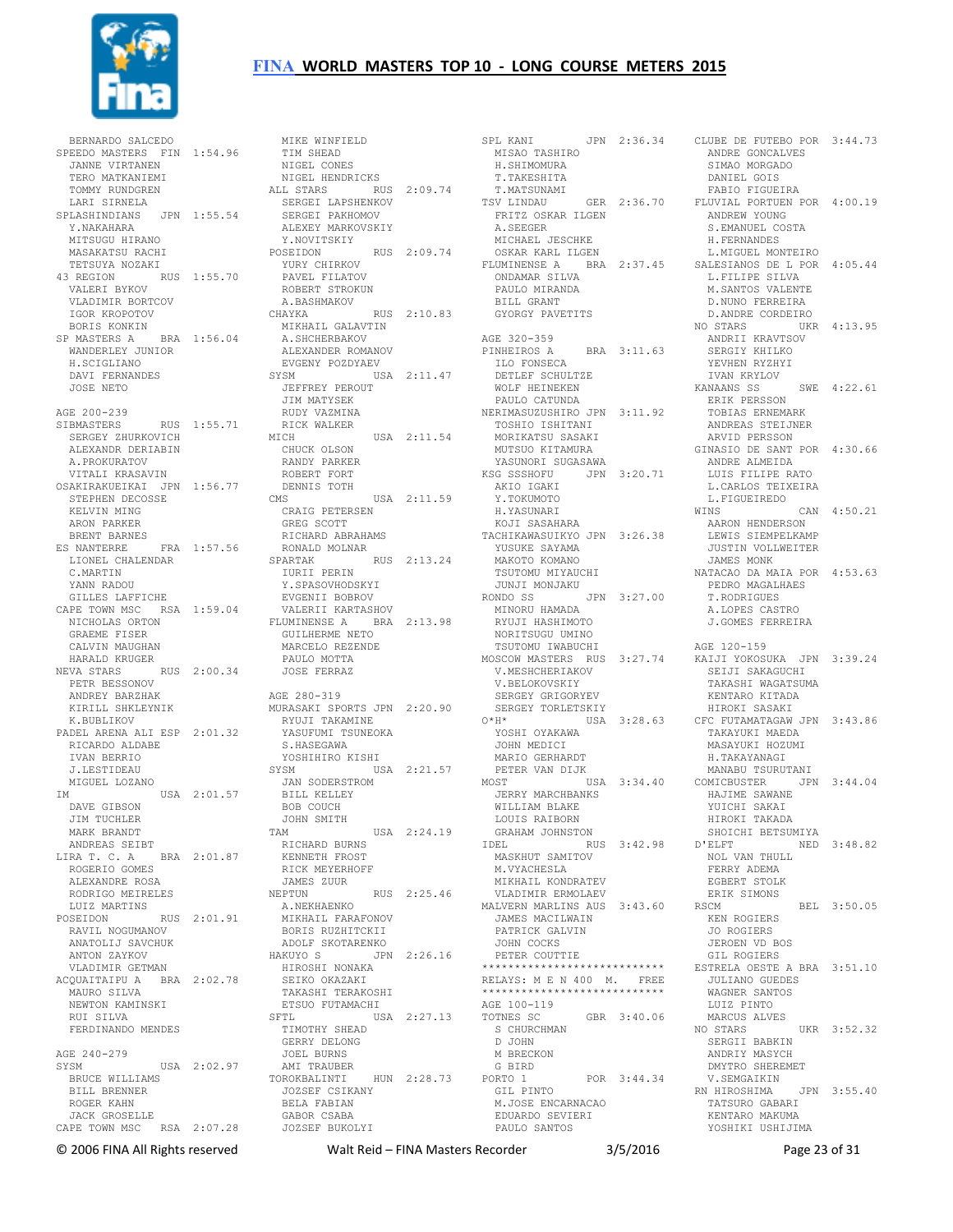

 BERNARDO SALCEDO SPEEDO MASTERS FIN 1:54.96 JANNE VIRTANEN TERO MATKANIEMI TOMMY RUNDGREN LARI SIRNELA SPLASHINDIANS JPN 1:55.54 Y.NAKAHARA MITSUGU HIRANO MASAKATSU RACHI TETSUYA NOZAKI 43 REGION RUS 1:55.70 VALERI BYKOV VLADIMIR BORTCOV IGOR KROPOTOV BORIS KONKIN SP MASTERS A BRA 1:56.04 WANDERLEY JUNIOR H.SCIGLIANO DAVI FERNANDES JOSE NETO AGE 200-239<br>SIBMASTERS SIBMASTERS RUS 1:55.71<br>SERGEY ZHURKOVICH ALEXANDR DERIABIN A.PROKURATOV VITALI KRASAVIN OSAKIRAKUEIKAI JPN 1:56.77 STEPHEN DECOSSE KELVIN MING ARON PARKER BRENT BARNES ES NANTERRE FRA 1:57.56 LIONEL CHALENDAR C.MARTIN YANN RADOU GILLES LAFFICHE ILL --<br>NICHOLAS ORTON<br>GRAEME FISER CALVIN MAUGHAN HARALD KRUGER NEVA STARS RUS 2:00.34 PETR BESSONOV ANDREY BARZHAK KIRILL SHKLEYNIK K.BUBLIKOV PADEL ARENA ALI ESP 2:01.32 RICARDO ALDABE IVAN BERRIO J.LESTIDEAU MIGUEL LOZANO IM USA 2:01.57 JAN SODERSTROM BILL KELLEY DAVE GIBSON JIM TUCHLER MARK BRANDT<br>
ANDREAS SEIBT<br>
LIRA T. C. A BRA 2:01.87<br>
ROGERIO GOMES<br>
ALEXANDRE ROSA RODRIGO MEIRELES LUIZ MARTINS POSEIDON RUS 2:01.91 RAVIL NOGUMANOV ANATOLIJ SAVCHUK ANTON ZAYKOV VLADIMIR GETMAN ACQUAITAIPU A BRA 2:02.78 MAURO SILVA NEWTON KAMINSKI<br>NEWTON KAMINSKI RUI SILVA FERDINANDO MENDES AGE 240-279 SYSM USA 2:02.97 BRUCE WILLIAMS BILL BRENNER ROGER KAHN JACK GROSELLE CAPE TOWN MSC RSA 2:07.28

CAPE TOWN MSC RSA 1:59.04 NICHOLAS ORTON VALERII KARTASHOV FLUMINENSE A BRA 2:13.98 MINORU HAMADA RYUJI HASHIMOTO MIKE WINFIELD TIM SHEAD NIGEL CONES LI CUNES<br>NIGEL HENDRICKS<br>LL STARS ALL STARS RUS 2:09.74 SERGEI LAPSHENKOV SERGEI PAKHOMOV ALEXEY MARKOVSKIY Y.NOVITSKIY POSEIDON RUS 2:09.74 YURY CHIRKOV PAVEL FILATOV ROBERT STROKUN ROBERT STROKUN<br>A.BASHMAKOV<br>CHAYKA RUS CHAYKA RUS 2:10.83 MIKHAIL GALAVTIN A.SHCHERBAKOV A.SHCHERBAKOV<br>ALEXANDER ROMANOV EVGENY POZDYAEV SYSM USA 2:11.47 JEFFREY PEROUT JIM MATYSEK RUDY VAZMINA RICK WALKER<br>MICH USA 2:11.54 CHUCK OLSON<br>The RANDY PARKER ROBERT FORT DENNIS TOTH CMS USA 2:11.59 CMS USA CRAIG PETERSEN GREG SCOTT RICHARD ABRAHAMS<br>RONALD MOLNAR<br>SPARTAK RUS 2 RONALD MOLNAR  $S = RUS = 2:13.24$  IURII PERIN IURII PERIN<br>Y.SPASOVHODSKYI EVGENII BOBROV GUILHERME NETO MARCELO REZENDE PAULO MOTTA JOSE FERRAZ AGE 280-319 MURASAKI SPORTS JPN 2:20.90 RYUJI TAKAMINE YASUFUMI TSUNEOKA S.HASEGAWA YOSHIHIRO KISHI SYSM USA 2:21.57 BOB COUCH JOHN SMITH<br>TAM TAM USA 2:24.19 RICHARD BURNS KENNETH FROST RICK MEYERHOFF JAMES ZUUR NEPTUN RUS 2:25.46 A.NEKHAENKO MIKHAIL FARAFONOV BORIS RUZHITCKII ADOLF SKOTARENKO HAKUYO S JPN 2:26.16 HIROSHI NONAKA SEIKO OKAZAKI<br>TAKASHI TERAKOSHI ETSUO FUTAMACHI SFTL USA 2:27.13 TIMOTHY SHEAD GERRY DELONG JOEL BURNS AMI TRAUBER<br>TOROKBALINTI HUN 2:28.73<br>JOZSEF CSIKANY<br>BELA FABIAN<br>GABOR CSABA JOZSEF BUKOLYI

SPL KANI JPN 2:36.34 MISAO TASHIRO H.SHIMOMURA T.TAKESHITA T.MATSUNAMI TSV LINDAU GER 2:36.70 FRITZ OSKAR ILGEN A.SEEGER MICHAEL JESCHKE OSKAR KARL ILGEN FLUMINENSE A BRA 2:37.45 ONDAMAR SILVA SALESIANOS DE L POR 4:05.44 L.FILIPE SILVA PAULO MIRANDA BILL GRANT GYORGY PAVETITS AGE 320-359 PINHEIROS A BRA 3:11.63 ILO FONSECA DETLEF SCHULTZE WOLF HEINEKEN PAULO CATUNDA NERIMASUZUSHIRO JPN 3:11.92 TOSHIO ISHITANI MORIKATSU SASAKI MUTSUO KITAMURA YASUNORI SUGASAWA KSG SSSHOFU JPN 3:20.71 ANDRE ALMEIDA LUIS FILIPE RATO AKIO IGAKI Y.TOKUMOTO H.YASUNARI KOJI SASAHARA TACHIKAWASUIKYO JPN 3:26.38 YUSUKE SAYAMA MAKOTO KOMANO TSUTOMU MIYAUCHI NATACAO DA MAIA POR 4:53.63 JUNJI MONJAKU RONDO SS JPN 3:27.00 PEDRO MAGALHAES T.RODRIGUES NORITSUGU UMINO TSUTOMU IWABUCHI MOSCOW MASTERS RUS 3:27.74 KAIJI YOKOSUKA JPN 3:39.24 V.MESHCHERIAKOV V.BELOKOVSKIY SERGEY GRIGORYEV SERGEY TORLETSKIY O\*H\* USA 3:28.63 CFC FUTAMATAGAW JPN 3:43.86 YOSHI OYAKAWA JOHN MEDICI MARIO GERHARDT PETER VAN DIJK<br>MOST 115 MOST USA 3:34.40 JERRY MARCHBANKS COMICBUSTER JPN 3:44.04 HAJIME SAWANE WILLIAM BLAKE LOUIS RAIBORN GRAHAM JOHNSTON IDEL RUS 3:42.98 D'ELFT MASKHUT SAMITOV M.VYACHESLA MIKHAIL KONDRATEV VLADIMIR ERMOLAEV MALVERN MARLINS AUS 3:43.60 JAMES MACILWAIN PATRICK GALVIN JOHN COCKS PETER COUTTIE \*\*\*\*\*\*\*\*\*\*\*\*\*\*\*\*\*\*\*\*\*\*\*\*\*\*\*\* RELAYS: M E N 400 M. FREE<br>\*\*\*\*\*\*\*\*\*\*\*\*\*\*\*\*\*\*\*\*\*\*\*\*\*\*\*\* AGE 100-119 TOTNES SC GBR 3:40.06 S CHURCHMAN D JOHN M BRECKON G BIRD PORTO 1 POR 3:44.34 GIL PINTO M.JOSE ENCARNACAO EDUARDO SEVIERI EDUARDO SEVIERI<br>PAULO SANTOS

CLUBE DE FUTEBO POR 3:44.73 ANDRE GONCALVES SIMAO MORGADO DANIEL GOIS FABIO FIGUEIRA FLUVIAL PORTUEN POR 4:00.19 ANDREW YOUNG S.EMANUEL COSTA H.FERNANDES L.MIGUEL MONTEIRO M.SANTOS VALENTE D.NUNO FERREIRA D.ANDRE CORDEIRO<br>NO STARS UKR NO STARS UKR 4:13.95 ANDRII KRAVTSOV SERGIY KHILKO YEVHEN RYZHYI IVAN KRYLOV KANAANS SS SWE 4:22.61 ERIK PERSSON TOBIAS ERNEMARK ANDREAS STEIJNER ARVID PERSSON GINASIO DE SANT POR 4:30.66 L.CARLOS TEIXEIRA L.FIGUEIREDO WINS CAN 4:50.21 AARON HENDERSON LEWIS SIEMPELKAMP JUSTIN VOLLWEITER JAMES MONK A.LOPES CASTRO J.GOMES FERREIRA AGE 120-159 SEIJI SAKAGUCHI TAKASHI WAGATSUMA KENTARO KITADA HIROKI SASAKI TAKAYUKI MAEDA MASAYUKI HOZUMI H.TAKAYANAGI MANABU TSURUTANI YUICHI SAKAI HIROKI TAKADA SHOICHI BETSUMIYA NED 3:48.82 NOL VAN THULL FERRY ADEMA EGBERT STOLK ERIK SIMONS  $RET.$  3:50.05 KEN ROGIERS JO ROGIERS JEROEN VD BOS GIL ROGIERS ESTRELA OESTE A BRA 3:51.10 JULIANO GUEDES WAGNER SANTOS LUIZ PINTO MARCUS ALVES NO STARS UKR 3:52.32 SERGII BABKIN ANDRIY MASYCH DMYTRO SHEREMET V.SEMGAIKIN RN HIROSHIMA JPN 3:55.40 TATSURO GABARI KENTARO MAKUMA YOSHIKI USHIJIMA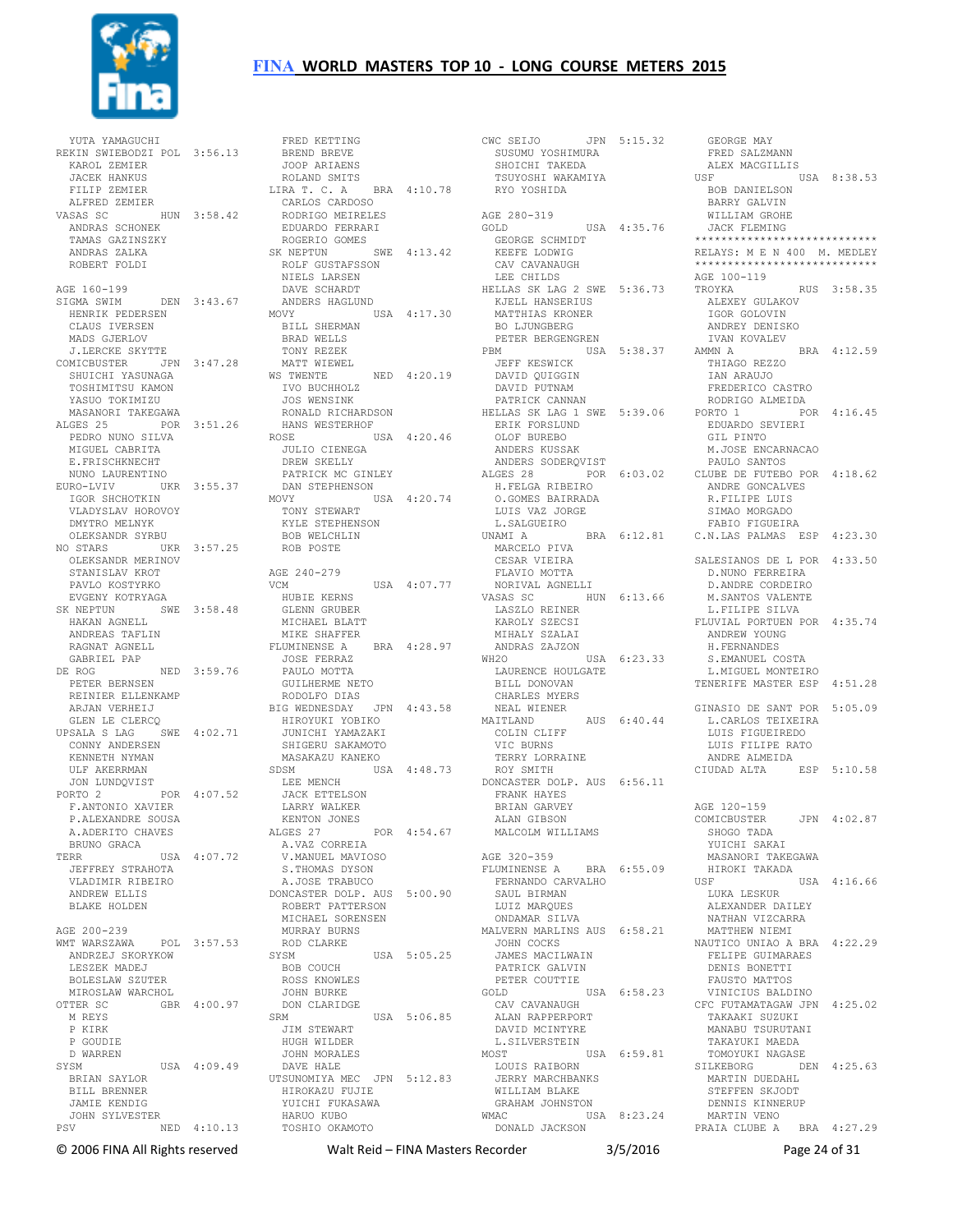

 YUTA YAMAGUCHI REKIN SWIEBODZI POL 3:56.13 BREND BREVE KAROL ZEMIER JACEK HANKUS FILIP ZEMIER ALFRED ZEMIER VASAS SC HUN 3:58.42 ANDRAS SCHONEK TAMAS GAZINSZKY ANDRAS ZALKA ROBERT FOLDI AGE 160-199 SIGMA SWIM DEN 3:43.67 HENRIK PEDERSEN CLAUS IVERSEN MADS GJERLOV J.LERCKE SKYTTE COMICBUSTER JPN 3:47.28 SHULLONG SHALL UPIN STRING OF MATT WIEWEIN SHULLONG SHALL AND WEST WAS ARRISTED ON A SHULLONG SHALL AND SHALL A<br>SHUICHI YASUNAGA SHALL AND THE SHALL AND THE SHALL AND THE SHALL AND THE SHALL AND THE SHALL AND THE SHALL AND TOSHIMITSU KAMON YASUO TOKIMIZU MASANORI TAKEGAWA ALGES 25 POR 3:51.26 E.FRISCHKNECHT NUNO LAURENTINO EURO-LVIV UKR 3:55.37 IGOR SHCHOTKIN VLADYSLAV HOROVOY DMYTRO MELNYK OLEKSANDR SYRBU NO STARS UKR 3:57.25 BOB WELCHLIN ROB POSTE OLEKSANDR MERINOV STANISLAV KROT PAVLO KOSTYRKO EVGENY KOTRYAGA SK NEPTUN SWE 3:58.48 HAKAN AGNELL ANDREAS TAFLIN RAGNAT AGNELL GABRIEL PAP DE ROG NED 3:59.76 PETER BERNSEN REINIER ELLENKAMP ARJAN VERHEIJ GLEN LE CLERCQ  $HPSALA S IAC$  SWE  $4 \cdot 02.71$  CONNY ANDERSEN KENNETH NYMAN ULF AKERRMAN<br>JON LUNDQVIST<br>PORTO 2<br>F.ANTONIO XAVIER<br>P.ALEXANDRE SOUSA A.ADERITO CHAVES BRUNO GRACA TERR USA 4:07.72 A.VAZ CORREIA V.MANUEL MAVIOSO S.THOMAS DYSON JEFFREY STRAHOTA VLADIMIR RIBEIRO ANDREW ELLIS BLAKE HOLDEN AGE 200-239 WMT WARSZAWA POL 3:57.53 ANDRZEJ SKORYKOW LESZEK MADEJ BOLESLAW SZUTER MIROSLAW WARCHOL<br>OTTER SC GBR GBR 4:00.97 M REYS P KIRK P GOUDIE D WARREN SYSM USA 4:09.49 BRIAN SAYLOR BILL BRENNER JAMIE KENDIG JOHN SYLVESTER PSV NED 4:10.13 HARUO KUBO TOSHIO OKAMOTO

 PEDRO NUNO SILVA MIGUEL CABRITA ROSE USA 4:20.46 JULIO CIENEGA FRED KETTING JOOP ARIAENS ROLAND SMITS LIRA T. C. A BRA 4:10.78 CARLOS CARDOSO RODRIGO MEIRELES EDUARDO FERRARI ROGERIO GOMES SK NEPTUN SWE  $4:13.42$  ROLF GUSTAFSSON NIELS LARSEN DAVE SCHARDT ANDERS HAGLUND<br>MOVY U USA 4:17.30 BILL SHERMAN BRAD WELLS TONY REZEK MATT WIEWEL WS TWENTE NED 4:20.19<br>
IVO BUCHHOLZ<br>
JOS WENSINK<br>
RONALD RICHARDSON<br>
HANS WESTERHOF DREW SKELLY PATRICK MC GINLEY DAN STEPHENSON MOVY USA 4:20.74 TONY STEWART KYLE STEPHENSON AGE 240-279<br>VCM  $USA = 4:07.77$  HUBIE KERNS GLENN GRUBER MICHAEL BLATT MIKE SHAFFER<br>TJUMINENSE A – BRA – 4:28.97 FLUMINENSE A JOSE FERRAZ PAULO MOTTA GUILHERME NETO RODOLFO DIAS BIG WEDNESDAY JPN 4:43.58 HIROYUKI YOBIKO JUNICHI YAMAZAKI SHIGERU SAKAMOTO MASAKAZU KANEKO SDSM USA 4:48.73 LEE MENCH JACK ETTELSON LARRY WALKER KENTON JONES ALGES 27 POR 4:54.67 A.JOSE TRABUCO DONCASTER DOLP. AUS 5:00.90 ROBERT PATTERSON MICHAEL SORENSEN MURRAY BURNS ROD CLARKE<br>SYSM USA 5:05.25 BOB COUCH ROSS KNOWLES JOHN BURKE DON CLARIDGE SRM USA 5:06.85 JIM STEWART HUGH WILDER JOHN MORALES DAVE HALE UTSUNOMIYA MEC JPN 5:12.83 HIROKAZU FUJIE YUICHI FUKASAWA

CWC SEIJO JPN 5:15.32 SUSUMU YOSHIMURA GEORGE MAY FRED SALZMANN SUSUMU YOSHIMURA<br>SHOICHI TAKEDA TSUYOSHI WAKAMIYA RYO YOSHIDA AGE 280-319 GOLD USA 4:35.76 GEORGE SCHMIDT KEEFE LODWIG CAV CAVANAUGH LEE CHILDS HELLAS SK LAG 2 SWE 5:36.73 KJELL HANSERIUS MATTHIAS KRONER BO LJUNGBERG PETER BERGENGREN PBM USA 5:38.37 JEFF KESWICK DAVID QUIGGIN DAVID PUTNAM PATRICK CANNAN HELLAS SK LAG 1 SWE 5:39.06 ERIK FORSLUND CALLAND I SWE 5:39.0<br>ERIK FORSLUND<br>OLOF BUREBO OLOF BUREBO<br>ANDERS KUSSAK ANDERS SODERQVIST H.FELGA RIBEIRO O.GOMES BAIRRADA LUIS VAZ JORGE L.SALGUEIRO UNAMI A BRA 6:12.81 MARCELO PIVA CESAR VIEIRA FLAVIO MOTTA NORIVAL AGNELLI VASAS SC HUN 6:13.66 LASZLO REINER KAROLY SZECSI MIHALY SZALAI ANDRAS ZAJZON WH2O USA 6:23.33 ELLE DONOVAN<br>CHARLES MYERS<br>CHARLES MYERS CHANDDE<br>NEAL WIENER AUS 6:40.44 COLIN CLIFF VIC BURNS TERRY LORRAINE ROY SMITH DONCASTER DOLP. AUS 6:56.11 FRANK HAYES BRIAN GARVEY ALAN GIBSON MALCOLM WILLIAMS AGE 320-359 AGE 320-339<br>FLUMINENSE A BRA 6:55.09 FERNANDO CARVALHO SAUL BIRMAN LUIZ MARQUES ONDAMAR SILVA MALVERN MARLINS AUS 6:58.21 JOHN COCKS JAMES MACILWAIN PATRICK GALVIN PETER COUTTIE GOLD USA 6:58.23 CAV CAVANAUGH<br>REFERENCE ALAN RAPPERPORT DAVID MCINTYRE L.SILVERSTEIN<br>MOST MOST USA 6:59.81 LOUIS RAIBORN WILLIAM BLAKE GRAHAM JOHNSTON WMAC USA 8:23.24 DONALD JACKSON

ALGES 28 POR 6:03.02 CLUBE DE FUTEBO POR 4:18.62 LAURENCE HOULGATE BILL DONOVAN L.MIGUEL MONTEIRO TENERIFE MASTER ESP 4:51.28 JERRY MARCHBANKS SILKEBORG DEN 4:25.63 MARTIN DUEDAHL ALEX MACGILLIS USF USA 8:38.53 BOB DANIELSON BARRY GALVIN WILLIAM GROHE JACK FLEMING \*\*\*\*\*\*\*\*\*\*\*\*\*\*\*\*\*\*\*\*\*\*\*\*\*\*\*\* RELAYS: M E N 400 M. MEDLEY \*\*\*\*\*\*\*\*\*\*\*\*\*\*\*\*\*\*\*\*\*\*\*\*\*\*\*\* .<br>AGE 100-119<br>TROYKA RUS 3:58.35 ALEXEY GULAKOV IGOR GOLOVIN ANDREY DENISKO IVAN KOVALEV<br>AMMN A BRA 4:12.59 THIAGO REZZO IAN ARAUJO FREDERICO CASTRO RODRIGO ALMEIDA<br>ORTO 1 POR 4:16.45 PORTO 1 EDUARDO SEVIERI GIL PINTO M.JOSE ENCARNACAO PAULO SANTOS ANDRE GONCALVES R.FILIPE LUIS SIMAO MORGADO FABIO FIGUEIRA C.N.LAS PALMAS ESP 4:23.30 SALESIANOS DE L POR 4:33.50 D.NUNO FERREIRA D.ANDRE CORDEIRO M.SANTOS VALENTE L.FILIPE SILVA FLUVIAL PORTUEN POR 4:35 74 ANDREW YOUNG H.FERNANDES S.EMANUEL COSTA GINASIO DE SANT POR 5:05.09 L.CARLOS TEIXEIRA LUIS FIGUEIREDO LUIS FILIPE RATO ANDRE ALMEIDA CIUDAD ALTA ESP 5:10.58 AGE 120-159 AGE 120 100<br>COMICBUSTER JPN 4:02.87 SHOGO TADA YUICHI SAKAI MASANORI TAKEGAWA HIROKI TAKADA<br>USF  $USA$  4:16.66 LUKA LESKUR ALEXANDER DAILEY NATHAN VIZCARRA MATTHEW NIEMI NAUTICO UNIAO A BRA 4:22.29 FELIPE GUIMARAES DENIS BONETTI FAUSTO MATTOS VINICIUS BALDINO CFC FUTAMATAGAW JPN 4:25.02 TAKAAKI SUZUKI MANABU TSURUTANI TAKAYUKI MAEDA TOMOYUKI NAGASE MARTIN DUEDAHL<br>STEFFEN SKJODT DENNIS KINNERUP MARTIN VENO PRAIA CLUBE A BRA 4:27.29

© 2006 FINA All Rights reserved Walt Reid – FINA Masters Recorder 3/5/2016 Page 24 of 31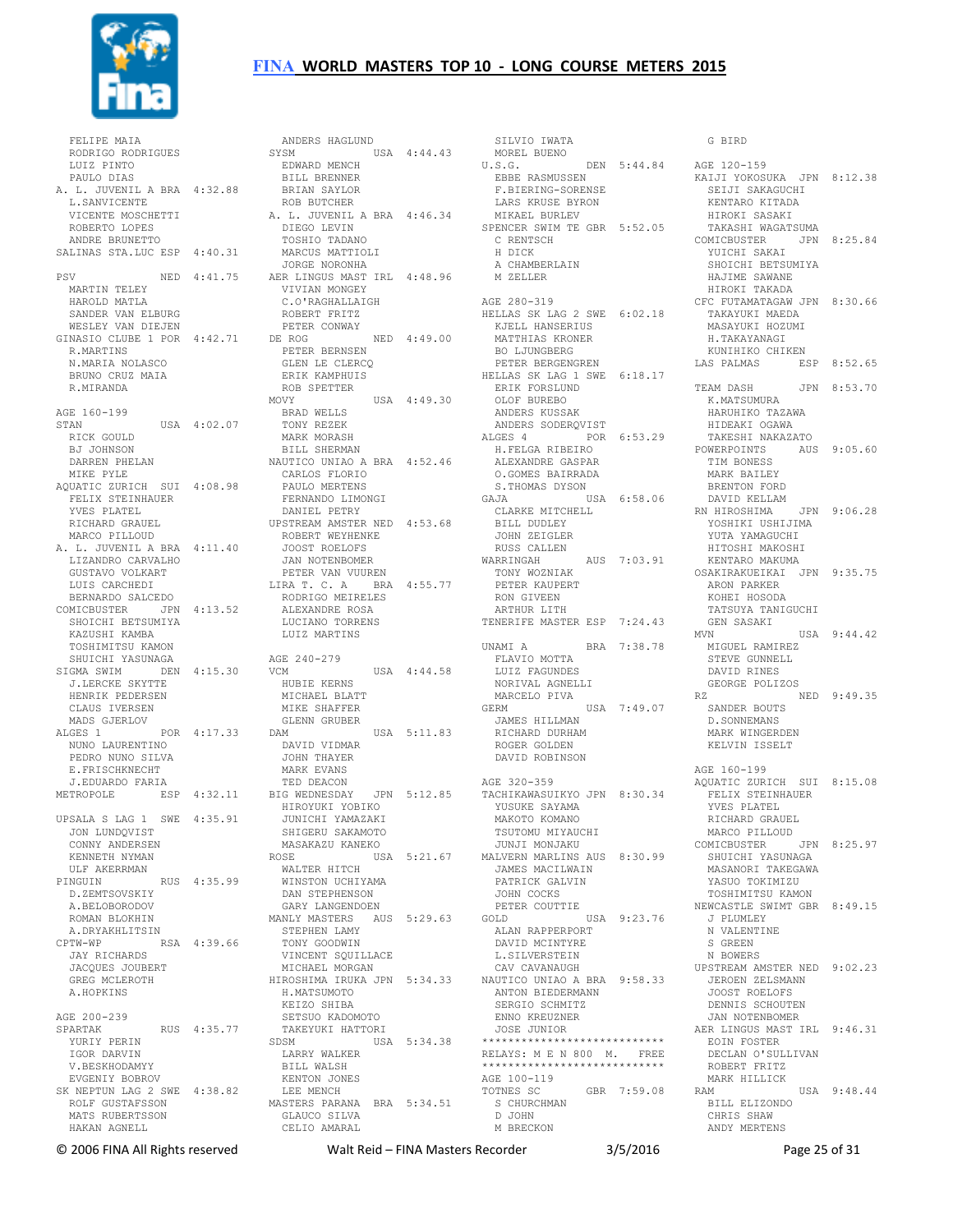

 FELIPE MAIA RODRIGO RODRIGUES<br>IUIZ PINTO LUIZ PINTO PAULO DIAS A. L. JUVENIL A BRA 4:32.88 L.SANVICENTE VICENTE MOSCHETTI ROBERTO LOPES ANDRE BRUNETTO SALINAS STA.LUC ESP 4:40.31 MARTIN TELEY HAROLD MATLA SANDER VAN ELBURG WESLEY VAN DIEJEN ROBERT FRITZ PETER CONWAY R.MARTINS N.MARIA NOLASCO BRUNO CRUZ MAIA R.MIRANDA AGE 160-199  $STAN$   $IISA$   $4 \cdot 02$  07 RICK GOULD BJ JOHNSON DARREN PHELAN MIKE PYLE AQUATIC ZURICH SUI 4:08.98 FELIX STEINHAUER YVES PLATEL RICHARD GRAUEL MARCO PILLOUD A. L. JUVENIL A BRA 4:11.40 LIZANDRO CARVALHO JAN NOTENBOMER GUSTAVO VOLKART LUIS CARCHEDI BERNARDO SALCEDO COMICBUSTER JPN 4:13.52 SHOICHI BETSUMIYA KAZUSHI KAMBA TOSHIMITSU KAMON SHUICHI YASUNAGA SIGMA SWIM DEN 4:15.30 VCM J.LERCKE SKYTTE HENRIK PEDERSEN CLAUS IVERSEN MADS GJERLOV<br>ALGES 1 POR 4:17.33 NUNO LAURENTINO PEDRO NUNO SILVA E.FRISCHKNECHT J.EDUARDO FARIA UPSALA S LAG 1 SWE 4:35.91 HIROYUKI YOBIKO JUNICHI YAMAZAKI JON LUNDQVIST CONNY ANDERSEN KENNETH NYMAN ULF AKERRMAN PINGUIN RUS 4:35.99 D.ZEMTSOVSKIY A.BELOBORODOV ROMAN BLOKHIN<br>A DRYAKHLITSIN A.DRYAKHLITSIN CPTW-WP RSA 4:39.66 JAY RICHARDS JACQUES JOUBERT GREG MCLEROTH A.HOPKINS AGE 200-239 AGE 200-239<br>SPARTAK RUS 4:35.77 YURIY PERIN IGOR DARVIN V.BESKHODAMYY EVGENIY BOBROV SK NEPTUN LAG 2 SWE 4:38.82 ROLF GUSTAFSSON MATS RUBERTSSON HAKAN AGNELL

PSV NED 4:41.75 AER LINGUS MAST IRL 4:48.96 GINASIO CLUBE 1 POR 4:42.71 DE ROG NED 4:49.00 METROPOLE ESP 4:32.11 BIG WEDNESDAY JPN 5:12.85 TACHIKAWASUIKYO JPN 8:30.34 ANDERS HAGLUND SYSM USA 4:44.43 EDWARD MENCH BILL BRENNER BRIAN SAYLOR ROB BUTCHER A. L. JUVENIL A BRA 4:46.34 DIEGO LEVIN TOSHIO TADANO MARCUS MATTIOLI JORGE NORONHA VIVIAN MONGEY C.O'RAGHALLAIGH PETER BERNSEN GLEN LE CLERCQ ERIK KAMPHUIS ROB SPETTER MOVY USA 4:49.30 BRAD WELLS TONY REZEK MARK MORASH BILL SHERMAN NAUTICO UNIAO A BRA 4:52.46 CARLOS FLORIO PAULO MERTENS FERNANDO LIMONGI S.THOMAS DYSON GAJA USA 6:58.06 DANIEL PETRY UPSTREAM AMSTER NED 4:53.68 ROBERT WEYHENKE JOOST ROELOFS PETER VAN VUUREN LIRA T. C. A BRA 4:55.77 RODRIGO MEIRELES ALEXANDRE ROSA LUCIANO TORRENS LUIZ MARTINS AGE 240-279 USA  $4:44.58$  HUBIE KERNS MICHAEL BLATT MIKE SHAFFER GLENN GRUBER DAM USA 5:11.83 DAVID VIDMAR JOHN THAYER MARK EVANS TED DEACON SHIGERU SAKAMOTO<br>
MASAKAZU KANEKO<br>
ROSE USA 5:21.67<br>
WALTER HITCH<br>
WINSTON UCHIYAMA<br>
DAN STEPHENSON<br>
GARY LANGENDOEN MANLY MASTERS AUS 5:29.63 GOLD STEPHEN LAMY TONY GOODWIN VINCENT SQUILLACE MICHAEL MORGAN HIROSHIMA IRUKA JPN 5:34.33 NAUTICO UNIAO A BRA 9:58.33 H.MATSUMOTO KEIZO SHIBA SETSUO KADOMOTO TAKEYUKI HATTORI SDSM USA 5:34.38 LARRY WALKER BILL WALSH KENTON JONES LEE MENCH MASTERS PARANA BRA 5:34.51 S CHURCHMAN D JOHN GLAUCO SILVA CELIO AMARAL

SILVIO IWATA MOREL BUENO U.S.G. DEN 5:44.84 EBBE RASMUSSEN F.BIERING-SORENSE LARS KRUSE BYRON MIKAEL BURLEV SPENCER SWIM TE GBR 5:52.05 C RENTSCH H DICK A CHAMBERLAIN M ZELLER AGE 280-319 HELLAS SK LAG 2 SWE 6:02.18 KJELL HANSERIUS<br>KJELL HANSERIUS MATTHIAS KRONER BO LJUNGBERG PETER BERGENGREN HELLAS SK LAG 1 SWE 6:18.17 ERIK FORSLUND OLOF BUREBO ANDERS KUSSAK ANDERS SODERQVIST ALGES 4 POR 6:53.29 H.FELGA RIBEIRO ALEXANDRE GASPAR O.GOMES BAIRRADA TIM BONESS MARK BAILEY CLARKE MITCHELL BILL DUDLEY JOHN ZEIGLER RUSS CALLEN WARRINGAH AUS 7:03.91 TONY WOZNIAK PETER KAUPERT RON GIVEEN ARTHUR LITH TENERIFE MASTER ESP 7:24.43 UNAMI A BRA 7:38.78 FLAVIO MOTTA LUIZ FAGUNDES NORIVAL AGNELLI MARCELO PIVA GERM USA 7:49.07 JAMES HILLMAN RICHARD DURHAM ROGER GOLDEN DAVID ROBINSON AGE 320-359 YUSUKE SAYAMA MAKOTO KOMANO TSUTOMU MIYAUCHI<br>
JUNJI MONJAKU<br>
MALVERN MARLINS AUS 8:30.99<br>
JAMES MACILWAIN<br>
PATRICK GALVIN<br>
JOHN COCKS<br>
PETER COUTTIE USA 9:23.76 ALAN RAPPERPORT DAVID MCINTYRE L.SILVERSTEIN CAV CAVANAUGH ANTON BIEDERMANN SERGIO SCHMITZ ENNO KREUZNER JOSE JUNIOR \*\*\*\*\*\*\*\*\*\*\*\*\*\*\*\*\*\*\*\*\*\*\*\*\*\*\*\* RELAYS: M E N 800 M. FREE \*\*\*\*\*\*\*\*\*\*\*\*\*\*\*\*\*\*\*\*\*\*\*\*\*\*\*\* AGE 100-119 TOTNES SC GBR 7:59.08 M BRECKON

 AGE 120-159 KAIJI YOKOSUKA JPN 8:12.38 SEIJI SAKAGUCHI SEIJI SAKAGUCHI<br>KENTARO KITADA HIROKI SASAKI TAKASHI WAGATSUMA COMICBUSTER JPN 8:25.84 YUICHI SAKAI SHOICHI BETSUMIYA HAJIME SAWANE HIROKI TAKADA CFC FUTAMATAGAW JPN 8:30.66 TAKAYUKI MAEDA MASAYUKI HOZUMI H.TAKAYANAGI KUNIHIKO CHIKEN LAS PALMAS ESP 8:52.65 TEAM DASH JPN 8:53.70 K.MATSUMURA HARUHIKO TAZAWA HIDEAKI OGAWA TAKESHI NAKAZATO AUS 9:05.60 BRENTON FORD DAVID KELLAM RN HIROSHIMA JPN 9:06.28 YOSHIKI USHIJIMA YUTA YAMAGUCHI HITOSHI MAKOSHI KENTARO MAKUMA OSAKIRAKUEIKAI JPN 9:35.75 ARON PARKER KOHEI HOSODA TATSUYA TANIGUCHI GEN SASAKI MVN USA 9:44.42 OR<br>MIGUEL RAMIREZ STEVE GUNNELL DAVID RINES GEORGE POLIZOS RZ NED 9:49.35 SANDER BOUTS D.SONNEMANS MARK WINGERDEN KELVIN ISSELT AGE 160-199 AQUATIC ZURICH SUI 8:15.08 FELIX STEINHAUER YVES PLATEL RICHARD GRAUEL MARCO PILLOUD COMICBUSTER JPN 8:25.97 SHUICHI YASUNAGA<br>SHUICHI YASUNAGA MASANORI TAKEGAWA YASUO TOKIMIZU TOSHIMITSU KAMON NEWCASTLE SWIMT GBR 8:49.15 J PLUMLEY N VALENTINE S GREEN N BOWERS UPSTREAM AMSTER NED 9:02.23 JEROEN ZELSMANN JOOST ROELOFS DENNIS SCHOUTEN JAN NOTENBOMER AER LINGUS MAST IRL 9:46.31 EOIN FOSTER DECLAN O'SULLIVAN ROBERT FRITZ MARK HILLICK RAM USA 9:48.44 BILL ELIZONDO CHRIS SHAW ANDY MERTENS

G BIRD

© 2006 FINA All Rights reserved Walt Reid – FINA Masters Recorder 3/5/2016 Page 25 of 31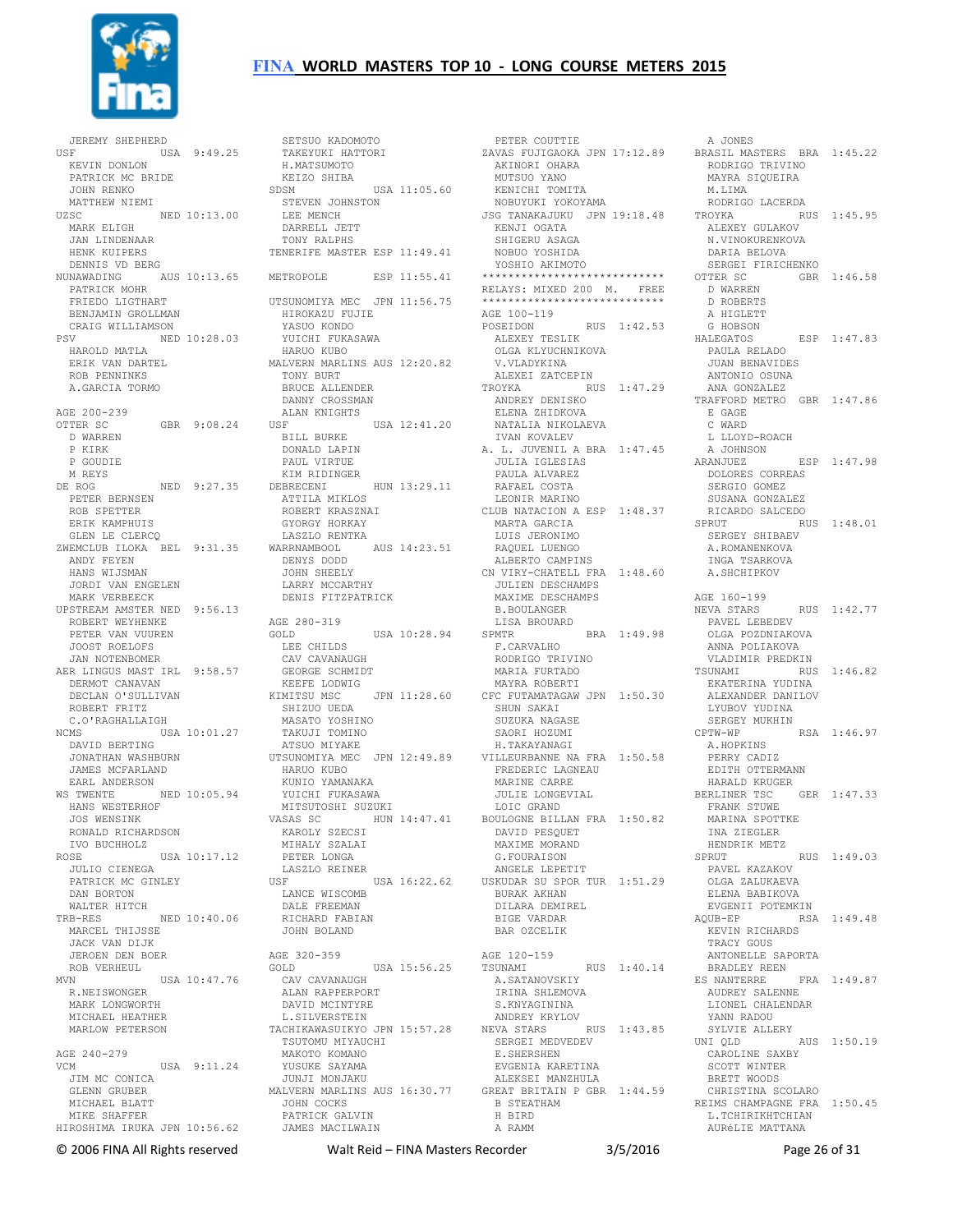

 JEREMY SHEPHERD USF USA 9:49.25 KEVIN DONLON PATRICK MC BRIDE JOHN RENKO MATTHEW NIEMI<br>UZSC NED 10:13.00 MARK ELIGH JAN LINDENAAR HENK KUIPERS DENNIS VD BERG NUNAWADING AUS 10:13.65 PATRICK MOHR FRIEDO LIGTHART BENJAMIN GROLLMAN CRAIG WILLIAMSON PSV NED 10:28.03 HAROLD MATLA ERIK VAN DARTEL ROB PENNINKS A.GARCIA TORMO AGE 200-239  $\overline{OPTER}$  SC  $\overline{GRR}$  9:08.24 D WARREN P KIRK P GOUDIE M REYS DE ROG NED 9:27.35 PETER BERNSEN ROB SPETTER ERIK KAMPHUIS GLEN LE CLERCQ ZWEMCLUB ILOKA BEL 9:31.35 WARRNAMBOOL AUS 14:23.51 ANDY FEYEN HANS WIJSMAN JORDI VAN ENGELEN MARK VERBEECK UPSTREAM AMSTER NED 9:56.13 ROBERT WEYHENKE AGE 280-319 PETER VAN VUUREN JOOST ROELOFS JAN NOTENBOMER AER LINGUS MAST IRL 9:58.57 DERMOT CANAVAN DECLAN O'SULLIVAN<br>
ROBERT FRITZ<br>
C.O'RAGHALLAIGH<br>NCMS<br>
USA 10:01.27<br>
DAVID BERTING JONATHAN WASHBURN<br>JONATHAN WASHBURN<br>JAMES MOTIT JAMES MCFARLAND EARL ANDERSON WS TWENTE NED 10:05.94 KUNIO YAMANAKA YUICHI FUKASAWA HANS WESTERHOF JOS WENSINK RONALD RICHARDSON IVO BUCHHOLZ ROSE USA 10:17.12 JULIO CIENEGA PATRICK MC GINLEY DAN BORTON WALTER HITCH TRB-RES NED 10:40.06 MARCEL THIJSSE JACK VAN DIJK JEROEN DEN BOER<br>ROB VERHEUL ROB VERHEUL MVN USA 10:47.76 R.NEISWONGER MARK LONGWORTH MICHAEL HEATHER MARLOW PETERSON AGE 240-279 VCM USA 9:11.24 JIM MC CONICA GLENN GRUBER MICHAEL BLATT MIKE SHAFFER HIROSHIMA IRUKA JPN 10:56.62

 SETSUO KADOMOTO TAKEYUKI HATTORI H.MATSUMOTO KEIZO SHIBA SDSM USA 11:05.60 STEVEN JOHNSTON LEE MENCH DARRELL JETT TONY RALPHS TENERIFE MASTER ESP 11:49.41 ESP 11:55.41 UTSUNOMIYA MEC JPN 11:56.75 HIROKAZU FUJIE YASUO KONDO YUICHI FUKASAWA HARUO KUBO MALVERN MARLINS AUS 12:20.82 TONY BURT BRUCE ALLENDER DANNY CROSSMAN ALAN KNIGHTS USF USA 12:41.20 BILL BURKE DONALD LAPIN PAUL VIRTUE KIM RIDINGER DEBRECENI HUN 13:29.11 ATTILA MIKLOS ROBERT KRASZNAI GYORGY HORKAY LASZLO RENTKA DENYS DODD JOHN SHEELY LARRY MCCARTHY DENIS FITZPATRICK GOLD USA 10:28.94 LEE CHILDS CAV CAVANAUGH GEORGE SCHMIDT KEEFE LODWIG KIMITSU MSC JPN 11:28.60<br>SHIZUO UEDA<br>MASATO YOSHINO<br>TAKUJI TOMINO<br>ATSUO MIYAKE UTSUNOMIYA MEC JPN 12:49.89 VILLEURBANNE NA FRA 1:50.58 A.HOPKINS PERRY CADIZ HARUO KUBO MITSUTOSHI SUZUKI VASAS SC HUN 14:47.41 KAROLY SZECSI MIHALY SZALAI PETER LONGA LASZLO REINER USF USA 16:22.62 USKUDAR SU SPOR TUR 1:51.29 LANCE WISCOMB DALE FREEMAN RICHARD FABIAN JOHN BOLAND AGE 320-359 GOLD USA 15:56.25 CAV CAVANAUGH ALAN RAPPERPORT DAVID MCINTYRE L.SILVERSTEIN TACHIKAWASUIKYO JPN 15:57.28 TSUTOMU MIYAUCHI MAKOTO KOMANO YUSUKE SAYAMA JUNJI MONJAKU MALVERN MARLINS AUS 16:30.77 GREAT BRITAIN P GBR 1:44.59 JOHN COCKS ... JULAS<br>PATRICK GALVIN<br>IAMES

JAMES MACILWAIN

 PETER COUTTIE ZAVAS FUJIGAOKA JPN 17:12.89 BRASIL MASTERS BRA 1:45.22 AKINORI OHARA MUTSUO YANO KENICHI TOMITA NOBUYUKI YOKOYAMA JSG TANAKAJUKU JPN 19:18.48 KENJI OGATA SHIGERU ASAGA NOBUO YOSHIDA YOSHIO AKIMOTO \*\*\*\*\*\*\*\*\*\*\*\*\*\*\*\*\*\*\*\*\*\*\*\*\*\*\*\* RELAYS: MIXED 200 M. FREE \*\*\*\*\*\*\*\*\*\*\*\*\*\*\*\*\*\*\*\*\*\*\*\*\*\*\*\* AGE 100-119 POSEIDON RUS 1:42.53 ALEXEY TESLIK OLGA KLYUCHNIKOVA V.VLADYKINA ALEXEI ZATCEPIN TROYKA RUS 1:47.29 ANTONIO OSUNA ANA GONZALEZ TRAFFORD METRO GBR 1:47.86 E GAGE ANDREY DENISKO ELENA ZHIDKOVA NATALIA NIKOLAEVA IVAN KOVALEV A. L. JUVENIL A BRA 1:47.45 JULIA IGLESIAS PAULA ALVAREZ RAFAEL COSTA LEONIR MARINO CLUB NATACION A ESP 1:48.37 MARTA GARCIA LUIS JERONIMO RAQUEL LUENGO ALBERTO CAMPINS CN VIRY-CHATELL FRA 1:48.60 JULIEN DESCHAMPS MAXIME DESCHAMPS B.BOULANGER LISA BROUARD SPMTR BRA 1:49.98 F.CARVALHO RODRIGO TRIVINO MARIA FURTADO<br>CFC FUTAMATAGAW JPN 1:50.30<br>SHUN SAKAI<br>SUZUKA NAGASE<br>SAORI HOZUMI<br>H.TAKAYANAGI FREDERIC LAGNEAU MARINE CARRE JULIE LONGEVIAL LOIC GRAND HUN 14:47.41 BOULOGNE BILLAN FRA 1:50.82 DAVID PESQUET MAXIME MORAND G.FOURAISON ANGELE LEPETIT BURAK AKHAN DILARA DEMIREL BIGE VARDAR BAR OZCELIK AGE 120-159 TSUNAMI RUS 1:40.14 A.SATANOVSKIY IRINA SHLEMOVA S.KNYAGININA ANDREY KRYLOV NEVA STARS RUS 1:43.85 SERGEI MEDVEDEV E.SHERSHEN EVGENIA KARETINA ALEKSEI MANZHULA B STEATHAM H BIRD A RAMM

 A JONES RODRIGO TRIVINO MAYRA SIQUEIRA M.LIMA RODRIGO LACERDA RUS 1:45.95 ALEXEY GULAKOV N.VINOKURENKOVA DARIA BELOVA SERGEI FIRICHENKO OTTER SC GBR 1:46.58 D WARREN D ROBERTS A HIGLETT G HOBSON HALEGATOS ESP 1:47.83 PAULA RELADO JUAN BENAVIDES E GAGE<br>C WARD L LLOYD-ROACH A JOHNSON ARANJUEZ ESP 1:47.98 DOLORES CORREAS SERGIO GOMEZ SERGIO GOMEZ<br>SUSANA GONZALEZ RICARDO SALCEDO<br>SPRUT RIC RUS 1:48.01 SERGEY SHIBAEV A.ROMANENKOVA INGA TSARKOVA A.SHCHIPKOV AGE 160-199 NEVA STARS RUS 1:42.77 PAVEL LEBEDEV OLGA POZDNIAKOVA ANNA POLIAKOVA VLADIMIR PREDKIN TSUNAMI RUS 1:46.82 EKATERINA YUDINA<br>EKATERINA YUDINA ALEXANDER DANILOV LYUBOV YUDINA SERGEY MUKHIN<br>CPTW-WP RSA 1:46.97 EDITH OTTERMANN HARALD KRUGER BERLINER TSC GER 1:47.33 FRANK STUWE MARINA SPOTTKE INA ZIEGLER HENDRIK METZ<br>SPRUT  $RIIS$  1:49.03 PAVEL KAZAKOV OLGA ZALUKAEVA ELENA BABIKOVA EVGENII POTEMKIN AQUB-EP RSA 1:49.48 .<br>KEVIN RICHARDS TRACY GOUS ANTONELLE SAPORTA BRADLEY REEN<br>ES NANTERRE FRA 1:49.87 AUDREY SALENNE LIONEL CHALENDAR YANN RADOU SYLVIE ALLERY UNI QLD AUS 1:50.19 CAROLINE SAXBY SCOTT WINTER BRETT WOODS CHRISTINA SCOLARO REIMS CHAMPAGNE FRA 1:50.45 L. TCHIRIKHTCHIAN AURéLIE MATTANA

© 2006 FINA All Rights reserved Walt Reid – FINA Masters Recorder 3/5/2016 Page 26 of 31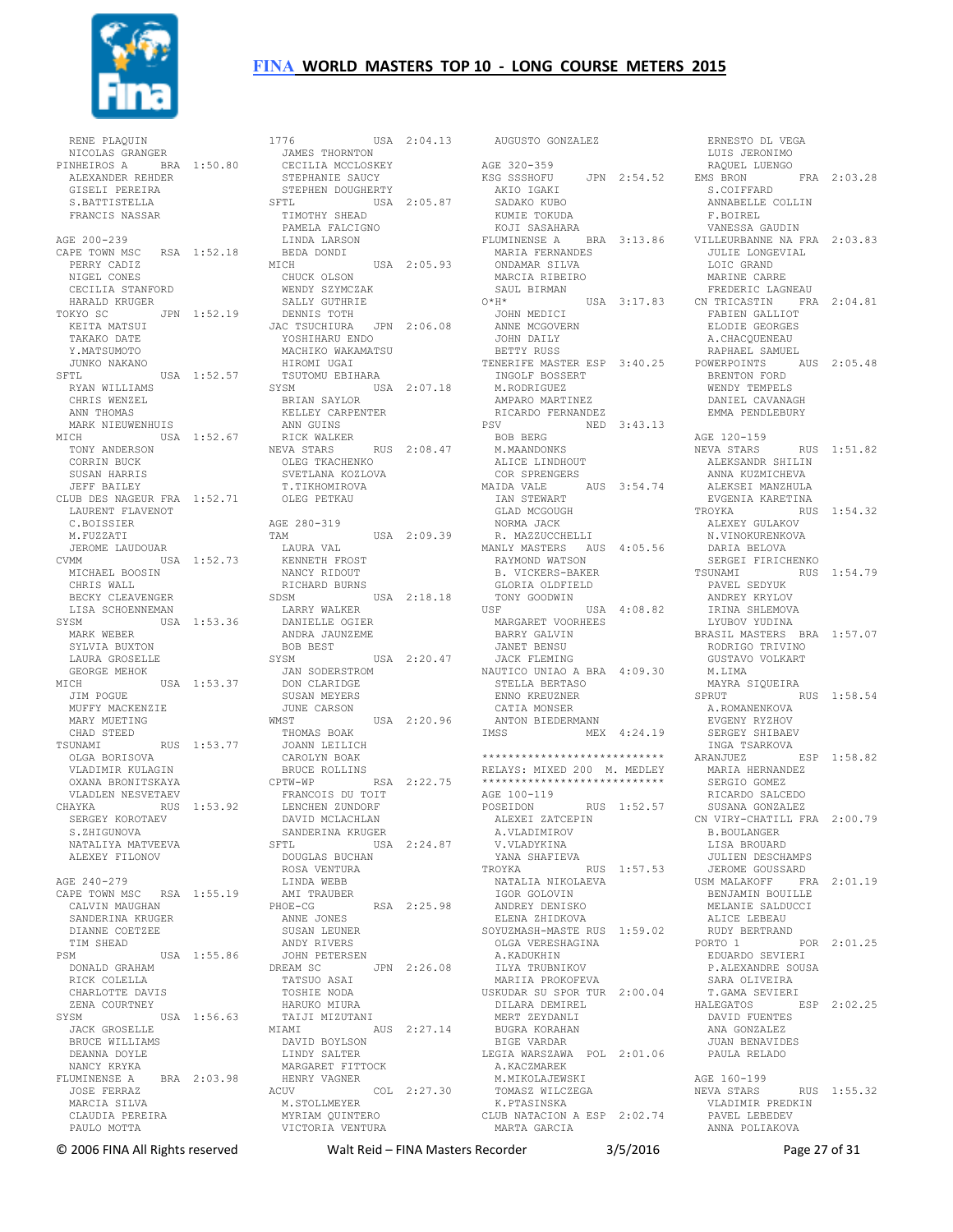

 RENE PLAQUIN NICOLAS GRANGER NICOLAS GRANGER<br>
PINHEIROS A BRA 1:50.80 CECILIA MCCLOSKEY<br>
ALEXANDER REHDER STEPHANIE SAUCY<br>
GISELI PEREIRA STEPHEN DOUGHERTY ALEXANDER REHDER GISELI PEREIRA S.BATTISTELLA FRANCIS NASSAR AGE 200-239 CAPE TOWN MSC RSA 1:52.18 PERRY CADIZ NIGEL CONES CECILIA STANFORD HARALD KRUGER TOKYO SC JPN 1:52.19 KEITA MATSUI TAKAKO DATE Y.MATSUMOTO JUNKO NAKANO SFTL USA 1:52.57 RYAN WILLIAMS CHRIS WENZEL ANN THOMAS MARK NIEUWENHUIS MICH USA 1:52.67 RICKWALKER<br>TONY ANDERSON NEVA STARS CORRIN BUCK SUSAN HARRIS JEFF BAILEY CLUB DES NAGEUR FRA 1:52.71 LAURENT FLAVENOT C.BOISSIER M.FUZZATI JEROME LAUDOUAR CVMM USA 1:52.73 MICHAEL BOOSIN CHRIS WALL LISA SCHOENNEMAN SYSM USA 1:53.36 LARRY WALKER DANIELLE OGIER MARK WEBER SYLVIA BUXTON LAURA GROSELLE GEORGE MEHOK MICH USA  $1:53.37$  JIM POGUE MUFFY MACKENZIE MARY MUETING CHAD STEED TSUNAMI RUS 1:53.77 OLGA BORISOVA VLADIMIR KULAGIN OXANA BRONITSKAYA<br>WIADIEN NEGYETAEV VLADLEN NESVETAEV CHAYKA RUS 1:53.92 SERGEY KOROTAEV HAINA<br>SERGEY KOROTAEV<br>S.ZHIGUNOVA NATALIYA MATVEEVA ALEXEY FILONOV AGE 240-279 CAPE TOWN MSC RSA 1:55.19 CALVIN MAUGHAN SANDERINA KRUGER DIANNE COETZEE TIM SHEAD PSM USA 1:55.86 JOHN PETERSEN DONALD GRAHAM RICK COLELLA CHARLOTTE DAVIS ZENA COURTNEY SYSM USA 1:56.63 JACK GROSELLE BRUCE WILLIAMS DEANNA DOYLE NANCY KRYKA FLUMINENSE A BRA 2:03.98 JOSE FERRAZ MARCIA SILVA CLAUDIA PEREIRA PAULO MOTTA

BECKY CLEAVENGER SDSM SOSM USA 2:18.18 1776 USA 2:04.13 AUGUSTO GONZALEZ SFTL USA 2:05.87 TIMOTHY SHEAD PAMELA FALCIGNO LINDA LARSON BEDA DONDI<br>MICH USA 2:05.93<br>CHUCK OLSON WENDY SZYMCZAK SALLY GUTHRIE DENNIS TOTH JAC TSUCHIURA JPN 2:06.08 JOHN MEDICI ANNE MCGOVERN YOSHIHARU ENDO MACHIKO WAKAMATSU HIROMI UGAI<br>TSUTOMU EBIHARA<br>SVSV TSUTOMU EBIHARA SYSM USA 2:07.18 BRIAN SAYLOR KELLEY CARPENTER ANN GUINS RUS 2:08.47 OLEG TKACHENKO SVETLANA KOZLOVA T.TIKHOMIROVA OLEG PETKAU AGE 280-319 TAM USA 2:09.39 LAURA VAL KENNETH FROST NANCY RIDOUT RICHARD BURNS ANDRA JAUNZEME BOB BEST USA 2:20.47 JAN SODERSTROM DON CLARIDGE SUSAN MEYERS JUNE CARSON<br>WMST WMST USA 2:20.96 THOMAS BOAK JOANN LEILICH CAROLYN BOAK BRUCE ROLLINS CPTW-WP RSA 2:22.75 FRANCOIS DU TOIT LENCHEN ZUNDORF DAVID MCLACHLAN SANDERINA KRUGER USA 2:24.87 DOUGLAS BUCHAN ROSA VENTURA LINDA WEBB<br>AMI TRAUBER<br>PHOE-CG AMI TRAUBER RSA 2:25.98 ANNE JONES SUSAN LEUNER ANDY RIVERS JPN 2:26.08 TATSUO ASAI TOSHIE NODA HARUKO MIURA TAIJI MIZUTANI MIAMI AUS 2:27.14 DAVID BOYLSON LINDY SALTER MARGARET FITTOCK HENRY VAGNER ACUV COL 2:27.30<br>M.STOLLMEYER<br>MYRIAM QUINTERO<br>VICTORIA VENTURA CLUB NATACION A ESP 2:02.74

AGE 320-359<br>KSG SSSHOFU KSG SSSHOFU JPN 2:54.52 EMS BRON FRA 2:03.28 S.COIFFARD AKIO IGAKI SADAKO KUBO KUMIE TOKUDA KOJI SASAHARA FLUMINENSE A BRA 3:13.86 MARIA FERNANDES ONDAMAR SILVA MARCIA RIBEIRO SAUL BIRMAN O\*H\* USA 3:17.83 FREDERIC LAGNEAU CN TRICASTIN FRA 2:04.81 JOHN DAILY BETTY RUSS TENERIFE MASTER ESP 3:40.25 INGOLF BOSSERT M.RODRIGUEZ AMPARO MARTINEZ RICARDO FERNANDEZ<br>PSV NED NED 3:43.13 BOB BERG M.MAANDONKS ALICE LINDHOUT COR SPRENGERS MAIDA VALE AUS 3:54.74 IAN STEWART GLAD MCGOUGH NORMA JACK R. MAZZUCCHELLI MANLY MASTERS AUS 4:05.56 RAYMOND WATSON B. VICKERS-BAKER GLORIA OLDFIELD TONY GOODWIN<br>USF t USA  $4:08.82$  MARGARET VOORHEES BARRY GALVIN JANET BENSU JACK FLEMING NAUTICO UNIAO A BRA 4:09.30 STELLA BERTASO ENNO KREUZNER MAYRA SIQUEIRA SPRUT RUS 1:58.54 CATIA MONSER ANTON BIEDERMANN IMSS MEX 4:24.19 \*\*\*\*\*\*\*\*\*\*\*\*\*\*\*\*\*\*\*\*\*\*\*\*\*\*\*\* RELAYS: MIXED 200 M. MEDLEY \*\*\*\*\*\*\*\*\*\*\*\*\*\*\*\*\*\*\*\*\*\*\*\*\*\*\*\* AGE 100-119 RUS 1:52.57 ALEXEI ZATCEPIN A.VLADIMIROV V.VLADYKINA YANA SHAFIEVA TROYKA RUS 1:57.53 NATALIA NIKOLAEVA IGOR GOLOVIN ANDREY DENISKO ELENA ZHIDKOVA SOYUZMASH-MASTE RUS 1:59.02 OLGA VERESHAGINA A.KADUKHIN<br>ILYA TRUBNIKOV MARIIA PROKOFEVA USKUDAR SU SPOR TUR 2:00.04 DILARA DEMIREL MERT ZEYDANLI BUGRA KORAHAN BIGE VARDAR LEGIA WARSZAWA POL 2:01.06 A.KACZMAREK M.MIKOLAJEWSKI TOMASZ WILCZEGA K.PTASINSKA MARTA GARCIA

 ERNESTO DL VEGA LUIS JERONIMO RAQUEL LUENGO ANNABELLE COLLIN F.BOIREL VANESSA GAUDIN VILLEURBANNE NA FRA 2:03.83 JULIE LONGEVIAL LOIC GRAND MARINE CARRE FABIEN GALLIOT ELODIE GEORGES A.CHACQUENEAU RAPHAEL SAMUEL POWERPOINTS AUS 2:05.48 BRENTON FORD WENDY TEMPELS DANIEL CAVANAGH EMMA PENDLEBURY AGE 120-159<br>NEVA STARS RUS 1:51.82 ALEKSANDR SHILIN ANNA KUZMICHEVA ALEKSEI MANZHULA EVGENIA KARETINA TROYKA RUS 1:54.32 ALEXEY GULAKOV N.VINOKURENKOVA DARIA BELOVA SERGEI FIRICHENKO<br>TSUNAMI RUS RUS 1:54.79 PAVEL SEDYUK ANDREY KRYLOV IRINA SHLEMOVA LYUBOV YUDINA BRASIL MASTERS BRA 1:57.07 RODRIGO TRIVINO GUSTAVO VOLKART M.LIMA<br>MAYRA SIQUEIRA A.ROMANENKOVA<br>TYTES EVGENY RYZHOV SERGEY SHIBAEV INGA TSARKOVA ARANJUEZ ESP 1:58.82 MARIA HERNANDEZ SERGIO GOMEZ RICARDO SALCEDO SUSANA GONZALEZ CN VIRY-CHATILL FRA 2:00.79 B.BOULANGER LISA BROUARD JULIEN DESCHAMPS JEROME GOUSSARD USM MALAKOFF FRA 2:01.19 BENJAMIN BOUILLE MELANIE SALDUCCI ALICE LEBEAU RUDY BERTRAND PORTO 1 POR 2:01.25 EDUARDO SEVIERI P.ALEXANDRE SOUSA SARA OLIVEIRA T.GAMA SEVIERI HALEGATOS ESP 2:02.25 DAVID FUENTES ANA GONZALEZ JUAN BENAVIDES PAULA RELADO AGE 160-199 RUS 1:55.32 VLADIMIR PREDKIN PAVEL LEBEDEV ANNA POLIAKOVA

© 2006 FINA All Rights reserved Walt Reid – FINA Masters Recorder 3/5/2016 Page 27 of 31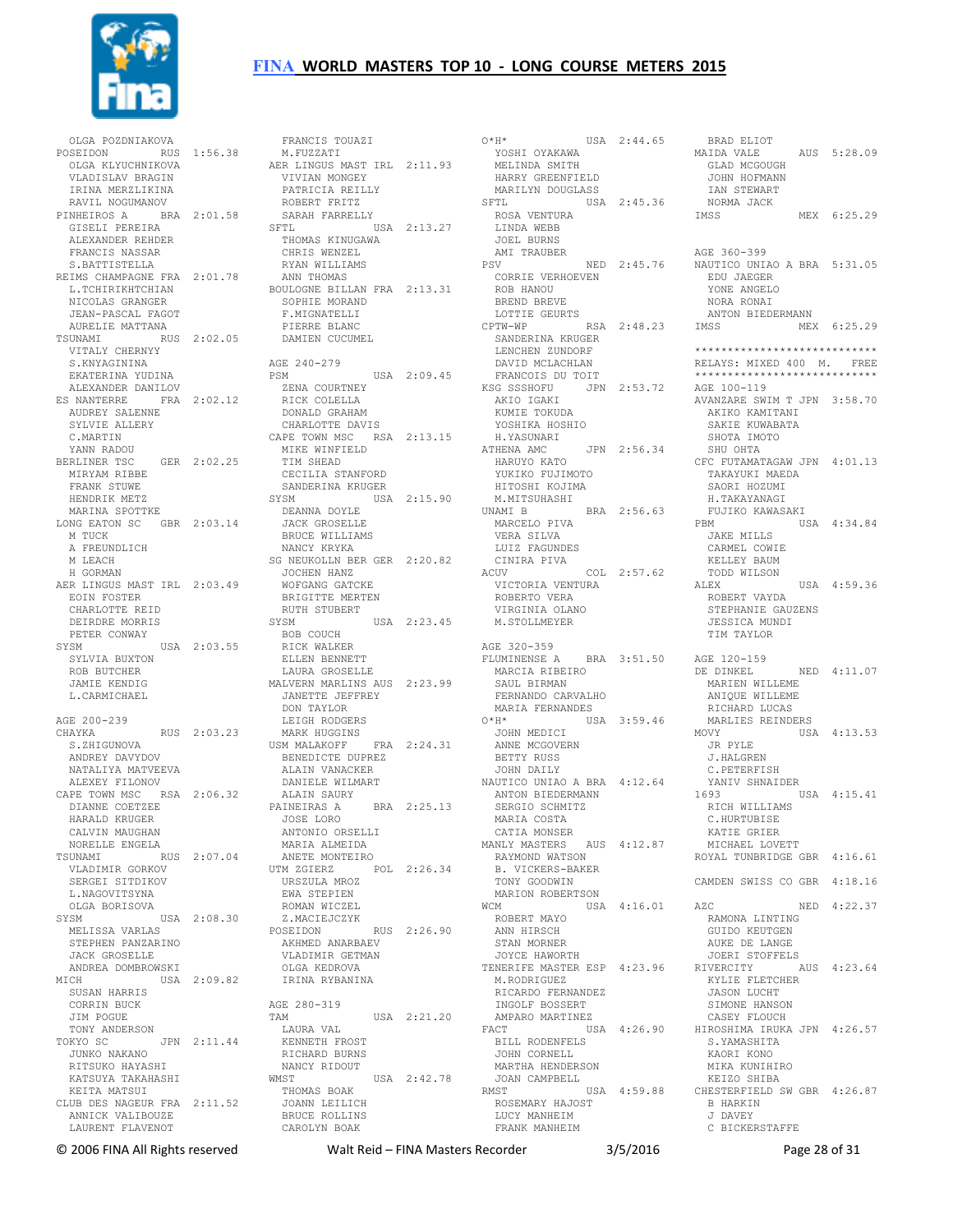

OLGA POZDNIAKOVA<br>POSEIDON RUS POSE 1:56.38 OLGA KLYUCHNIKOVA VLADISLAV BRAGIN IRINA MERZLIKINA RAVIL NOGUMANOV<br>PINHEIROS A BRJ NOT NODINI INITED BRA 2:01.58 SARAH FARRE<br>RA 2:01.58 SFTL<br>unpp GISELI PEREIRA ALEXANDER REHDER FRANCIS NASSAR S.BATTISTELLA REIMS CHAMPAGNE FRA 2:01.78 L.TCHIRIKHTCHIAN NICOLAS GRANGER JEAN-PASCAL FAGOT AURELIE MATTANA TSUNAMI RUS 2:02.05 VITALY CHERNYY S.KNYAGININA EKATERINA YUDINA ALEXANDER DANILOV ES NANTERRE FRA 2:02.12 S NANIBAARD<br>AUDREY SALENNE SYLVIE ALLERY C.MARTIN YANN RADOU BERLINER TSC GER 2:02.25 MIRYAM RIBBE FRANK STUWE HENDRIK METZ MARINA SPOTTKE LONG EATON SC GBR 2:03.14 M TUCK A FREUNDLICH M LEACH H GORMAN AER LINGUS MAST IRL 2:03.49 EOIN FOSTER CHARLOTTE REID DEIRDRE MORRIS PETER CONWAY SYSM USA 2:03.55 SYLVIA BUXTON ROB BUTCHER JAMIE KENDIG L.CARMICHAEL AGE 200-239 CHAYKA RUS 2:03.23 S. ZHIGUNOVA ANDREY DAVYDOV NATALIYA MATVEEVA ALEXEY FILONOV CAPE TOWN MSC RSA 2:06.32 DIANNE COETZEE HARALD KRUGER CALVIN MAUGHAN NORELLE ENGELA<br>
TSUNAMI RUS 2:07.04<br>
VLADIMIR GORKOV<br>
SERGEI SITDIKOV<br>
L.NAGOVITSYNA<br>
OLGA BORISOVA<br>
SYSM USA 2:08.30 MELISSA VARLAS STEPHEN PANZARINO JACK GROSELLE ANDREA DOMBROWSKI MICH USA 2:09.82 ICH USA 2:09.82<br>Susan Harris CORRIN BUCK JIM POGUE TONY ANDERSON TOKYO SC JPN 2:11.44 JUNKO NAKANO RITSUKO HAYASHI KIISONO HAIASHI<br>KATSUYA TAKAHASHI KEITA MATSUI CLUB DES NAGEUR FRA 2:11.52 ANNICK VALIBOUZE LAURENT FLAVENOT

FRANCIS TOUAZI  $O^{\star}H^{\star}$  M.FUZZATI AER LINGUS MAST IRL 2:11.93 VIVIAN MONGEY PATRICIA REILLY ROBERT FRITZ SARAH FARRELLY SFTL USA 2:13.27 ROSA VENTURA LINDA WEBB JOEL BURNS THOMAS KINUGAWA CHRIS WENZEL RYAN WILLIAMS ANN THOMAS BOULOGNE BILLAN FRA 2:13.31 SOPHIE MORAND F. MIGNATELLIT PIERRE BLANC DAMIEN CUCUMEL AGE 240-279 PSM USA 2:09.45 ZENA COURTNEY RICK COLELLA DONALD GRAHAM CHARLOTTE DAVIS CAPE TOWN MSC RSA 2:13.15 MIKE WINFIELD TIM SHEAD TIM SHEAD<br>CECILIA STANFORD SANDERINA KRUGER SYSM USA 2:15.90 DEANNA DOYLE JACK GROSELLE BRUCE WILLIAMS NANCY KRYKA SG NEUKOLLN BER GER 2:20.82 JOCHEN HANZ WOFGANG GATCKE BRIGITTE MERTEN RUTH STUBERT<br>SYSM USA 2:23.45 BOB COUCH RICK WALKER ELLEN BENNETT LAURA GROSELLE MALVERN MARLINS AUS 2:23.99 JANETTE JEFFREY DON TAYLOR LEIGH RODGERS MARK HUGGINS USM MALAKOFF FRA 2:24.31 USM MALAKOFF FRA<br>BENEDICTE DUPREZ<br>PERSONAL ALAIN VANACKER DANIELE WILMART ALAIN SAURY PAINEIRAS A BRA 2:25.13<br>JOSE LORO JOSE LORO ANTONIO ORSELLI MARIA ALMEIDA<br>
ANETE MONTEIRO<br>
UTM ZGIERZ POL 2:26.34<br>
URSZULA MROZ<br>
EWA STEPIEN<br>
ROMAN WICZEL<br>
Z.MACIEJCZYK<br>
Z.MACIEJCZYK POSEIDON RUS 2:26.90 RUS<br>AKHMED ANARBAEV<br>VILLET VLADIMIR GETMAN OLGA KEDROVA IRINA RYBANINA AGE 280-319 TAM USA 2:21.20 LAURA VAL KENNETH FROST RICHARD BURNS NANCY RIDOUT<br>WMST USA 2:42.78<br>THOMAS BOAK JOANN LEILICH BRUCE ROLLINS CAROLYN BOAK

© 2006 FINA All Rights reserved Walt Reid – FINA Masters Recorder 3/5/2016 Page 28 of 31 O\*H\* USA 2:44.65 BRAD ELIOT YOSHI OYAKAWA MELINDA SMITH HARRY GREENFIELD MARILYN DOUGLASS SFTL USA 2:45.36 AMI TRAUBER PSV NED 2:45.76 CORRIE VERHOEVEN ROB HANOU BREND BREVE LOTTIE GEURTS<br>CPTW-WP  $RSA$  2:48.23 IMSS SANDERINA KRUGER LENCHEN ZUNDORF DAVID MCLACHLAN FRANCOIS DU TOIT KSG SSSHOFU JPN 2:53.72 AKIO IGAKI KUMIE TOKUDA YOSHIKA HOSHIO H.YASUNARI ATHENA AMC JPN 2:56.34 HARUYO KATO YUKIKO FUJIMOTO HITOSHI KOJIMA M.MITSUHASHI UNAMI B BRA 2:56.63 MARCELO PIVA VERA SILVA LUIZ FAGUNDES CINIRA PIVA ACUV COL 2:57.62 VOLT 2:37.62<br>VICTORIA VENTURA<br>ROBERTO VERI ROBERTO VERA VIRGINIA OLANO M.STOLLMEYER AGE 320-359 FLUMINENSE A BRA 3:51.50 AGE 120-159 MARCIA RIBEIRO SAUL BIRMAN FERNANDO CARVALHO MARIA FERNANDES<br>
0\*H\* USA 3:59.46<br>
JOHN MEDICI<br>
ANNE MCGOVERN<br>
BETTY RUSS<br>
JOHN DAILY NAUTICO UNIAO A BRA 4:12.64 ANTON BIEDERMANN 4:12.64<br>ANTON BIEDERMANN<br>SERGIO SCHMITT SERGIO SCHMITZ MARIA COSTA CATIA MONSER MANLY MASTERS AUS 4:12.87 RAYMOND WATSON B. VICKERS-BAKER TONY GOODWIN MARION ROBERTSON<br>WCM USA MARION ROBERTSON<br>WCM USA 4:16.01 A ROBERT MAYO ANN HIRSCH STAN MORNER JOYCE HAWORTH M.RODRIGUEZ RICARDO FERNANDEZ INGOLF BOSSERT AMPARO MARTINEZ<br>FACT US BILL RODENFELS JOHN CORNELL MARTHA HENDERSON ROSEMARY HAJOST LUCY MANHEIM FRANK MANHEIM

TENERIFE MASTER ESP 4:23.96 RIVERCITY AUS 4:23.64 FACT USA 4:26.90 HIROSHIMA IRUKA JPN 4:26.57 JOAN CAMPBELL RMST USA 4:59.88 KEIZO SHIBA CHESTERFIELD SW GBR 4:26.87 AUS 5:28.09 GLAD MCGOUGH JOHN HOFMANN IAN STEWART NORMA JACK<br>IMSS MEX 6:25.29 AGE 360-399 NAUTICO UNIAO A BRA 5:31.05 EDU JAEGER YONE ANGELO NORA RONAI ANTON BIEDERMANN MEX 6:25.29 \*\*\*\*\*\*\*\*\*\*\*\*\*\*\*\*\*\*\*\*\*\*\*\*\*\*\*\* RELAYS: MIXED 400 M. FREE \*\*\*\*\*\*\*\*\*\*\*\*\*\*\*\*\*\*\*\*\*\*\*\*\*\*\*\* AGE 100-119 AVANZARE SWIM T JPN 3:58.70 AKIKO KAMITANI SAKIE KUWABATA SHOTA IMOTO SHU OHTA CFC FUTAMATAGAW JPN 4:01.13 TAKAYUKI MAEDA SAORI HOZUMI H.TAKAYANAGI FUJIKO KAWASAKI PBM USA 4:34.84 JAKE MILLS CARMEL COWIE KELLEY BAUM TODD WILSON ALEX USA 4:59.36 ROBERT VAYDA STEPHANIE GAUZENS JESSICA MUNDI TIM TAYLOR AGE 120-159<br>DE DINKEL MED 4:11.07 MARIEN WILLEME ANIQUE WILLEME RICHARD LUCAS MARLIES REINDERS MOVY USA 4:13.53 JR PYLE J.HALGREN C.PETERFISH YANIV SHNAIDER 1693 USA 4:15.41 RICH WILLIAMS C.HURTUBISE KATIE GRIER MICHAEL LOVETT ROYAL TUNBRIDGE GBR 4:16.61 CAMDEN SWISS CO GBR 4:18.16  $NED$   $4 \cdot 22$  37 RAMONA LINTING GUIDO KEUTGEN AUKE DE LANGE JOERI STOFFELS KYLIE FLETCHER JASON LUCHT SIMONE HANSON CASEY FLOUCH S.YAMASHITA KAORI KONO MIKA KUNIHIRO B HARKIN J DAVEY C BICKERSTAFFE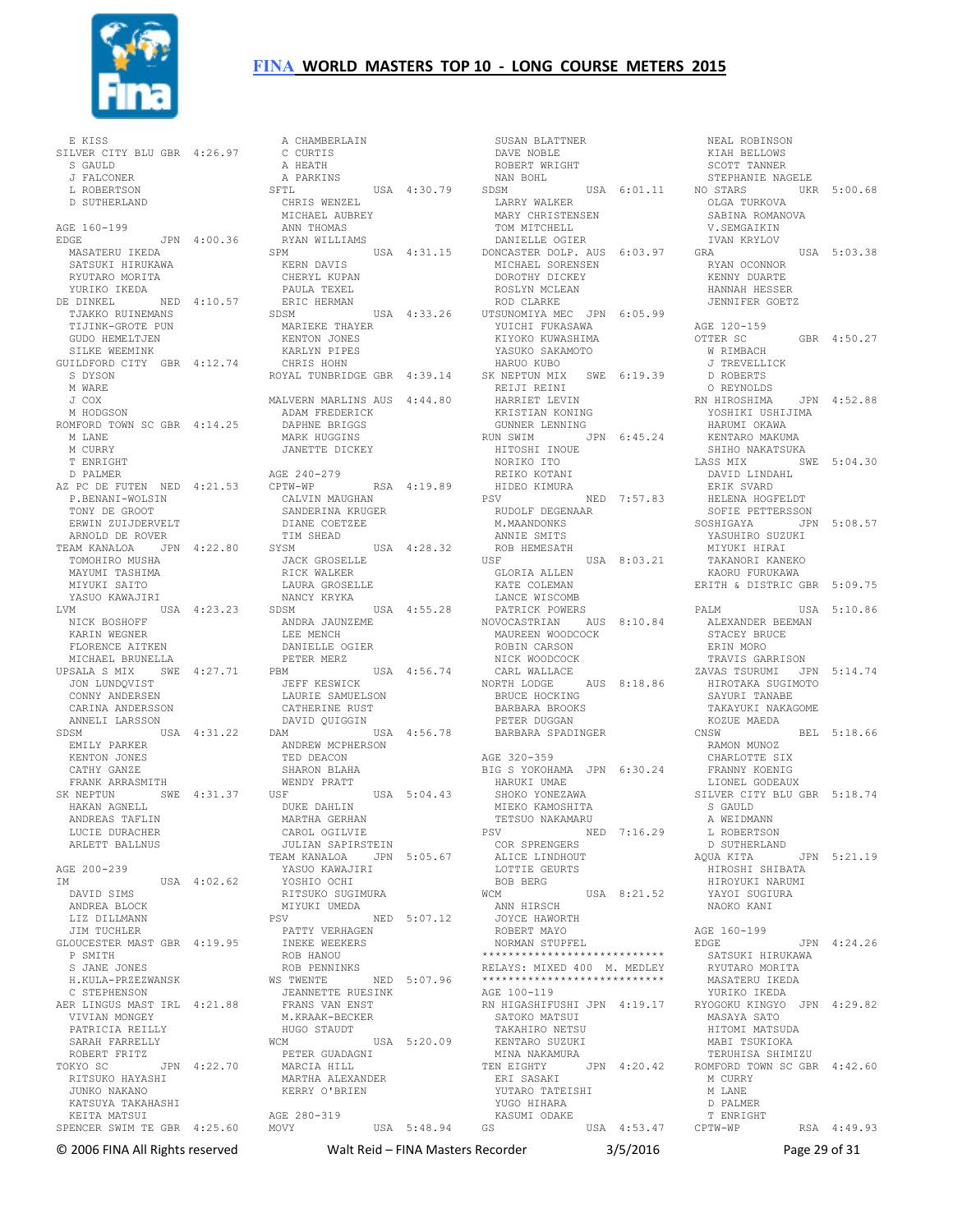

E KISS<br>SILVER CITY BLU GBR 4:26.97<br>S GAULD<br>J FALCONER L ROBERTSON D SUTHERLAND AGE 160-199 EDGE JPN 4:00.36 MASATERU IKEDA SATSUKI HIRUKAWA RYUTARO MORITA YURIKO IKEDA DE DINKEL NED 4:10.57 PAULA TEXEL ERIC HERMAN TJAKKO RUINEMANS TIJINK-GROTE PUN GUDO HEMELTJEN SILKE WEEMINK GUILDFORD CITY GBR 4:12.74 S DYSON M WARE J COX M HODGSON ROMFORD TOWN SC GBR 4:14.25 M LANE M CURRY T ENRIGHT D PALMER AZ PC DE FUTEN NED 4:21.53 CPTW-WP P.BENANI-WOLSIN TONY DE GROOT ERWIN ZUIJDERVELT ARNOLD DE ROVER TEAM KANALOA JPN 4:22.80 SAM NANALVI.<br>TOMOHIRO MUSHA MAYUMI TASHIMA MIYUKI SAITO YASUO KAWAJIRI LVM USA 4:23.23 NICK BOSHOFF KARIN WEGNER FLORENCE AITKEN MICHAEL BRUNELLA UPSALA S MIX SWE 4:27.71 JON LUNDQVIST CONNY ANDERSEN CARINA ANDERSSON ANNELI LARSSON SDSM USA 4:31.22 EMILY PARKER ANDREW MCPHERSON KENTON JONES CATHY GANZE FRANK ARRASMITH SK NEPTUN SWE 4:31.37 HAKAN AGNELL ANDREAS TAFLIN LUCIE DURACHER ARLETT BALLNUS AGE 200-239 IM USA 4:02.62 DAVID SIMS ANDREA BLOCK LIZ DILLMANN JIM TUCHLER GLOUCESTER MAST GBR 4:19.95 P SMITH S JANE JONES<br>H.KULA-PRZEZWANSK H.KULA-PRZEZWANSK C STEPHENSON AER LINGUS MAST IRL 4:21.88 VIVIAN MONGEY PATRICIA REILLY SARAH FARRELLY<br>
ROBERT FRITZ<br>TOKYO SC JPN 4:22.70<br>
RITSUKO HAYASHI<br>
JUNKO NAKANO<br>
KATSUYA TAKAHASHI UUNIC INALII.<br>KATSUYA TAKAHASHI<br>KEITA MATSUI

SPENCER SWIM TE GBR 4:25.60 MOVY USA 5:48.94 GS USA 4:53.47 A CHAMBERLAIN C CURTIS A HEATH A PARKINS A DARKINS<br>
SFTL USA 4:30.79 CHRIS WENZEL MICHAEL AUBREY ANN THOMAS RYAN WILLIAMS SPM USA 4:31.15 DONCASTER DOLP. AUS 6:03.97 KERN DAVIS CHERYL KUPAN SDSM USA 4:33.26 UTSUNOMIYA MEC JPN 6:05.99 SDSM USA 4:33.26<br>MARIEKE THAYER KENTON JONES KARLYN PIPES CHRIS HOHN ROYAL TUNBRIDGE GBR 4:39.14 MALVERN MARLINS AUS 4:44.80 ADAM FREDERICK DAPHNE BRIGGS MARK HUGGINS<br>JANETTE DICKEY AGE 240-279<br>CPTW-WP RSA 4:19.89 CPTW-WP RSA 4:19.89 CALVIN MAUGHAN SANDERINA KRUGER DIANE COETZEE TIM SHEAD SYSM USA 4:28.32 JACK GROSELLE RICK WALKER LAURA GROSELLE HAUNA SINGER<br>NANCY KRYKA SDSM USA 4:55.28 PATRICK POWERS NOVOCASTRIAN AUS 8:10.84 ANDRA JAUNZEME LEE MENCH DANIELLE OGIER PETER MERZ USA 4:56.74<br>Som JEFF KESWICK LAURIE SAMUELSON CATHERINE RUST DAVID QUIGGIN DAM USA 4:56.78 TED DEACON SHARON BLAHA WENDY PRATT USF USA 5:04.43 DUKE DAHLIN MARTHA GERHAN CAROL OGILVIE JULIAN SAPIRSTEIN TEAM KANALOA JPN 5:05.67 YASUO KAWAJIRI YOSHIO OCHI RITSUKO SUGIMURA MIYUKI UMEDA<br>PSV PSV NED 5:07.12 PATTY VERHAGEN INEKE WEEKERS ROB HANOU ROB PENNINKS WS TWENTE NED 5:07.96 JEANNETTE RUESINK FRANS VAN ENST M.KRAAK-BECKER HUGO STAUDT WCM USA 5:20.09 PETER GUADAGNI MARCIA HILL MARTHA ALEXANDER KERRY O'BRIEN AGE 280-319

SUSAN BLATTNER<br>DAVE NOBLE DAVE NOBLE<br>
ROBERT WRIGHT<br>
NAN BOHL<br>
SDSM USA 6:01.11<br>
LARRY WALKER MARY CHRISTENSEN TOM MITCHELL DANIELLE OGIER MICHAEL SORENSEN DOROTHY DICKEY ROSLYN MCLEAN ROD CLARKE YUICHI FUKASAWA KIYOKO KUWASHIMA YASUKO SAKAMOTO HARUO KUBO SK NEPTUN MIX SWE 6:19.39 REIJI REINI HARRIET LEVIN O REYNOLDS RN HIROSHIMA JPN 4:52.88 KRISTIAN KONING GUNNER LENNING RUN SWIM JPN 6:45.24 HITOSHI INOUE KENTARO MAKUMA SHIHO NAKATSUKA NORIKO ITO REIKO KOTANI HIDEO KIMURA PSV NED 7:57.83 RUDOLF DEGENAAR M.MAANDONKS ANNIE SMITS<br>ROB HEMESATH ROB HEMESATH<br>USF USA 8:03.21<br>GLORIA ALLEN<br>KATE COLEMAN<br>LANCE WISCOMB MAUREEN WOODCOCK ROBIN CARSON NICK WOODCOCK CARL WALLACE NORTH LODGE AUS 8:18.86 HIROTAKA SUGIMOTO BRUCE HOCKING BARBARA BROOKS PETER DUGGAN BARBARA SPADINGER AGE 320-359 BIG S YOKOHAMA JPN 6:30.24 HARUKI UMAE SHOKO YONEZAWA MIEKO KAMOSHITA TETSUO NAKAMARU PSV NED 7:16.29 COR SPRENGERS ALICE LINDHOUT LOTTIE GEURTS BOB BERG WCM USA 8:21.52 ANN HIRSCH JOYCE HAWORTH ROBERT MAYO NORMAN STUPFEL \*\*\*\*\*\*\*\*\*\*\*\*\*\*\*\*\*\*\*\*\*\*\*\*\*\*\*\* RELAYS: MIXED 400 M. MEDLEY \*\*\*\*\*\*\*\*\*\*\*\*\*\*\*\*\*\*\*\*\*\*\*\*\*\*\*\* AGE 100-119 RN HIGASHIFUSHI JPN 4:19.17 SATOKO MATSUI TAKAHIRO NETSU KENTARO SUZUKI MINA NAKAMURA TEN EIGHTY JPN 4:20.42 ROMFORD TOWN SC GBR 4:42.60 ERI SASAKI YUTARO TATEISHI<br>YUTARO TATEISHI YUGO HIHARA<br>KASUMI ODAKE

NEAL NOTE SCOTT TANNER STEPHANIE NAGELE UKR 5:00.68 OLGA TURKOVA SABINA ROMANOVA V.SEMGAIKIN IVAN KRYLOV USA 5:03.38 RYAN OCONNOR KENNY DUARTE HANNAH HESSER JENNIFER GOETZ AGE 120-159 OTTER SC GBR 4:50.27 W RIMBACH J TREVELLICK D ROBERTS YOSHIKI USHIJIMA HARUMI OKAWA LASS MIX SWE 5:04.30 DAVID LINDAHL ERIK SVARD ERIK SVARD<br>HELENA HOGFELDT SOFIE PETTERSSON SOSHIGAYA JPN 5:08.57 YASUHIRO SUZUKI<br>MIYUKI HIRAI MIYUKI HIRAI TAKANORI KANEKO KAORU FURUKAWA ERITH & DISTRIC GBR 5:09.75 USA 5:10.86 ALEXANDER BEEMAN STACEY BRUCE ERIN MORO TRAVIS GARRISON ZAVAS TSURUMI JPN 5:14.74 SAYURI TANABE TAKAYUKI NAKAGOME KOZUE MAEDA<br>CNSW THOM MUNOZ CNSW BEL 5:18.66 RAMON MUNOZ CHARLOTTE SIX FRANNY KOENIG LIONEL GODEAUX SILVER CITY BLU GBR 5:18.74 S GAULD A WEIDMANN L ROBERTSON D SUTHERLAND  $\frac{D}{A\text{QUA}}$  KITA  $\frac{J\text{PN}}{I\text{V}}$  5:21.19 HIROSHI SHIBATA HIROYUKI NARUMI YAYOI SUGIURA NAOKO KANI AGE 160-199 EDGE JPN 4:24.26 SATSUKI HIRUKAWA RYUTARO MORITA MASATERU IKEDA YURIKO IKEDA RYOGOKU KINGYO JPN 4:29.82 MASAYA SATO HITOMI MATSUDA MABI TSUKIOKA TERUHISA SHIMIZU M CURRY M LANE D PALMER T ENRIGHT RSA 4:49.93

NEAL ROBINSON

© 2006 FINA All Rights reserved Walt Reid – FINA Masters Recorder 3/5/2016 Page 29 of 31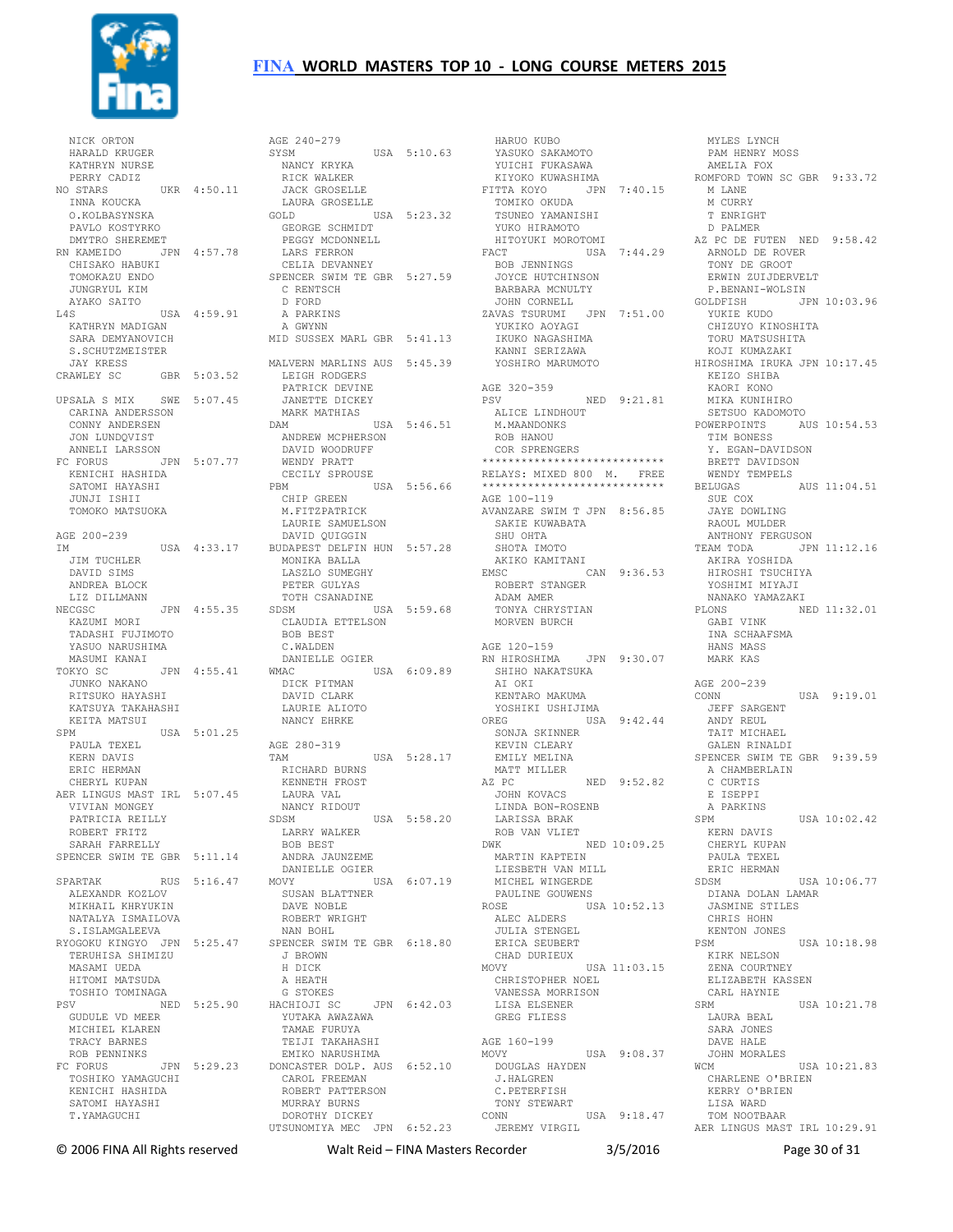

 NICK ORTON HARALD KRUGER KATHRYN NURSE PERRY CADIZ NO STARS UKR 4:50.11 INNA KOUCKA O.KOLBASYNSKA PAVLO KOSTYRKO DMYTRO SHEREMET RN KAMEIDO JPN 4:57.78 CHISAKO HABUKI TOMOKAZU ENDO JUNGRYUL KIM AYAKO SAITO L4S USA 4:59.91 KATHRYN MADIGAN SARA DEMYANOVICH S.SCHUTZMEISTER JAY KRESS CRAWLEY SC GBR 5:03.52 UPSALA S MIX SWE 5:07.45 CARINA ANDERSSON CONNY ANDERSEN JON LUNDQVIST ANNELI LARSSON FC FORUS JPN 5:07.77 KENICHI HASHIDA SATOMI HAYASHI JUNJI ISHII TOMOKO MATSUOKA AGE 200-239 IM USA 4:33.17 JIM TUCHLER DAVID SIMS ANDREA BLOCK LIZ DILLMANN NECGSC JPN 4:55.35 KAZUMI MORI TADASHI FUJIMOTO YASUO NARUSHIMA<br>MASUMI KANAI MASUMI KANAI TOKYO SC JPN 4:55.41 JUNKO NAKANO RITSUKO HAYASHI KATSUYA TAKAHASHI KEITA MATSUI  $SPM$   $IISA$   $5:01.25$  PAULA TEXEL KERN DAVIS ERIC HERMAN CHERYL KUPAN AER LINGUS MAST IRL 5:07.45 VIVIAN MONGEY PATRICIA REILLY ROBERT FRITZ SARAH FARRELLY SPENCER SWIM TE GBR 5:11.14 ANDRA JAUNZEME SPARTAK RUS 5:16.47 ALEXANDR KOZLOV MIKHAIL KHRYUKIN NATALYA ISMAILOVA S. ISLAMGALEEVA RYOGOKU KINGYO JPN 5:25.47 TERUHISA SHIMIZU MASAMI UEDA HITOMI MATSUDA TOSHIO TOMINAGA PSV NED 5:25.90 GUDULE VD MEER MICHIEL KLAREN TRACY BARNES ROB PENNINKS FC FORUS JPN 5:29.23 TOSHIKO YAMAGUCHI KENICHI HASHIDA SATOMI HAYASHI T.YAMAGUCHI

AGE 240-279 SYSM USA 5:10.63 NANCY KRYKA RICK WALKER JACK GROSELLE LAURA GROSELLE USA 5:23.32 GEORGE SCHMIDT PEGGY MCDONNELL LARS FERRON CELIA DEVANNEY SPENCER SWIM TE GBR 5:27.59 C RENTSCH D FORD A PARKINS A GWYNN MID SUSSEX MARL GBR 5:41.13 MALVERN MARLINS AUS 5:45.39 LEIGH RODGERS PATRICK DEVINE JANETTE DICKEY MARK MATHIAS DAM USA 5:46.51 ANDREW MCPHERSON DAVID WOODRUFF WENDY PRATT<br>CECILY SPROUSE CECILY SPROUSE PBM USA 5:56.66 CHIP GREEN M.FITZPATRICK LAURIE SAMUELSON DAVID QUIGGIN BUDAPEST DELFIN HUN 5:57.28 MONIKA BALLA LASZLO SUMEGHY PETER GULYAS TOTH CSANADINE<br>SDSM [1]  $USA 5:59.68$  CLAUDIA ETTELSON BOB BEST C.WALDEN DANIELLE OGIER WMAC USA 6:09.89 DICK PITMAN DAVID CLARK LAURIE ALIOTO NANCY EHRKE AGE 280-319 TAM USA 5:28.17 RICHARD BURNS KENNETH FROST LAURA VAL NANCY RIDOUT<br>SDSM  $TISA$  5:58.20 LARRY WALKER BOB BEST DANIELLE OGIER USA 6:07.19 SUSAN BLATTNER DAVE NOBLE ROBERT WRIGHT NAN BOHL SPENCER SWIM TE GBR 6:18.80 J BROWN H DICK A HEATH G STOKES HACHIOJI SC JPN 6:42.03 YUTAKA AWAZAWA TAMAE FURUYA TEIJI TAKAHASHI EMIKO NARUSHIMA DONCASTER DOLP. AUS 6:52.10 CAROL FREEMAN ROBERT PATTERSON MURRAY BURNS DOROTHY DICKEY UTSUNOMIYA MEC JPN 6:52.23

 HARUO KUBO YASUKO SAKAMOTO YUICHI FUKASAWA KIYOKO KUWASHIMA FITTA KOYO JPN 7:40.15 TOMIKO OKUDA TSUNEO YAMANISHI YUKO HIRAMOTO HITOYUKI MOROTOMI FACT USA 7:44.29 BOB JENNINGS JOYCE HUTCHINSON BARBARA MCNULTY JOHN CORNELL<br>ZAVAS TSURUMI ZAVAS TSURUMI JPN 7:51.00 YUKIKO AOYAGI IKUKO NAGASHIMA KANNI SERIZAWA YOSHIRO MARUMOTO AGE 320-359 PSV NED 9:21.81 ALICE LINDHOUT M.MAANDONKS ROB HANOU COR SPRENGERS \*\*\*\*\*\*\*\*\*\*\*\*\*\*\*\*\*\*\*\*\*\*\*\*\*\*\*\* RELAYS: MIXED 800 M. FREE \*\*\*\*\*\*\*\*\*\*\*\*\*\*\*\*\*\*\*\*\*\*\*\*\*\*\*\* AGE 100-119 AVANZARE SWIM T JPN 8:56.85 SAKIE KUWABATA SHU OHTA SHOTA IMOTO AKIKO KAMITANI EMSC CAN 9:36.53 ROBERT STANGER ADAM AMER TONYA CHRYSTIAN MORVEN BURCH AGE 120-159 RN HIROSHIMA JPN 9:30.07 SHIHO NAKATSUKA AT OKT KENTARO MAKUMA YOSHIKI USHIJIMA OREG USA 9:42.44 SONJA SKINNER KEVIN CLEARY EMILY MELINA MATT MILLER AZ PC NED 9:52.82 JOHN KOVACS LINDA BON-ROSENB LARISSA BRAK ROB VAN VLIET DWK NED 10:09.25 MARTIN KAPTEIN LIESBETH VAN MILL MICHEL WINGERDE PAULINE GOUWENS USA 10:52.13 ALEC ALDERS JULIA STENGEL ERICA SEUBERT CHAD DURIEUX MOVY USA 11:03.15 CHRISTOPHER NOEL VANESSA MORRISON LISA ELSENER GREG FLIESS AGE 160-199<br>MOVY USA 9:08.37 DOUGLAS HAYDEN J.HALGREN C.PETERFISH TONY STEWART CONN USA 9:18.47 JEREMY VIRGIL

 MYLES LYNCH PAM HENRY MOSS AMELIA FOX ROMFORD TOWN SC GBR 9:33.72 M LANE M CURRY T ENRIGHT D PALMER AZ PC DE FUTEN NED 9:58.42 ARNOLD DE ROVER TONY DE GROOT ERWIN ZUIJDERVELT P.BENANI-WOLSIN GOLDFISH JPN 10:03.96 YUKIE KUDO<br>YUKIE KUDO CHIZUYO KINOSHITA TORU MATSUSHITA KOJI KUMAZAKI HIROSHIMA IRUKA JPN 10:17.45 KEIZO SHIBA KAORI KONO MIKA KUNIHIRO SETSUO KADOMOTO POWERPOINTS AUS 10:54.53 TIM BONESS Y. EGAN-DAVIDSON BRETT DAVIDSON WENDY TEMPELS BELUGAS AUS 11:04.51 SUE COX JAYE DOWLING RAOUL MULDER ANTHONY FERGUSON TEAM TODA JPN 11:12.16 AKIRA YOSHIDA HIROSHI TSUCHIYA YOSHIMI MIYAJI NANAKO YAMAZAKI NED 11:32.01 GABI VINK INA SCHAAFSMA HANS MASS MARK KAS AGE 200-239 CONN USA 9:19.01 JEFF SARGENT ANDY REUL TAIT MICHAEL GALEN RINALDI SPENCER SWIM TE GBR 9:39.59 A CHAMBERLAIN C CURTIS E ISEPPI A PARKINS  $SPM$   $IISA$   $10.02.42$  KERN DAVIS CHERYL KUPAN PAULA TEXEL ERIC HERMAN<br>SDSM  $IISA$  10:06.77 DIANA DOLAN LAMAR JASMINE STILES CHRIS HOHN KENTON JONES PSM USA 10:18.98 KIRK NELSON ZENA COURTNEY ELIZABETH KASSEN CARL HAYNIE  $SRM$  USA  $10 \cdot 21$  78 LAURA BEAL SARA JONES DAVE HALE JOHN MORALES WCM USA 10:21.83 CHARLENE O'BRIEN KERRY O'BRIEN LISA WARD TOM NOOTBAAR AER LINGUS MAST IRL 10:29.91

© 2006 FINA All Rights reserved Walt Reid – FINA Masters Recorder 3/5/2016 Page 30 of 31